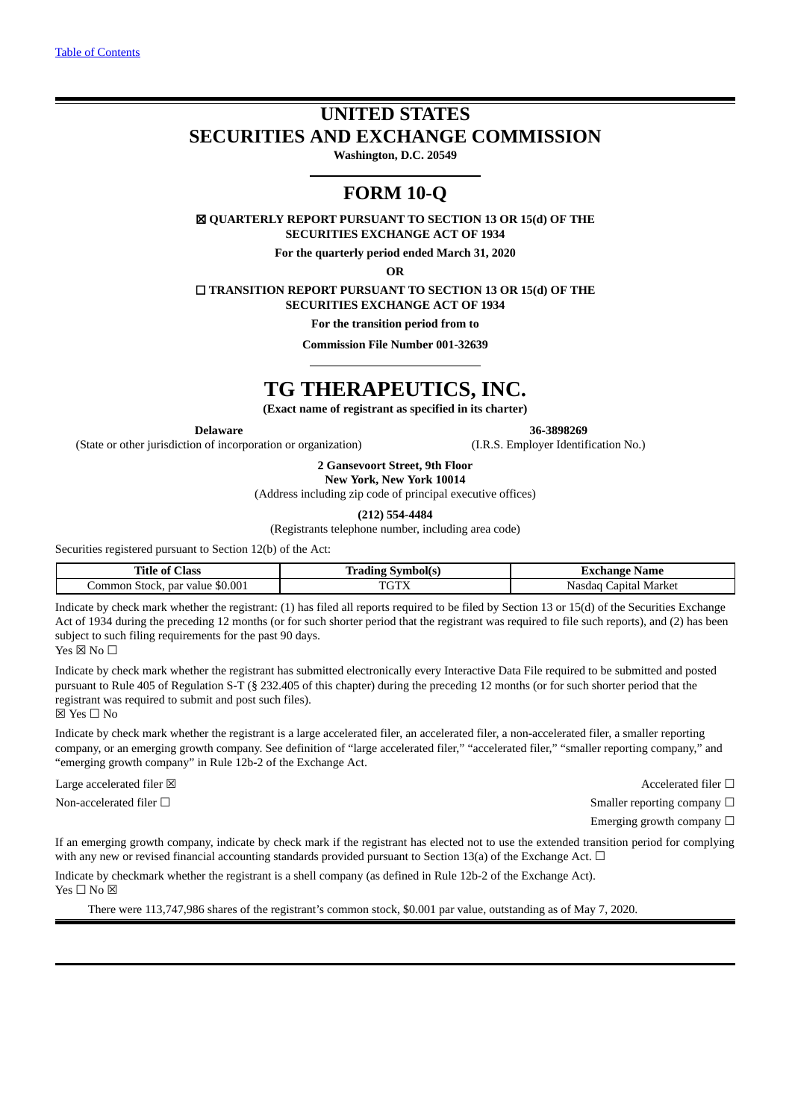# **UNITED STATES SECURITIES AND EXCHANGE COMMISSION**

**Washington, D.C. 20549**

# **FORM 10-Q**

☒ **QUARTERLY REPORT PURSUANT TO SECTION 13 OR 15(d) OF THE SECURITIES EXCHANGE ACT OF 1934**

**For the quarterly period ended March 31, 2020**

**OR**

☐ **TRANSITION REPORT PURSUANT TO SECTION 13 OR 15(d) OF THE SECURITIES EXCHANGE ACT OF 1934**

**For the transition period from to**

**Commission File Number 001-32639**

# **TG THERAPEUTICS, INC.**

**(Exact name of registrant as specified in its charter)**

**Delaware 36-3898269**

(State or other jurisdiction of incorporation or organization) (I.R.S. Employer Identification No.)

**2 Gansevoort Street, 9th Floor**

**New York, New York 10014**

(Address including zip code of principal executive offices)

**(212) 554-4484**

(Registrants telephone number, including area code)

Securities registered pursuant to Section 12(b) of the Act:

| .itle of<br>Class               | Symbol(s)<br>ading the | Name<br>xchange               |  |  |  |  |
|---------------------------------|------------------------|-------------------------------|--|--|--|--|
| Common Stock, par value \$0.001 | ---                    | . Market<br>Nasdaq<br>Capital |  |  |  |  |

Indicate by check mark whether the registrant: (1) has filed all reports required to be filed by Section 13 or 15(d) of the Securities Exchange Act of 1934 during the preceding 12 months (or for such shorter period that the registrant was required to file such reports), and (2) has been subject to such filing requirements for the past 90 days. Yes  $\boxtimes$  No  $\square$ 

Indicate by check mark whether the registrant has submitted electronically every Interactive Data File required to be submitted and posted pursuant to Rule 405 of Regulation S-T (§ 232.405 of this chapter) during the preceding 12 months (or for such shorter period that the registrant was required to submit and post such files).

☒ Yes ☐ No

Indicate by check mark whether the registrant is a large accelerated filer, an accelerated filer, a non-accelerated filer, a smaller reporting company, or an emerging growth company. See definition of "large accelerated filer," "accelerated filer," "smaller reporting company," and "emerging growth company" in Rule 12b-2 of the Exchange Act.

Large accelerated filer ⊠ and  $\Box$  Accelerated filer  $\Box$ 

Non-accelerated filer □ state state of the state of the state of the state of the Smaller reporting company □

Emerging growth company  $\Box$ 

If an emerging growth company, indicate by check mark if the registrant has elected not to use the extended transition period for complying with any new or revised financial accounting standards provided pursuant to Section 13(a) of the Exchange Act.  $\Box$ 

Indicate by checkmark whether the registrant is a shell company (as defined in Rule 12b-2 of the Exchange Act).

Yes □ No ⊠

There were 113,747,986 shares of the registrant's common stock, \$0.001 par value, outstanding as of May 7, 2020.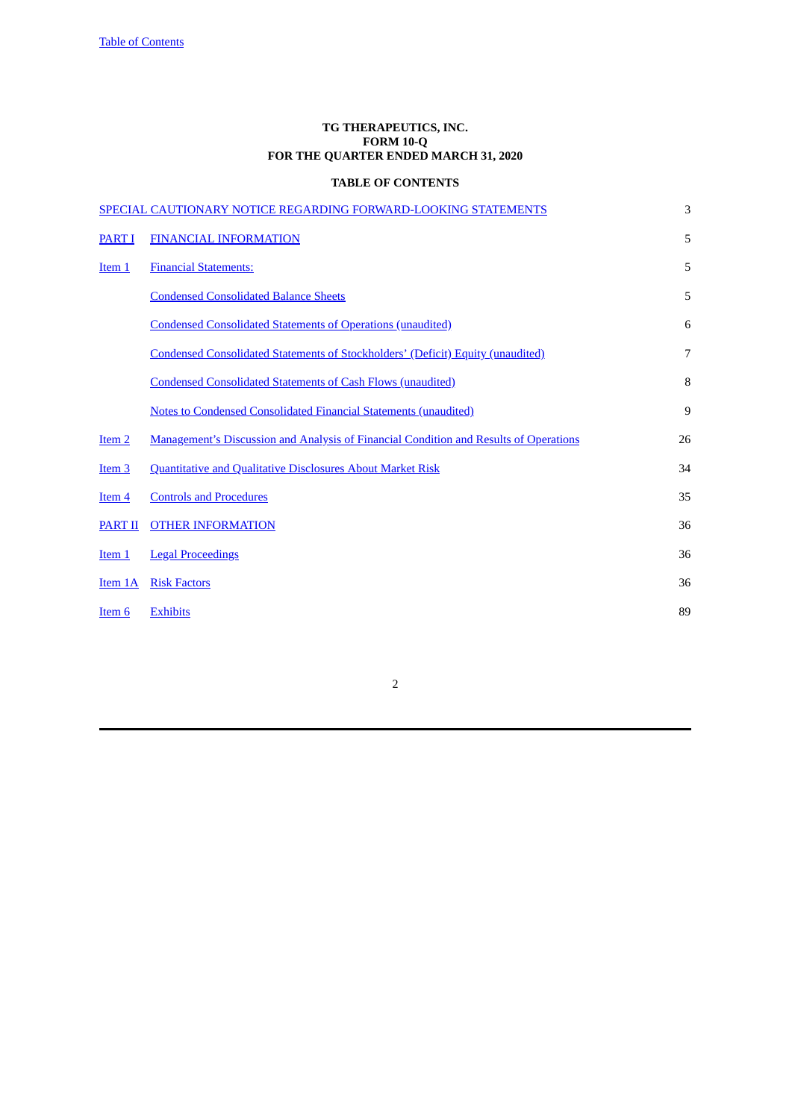## **TG THERAPEUTICS, INC. FORM 10-Q FOR THE QUARTER ENDED MARCH 31, 2020**

# **TABLE OF CONTENTS**

<span id="page-1-0"></span>

|                | SPECIAL CAUTIONARY NOTICE REGARDING FORWARD-LOOKING STATEMENTS                               | 3  |
|----------------|----------------------------------------------------------------------------------------------|----|
| <b>PART I</b>  | <b>FINANCIAL INFORMATION</b>                                                                 | 5  |
| Item 1         | <b>Financial Statements:</b>                                                                 | 5  |
|                | <b>Condensed Consolidated Balance Sheets</b>                                                 | 5  |
|                | <b>Condensed Consolidated Statements of Operations (unaudited)</b>                           | 6  |
|                | <b>Condensed Consolidated Statements of Stockholders' (Deficit) Equity (unaudited)</b>       | 7  |
|                | <b>Condensed Consolidated Statements of Cash Flows (unaudited)</b>                           | 8  |
|                | <b>Notes to Condensed Consolidated Financial Statements (unaudited)</b>                      | 9  |
| Item 2         | <b>Management's Discussion and Analysis of Financial Condition and Results of Operations</b> | 26 |
| Item 3         | <b>Quantitative and Qualitative Disclosures About Market Risk</b>                            | 34 |
| Item 4         | <b>Controls and Procedures</b>                                                               | 35 |
| <b>PART II</b> | <b>OTHER INFORMATION</b>                                                                     | 36 |
| Item 1         | <b>Legal Proceedings</b>                                                                     | 36 |
| Item 1A        | <b>Risk Factors</b>                                                                          | 36 |
| Item 6         | <b>Exhibits</b>                                                                              | 89 |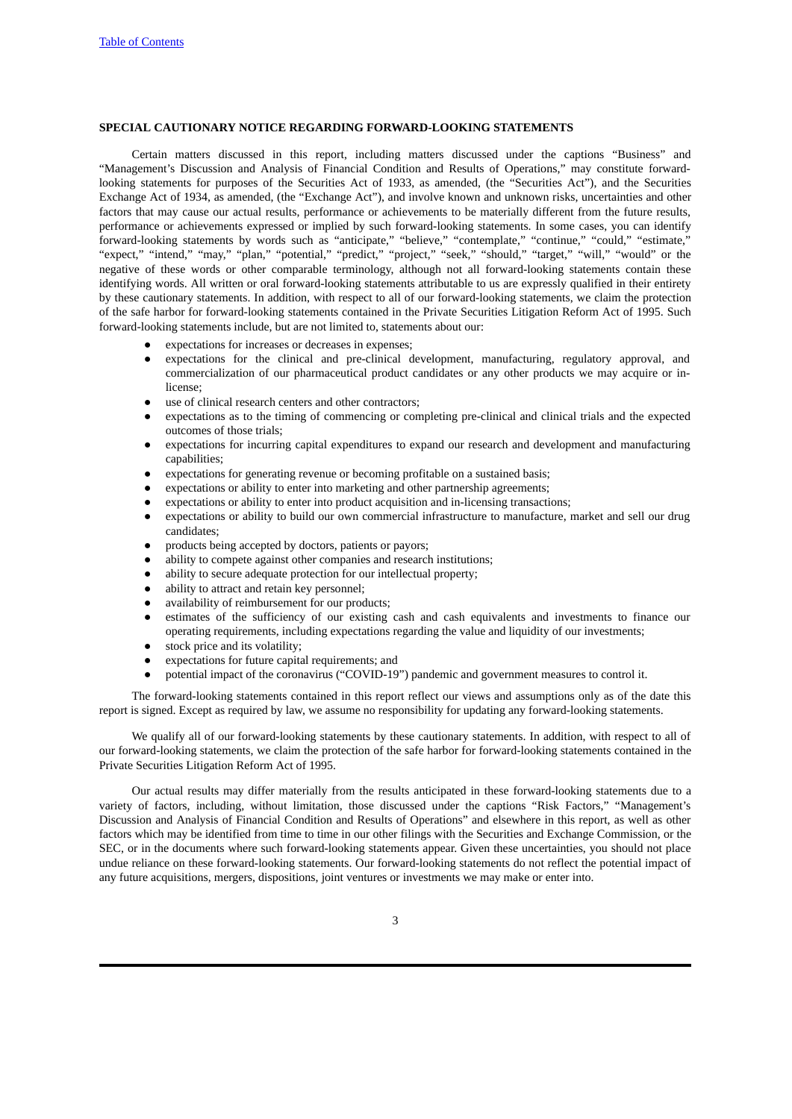## <span id="page-2-0"></span>**SPECIAL CAUTIONARY NOTICE REGARDING FORWARD-LOOKING STATEMENTS**

Certain matters discussed in this report, including matters discussed under the captions "Business" and "Management's Discussion and Analysis of Financial Condition and Results of Operations," may constitute forwardlooking statements for purposes of the Securities Act of 1933, as amended, (the "Securities Act"), and the Securities Exchange Act of 1934, as amended, (the "Exchange Act"), and involve known and unknown risks, uncertainties and other factors that may cause our actual results, performance or achievements to be materially different from the future results, performance or achievements expressed or implied by such forward-looking statements. In some cases, you can identify forward-looking statements by words such as "anticipate," "believe," "contemplate," "continue," "could," "estimate," "expect," "intend," "may," "plan," "potential," "predict," "project," "seek," "should," "target," "will," "would" or the negative of these words or other comparable terminology, although not all forward-looking statements contain these identifying words. All written or oral forward-looking statements attributable to us are expressly qualified in their entirety by these cautionary statements. In addition, with respect to all of our forward-looking statements, we claim the protection of the safe harbor for forward-looking statements contained in the Private Securities Litigation Reform Act of 1995. Such forward-looking statements include, but are not limited to, statements about our:

- expectations for increases or decreases in expenses;
- expectations for the clinical and pre-clinical development, manufacturing, regulatory approval, and commercialization of our pharmaceutical product candidates or any other products we may acquire or inlicense;
- use of clinical research centers and other contractors:
- expectations as to the timing of commencing or completing pre-clinical and clinical trials and the expected outcomes of those trials;
- expectations for incurring capital expenditures to expand our research and development and manufacturing capabilities;
- expectations for generating revenue or becoming profitable on a sustained basis;
- expectations or ability to enter into marketing and other partnership agreements;
- expectations or ability to enter into product acquisition and in-licensing transactions;
- expectations or ability to build our own commercial infrastructure to manufacture, market and sell our drug candidates;
- products being accepted by doctors, patients or payors;
- ability to compete against other companies and research institutions;
- ability to secure adequate protection for our intellectual property;
- ability to attract and retain key personnel;
- availability of reimbursement for our products;
- estimates of the sufficiency of our existing cash and cash equivalents and investments to finance our operating requirements, including expectations regarding the value and liquidity of our investments;
- stock price and its volatility;
- expectations for future capital requirements; and
- potential impact of the coronavirus ("COVID-19") pandemic and government measures to control it.

The forward-looking statements contained in this report reflect our views and assumptions only as of the date this report is signed. Except as required by law, we assume no responsibility for updating any forward-looking statements.

We qualify all of our forward-looking statements by these cautionary statements. In addition, with respect to all of our forward-looking statements, we claim the protection of the safe harbor for forward-looking statements contained in the Private Securities Litigation Reform Act of 1995.

Our actual results may differ materially from the results anticipated in these forward-looking statements due to a variety of factors, including, without limitation, those discussed under the captions "Risk Factors," "Management's Discussion and Analysis of Financial Condition and Results of Operations" and elsewhere in this report, as well as other factors which may be identified from time to time in our other filings with the Securities and Exchange Commission, or the SEC, or in the documents where such forward-looking statements appear. Given these uncertainties, you should not place undue reliance on these forward-looking statements. Our forward-looking statements do not reflect the potential impact of any future acquisitions, mergers, dispositions, joint ventures or investments we may make or enter into.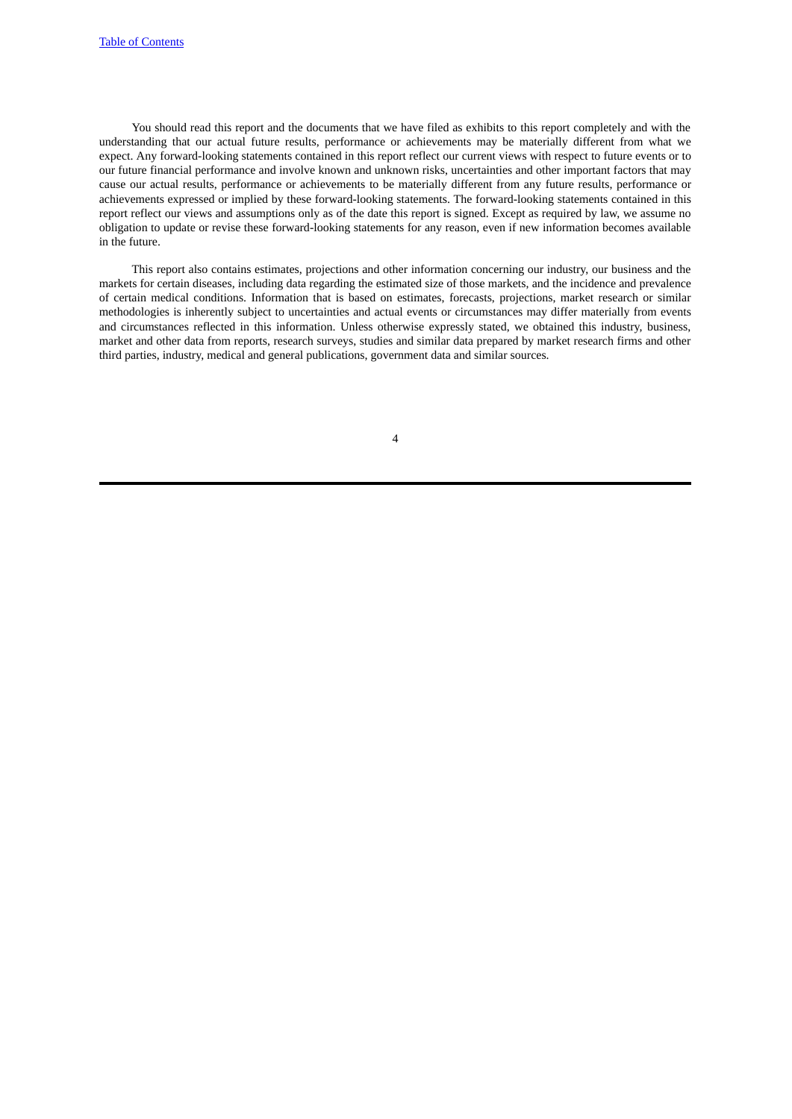You should read this report and the documents that we have filed as exhibits to this report completely and with the understanding that our actual future results, performance or achievements may be materially different from what we expect. Any forward-looking statements contained in this report reflect our current views with respect to future events or to our future financial performance and involve known and unknown risks, uncertainties and other important factors that may cause our actual results, performance or achievements to be materially different from any future results, performance or achievements expressed or implied by these forward-looking statements. The forward-looking statements contained in this report reflect our views and assumptions only as of the date this report is signed. Except as required by law, we assume no obligation to update or revise these forward-looking statements for any reason, even if new information becomes available in the future.

This report also contains estimates, projections and other information concerning our industry, our business and the markets for certain diseases, including data regarding the estimated size of those markets, and the incidence and prevalence of certain medical conditions. Information that is based on estimates, forecasts, projections, market research or similar methodologies is inherently subject to uncertainties and actual events or circumstances may differ materially from events and circumstances reflected in this information. Unless otherwise expressly stated, we obtained this industry, business, market and other data from reports, research surveys, studies and similar data prepared by market research firms and other third parties, industry, medical and general publications, government data and similar sources.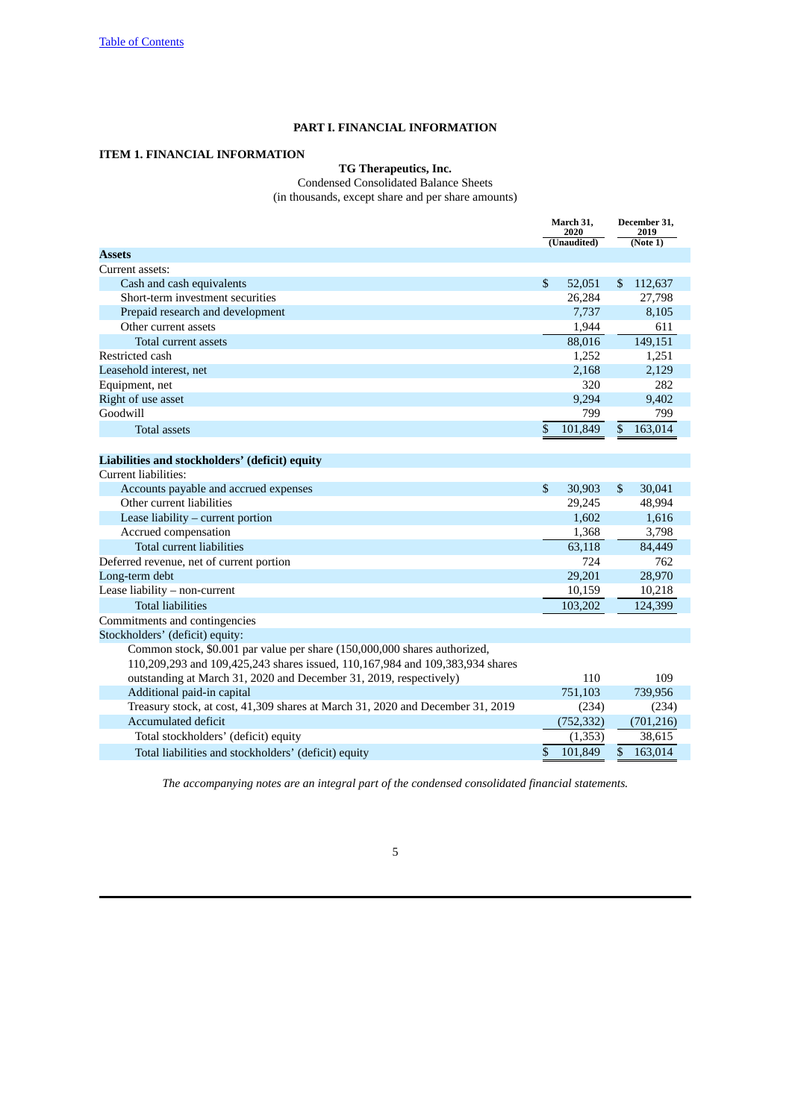# **PART I. FINANCIAL INFORMATION**

# <span id="page-4-2"></span><span id="page-4-1"></span><span id="page-4-0"></span>**ITEM 1. FINANCIAL INFORMATION**

# **TG Therapeutics, Inc.**

Condensed Consolidated Balance Sheets

(in thousands, except share and per share amounts)

|                                                                                | March 31,<br>2020 |             |    | December 31,<br>2019 |
|--------------------------------------------------------------------------------|-------------------|-------------|----|----------------------|
|                                                                                |                   | (Unaudited) |    | (Note 1)             |
| <b>Assets</b>                                                                  |                   |             |    |                      |
| Current assets:                                                                |                   |             |    |                      |
| Cash and cash equivalents                                                      | $\mathbb{S}$      | 52,051      | \$ | 112,637              |
| Short-term investment securities                                               |                   | 26,284      |    | 27,798               |
| Prepaid research and development                                               |                   | 7,737       |    | 8,105                |
| Other current assets                                                           |                   | 1,944       |    | 611                  |
| <b>Total current assets</b>                                                    |                   | 88,016      |    | 149,151              |
| Restricted cash                                                                |                   | 1,252       |    | 1,251                |
| Leasehold interest, net                                                        |                   | 2,168       |    | 2,129                |
| Equipment, net                                                                 |                   | 320         |    | 282                  |
| Right of use asset                                                             |                   | 9,294       |    | 9,402                |
| Goodwill                                                                       |                   | 799         |    | 799                  |
| <b>Total assets</b>                                                            | \$                | 101,849     | \$ | 163,014              |
|                                                                                |                   |             |    |                      |
| Liabilities and stockholders' (deficit) equity                                 |                   |             |    |                      |
| Current liabilities:                                                           |                   |             |    |                      |
| Accounts payable and accrued expenses                                          | $\mathbb{S}$      | 30,903      | \$ | 30,041               |
| Other current liabilities                                                      |                   | 29,245      |    | 48,994               |
| Lease liability - current portion                                              |                   | 1,602       |    | 1,616                |
| Accrued compensation                                                           |                   | 1,368       |    | 3,798                |
| <b>Total current liabilities</b>                                               |                   | 63,118      |    | 84,449               |
| Deferred revenue, net of current portion                                       |                   | 724         |    | 762                  |
| Long-term debt                                                                 |                   | 29,201      |    | 28,970               |
| Lease liability - non-current                                                  |                   | 10,159      |    | 10,218               |
| <b>Total liabilities</b>                                                       |                   | 103,202     |    | 124,399              |
| Commitments and contingencies                                                  |                   |             |    |                      |
| Stockholders' (deficit) equity:                                                |                   |             |    |                      |
| Common stock, \$0.001 par value per share (150,000,000 shares authorized,      |                   |             |    |                      |
| 110,209,293 and 109,425,243 shares issued, 110,167,984 and 109,383,934 shares  |                   |             |    |                      |
| outstanding at March 31, 2020 and December 31, 2019, respectively)             |                   | 110         |    | 109                  |
| Additional paid-in capital                                                     |                   | 751,103     |    | 739,956              |
| Treasury stock, at cost, 41,309 shares at March 31, 2020 and December 31, 2019 |                   | (234)       |    | (234)                |
| Accumulated deficit                                                            |                   | (752, 332)  |    | (701, 216)           |
| Total stockholders' (deficit) equity                                           |                   | (1, 353)    |    | 38,615               |
| Total liabilities and stockholders' (deficit) equity                           | \$                | 101,849     | \$ | 163,014              |

*The accompanying notes are an integral part of the condensed consolidated financial statements.*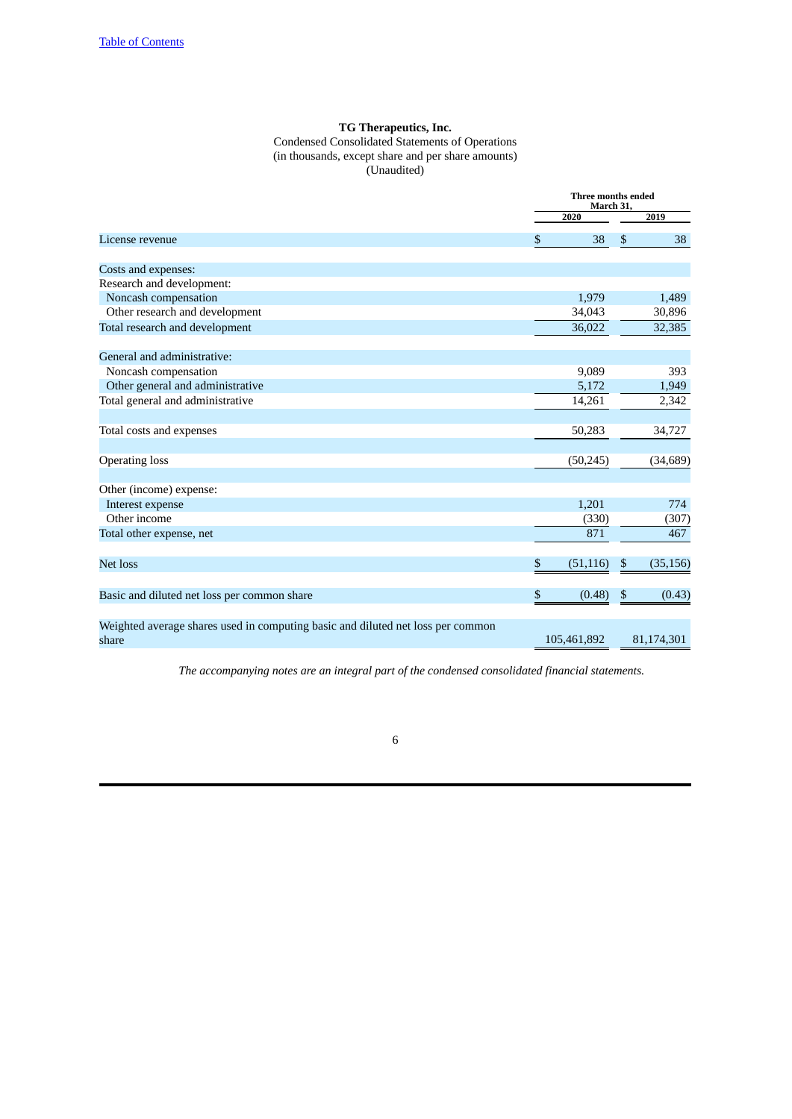#### **TG Therapeutics, Inc.**

Condensed Consolidated Statements of Operations (in thousands, except share and per share amounts) (Unaudited)

<span id="page-5-0"></span>

|                                                                                          | <b>Three months ended</b><br>March 31, |             |    |            |  |
|------------------------------------------------------------------------------------------|----------------------------------------|-------------|----|------------|--|
|                                                                                          |                                        | 2020        |    | 2019       |  |
| License revenue                                                                          | \$                                     | 38          | \$ | 38         |  |
| Costs and expenses:                                                                      |                                        |             |    |            |  |
| Research and development:                                                                |                                        |             |    |            |  |
| Noncash compensation                                                                     |                                        | 1,979       |    | 1,489      |  |
| Other research and development                                                           |                                        | 34,043      |    | 30,896     |  |
| Total research and development                                                           |                                        | 36,022      |    | 32,385     |  |
| General and administrative:                                                              |                                        |             |    |            |  |
| Noncash compensation                                                                     |                                        | 9,089       |    | 393        |  |
| Other general and administrative                                                         |                                        | 5,172       |    | 1,949      |  |
| Total general and administrative                                                         |                                        | 14,261      |    | 2,342      |  |
| Total costs and expenses                                                                 |                                        | 50,283      |    | 34,727     |  |
| <b>Operating loss</b>                                                                    |                                        | (50, 245)   |    | (34, 689)  |  |
| Other (income) expense:                                                                  |                                        |             |    |            |  |
| Interest expense                                                                         |                                        | 1,201       |    | 774        |  |
| Other income                                                                             |                                        | (330)       |    | (307)      |  |
| Total other expense, net                                                                 |                                        | 871         |    | 467        |  |
| Net loss                                                                                 | \$                                     | (51, 116)   | \$ | (35, 156)  |  |
| Basic and diluted net loss per common share                                              | \$                                     | (0.48)      | \$ | (0.43)     |  |
| Weighted average shares used in computing basic and diluted net loss per common<br>share |                                        | 105,461,892 |    | 81,174,301 |  |

*The accompanying notes are an integral part of the condensed consolidated financial statements.*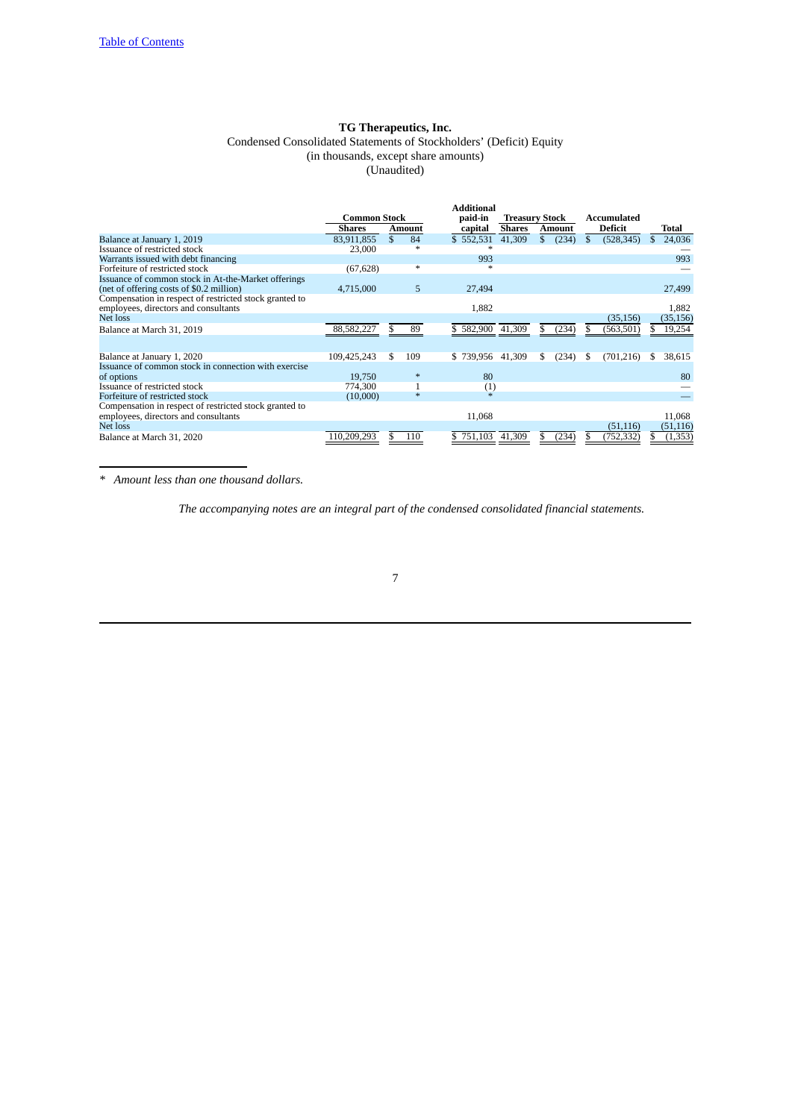## **TG Therapeutics, Inc.** Condensed Consolidated Statements of Stockholders' (Deficit) Equity (in thousands, except share amounts) (Unaudited)

<span id="page-6-0"></span>

|                                                                                                |                     |               |        | <b>Additional</b> |                       |               |        |    |                |    |           |
|------------------------------------------------------------------------------------------------|---------------------|---------------|--------|-------------------|-----------------------|---------------|--------|----|----------------|----|-----------|
|                                                                                                | <b>Common Stock</b> |               |        | paid-in           | <b>Treasury Stock</b> |               |        |    | Accumulated    |    |           |
|                                                                                                | <b>Shares</b>       | <b>Amount</b> |        | capital           | <b>Shares</b>         |               | Amount |    | <b>Deficit</b> |    | Total     |
| Balance at January 1, 2019                                                                     | 83,911,855          | \$            | 84     | \$552,531         | 41,309                | $\mathcal{S}$ | (234)  | \$ | (528, 345)     | \$ | 24,036    |
| Issuance of restricted stock                                                                   | 23,000              |               |        |                   |                       |               |        |    |                |    |           |
| Warrants issued with debt financing                                                            |                     |               |        | 993               |                       |               |        |    |                |    | 993       |
| Forfeiture of restricted stock                                                                 | (67, 628)           |               | *      | *                 |                       |               |        |    |                |    |           |
| Issuance of common stock in At-the-Market offerings                                            |                     |               |        |                   |                       |               |        |    |                |    |           |
| (net of offering costs of \$0.2 million)                                                       | 4,715,000           |               | 5      | 27,494            |                       |               |        |    |                |    | 27,499    |
| Compensation in respect of restricted stock granted to<br>employees, directors and consultants |                     |               |        | 1,882             |                       |               |        |    |                |    | 1,882     |
| Net loss                                                                                       |                     |               |        |                   |                       |               |        |    | (35, 156)      |    | (35, 156) |
| Balance at March 31, 2019                                                                      | 88,582,227          |               | 89     | \$582,900         | 41,309                |               | (234   |    | (563, 501)     | S. | 19,254    |
|                                                                                                |                     |               |        |                   |                       |               |        |    |                |    |           |
| Balance at January 1, 2020                                                                     | 109,425,243         | \$.           | 109    | \$739,956 41,309  |                       | \$            | (234)  | S  | (701, 216)     | S  | 38,615    |
| Issuance of common stock in connection with exercise                                           |                     |               |        |                   |                       |               |        |    |                |    |           |
| of options                                                                                     | 19,750              |               | $\ast$ | 80                |                       |               |        |    |                |    | 80        |
| Issuance of restricted stock                                                                   | 774.300             |               |        | (1)               |                       |               |        |    |                |    |           |
| Forfeiture of restricted stock                                                                 | (10,000)            |               | $\ast$ | $\ast$            |                       |               |        |    |                |    |           |
| Compensation in respect of restricted stock granted to<br>employees, directors and consultants |                     |               |        | 11,068            |                       |               |        |    |                |    | 11,068    |
| Net loss                                                                                       |                     |               |        |                   |                       |               |        |    | (51, 116)      |    | (51, 116) |
| Balance at March 31, 2020                                                                      | 110,209,293         |               | 110    | 751,103           | 41,309                |               | (234)  |    | (752,332)      |    | (1, 353)  |

*\* Amount less than one thousand dollars.*

*The accompanying notes are an integral part of the condensed consolidated financial statements.*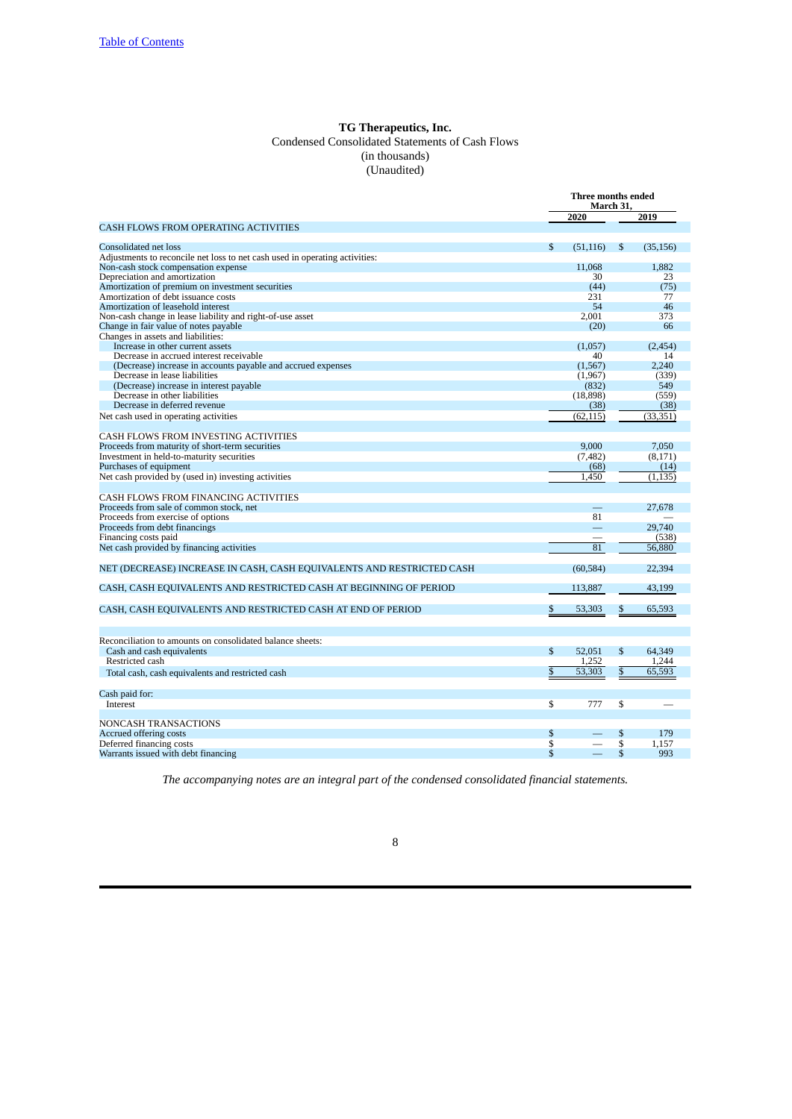## **TG Therapeutics, Inc.** Condensed Consolidated Statements of Cash Flows (in thousands) (Unaudited)

<span id="page-7-0"></span>

|                                                                             | <b>Three months ended</b><br>March 31. |           |                 |           |
|-----------------------------------------------------------------------------|----------------------------------------|-----------|-----------------|-----------|
|                                                                             |                                        | 2020      |                 | 2019      |
| CASH FLOWS FROM OPERATING ACTIVITIES                                        |                                        |           |                 |           |
| <b>Consolidated net loss</b>                                                | \$                                     | (51, 116) | \$              | (35, 156) |
| Adjustments to reconcile net loss to net cash used in operating activities: |                                        |           |                 |           |
| Non-cash stock compensation expense                                         |                                        | 11,068    |                 | 1,882     |
| Depreciation and amortization                                               |                                        | 30        |                 | 23        |
| Amortization of premium on investment securities                            |                                        | (44)      |                 | (75)      |
| Amortization of debt issuance costs                                         |                                        | 231       |                 | 77        |
| Amortization of leasehold interest                                          |                                        | 54        |                 | 46        |
| Non-cash change in lease liability and right-of-use asset                   |                                        | 2,001     |                 | 373       |
| Change in fair value of notes payable                                       |                                        | (20)      |                 | 66        |
| Changes in assets and liabilities:                                          |                                        |           |                 |           |
| Increase in other current assets                                            |                                        | (1,057)   |                 | (2, 454)  |
| Decrease in accrued interest receivable                                     |                                        | 40        |                 | 14        |
| (Decrease) increase in accounts payable and accrued expenses                |                                        | (1, 567)  |                 | 2,240     |
| Decrease in lease liabilities                                               |                                        | (1,967)   |                 | (339)     |
| (Decrease) increase in interest payable                                     |                                        | (832)     |                 | 549       |
| Decrease in other liabilities                                               |                                        | (18, 898) |                 | (559)     |
| Decrease in deferred revenue                                                |                                        | (38)      |                 | (38)      |
| Net cash used in operating activities                                       |                                        | (62, 115) |                 | (33, 351) |
|                                                                             |                                        |           |                 |           |
| CASH FLOWS FROM INVESTING ACTIVITIES                                        |                                        |           |                 |           |
| Proceeds from maturity of short-term securities                             |                                        | 9.000     |                 | 7.050     |
| Investment in held-to-maturity securities                                   |                                        | (7, 482)  |                 | (8, 171)  |
| Purchases of equipment                                                      |                                        | (68)      |                 | (14)      |
| Net cash provided by (used in) investing activities                         |                                        | 1,450     |                 | (1, 135)  |
| CASH FLOWS FROM FINANCING ACTIVITIES                                        |                                        |           |                 |           |
| Proceeds from sale of common stock, net                                     |                                        | $\equiv$  |                 | 27,678    |
| Proceeds from exercise of options                                           |                                        | 81        |                 |           |
| Proceeds from debt financings                                               |                                        |           |                 | 29.740    |
| Financing costs paid                                                        |                                        |           |                 | (538)     |
|                                                                             |                                        | 81        |                 |           |
| Net cash provided by financing activities                                   |                                        |           |                 | 56,880    |
| NET (DECREASE) INCREASE IN CASH, CASH EQUIVALENTS AND RESTRICTED CASH       |                                        | (60, 584) |                 | 22,394    |
| CASH, CASH EQUIVALENTS AND RESTRICTED CASH AT BEGINNING OF PERIOD           |                                        | 113,887   |                 | 43,199    |
|                                                                             |                                        |           |                 |           |
| CASH, CASH EQUIVALENTS AND RESTRICTED CASH AT END OF PERIOD                 | \$                                     | 53,303    | \$              | 65,593    |
|                                                                             |                                        |           |                 |           |
| Reconciliation to amounts on consolidated balance sheets:                   |                                        |           |                 |           |
| Cash and cash equivalents                                                   | \$                                     | 52,051    | \$              | 64,349    |
| Restricted cash                                                             |                                        | 1,252     |                 | 1,244     |
| Total cash, cash equivalents and restricted cash                            | $\overline{\mathbb{S}}$                | 53,303    | $\overline{\$}$ | 65,593    |
| Cash paid for:                                                              |                                        |           |                 |           |
| Interest                                                                    | \$                                     | 777       | \$              |           |
| NONCASH TRANSACTIONS                                                        |                                        |           |                 |           |
| Accrued offering costs                                                      | \$                                     |           | \$              | 179       |
| Deferred financing costs                                                    | \$                                     |           | \$              | 1,157     |
| Warrants issued with debt financing                                         | $\mathbf S$                            |           | \$              | 993       |
|                                                                             |                                        |           |                 |           |

*The accompanying notes are an integral part of the condensed consolidated financial statements.*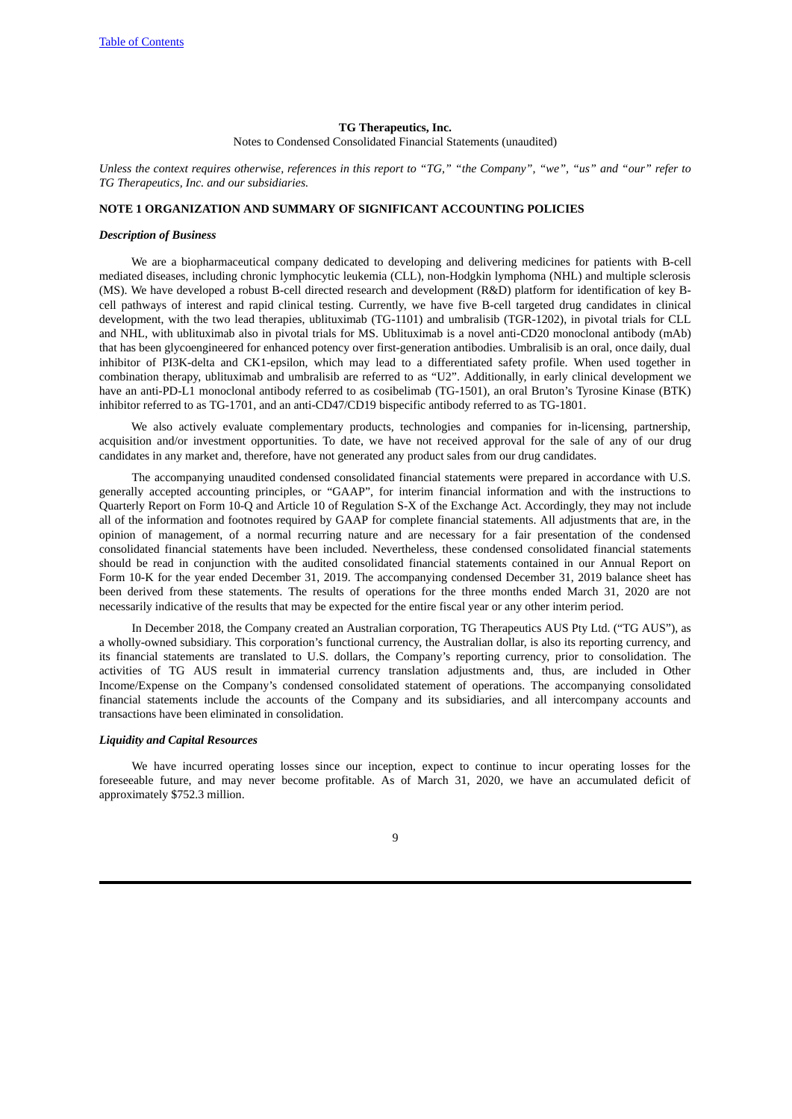## **TG Therapeutics, Inc.** Notes to Condensed Consolidated Financial Statements (unaudited)

<span id="page-8-0"></span>Unless the context requires otherwise, references in this report to "TG," "the Company", "we", "us" and "our" refer to *TG Therapeutics, Inc. and our subsidiaries.*

#### **NOTE 1 ORGANIZATION AND SUMMARY OF SIGNIFICANT ACCOUNTING POLICIES**

#### *Description of Business*

We are a biopharmaceutical company dedicated to developing and delivering medicines for patients with B-cell mediated diseases, including chronic lymphocytic leukemia (CLL), non-Hodgkin lymphoma (NHL) and multiple sclerosis (MS). We have developed a robust B-cell directed research and development (R&D) platform for identification of key Bcell pathways of interest and rapid clinical testing. Currently, we have five B-cell targeted drug candidates in clinical development, with the two lead therapies, ublituximab (TG-1101) and umbralisib (TGR-1202), in pivotal trials for CLL and NHL, with ublituximab also in pivotal trials for MS. Ublituximab is a novel anti-CD20 monoclonal antibody (mAb) that has been glycoengineered for enhanced potency over first-generation antibodies. Umbralisib is an oral, once daily, dual inhibitor of PI3K-delta and CK1-epsilon, which may lead to a differentiated safety profile. When used together in combination therapy, ublituximab and umbralisib are referred to as "U2". Additionally, in early clinical development we have an anti-PD-L1 monoclonal antibody referred to as cosibelimab (TG-1501), an oral Bruton's Tyrosine Kinase (BTK) inhibitor referred to as TG-1701, and an anti-CD47/CD19 bispecific antibody referred to as TG-1801.

We also actively evaluate complementary products, technologies and companies for in-licensing, partnership, acquisition and/or investment opportunities. To date, we have not received approval for the sale of any of our drug candidates in any market and, therefore, have not generated any product sales from our drug candidates.

The accompanying unaudited condensed consolidated financial statements were prepared in accordance with U.S. generally accepted accounting principles, or "GAAP", for interim financial information and with the instructions to Quarterly Report on Form 10-Q and Article 10 of Regulation S-X of the Exchange Act. Accordingly, they may not include all of the information and footnotes required by GAAP for complete financial statements. All adjustments that are, in the opinion of management, of a normal recurring nature and are necessary for a fair presentation of the condensed consolidated financial statements have been included. Nevertheless, these condensed consolidated financial statements should be read in conjunction with the audited consolidated financial statements contained in our Annual Report on Form 10-K for the year ended December 31, 2019. The accompanying condensed December 31, 2019 balance sheet has been derived from these statements. The results of operations for the three months ended March 31, 2020 are not necessarily indicative of the results that may be expected for the entire fiscal year or any other interim period.

In December 2018, the Company created an Australian corporation, TG Therapeutics AUS Pty Ltd. ("TG AUS"), as a wholly-owned subsidiary. This corporation's functional currency, the Australian dollar, is also its reporting currency, and its financial statements are translated to U.S. dollars, the Company's reporting currency, prior to consolidation. The activities of TG AUS result in immaterial currency translation adjustments and, thus, are included in Other Income/Expense on the Company's condensed consolidated statement of operations. The accompanying consolidated financial statements include the accounts of the Company and its subsidiaries, and all intercompany accounts and transactions have been eliminated in consolidation.

#### *Liquidity and Capital Resources*

We have incurred operating losses since our inception, expect to continue to incur operating losses for the foreseeable future, and may never become profitable. As of March 31, 2020, we have an accumulated deficit of approximately \$752.3 million.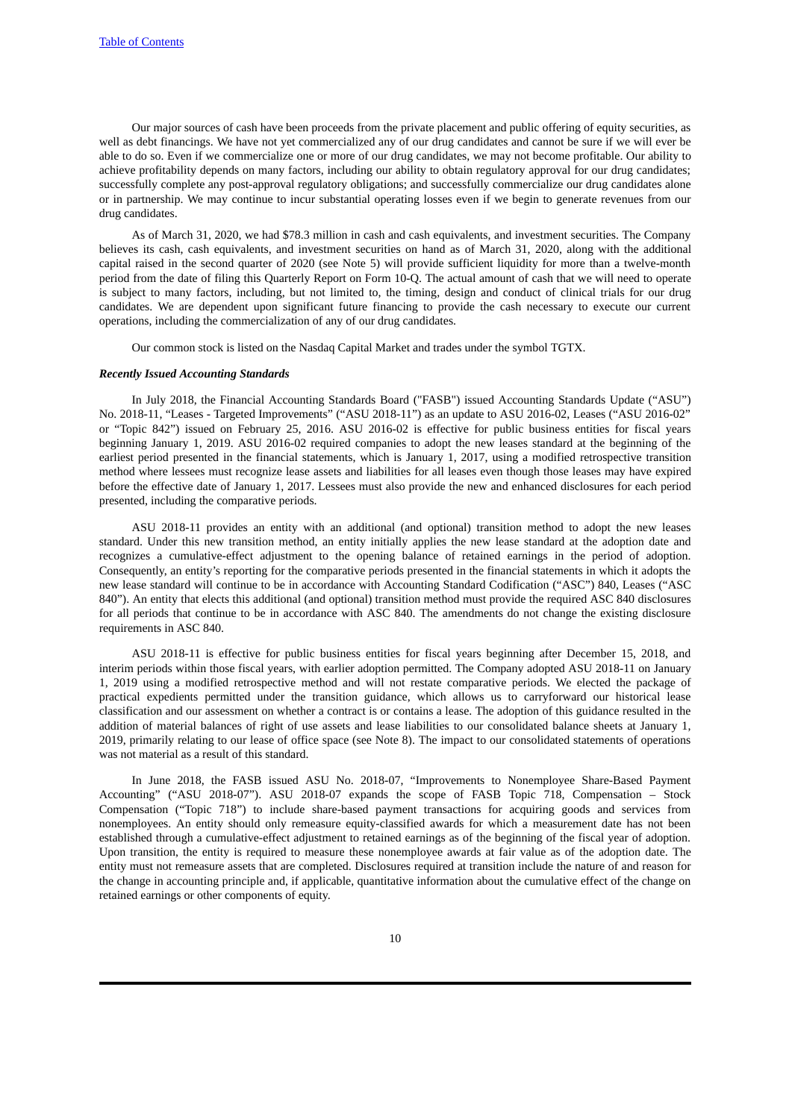Our major sources of cash have been proceeds from the private placement and public offering of equity securities, as well as debt financings. We have not yet commercialized any of our drug candidates and cannot be sure if we will ever be able to do so. Even if we commercialize one or more of our drug candidates, we may not become profitable. Our ability to achieve profitability depends on many factors, including our ability to obtain regulatory approval for our drug candidates; successfully complete any post-approval regulatory obligations; and successfully commercialize our drug candidates alone or in partnership. We may continue to incur substantial operating losses even if we begin to generate revenues from our drug candidates.

As of March 31, 2020, we had \$78.3 million in cash and cash equivalents, and investment securities. The Company believes its cash, cash equivalents, and investment securities on hand as of March 31, 2020, along with the additional capital raised in the second quarter of 2020 (see Note 5) will provide sufficient liquidity for more than a twelve-month period from the date of filing this Quarterly Report on Form 10-Q. The actual amount of cash that we will need to operate is subject to many factors, including, but not limited to, the timing, design and conduct of clinical trials for our drug candidates. We are dependent upon significant future financing to provide the cash necessary to execute our current operations, including the commercialization of any of our drug candidates.

Our common stock is listed on the Nasdaq Capital Market and trades under the symbol TGTX.

#### *Recently Issued Accounting Standards*

In July 2018, the Financial Accounting Standards Board ("FASB") issued Accounting Standards Update ("ASU") No. 2018-11, "Leases - Targeted Improvements" ("ASU 2018-11") as an update to ASU 2016-02, Leases ("ASU 2016-02" or "Topic 842") issued on February 25, 2016. ASU 2016-02 is effective for public business entities for fiscal years beginning January 1, 2019. ASU 2016-02 required companies to adopt the new leases standard at the beginning of the earliest period presented in the financial statements, which is January 1, 2017, using a modified retrospective transition method where lessees must recognize lease assets and liabilities for all leases even though those leases may have expired before the effective date of January 1, 2017. Lessees must also provide the new and enhanced disclosures for each period presented, including the comparative periods.

ASU 2018-11 provides an entity with an additional (and optional) transition method to adopt the new leases standard. Under this new transition method, an entity initially applies the new lease standard at the adoption date and recognizes a cumulative-effect adjustment to the opening balance of retained earnings in the period of adoption. Consequently, an entity's reporting for the comparative periods presented in the financial statements in which it adopts the new lease standard will continue to be in accordance with Accounting Standard Codification ("ASC") 840, Leases ("ASC 840"). An entity that elects this additional (and optional) transition method must provide the required ASC 840 disclosures for all periods that continue to be in accordance with ASC 840. The amendments do not change the existing disclosure requirements in ASC 840.

ASU 2018-11 is effective for public business entities for fiscal years beginning after December 15, 2018, and interim periods within those fiscal years, with earlier adoption permitted. The Company adopted ASU 2018-11 on January 1, 2019 using a modified retrospective method and will not restate comparative periods. We elected the package of practical expedients permitted under the transition guidance, which allows us to carryforward our historical lease classification and our assessment on whether a contract is or contains a lease. The adoption of this guidance resulted in the addition of material balances of right of use assets and lease liabilities to our consolidated balance sheets at January 1, 2019, primarily relating to our lease of office space (see Note 8). The impact to our consolidated statements of operations was not material as a result of this standard.

In June 2018, the FASB issued ASU No. 2018-07, "Improvements to Nonemployee Share-Based Payment Accounting" ("ASU 2018-07"). ASU 2018-07 expands the scope of FASB Topic 718, Compensation – Stock Compensation ("Topic 718") to include share-based payment transactions for acquiring goods and services from nonemployees. An entity should only remeasure equity-classified awards for which a measurement date has not been established through a cumulative-effect adjustment to retained earnings as of the beginning of the fiscal year of adoption. Upon transition, the entity is required to measure these nonemployee awards at fair value as of the adoption date. The entity must not remeasure assets that are completed. Disclosures required at transition include the nature of and reason for the change in accounting principle and, if applicable, quantitative information about the cumulative effect of the change on retained earnings or other components of equity.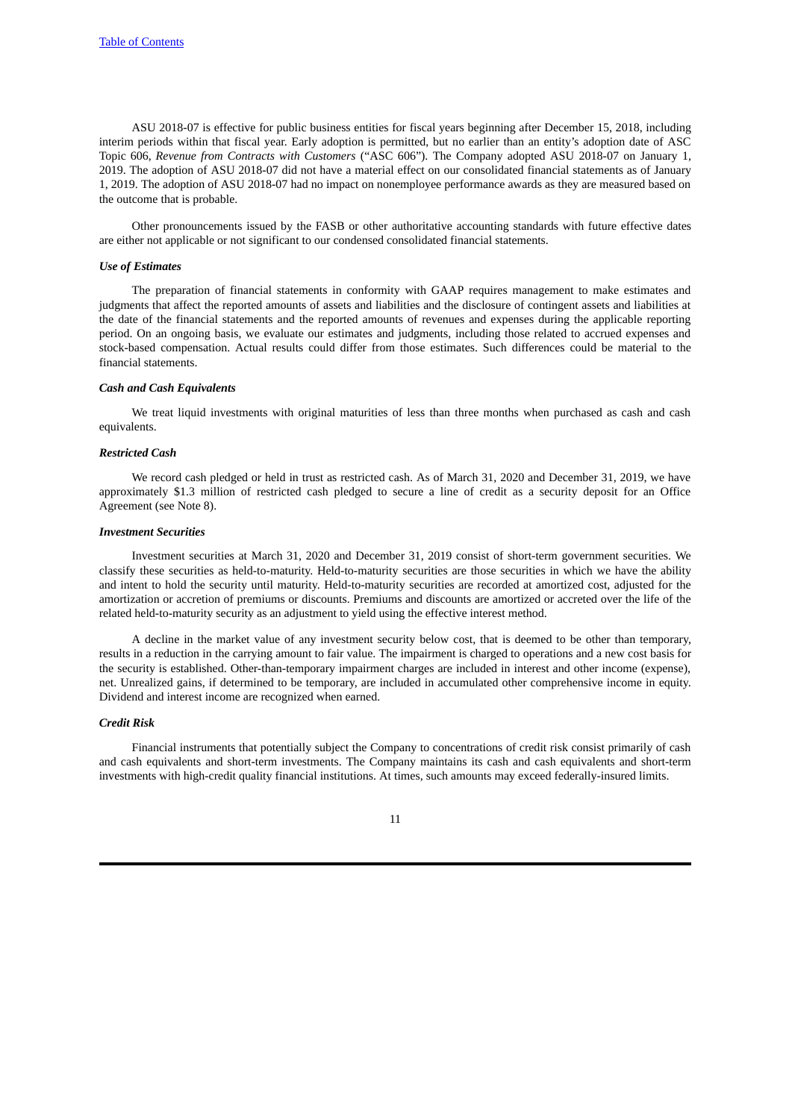ASU 2018-07 is effective for public business entities for fiscal years beginning after December 15, 2018, including interim periods within that fiscal year. Early adoption is permitted, but no earlier than an entity's adoption date of ASC Topic 606, *Revenue from Contracts with Customers* ("ASC 606"). The Company adopted ASU 2018-07 on January 1, 2019. The adoption of ASU 2018-07 did not have a material effect on our consolidated financial statements as of January 1, 2019. The adoption of ASU 2018-07 had no impact on nonemployee performance awards as they are measured based on the outcome that is probable.

Other pronouncements issued by the FASB or other authoritative accounting standards with future effective dates are either not applicable or not significant to our condensed consolidated financial statements.

#### *Use of Estimates*

The preparation of financial statements in conformity with GAAP requires management to make estimates and judgments that affect the reported amounts of assets and liabilities and the disclosure of contingent assets and liabilities at the date of the financial statements and the reported amounts of revenues and expenses during the applicable reporting period. On an ongoing basis, we evaluate our estimates and judgments, including those related to accrued expenses and stock-based compensation. Actual results could differ from those estimates. Such differences could be material to the financial statements.

### *Cash and Cash Equivalents*

We treat liquid investments with original maturities of less than three months when purchased as cash and cash equivalents.

#### *Restricted Cash*

We record cash pledged or held in trust as restricted cash. As of March 31, 2020 and December 31, 2019, we have approximately \$1.3 million of restricted cash pledged to secure a line of credit as a security deposit for an Office Agreement (see Note 8).

#### *Investment Securities*

Investment securities at March 31, 2020 and December 31, 2019 consist of short-term government securities. We classify these securities as held-to-maturity. Held-to-maturity securities are those securities in which we have the ability and intent to hold the security until maturity. Held-to-maturity securities are recorded at amortized cost, adjusted for the amortization or accretion of premiums or discounts. Premiums and discounts are amortized or accreted over the life of the related held-to-maturity security as an adjustment to yield using the effective interest method.

A decline in the market value of any investment security below cost, that is deemed to be other than temporary, results in a reduction in the carrying amount to fair value. The impairment is charged to operations and a new cost basis for the security is established. Other-than-temporary impairment charges are included in interest and other income (expense), net. Unrealized gains, if determined to be temporary, are included in accumulated other comprehensive income in equity. Dividend and interest income are recognized when earned.

#### *Credit Risk*

Financial instruments that potentially subject the Company to concentrations of credit risk consist primarily of cash and cash equivalents and short-term investments. The Company maintains its cash and cash equivalents and short-term investments with high-credit quality financial institutions. At times, such amounts may exceed federally-insured limits.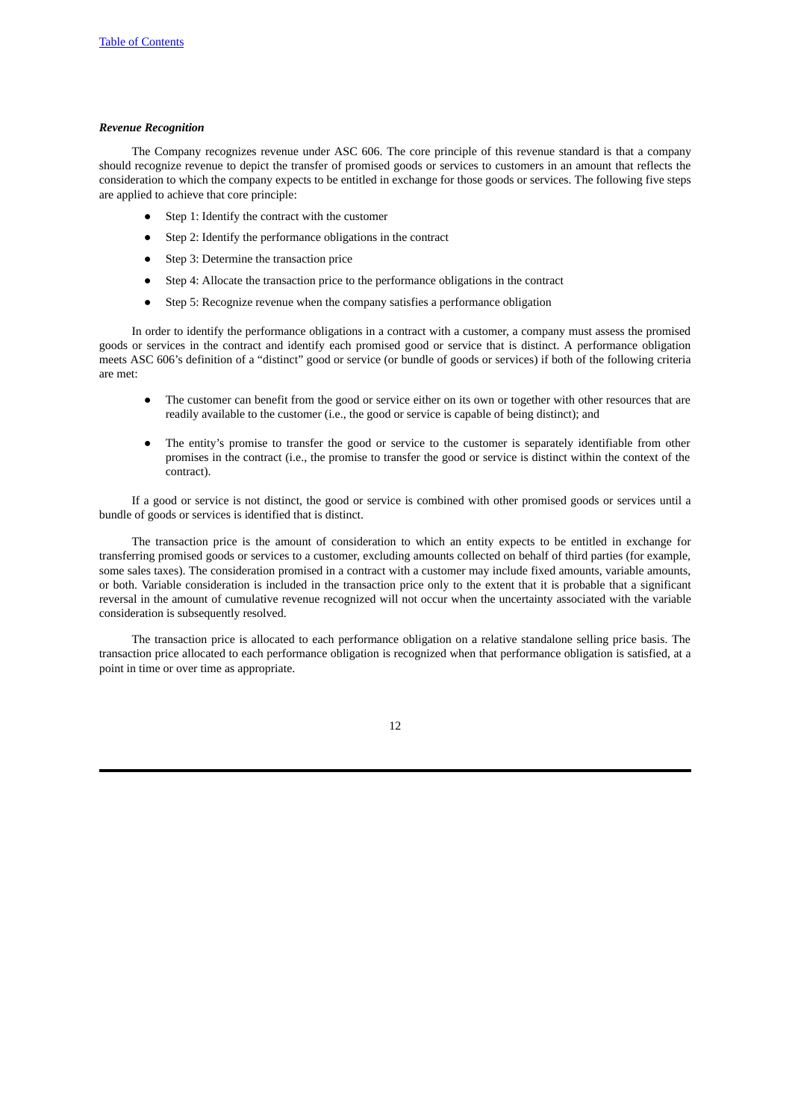### *Revenue Recognition*

The Company recognizes revenue under ASC 606. The core principle of this revenue standard is that a company should recognize revenue to depict the transfer of promised goods or services to customers in an amount that reflects the consideration to which the company expects to be entitled in exchange for those goods or services. The following five steps are applied to achieve that core principle:

- Step 1: Identify the contract with the customer
- Step 2: Identify the performance obligations in the contract
- Step 3: Determine the transaction price
- Step 4: Allocate the transaction price to the performance obligations in the contract
- Step 5: Recognize revenue when the company satisfies a performance obligation

In order to identify the performance obligations in a contract with a customer, a company must assess the promised goods or services in the contract and identify each promised good or service that is distinct. A performance obligation meets ASC 606's definition of a "distinct" good or service (or bundle of goods or services) if both of the following criteria are met:

- The customer can benefit from the good or service either on its own or together with other resources that are readily available to the customer (i.e., the good or service is capable of being distinct); and
- The entity's promise to transfer the good or service to the customer is separately identifiable from other promises in the contract (i.e., the promise to transfer the good or service is distinct within the context of the contract).

If a good or service is not distinct, the good or service is combined with other promised goods or services until a bundle of goods or services is identified that is distinct.

The transaction price is the amount of consideration to which an entity expects to be entitled in exchange for transferring promised goods or services to a customer, excluding amounts collected on behalf of third parties (for example, some sales taxes). The consideration promised in a contract with a customer may include fixed amounts, variable amounts, or both. Variable consideration is included in the transaction price only to the extent that it is probable that a significant reversal in the amount of cumulative revenue recognized will not occur when the uncertainty associated with the variable consideration is subsequently resolved.

The transaction price is allocated to each performance obligation on a relative standalone selling price basis. The transaction price allocated to each performance obligation is recognized when that performance obligation is satisfied, at a point in time or over time as appropriate.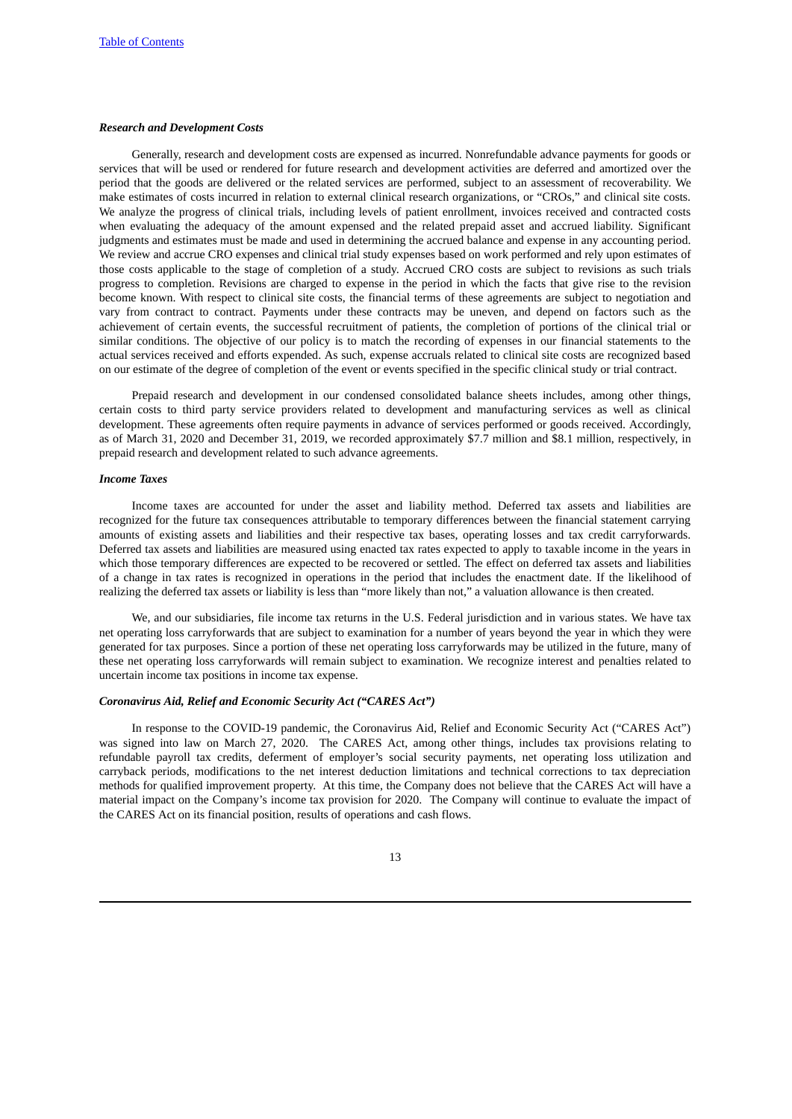## *Research and Development Costs*

Generally, research and development costs are expensed as incurred. Nonrefundable advance payments for goods or services that will be used or rendered for future research and development activities are deferred and amortized over the period that the goods are delivered or the related services are performed, subject to an assessment of recoverability. We make estimates of costs incurred in relation to external clinical research organizations, or "CROs," and clinical site costs. We analyze the progress of clinical trials, including levels of patient enrollment, invoices received and contracted costs when evaluating the adequacy of the amount expensed and the related prepaid asset and accrued liability. Significant judgments and estimates must be made and used in determining the accrued balance and expense in any accounting period. We review and accrue CRO expenses and clinical trial study expenses based on work performed and rely upon estimates of those costs applicable to the stage of completion of a study. Accrued CRO costs are subject to revisions as such trials progress to completion. Revisions are charged to expense in the period in which the facts that give rise to the revision become known. With respect to clinical site costs, the financial terms of these agreements are subject to negotiation and vary from contract to contract. Payments under these contracts may be uneven, and depend on factors such as the achievement of certain events, the successful recruitment of patients, the completion of portions of the clinical trial or similar conditions. The objective of our policy is to match the recording of expenses in our financial statements to the actual services received and efforts expended. As such, expense accruals related to clinical site costs are recognized based on our estimate of the degree of completion of the event or events specified in the specific clinical study or trial contract.

Prepaid research and development in our condensed consolidated balance sheets includes, among other things, certain costs to third party service providers related to development and manufacturing services as well as clinical development. These agreements often require payments in advance of services performed or goods received. Accordingly, as of March 31, 2020 and December 31, 2019, we recorded approximately \$7.7 million and \$8.1 million, respectively, in prepaid research and development related to such advance agreements.

#### *Income Taxes*

Income taxes are accounted for under the asset and liability method. Deferred tax assets and liabilities are recognized for the future tax consequences attributable to temporary differences between the financial statement carrying amounts of existing assets and liabilities and their respective tax bases, operating losses and tax credit carryforwards. Deferred tax assets and liabilities are measured using enacted tax rates expected to apply to taxable income in the years in which those temporary differences are expected to be recovered or settled. The effect on deferred tax assets and liabilities of a change in tax rates is recognized in operations in the period that includes the enactment date. If the likelihood of realizing the deferred tax assets or liability is less than "more likely than not," a valuation allowance is then created.

We, and our subsidiaries, file income tax returns in the U.S. Federal jurisdiction and in various states. We have tax net operating loss carryforwards that are subject to examination for a number of years beyond the year in which they were generated for tax purposes. Since a portion of these net operating loss carryforwards may be utilized in the future, many of these net operating loss carryforwards will remain subject to examination. We recognize interest and penalties related to uncertain income tax positions in income tax expense.

#### *Coronavirus Aid, Relief and Economic Security Act ("CARES Act")*

In response to the COVID-19 pandemic, the Coronavirus Aid, Relief and Economic Security Act ("CARES Act") was signed into law on March 27, 2020. The CARES Act, among other things, includes tax provisions relating to refundable payroll tax credits, deferment of employer's social security payments, net operating loss utilization and carryback periods, modifications to the net interest deduction limitations and technical corrections to tax depreciation methods for qualified improvement property. At this time, the Company does not believe that the CARES Act will have a material impact on the Company's income tax provision for 2020. The Company will continue to evaluate the impact of the CARES Act on its financial position, results of operations and cash flows.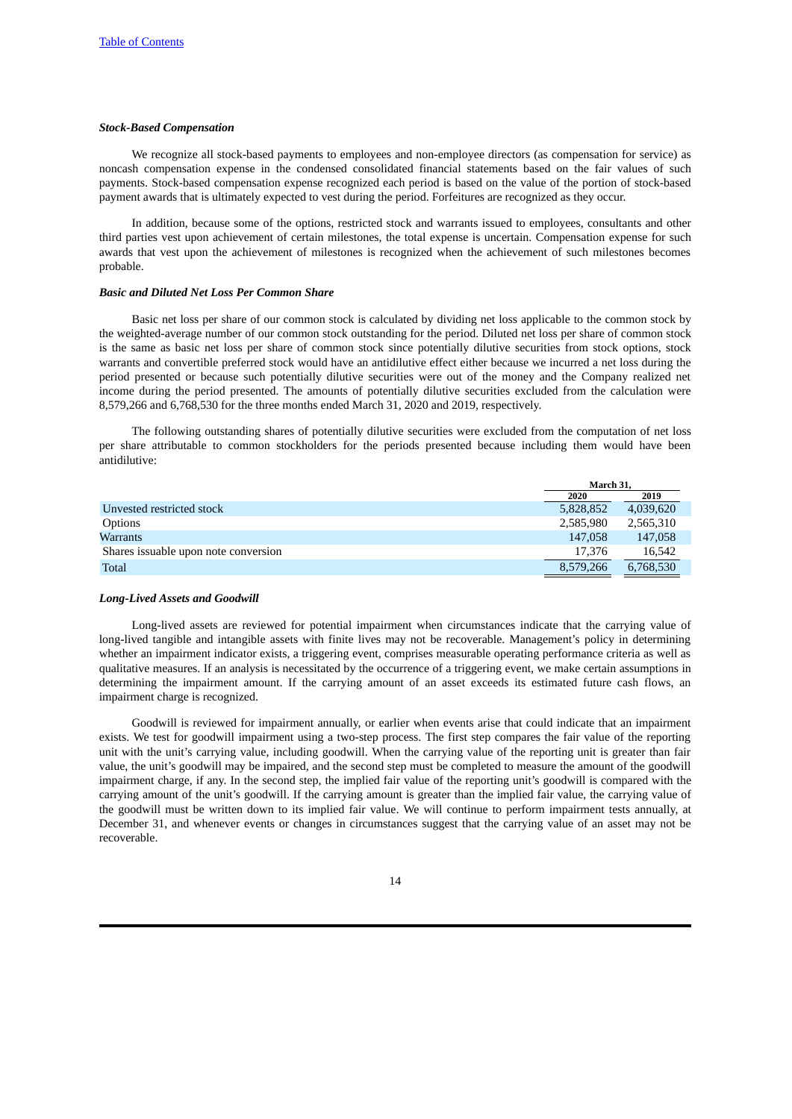## *Stock-Based Compensation*

We recognize all stock-based payments to employees and non-employee directors (as compensation for service) as noncash compensation expense in the condensed consolidated financial statements based on the fair values of such payments. Stock-based compensation expense recognized each period is based on the value of the portion of stock-based payment awards that is ultimately expected to vest during the period. Forfeitures are recognized as they occur.

In addition, because some of the options, restricted stock and warrants issued to employees, consultants and other third parties vest upon achievement of certain milestones, the total expense is uncertain. Compensation expense for such awards that vest upon the achievement of milestones is recognized when the achievement of such milestones becomes probable.

#### *Basic and Diluted Net Loss Per Common Share*

Basic net loss per share of our common stock is calculated by dividing net loss applicable to the common stock by the weighted-average number of our common stock outstanding for the period. Diluted net loss per share of common stock is the same as basic net loss per share of common stock since potentially dilutive securities from stock options, stock warrants and convertible preferred stock would have an antidilutive effect either because we incurred a net loss during the period presented or because such potentially dilutive securities were out of the money and the Company realized net income during the period presented. The amounts of potentially dilutive securities excluded from the calculation were 8,579,266 and 6,768,530 for the three months ended March 31, 2020 and 2019, respectively.

The following outstanding shares of potentially dilutive securities were excluded from the computation of net loss per share attributable to common stockholders for the periods presented because including them would have been antidilutive:

|                                      | March 31. |           |  |
|--------------------------------------|-----------|-----------|--|
|                                      | 2020      | 2019      |  |
| Unvested restricted stock            | 5,828,852 | 4,039,620 |  |
| Options                              | 2,585,980 | 2,565,310 |  |
| Warrants                             | 147,058   | 147,058   |  |
| Shares issuable upon note conversion | 17.376    | 16.542    |  |
| <b>Total</b>                         | 8.579.266 | 6,768,530 |  |

#### *Long-Lived Assets and Goodwill*

Long-lived assets are reviewed for potential impairment when circumstances indicate that the carrying value of long-lived tangible and intangible assets with finite lives may not be recoverable. Management's policy in determining whether an impairment indicator exists, a triggering event, comprises measurable operating performance criteria as well as qualitative measures. If an analysis is necessitated by the occurrence of a triggering event, we make certain assumptions in determining the impairment amount. If the carrying amount of an asset exceeds its estimated future cash flows, an impairment charge is recognized.

Goodwill is reviewed for impairment annually, or earlier when events arise that could indicate that an impairment exists. We test for goodwill impairment using a two-step process. The first step compares the fair value of the reporting unit with the unit's carrying value, including goodwill. When the carrying value of the reporting unit is greater than fair value, the unit's goodwill may be impaired, and the second step must be completed to measure the amount of the goodwill impairment charge, if any. In the second step, the implied fair value of the reporting unit's goodwill is compared with the carrying amount of the unit's goodwill. If the carrying amount is greater than the implied fair value, the carrying value of the goodwill must be written down to its implied fair value. We will continue to perform impairment tests annually, at December 31, and whenever events or changes in circumstances suggest that the carrying value of an asset may not be recoverable.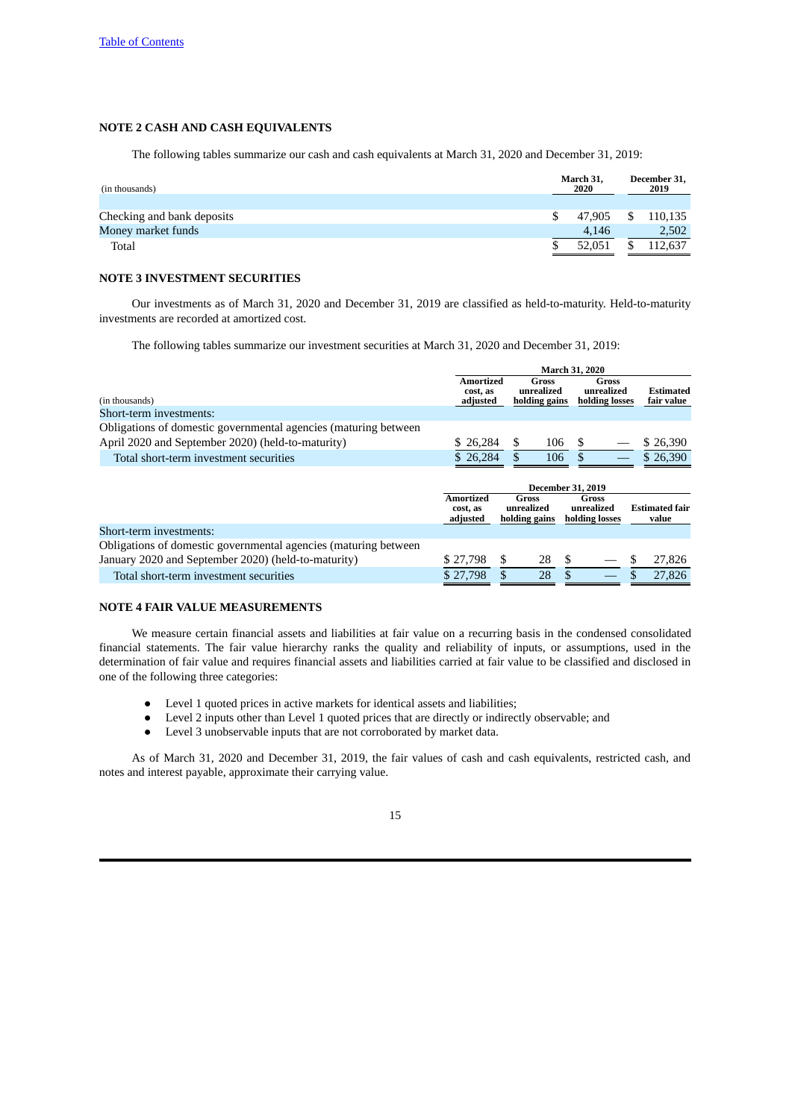# **NOTE 2 CASH AND CASH EQUIVALENTS**

The following tables summarize our cash and cash equivalents at March 31, 2020 and December 31, 2019:

| (in thousands)             |  | March 31,<br>2020 |   |         |  | December 31,<br>2019 |  |  |
|----------------------------|--|-------------------|---|---------|--|----------------------|--|--|
|                            |  |                   |   |         |  |                      |  |  |
| Checking and bank deposits |  | 47,905            | S | 110,135 |  |                      |  |  |
| Money market funds         |  | 4.146             |   | 2,502   |  |                      |  |  |
| Total                      |  | 52,051            |   | 112,637 |  |                      |  |  |
|                            |  |                   |   |         |  |                      |  |  |

## **NOTE 3 INVESTMENT SECURITIES**

Our investments as of March 31, 2020 and December 31, 2019 are classified as held-to-maturity. Held-to-maturity investments are recorded at amortized cost.

The following tables summarize our investment securities at March 31, 2020 and December 31, 2019:

|                                                                 | <b>March 31, 2020</b>             |     |                                             |    |  |  |          |  |                                       |  |                                |  |  |  |  |  |  |  |  |  |  |  |  |  |  |  |  |  |  |  |  |  |  |  |  |  |  |  |  |  |  |  |  |  |               |  |                              |  |       |  |  |  |  |  |                         |
|-----------------------------------------------------------------|-----------------------------------|-----|---------------------------------------------|----|--|--|----------|--|---------------------------------------|--|--------------------------------|--|--|--|--|--|--|--|--|--|--|--|--|--|--|--|--|--|--|--|--|--|--|--|--|--|--|--|--|--|--|--|--|--|---------------|--|------------------------------|--|-------|--|--|--|--|--|-------------------------|
| (in thousands)                                                  | Amortized<br>cost, as<br>adjusted |     | <b>Gross</b><br>unrealized                  |    |  |  |          |  |                                       |  |                                |  |  |  |  |  |  |  |  |  |  |  |  |  |  |  |  |  |  |  |  |  |  |  |  |  |  |  |  |  |  |  |  |  | holding gains |  | unrealized<br>holding losses |  | Gross |  |  |  |  |  | Estimated<br>fair value |
| Short-term investments:                                         |                                   |     |                                             |    |  |  |          |  |                                       |  |                                |  |  |  |  |  |  |  |  |  |  |  |  |  |  |  |  |  |  |  |  |  |  |  |  |  |  |  |  |  |  |  |  |  |               |  |                              |  |       |  |  |  |  |  |                         |
| Obligations of domestic governmental agencies (maturing between |                                   |     |                                             |    |  |  |          |  |                                       |  |                                |  |  |  |  |  |  |  |  |  |  |  |  |  |  |  |  |  |  |  |  |  |  |  |  |  |  |  |  |  |  |  |  |  |               |  |                              |  |       |  |  |  |  |  |                         |
| April 2020 and September 2020) (held-to-maturity)               | 26,284                            |     | 106                                         |    |  |  | \$26,390 |  |                                       |  |                                |  |  |  |  |  |  |  |  |  |  |  |  |  |  |  |  |  |  |  |  |  |  |  |  |  |  |  |  |  |  |  |  |  |               |  |                              |  |       |  |  |  |  |  |                         |
| Total short-term investment securities                          | \$26.284                          | 106 |                                             | S. |  |  | \$26,390 |  |                                       |  |                                |  |  |  |  |  |  |  |  |  |  |  |  |  |  |  |  |  |  |  |  |  |  |  |  |  |  |  |  |  |  |  |  |  |               |  |                              |  |       |  |  |  |  |  |                         |
|                                                                 |                                   |     |                                             |    |  |  |          |  |                                       |  |                                |  |  |  |  |  |  |  |  |  |  |  |  |  |  |  |  |  |  |  |  |  |  |  |  |  |  |  |  |  |  |  |  |  |               |  |                              |  |       |  |  |  |  |  |                         |
|                                                                 |                                   |     | <b>December 31, 2019</b>                    |    |  |  |          |  |                                       |  |                                |  |  |  |  |  |  |  |  |  |  |  |  |  |  |  |  |  |  |  |  |  |  |  |  |  |  |  |  |  |  |  |  |  |               |  |                              |  |       |  |  |  |  |  |                         |
|                                                                 | Amortized<br>cost, as<br>adjusted |     | <b>Gross</b><br>unrealized<br>holding gains |    |  |  |          |  | Gross<br>unrealized<br>holding losses |  | <b>Estimated fair</b><br>value |  |  |  |  |  |  |  |  |  |  |  |  |  |  |  |  |  |  |  |  |  |  |  |  |  |  |  |  |  |  |  |  |  |               |  |                              |  |       |  |  |  |  |  |                         |
| Short-term investments:                                         |                                   |     |                                             |    |  |  |          |  |                                       |  |                                |  |  |  |  |  |  |  |  |  |  |  |  |  |  |  |  |  |  |  |  |  |  |  |  |  |  |  |  |  |  |  |  |  |               |  |                              |  |       |  |  |  |  |  |                         |
| Obligations of domestic governmental agencies (maturing between |                                   |     |                                             |    |  |  |          |  |                                       |  |                                |  |  |  |  |  |  |  |  |  |  |  |  |  |  |  |  |  |  |  |  |  |  |  |  |  |  |  |  |  |  |  |  |  |               |  |                              |  |       |  |  |  |  |  |                         |
| January 2020 and September 2020) (held-to-maturity)             | \$27.798                          | S   | 28                                          | -S |  |  | 27,826   |  |                                       |  |                                |  |  |  |  |  |  |  |  |  |  |  |  |  |  |  |  |  |  |  |  |  |  |  |  |  |  |  |  |  |  |  |  |  |               |  |                              |  |       |  |  |  |  |  |                         |
| Total short-term investment securities                          | \$27.798                          |     | 28                                          |    |  |  | 27,826   |  |                                       |  |                                |  |  |  |  |  |  |  |  |  |  |  |  |  |  |  |  |  |  |  |  |  |  |  |  |  |  |  |  |  |  |  |  |  |               |  |                              |  |       |  |  |  |  |  |                         |

# **NOTE 4 FAIR VALUE MEASUREMENTS**

We measure certain financial assets and liabilities at fair value on a recurring basis in the condensed consolidated financial statements. The fair value hierarchy ranks the quality and reliability of inputs, or assumptions, used in the determination of fair value and requires financial assets and liabilities carried at fair value to be classified and disclosed in one of the following three categories:

- Level 1 quoted prices in active markets for identical assets and liabilities;
- Level 2 inputs other than Level 1 quoted prices that are directly or indirectly observable; and
- Level 3 unobservable inputs that are not corroborated by market data.

As of March 31, 2020 and December 31, 2019, the fair values of cash and cash equivalents, restricted cash, and notes and interest payable, approximate their carrying value.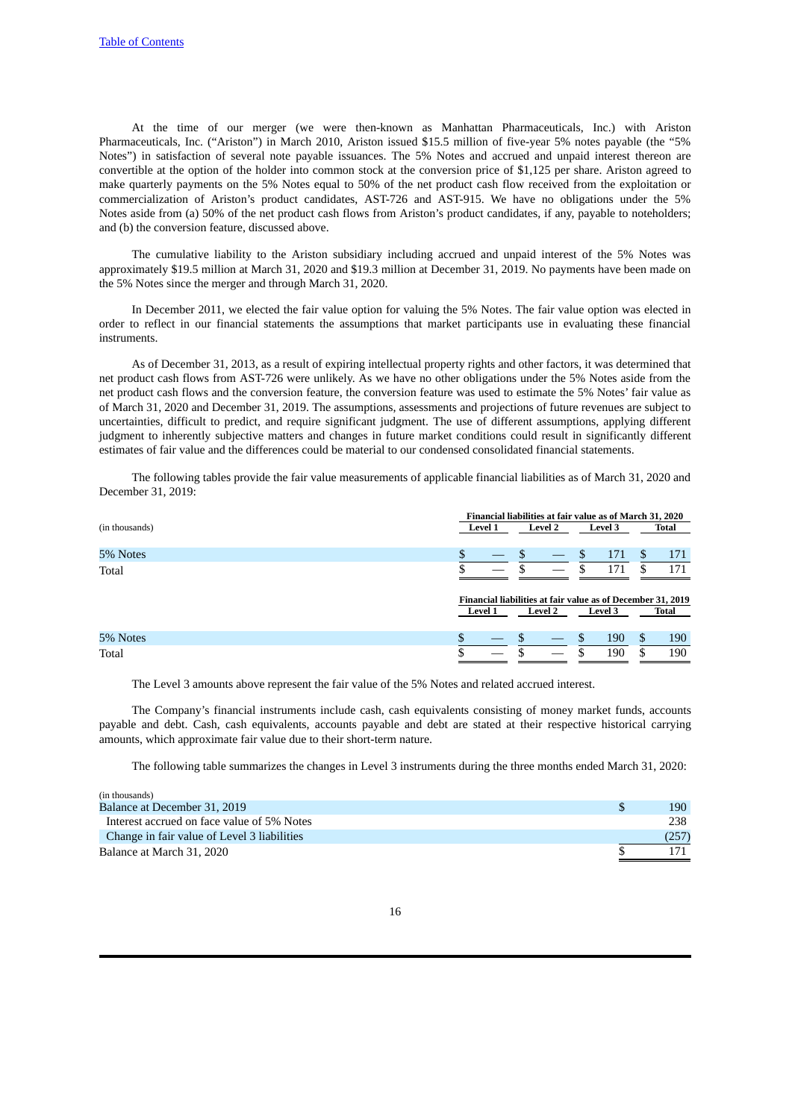At the time of our merger (we were then-known as Manhattan Pharmaceuticals, Inc.) with Ariston Pharmaceuticals, Inc. ("Ariston") in March 2010, Ariston issued \$15.5 million of five-year 5% notes payable (the "5% Notes") in satisfaction of several note payable issuances. The 5% Notes and accrued and unpaid interest thereon are convertible at the option of the holder into common stock at the conversion price of \$1,125 per share. Ariston agreed to make quarterly payments on the 5% Notes equal to 50% of the net product cash flow received from the exploitation or commercialization of Ariston's product candidates, AST-726 and AST-915. We have no obligations under the 5% Notes aside from (a) 50% of the net product cash flows from Ariston's product candidates, if any, payable to noteholders; and (b) the conversion feature, discussed above.

The cumulative liability to the Ariston subsidiary including accrued and unpaid interest of the 5% Notes was approximately \$19.5 million at March 31, 2020 and \$19.3 million at December 31, 2019. No payments have been made on the 5% Notes since the merger and through March 31, 2020.

In December 2011, we elected the fair value option for valuing the 5% Notes. The fair value option was elected in order to reflect in our financial statements the assumptions that market participants use in evaluating these financial instruments.

As of December 31, 2013, as a result of expiring intellectual property rights and other factors, it was determined that net product cash flows from AST-726 were unlikely. As we have no other obligations under the 5% Notes aside from the net product cash flows and the conversion feature, the conversion feature was used to estimate the 5% Notes' fair value as of March 31, 2020 and December 31, 2019. The assumptions, assessments and projections of future revenues are subject to uncertainties, difficult to predict, and require significant judgment. The use of different assumptions, applying different judgment to inherently subjective matters and changes in future market conditions could result in significantly different estimates of fair value and the differences could be material to our condensed consolidated financial statements.

The following tables provide the fair value measurements of applicable financial liabilities as of March 31, 2020 and December 31, 2019:

| Financial liabilities at fair value as of March 31, 2020 |                |  |                |  |                |                                                             |    |                |  |  |       |
|----------------------------------------------------------|----------------|--|----------------|--|----------------|-------------------------------------------------------------|----|----------------|--|--|-------|
| (in thousands)                                           | <b>Level 1</b> |  |                |  | <b>Level 2</b> |                                                             |    | <b>Level 3</b> |  |  | Total |
|                                                          |                |  |                |  |                |                                                             |    |                |  |  |       |
| 5% Notes                                                 | \$             |  | .S             |  | S              | 171                                                         | S  | 171            |  |  |       |
| Total                                                    |                |  |                |  |                | 171                                                         |    | 171            |  |  |       |
|                                                          |                |  |                |  |                |                                                             |    |                |  |  |       |
|                                                          |                |  |                |  |                | Financial liabilities at fair value as of December 31, 2019 |    |                |  |  |       |
|                                                          | <b>Level 1</b> |  | <b>Level 2</b> |  |                | <b>Level 3</b>                                              |    | Total          |  |  |       |
|                                                          |                |  |                |  |                |                                                             |    |                |  |  |       |
| 5% Notes                                                 |                |  |                |  | -S             | 190                                                         | S  | 190            |  |  |       |
| Total                                                    |                |  |                |  |                | 190                                                         | æ, | 190            |  |  |       |
|                                                          |                |  |                |  |                |                                                             |    |                |  |  |       |

The Level 3 amounts above represent the fair value of the 5% Notes and related accrued interest.

The Company's financial instruments include cash, cash equivalents consisting of money market funds, accounts payable and debt. Cash, cash equivalents, accounts payable and debt are stated at their respective historical carrying amounts, which approximate fair value due to their short-term nature.

The following table summarizes the changes in Level 3 instruments during the three months ended March 31, 2020:

| (in thousands)                              |       |
|---------------------------------------------|-------|
| Balance at December 31, 2019                | 190.  |
| Interest accrued on face value of 5% Notes  | 238   |
| Change in fair value of Level 3 liabilities | (257) |
| Balance at March 31, 2020                   |       |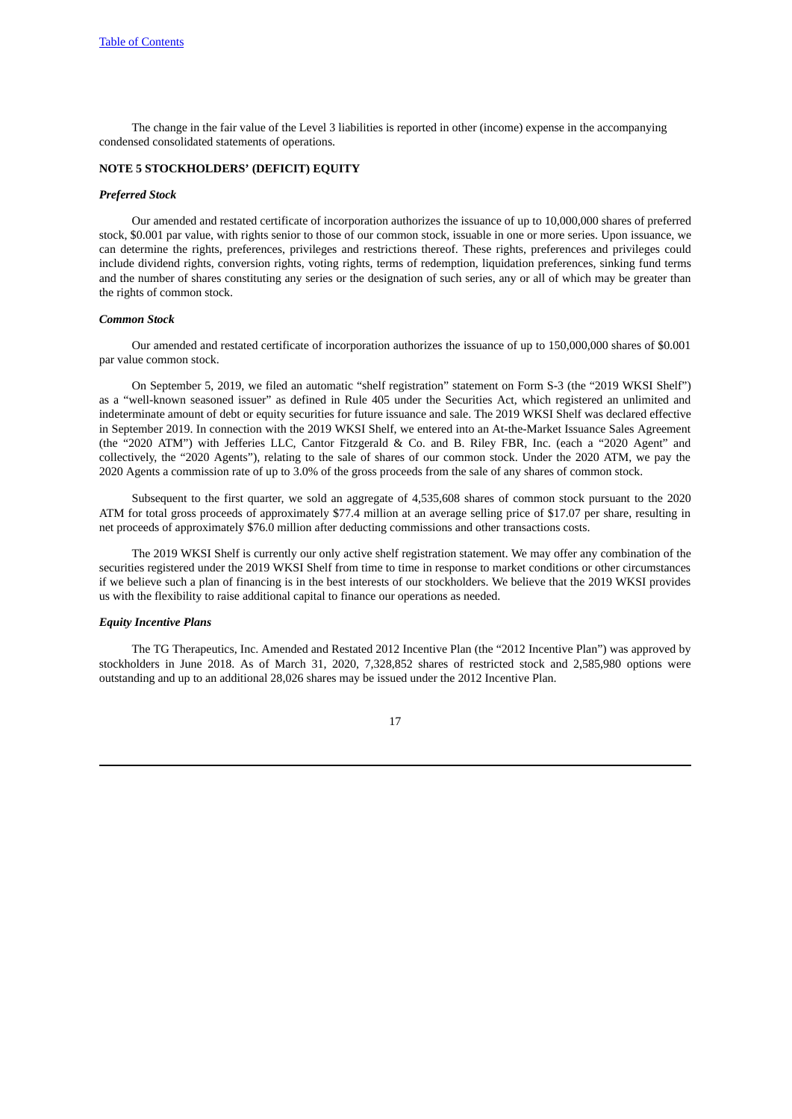The change in the fair value of the Level 3 liabilities is reported in other (income) expense in the accompanying condensed consolidated statements of operations.

## **NOTE 5 STOCKHOLDERS' (DEFICIT) EQUITY**

#### *Preferred Stock*

Our amended and restated certificate of incorporation authorizes the issuance of up to 10,000,000 shares of preferred stock, \$0.001 par value, with rights senior to those of our common stock, issuable in one or more series. Upon issuance, we can determine the rights, preferences, privileges and restrictions thereof. These rights, preferences and privileges could include dividend rights, conversion rights, voting rights, terms of redemption, liquidation preferences, sinking fund terms and the number of shares constituting any series or the designation of such series, any or all of which may be greater than the rights of common stock.

#### *Common Stock*

Our amended and restated certificate of incorporation authorizes the issuance of up to 150,000,000 shares of \$0.001 par value common stock.

On September 5, 2019, we filed an automatic "shelf registration" statement on Form S-3 (the "2019 WKSI Shelf") as a "well-known seasoned issuer" as defined in Rule 405 under the Securities Act, which registered an unlimited and indeterminate amount of debt or equity securities for future issuance and sale. The 2019 WKSI Shelf was declared effective in September 2019. In connection with the 2019 WKSI Shelf, we entered into an At-the-Market Issuance Sales Agreement (the "2020 ATM") with Jefferies LLC, Cantor Fitzgerald & Co. and B. Riley FBR, Inc. (each a "2020 Agent" and collectively, the "2020 Agents"), relating to the sale of shares of our common stock. Under the 2020 ATM, we pay the 2020 Agents a commission rate of up to 3.0% of the gross proceeds from the sale of any shares of common stock.

Subsequent to the first quarter, we sold an aggregate of 4,535,608 shares of common stock pursuant to the 2020 ATM for total gross proceeds of approximately \$77.4 million at an average selling price of \$17.07 per share, resulting in net proceeds of approximately \$76.0 million after deducting commissions and other transactions costs.

The 2019 WKSI Shelf is currently our only active shelf registration statement. We may offer any combination of the securities registered under the 2019 WKSI Shelf from time to time in response to market conditions or other circumstances if we believe such a plan of financing is in the best interests of our stockholders. We believe that the 2019 WKSI provides us with the flexibility to raise additional capital to finance our operations as needed.

#### *Equity Incentive Plans*

The TG Therapeutics, Inc. Amended and Restated 2012 Incentive Plan (the "2012 Incentive Plan") was approved by stockholders in June 2018. As of March 31, 2020, 7,328,852 shares of restricted stock and 2,585,980 options were outstanding and up to an additional 28,026 shares may be issued under the 2012 Incentive Plan.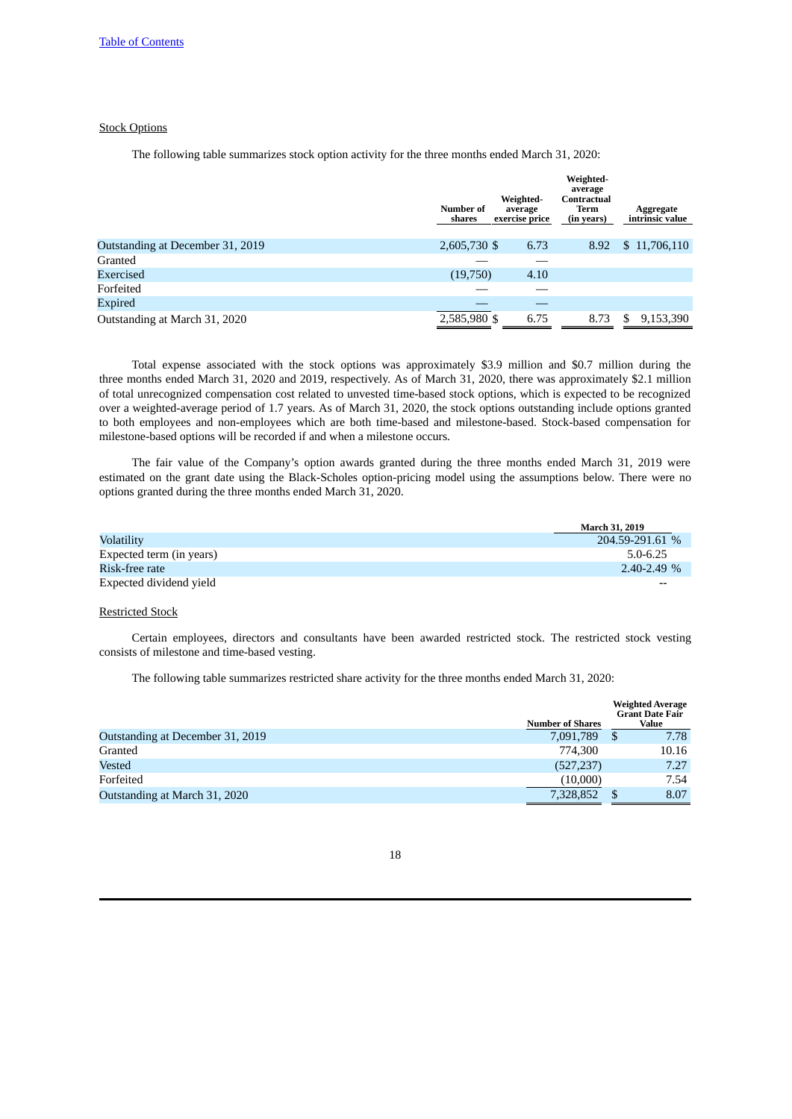## **Stock Options**

The following table summarizes stock option activity for the three months ended March 31, 2020:

|                                  | Number of<br>shares | Weighted-<br>average<br>exercise price | Weighted-<br>average<br>Contractual<br>Term<br>(in years) | Aggregate<br>intrinsic value |
|----------------------------------|---------------------|----------------------------------------|-----------------------------------------------------------|------------------------------|
|                                  |                     |                                        |                                                           |                              |
| Outstanding at December 31, 2019 | 2,605,730 \$        | 6.73                                   | 8.92                                                      | \$11,706,110                 |
| Granted                          |                     |                                        |                                                           |                              |
| Exercised                        | (19,750)            | 4.10                                   |                                                           |                              |
| Forfeited                        |                     |                                        |                                                           |                              |
| <b>Expired</b>                   |                     |                                        |                                                           |                              |
| Outstanding at March 31, 2020    | 2,585,980 \$        | 6.75                                   | 8.73                                                      | 9,153,390<br>S               |

Total expense associated with the stock options was approximately \$3.9 million and \$0.7 million during the three months ended March 31, 2020 and 2019, respectively. As of March 31, 2020, there was approximately \$2.1 million of total unrecognized compensation cost related to unvested time-based stock options, which is expected to be recognized over a weighted-average period of 1.7 years. As of March 31, 2020, the stock options outstanding include options granted to both employees and non-employees which are both time-based and milestone-based. Stock-based compensation for milestone-based options will be recorded if and when a milestone occurs.

The fair value of the Company's option awards granted during the three months ended March 31, 2019 were estimated on the grant date using the Black-Scholes option-pricing model using the assumptions below. There were no options granted during the three months ended March 31, 2020.

|                          | March 31, 2019  |
|--------------------------|-----------------|
| Volatility               | 204.59-291.61 % |
| Expected term (in years) | $5.0 - 6.25$    |
| Risk-free rate           | $2.40 - 2.49$ % |
| Expected dividend yield  | $- -$           |

## Restricted Stock

Certain employees, directors and consultants have been awarded restricted stock. The restricted stock vesting consists of milestone and time-based vesting.

The following table summarizes restricted share activity for the three months ended March 31, 2020:

|                                  | <b>Number of Shares</b> | <b>Weighted Average</b><br><b>Grant Date Fair</b> |
|----------------------------------|-------------------------|---------------------------------------------------|
|                                  |                         | Value                                             |
| Outstanding at December 31, 2019 | 7,091,789               | 7.78                                              |
| Granted                          | 774.300                 | 10.16                                             |
| <b>Vested</b>                    | (527, 237)              | 7.27                                              |
| Forfeited                        | (10,000)                | 7.54                                              |
| Outstanding at March 31, 2020    | 7,328,852               | 8.07                                              |
|                                  |                         |                                                   |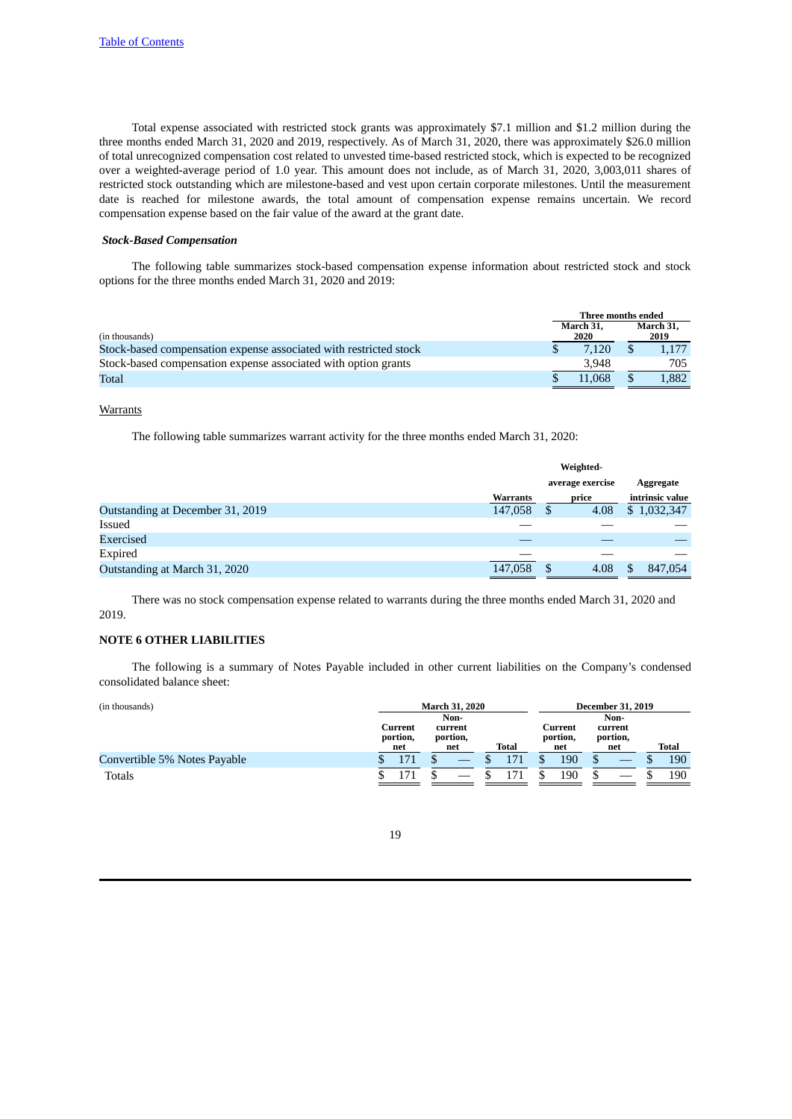Total expense associated with restricted stock grants was approximately \$7.1 million and \$1.2 million during the three months ended March 31, 2020 and 2019, respectively. As of March 31, 2020, there was approximately \$26.0 million of total unrecognized compensation cost related to unvested time-based restricted stock, which is expected to be recognized over a weighted-average period of 1.0 year. This amount does not include, as of March 31, 2020, 3,003,011 shares of restricted stock outstanding which are milestone-based and vest upon certain corporate milestones. Until the measurement date is reached for milestone awards, the total amount of compensation expense remains uncertain. We record compensation expense based on the fair value of the award at the grant date.

#### *Stock-Based Compensation*

The following table summarizes stock-based compensation expense information about restricted stock and stock options for the three months ended March 31, 2020 and 2019:

|                                                                   |                   | Three months ended |  |                   |
|-------------------------------------------------------------------|-------------------|--------------------|--|-------------------|
| (in thousands)                                                    | March 31.<br>2020 |                    |  | March 31.<br>2019 |
| Stock-based compensation expense associated with restricted stock |                   | 7.120              |  | 1.177             |
| Stock-based compensation expense associated with option grants    |                   | 3.948              |  | 705               |
| Total                                                             |                   | 11.068             |  | 1.882             |

#### **Warrants**

The following table summarizes warrant activity for the three months ended March 31, 2020:

|                                  |                 | Weighted-        |                 |  |  |
|----------------------------------|-----------------|------------------|-----------------|--|--|
|                                  |                 | average exercise | Aggregate       |  |  |
|                                  | <b>Warrants</b> | price            | intrinsic value |  |  |
| Outstanding at December 31, 2019 | 147,058         | 4.08<br>S        | \$1,032,347     |  |  |
| Issued                           |                 |                  |                 |  |  |
| Exercised                        |                 |                  |                 |  |  |
| Expired                          |                 |                  |                 |  |  |
| Outstanding at March 31, 2020    | 147,058         | 4.08             | 847,054         |  |  |

There was no stock compensation expense related to warrants during the three months ended March 31, 2020 and 2019.

#### **NOTE 6 OTHER LIABILITIES**

The following is a summary of Notes Payable included in other current liabilities on the Company's condensed consolidated balance sheet:

| March 31, 2020<br>(in thousands) |  |                            |                                    |  | <b>December 31, 2019</b> |                            |                                    |       |
|----------------------------------|--|----------------------------|------------------------------------|--|--------------------------|----------------------------|------------------------------------|-------|
|                                  |  | Current<br>portion,<br>net | Non-<br>current<br>portion,<br>net |  | Total                    | Current<br>portion,<br>net | Non-<br>current<br>portion,<br>net | Total |
| Convertible 5% Notes Payable     |  |                            |                                    |  |                          | 190                        |                                    | 190   |
| <b>Totals</b>                    |  | $\overline{ }$             |                                    |  |                          | 190                        |                                    | 190   |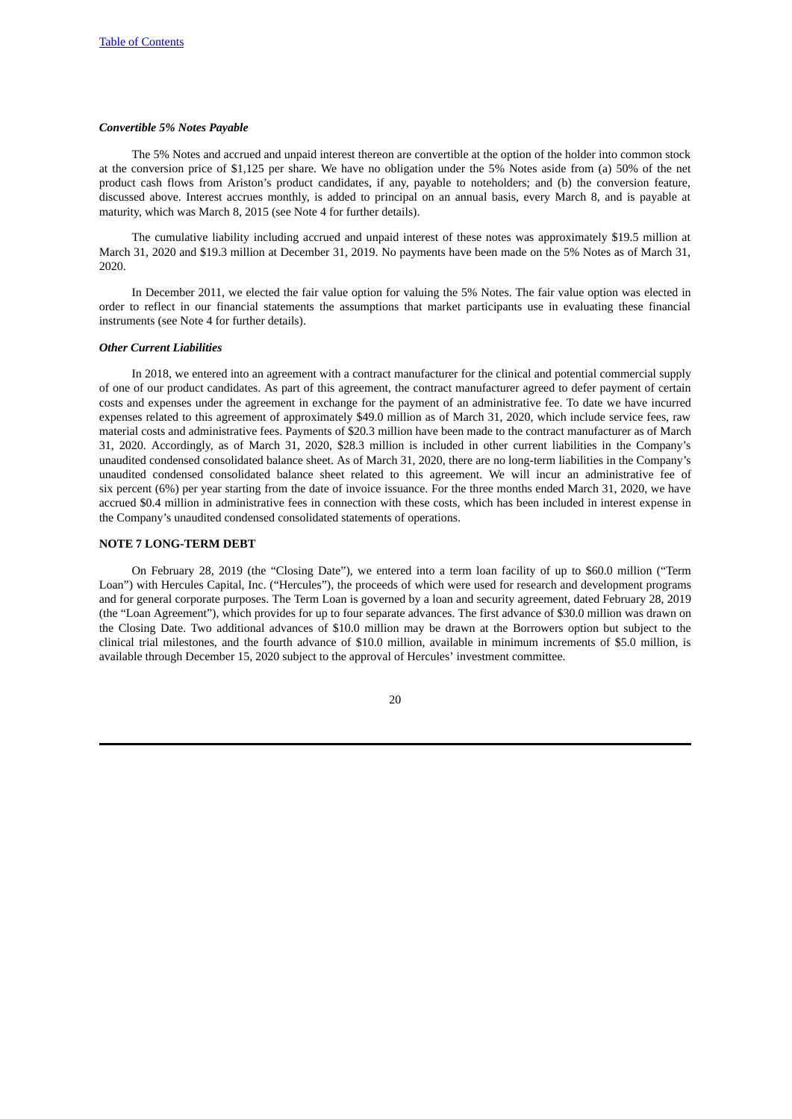#### *Convertible 5% Notes Payable*

The 5% Notes and accrued and unpaid interest thereon are convertible at the option of the holder into common stock at the conversion price of \$1,125 per share. We have no obligation under the 5% Notes aside from (a) 50% of the net product cash flows from Ariston's product candidates, if any, payable to noteholders; and (b) the conversion feature, discussed above. Interest accrues monthly, is added to principal on an annual basis, every March 8, and is payable at maturity, which was March 8, 2015 (see Note 4 for further details).

The cumulative liability including accrued and unpaid interest of these notes was approximately \$19.5 million at March 31, 2020 and \$19.3 million at December 31, 2019. No payments have been made on the 5% Notes as of March 31, 2020.

In December 2011, we elected the fair value option for valuing the 5% Notes. The fair value option was elected in order to reflect in our financial statements the assumptions that market participants use in evaluating these financial instruments (see Note 4 for further details).

## *Other Current Liabilities*

In 2018, we entered into an agreement with a contract manufacturer for the clinical and potential commercial supply of one of our product candidates. As part of this agreement, the contract manufacturer agreed to defer payment of certain costs and expenses under the agreement in exchange for the payment of an administrative fee. To date we have incurred expenses related to this agreement of approximately \$49.0 million as of March 31, 2020, which include service fees, raw material costs and administrative fees. Payments of \$20.3 million have been made to the contract manufacturer as of March 31, 2020. Accordingly, as of March 31, 2020, \$28.3 million is included in other current liabilities in the Company's unaudited condensed consolidated balance sheet. As of March 31, 2020, there are no long-term liabilities in the Company's unaudited condensed consolidated balance sheet related to this agreement. We will incur an administrative fee of six percent (6%) per year starting from the date of invoice issuance. For the three months ended March 31, 2020, we have accrued \$0.4 million in administrative fees in connection with these costs, which has been included in interest expense in the Company's unaudited condensed consolidated statements of operations.

#### **NOTE 7 LONG-TERM DEBT**

On February 28, 2019 (the "Closing Date"), we entered into a term loan facility of up to \$60.0 million ("Term Loan") with Hercules Capital, Inc. ("Hercules"), the proceeds of which were used for research and development programs and for general corporate purposes. The Term Loan is governed by a loan and security agreement, dated February 28, 2019 (the "Loan Agreement"), which provides for up to four separate advances. The first advance of \$30.0 million was drawn on the Closing Date. Two additional advances of \$10.0 million may be drawn at the Borrowers option but subject to the clinical trial milestones, and the fourth advance of \$10.0 million, available in minimum increments of \$5.0 million, is available through December 15, 2020 subject to the approval of Hercules' investment committee.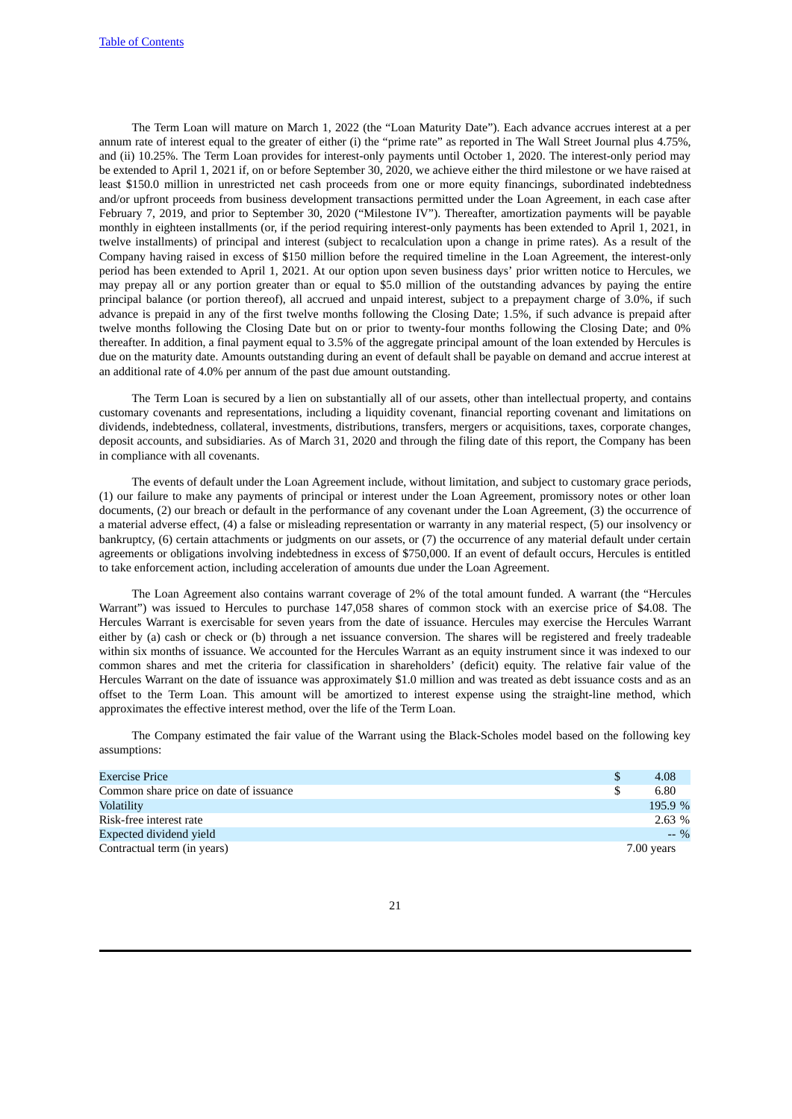The Term Loan will mature on March 1, 2022 (the "Loan Maturity Date"). Each advance accrues interest at a per annum rate of interest equal to the greater of either (i) the "prime rate" as reported in The Wall Street Journal plus 4.75%, and (ii) 10.25%. The Term Loan provides for interest-only payments until October 1, 2020. The interest-only period may be extended to April 1, 2021 if, on or before September 30, 2020, we achieve either the third milestone or we have raised at least \$150.0 million in unrestricted net cash proceeds from one or more equity financings, subordinated indebtedness and/or upfront proceeds from business development transactions permitted under the Loan Agreement, in each case after February 7, 2019, and prior to September 30, 2020 ("Milestone IV"). Thereafter, amortization payments will be payable monthly in eighteen installments (or, if the period requiring interest-only payments has been extended to April 1, 2021, in twelve installments) of principal and interest (subject to recalculation upon a change in prime rates). As a result of the Company having raised in excess of \$150 million before the required timeline in the Loan Agreement, the interest-only period has been extended to April 1, 2021. At our option upon seven business days' prior written notice to Hercules, we may prepay all or any portion greater than or equal to \$5.0 million of the outstanding advances by paying the entire principal balance (or portion thereof), all accrued and unpaid interest, subject to a prepayment charge of 3.0%, if such advance is prepaid in any of the first twelve months following the Closing Date; 1.5%, if such advance is prepaid after twelve months following the Closing Date but on or prior to twenty-four months following the Closing Date; and 0% thereafter. In addition, a final payment equal to 3.5% of the aggregate principal amount of the loan extended by Hercules is due on the maturity date. Amounts outstanding during an event of default shall be payable on demand and accrue interest at an additional rate of 4.0% per annum of the past due amount outstanding.

The Term Loan is secured by a lien on substantially all of our assets, other than intellectual property, and contains customary covenants and representations, including a liquidity covenant, financial reporting covenant and limitations on dividends, indebtedness, collateral, investments, distributions, transfers, mergers or acquisitions, taxes, corporate changes, deposit accounts, and subsidiaries. As of March 31, 2020 and through the filing date of this report, the Company has been in compliance with all covenants.

The events of default under the Loan Agreement include, without limitation, and subject to customary grace periods, (1) our failure to make any payments of principal or interest under the Loan Agreement, promissory notes or other loan documents, (2) our breach or default in the performance of any covenant under the Loan Agreement, (3) the occurrence of a material adverse effect, (4) a false or misleading representation or warranty in any material respect, (5) our insolvency or bankruptcy, (6) certain attachments or judgments on our assets, or (7) the occurrence of any material default under certain agreements or obligations involving indebtedness in excess of \$750,000. If an event of default occurs, Hercules is entitled to take enforcement action, including acceleration of amounts due under the Loan Agreement.

The Loan Agreement also contains warrant coverage of 2% of the total amount funded. A warrant (the "Hercules Warrant") was issued to Hercules to purchase 147,058 shares of common stock with an exercise price of \$4.08. The Hercules Warrant is exercisable for seven years from the date of issuance. Hercules may exercise the Hercules Warrant either by (a) cash or check or (b) through a net issuance conversion. The shares will be registered and freely tradeable within six months of issuance. We accounted for the Hercules Warrant as an equity instrument since it was indexed to our common shares and met the criteria for classification in shareholders' (deficit) equity. The relative fair value of the Hercules Warrant on the date of issuance was approximately \$1.0 million and was treated as debt issuance costs and as an offset to the Term Loan. This amount will be amortized to interest expense using the straight-line method, which approximates the effective interest method, over the life of the Term Loan.

The Company estimated the fair value of the Warrant using the Black-Scholes model based on the following key assumptions:

| <b>Exercise Price</b>                  | 4.08       |
|----------------------------------------|------------|
| Common share price on date of issuance | 6.80       |
| Volatility                             | 195.9 %    |
| Risk-free interest rate                | 2.63%      |
| Expected dividend vield                | $-9/6$     |
| Contractual term (in years)            | 7.00 years |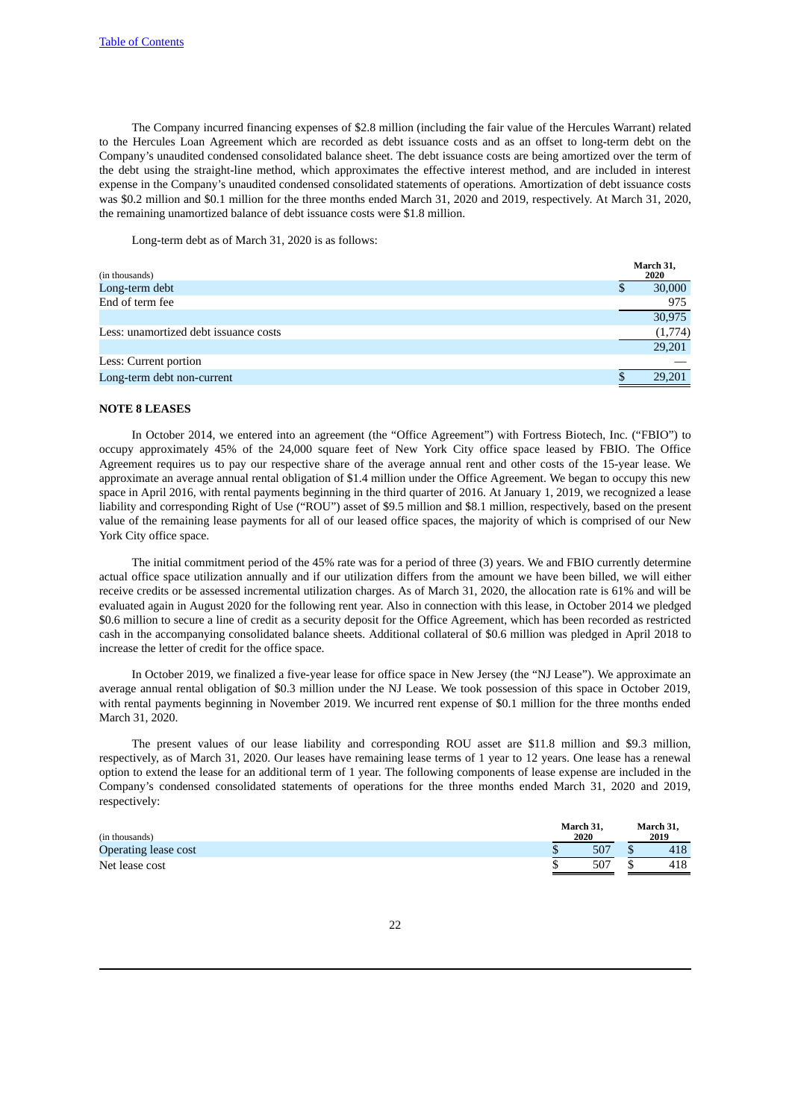The Company incurred financing expenses of \$2.8 million (including the fair value of the Hercules Warrant) related to the Hercules Loan Agreement which are recorded as debt issuance costs and as an offset to long-term debt on the Company's unaudited condensed consolidated balance sheet. The debt issuance costs are being amortized over the term of the debt using the straight-line method, which approximates the effective interest method, and are included in interest expense in the Company's unaudited condensed consolidated statements of operations. Amortization of debt issuance costs was \$0.2 million and \$0.1 million for the three months ended March 31, 2020 and 2019, respectively. At March 31, 2020, the remaining unamortized balance of debt issuance costs were \$1.8 million.

Long-term debt as of March 31, 2020 is as follows:

| (in thousands)                        |   | March 31,<br>2020 |
|---------------------------------------|---|-------------------|
| Long-term debt                        | Ф | 30,000            |
| End of term fee                       |   | 975               |
|                                       |   | 30,975            |
| Less: unamortized debt issuance costs |   | (1,774)           |
|                                       |   | 29,201            |
| Less: Current portion                 |   |                   |
| Long-term debt non-current            |   | 29,201            |

## **NOTE 8 LEASES**

In October 2014, we entered into an agreement (the "Office Agreement") with Fortress Biotech, Inc. ("FBIO") to occupy approximately 45% of the 24,000 square feet of New York City office space leased by FBIO. The Office Agreement requires us to pay our respective share of the average annual rent and other costs of the 15-year lease. We approximate an average annual rental obligation of \$1.4 million under the Office Agreement. We began to occupy this new space in April 2016, with rental payments beginning in the third quarter of 2016. At January 1, 2019, we recognized a lease liability and corresponding Right of Use ("ROU") asset of \$9.5 million and \$8.1 million, respectively, based on the present value of the remaining lease payments for all of our leased office spaces, the majority of which is comprised of our New York City office space.

The initial commitment period of the 45% rate was for a period of three (3) years. We and FBIO currently determine actual office space utilization annually and if our utilization differs from the amount we have been billed, we will either receive credits or be assessed incremental utilization charges. As of March 31, 2020, the allocation rate is 61% and will be evaluated again in August 2020 for the following rent year. Also in connection with this lease, in October 2014 we pledged \$0.6 million to secure a line of credit as a security deposit for the Office Agreement, which has been recorded as restricted cash in the accompanying consolidated balance sheets. Additional collateral of \$0.6 million was pledged in April 2018 to increase the letter of credit for the office space.

In October 2019, we finalized a five-year lease for office space in New Jersey (the "NJ Lease"). We approximate an average annual rental obligation of \$0.3 million under the NJ Lease. We took possession of this space in October 2019, with rental payments beginning in November 2019. We incurred rent expense of \$0.1 million for the three months ended March 31, 2020.

The present values of our lease liability and corresponding ROU asset are \$11.8 million and \$9.3 million, respectively, as of March 31, 2020. Our leases have remaining lease terms of 1 year to 12 years. One lease has a renewal option to extend the lease for an additional term of 1 year. The following components of lease expense are included in the Company's condensed consolidated statements of operations for the three months ended March 31, 2020 and 2019, respectively:

| (in thousands)       | March 31.<br>2020 | March 31.<br>2019 |
|----------------------|-------------------|-------------------|
| Operating lease cost | 507               | 418               |
| Net lease cost       | 507               | 418               |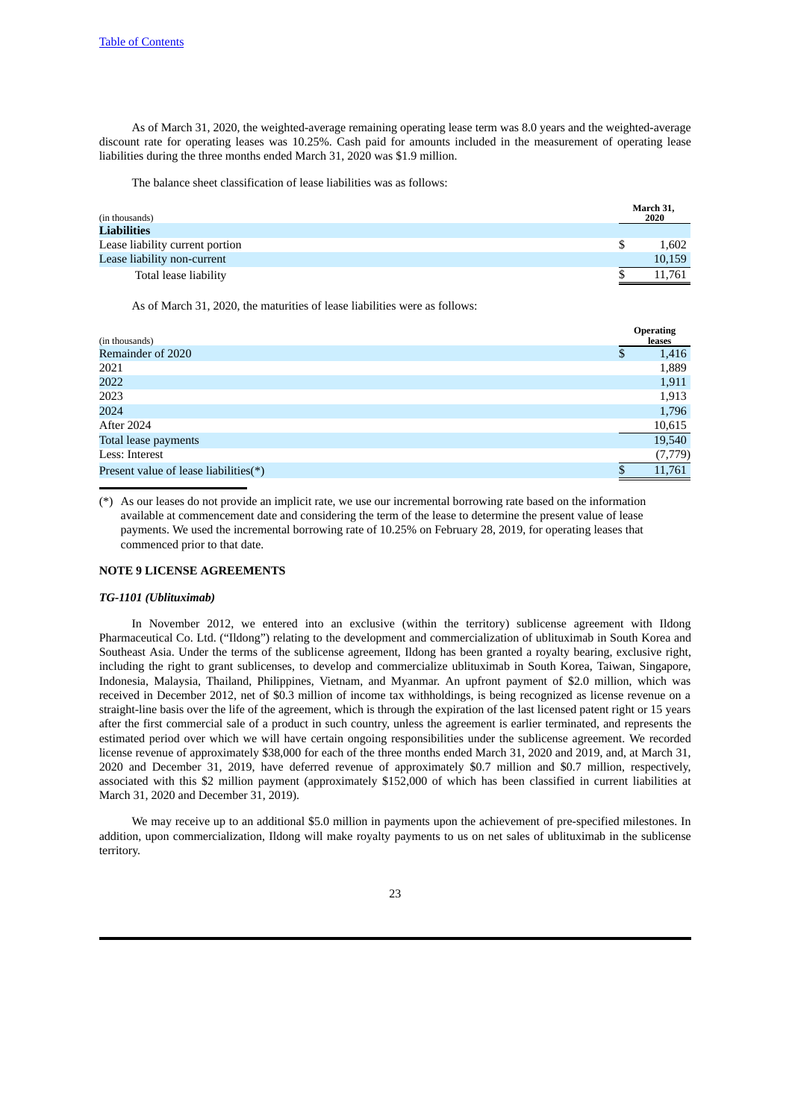As of March 31, 2020, the weighted-average remaining operating lease term was 8.0 years and the weighted-average discount rate for operating leases was 10.25%. Cash paid for amounts included in the measurement of operating lease liabilities during the three months ended March 31, 2020 was \$1.9 million.

The balance sheet classification of lease liabilities was as follows:

| (in thousands)                  | March 31,<br>2020 |
|---------------------------------|-------------------|
| Liabilities                     |                   |
| Lease liability current portion | 1.602             |
| Lease liability non-current     | 10,159            |
| Total lease liability           | 11,761            |

As of March 31, 2020, the maturities of lease liabilities were as follows:

| (in thousands)                        |   | <b>Operating</b><br>leases |
|---------------------------------------|---|----------------------------|
| Remainder of 2020                     | D | 1,416                      |
| 2021                                  |   | 1,889                      |
| 2022                                  |   | 1,911                      |
| 2023                                  |   | 1,913                      |
| 2024                                  |   | 1,796                      |
| After 2024                            |   | 10,615                     |
| Total lease payments                  |   | 19,540                     |
| Less: Interest                        |   | (7, 779)                   |
| Present value of lease liabilities(*) |   | 11,761                     |

(\*) As our leases do not provide an implicit rate, we use our incremental borrowing rate based on the information available at commencement date and considering the term of the lease to determine the present value of lease payments. We used the incremental borrowing rate of 10.25% on February 28, 2019, for operating leases that commenced prior to that date.

#### **NOTE 9 LICENSE AGREEMENTS**

#### *TG-1101 (Ublituximab)*

In November 2012, we entered into an exclusive (within the territory) sublicense agreement with Ildong Pharmaceutical Co. Ltd. ("Ildong") relating to the development and commercialization of ublituximab in South Korea and Southeast Asia. Under the terms of the sublicense agreement, Ildong has been granted a royalty bearing, exclusive right, including the right to grant sublicenses, to develop and commercialize ublituximab in South Korea, Taiwan, Singapore, Indonesia, Malaysia, Thailand, Philippines, Vietnam, and Myanmar. An upfront payment of \$2.0 million, which was received in December 2012, net of \$0.3 million of income tax withholdings, is being recognized as license revenue on a straight-line basis over the life of the agreement, which is through the expiration of the last licensed patent right or 15 years after the first commercial sale of a product in such country, unless the agreement is earlier terminated, and represents the estimated period over which we will have certain ongoing responsibilities under the sublicense agreement. We recorded license revenue of approximately \$38,000 for each of the three months ended March 31, 2020 and 2019, and, at March 31, 2020 and December 31, 2019, have deferred revenue of approximately \$0.7 million and \$0.7 million, respectively, associated with this \$2 million payment (approximately \$152,000 of which has been classified in current liabilities at March 31, 2020 and December 31, 2019).

We may receive up to an additional \$5.0 million in payments upon the achievement of pre-specified milestones. In addition, upon commercialization, Ildong will make royalty payments to us on net sales of ublituximab in the sublicense territory.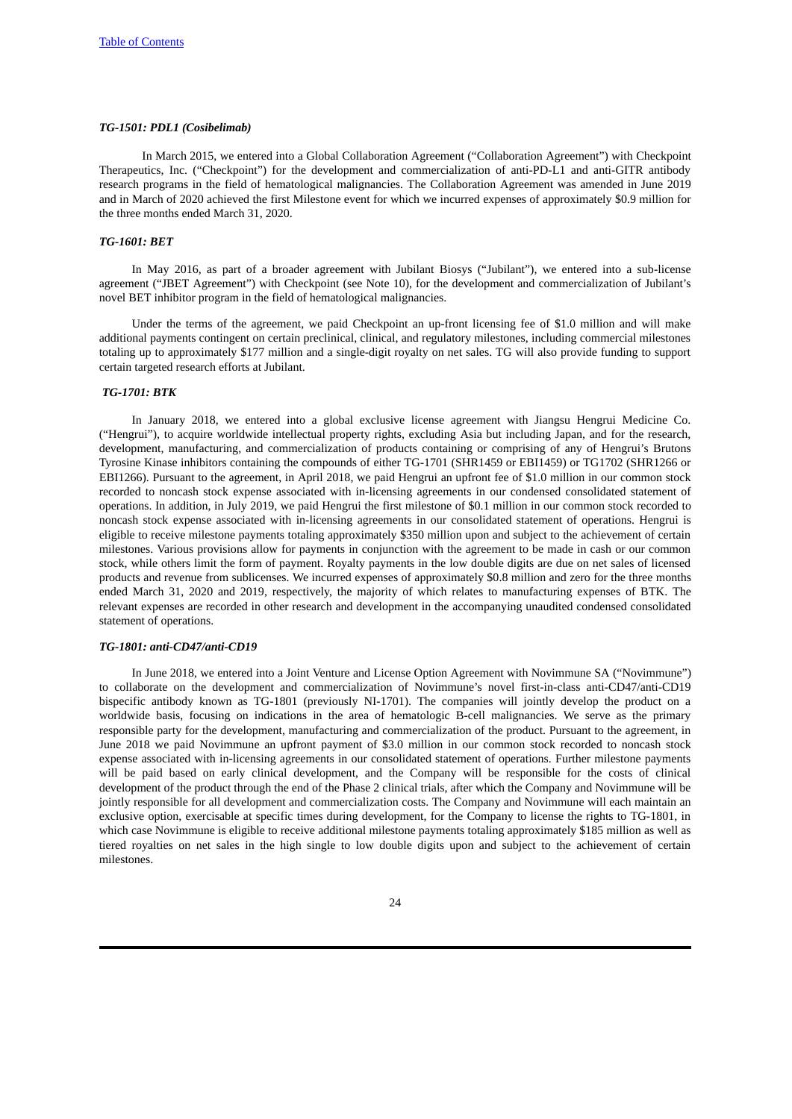## *TG-1501: PDL1 (Cosibelimab)*

In March 2015, we entered into a Global Collaboration Agreement ("Collaboration Agreement") with Checkpoint Therapeutics, Inc. ("Checkpoint") for the development and commercialization of anti-PD-L1 and anti-GITR antibody research programs in the field of hematological malignancies. The Collaboration Agreement was amended in June 2019 and in March of 2020 achieved the first Milestone event for which we incurred expenses of approximately \$0.9 million for the three months ended March 31, 2020.

## *TG-1601: BET*

In May 2016, as part of a broader agreement with Jubilant Biosys ("Jubilant"), we entered into a sub-license agreement ("JBET Agreement") with Checkpoint (see Note 10), for the development and commercialization of Jubilant's novel BET inhibitor program in the field of hematological malignancies.

Under the terms of the agreement, we paid Checkpoint an up-front licensing fee of \$1.0 million and will make additional payments contingent on certain preclinical, clinical, and regulatory milestones, including commercial milestones totaling up to approximately \$177 million and a single-digit royalty on net sales. TG will also provide funding to support certain targeted research efforts at Jubilant.

#### *TG-1701: BTK*

In January 2018, we entered into a global exclusive license agreement with Jiangsu Hengrui Medicine Co. ("Hengrui"), to acquire worldwide intellectual property rights, excluding Asia but including Japan, and for the research, development, manufacturing, and commercialization of products containing or comprising of any of Hengrui's Brutons Tyrosine Kinase inhibitors containing the compounds of either TG-1701 (SHR1459 or EBI1459) or TG1702 (SHR1266 or EBI1266). Pursuant to the agreement, in April 2018, we paid Hengrui an upfront fee of \$1.0 million in our common stock recorded to noncash stock expense associated with in-licensing agreements in our condensed consolidated statement of operations. In addition, in July 2019, we paid Hengrui the first milestone of \$0.1 million in our common stock recorded to noncash stock expense associated with in-licensing agreements in our consolidated statement of operations. Hengrui is eligible to receive milestone payments totaling approximately \$350 million upon and subject to the achievement of certain milestones. Various provisions allow for payments in conjunction with the agreement to be made in cash or our common stock, while others limit the form of payment. Royalty payments in the low double digits are due on net sales of licensed products and revenue from sublicenses. We incurred expenses of approximately \$0.8 million and zero for the three months ended March 31, 2020 and 2019, respectively, the majority of which relates to manufacturing expenses of BTK. The relevant expenses are recorded in other research and development in the accompanying unaudited condensed consolidated statement of operations.

#### *TG-1801: anti-CD47/anti-CD19*

In June 2018, we entered into a Joint Venture and License Option Agreement with Novimmune SA ("Novimmune") to collaborate on the development and commercialization of Novimmune's novel first-in-class anti-CD47/anti-CD19 bispecific antibody known as TG-1801 (previously NI-1701). The companies will jointly develop the product on a worldwide basis, focusing on indications in the area of hematologic B-cell malignancies. We serve as the primary responsible party for the development, manufacturing and commercialization of the product. Pursuant to the agreement, in June 2018 we paid Novimmune an upfront payment of \$3.0 million in our common stock recorded to noncash stock expense associated with in-licensing agreements in our consolidated statement of operations. Further milestone payments will be paid based on early clinical development, and the Company will be responsible for the costs of clinical development of the product through the end of the Phase 2 clinical trials, after which the Company and Novimmune will be jointly responsible for all development and commercialization costs. The Company and Novimmune will each maintain an exclusive option, exercisable at specific times during development, for the Company to license the rights to TG-1801, in which case Novimmune is eligible to receive additional milestone payments totaling approximately \$185 million as well as tiered royalties on net sales in the high single to low double digits upon and subject to the achievement of certain milestones.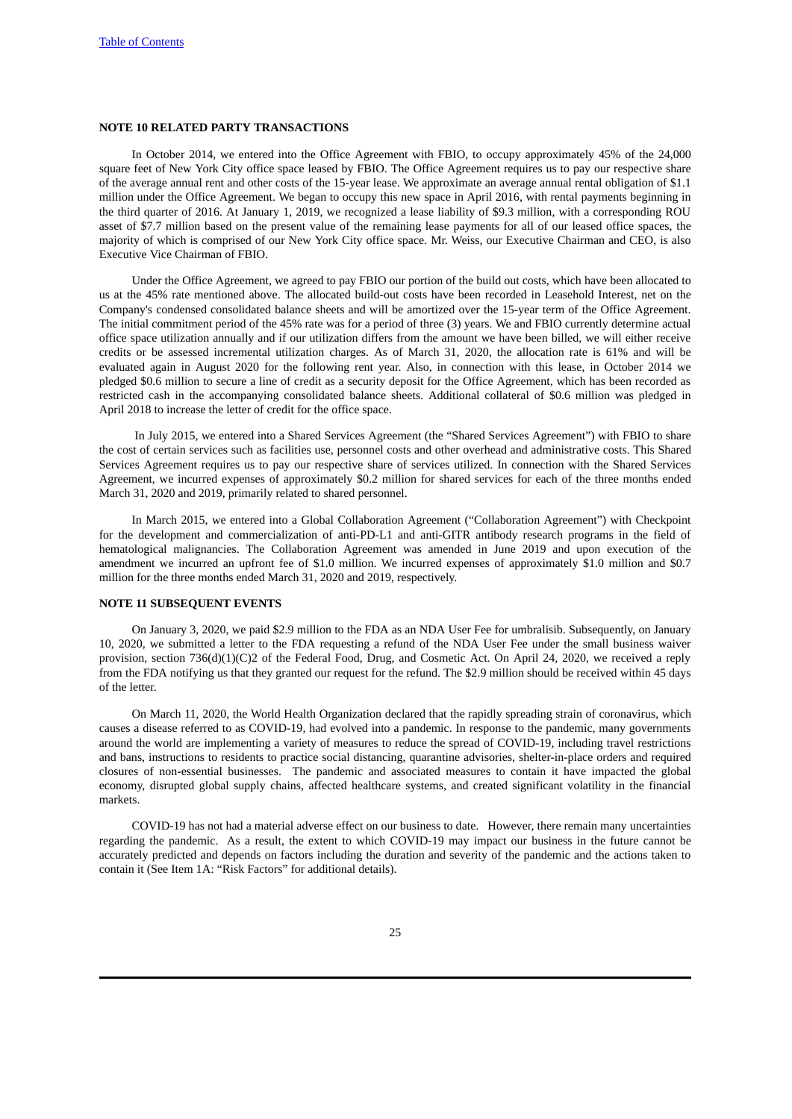#### **NOTE 10 RELATED PARTY TRANSACTIONS**

In October 2014, we entered into the Office Agreement with FBIO, to occupy approximately 45% of the 24,000 square feet of New York City office space leased by FBIO. The Office Agreement requires us to pay our respective share of the average annual rent and other costs of the 15-year lease. We approximate an average annual rental obligation of \$1.1 million under the Office Agreement. We began to occupy this new space in April 2016, with rental payments beginning in the third quarter of 2016. At January 1, 2019, we recognized a lease liability of \$9.3 million, with a corresponding ROU asset of \$7.7 million based on the present value of the remaining lease payments for all of our leased office spaces, the majority of which is comprised of our New York City office space. Mr. Weiss, our Executive Chairman and CEO, is also Executive Vice Chairman of FBIO.

Under the Office Agreement, we agreed to pay FBIO our portion of the build out costs, which have been allocated to us at the 45% rate mentioned above. The allocated build-out costs have been recorded in Leasehold Interest, net on the Company's condensed consolidated balance sheets and will be amortized over the 15-year term of the Office Agreement. The initial commitment period of the 45% rate was for a period of three (3) years. We and FBIO currently determine actual office space utilization annually and if our utilization differs from the amount we have been billed, we will either receive credits or be assessed incremental utilization charges. As of March 31, 2020, the allocation rate is 61% and will be evaluated again in August 2020 for the following rent year. Also, in connection with this lease, in October 2014 we pledged \$0.6 million to secure a line of credit as a security deposit for the Office Agreement, which has been recorded as restricted cash in the accompanying consolidated balance sheets. Additional collateral of \$0.6 million was pledged in April 2018 to increase the letter of credit for the office space.

In July 2015, we entered into a Shared Services Agreement (the "Shared Services Agreement") with FBIO to share the cost of certain services such as facilities use, personnel costs and other overhead and administrative costs. This Shared Services Agreement requires us to pay our respective share of services utilized. In connection with the Shared Services Agreement, we incurred expenses of approximately \$0.2 million for shared services for each of the three months ended March 31, 2020 and 2019, primarily related to shared personnel.

In March 2015, we entered into a Global Collaboration Agreement ("Collaboration Agreement") with Checkpoint for the development and commercialization of anti-PD-L1 and anti-GITR antibody research programs in the field of hematological malignancies. The Collaboration Agreement was amended in June 2019 and upon execution of the amendment we incurred an upfront fee of \$1.0 million. We incurred expenses of approximately \$1.0 million and \$0.7 million for the three months ended March 31, 2020 and 2019, respectively.

## **NOTE 11 SUBSEQUENT EVENTS**

On January 3, 2020, we paid \$2.9 million to the FDA as an NDA User Fee for umbralisib. Subsequently, on January 10, 2020, we submitted a letter to the FDA requesting a refund of the NDA User Fee under the small business waiver provision, section 736(d)(1)(C)2 of the Federal Food, Drug, and Cosmetic Act. On April 24, 2020, we received a reply from the FDA notifying us that they granted our request for the refund. The \$2.9 million should be received within 45 days of the letter.

On March 11, 2020, the World Health Organization declared that the rapidly spreading strain of coronavirus, which causes a disease referred to as COVID-19, had evolved into a pandemic. In response to the pandemic, many governments around the world are implementing a variety of measures to reduce the spread of COVID-19, including travel restrictions and bans, instructions to residents to practice social distancing, quarantine advisories, shelter-in-place orders and required closures of non-essential businesses. The pandemic and associated measures to contain it have impacted the global economy, disrupted global supply chains, affected healthcare systems, and created significant volatility in the financial markets.

COVID-19 has not had a material adverse effect on our business to date. However, there remain many uncertainties regarding the pandemic. As a result, the extent to which COVID-19 may impact our business in the future cannot be accurately predicted and depends on factors including the duration and severity of the pandemic and the actions taken to contain it (See Item 1A: "Risk Factors" for additional details).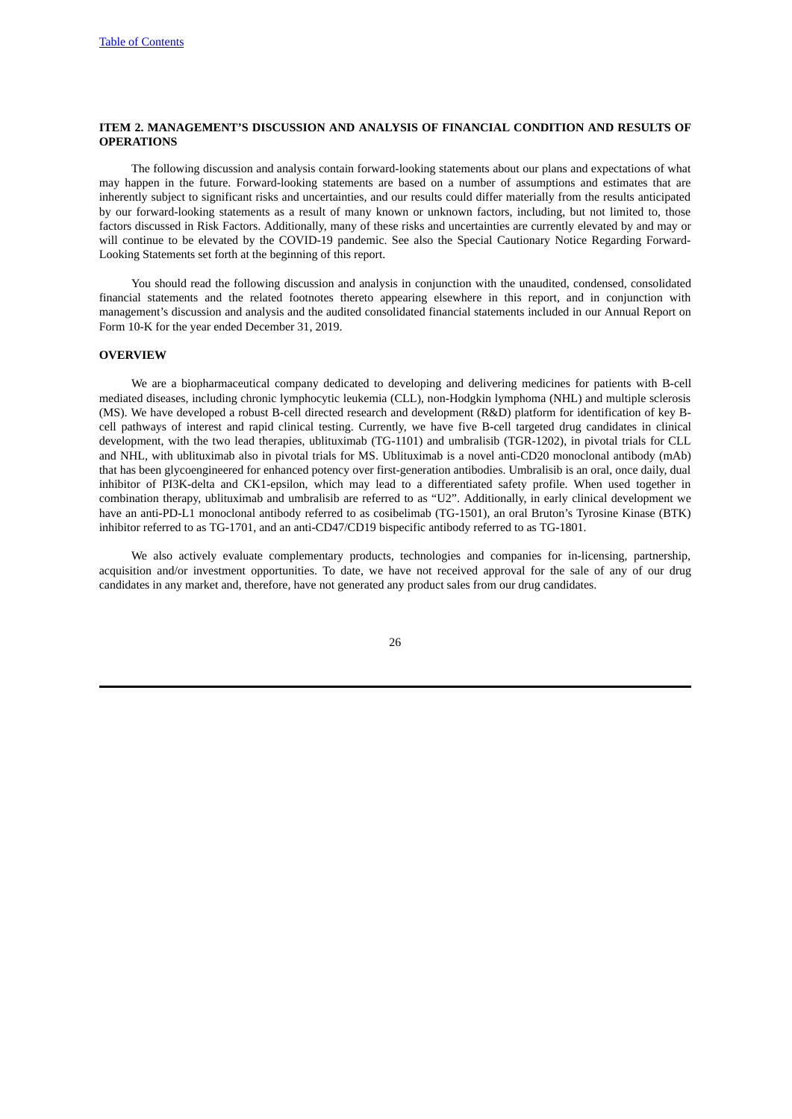## <span id="page-25-0"></span>**ITEM 2. MANAGEMENT'S DISCUSSION AND ANALYSIS OF FINANCIAL CONDITION AND RESULTS OF OPERATIONS**

The following discussion and analysis contain forward-looking statements about our plans and expectations of what may happen in the future. Forward-looking statements are based on a number of assumptions and estimates that are inherently subject to significant risks and uncertainties, and our results could differ materially from the results anticipated by our forward-looking statements as a result of many known or unknown factors, including, but not limited to, those factors discussed in Risk Factors. Additionally, many of these risks and uncertainties are currently elevated by and may or will continue to be elevated by the COVID-19 pandemic. See also the Special Cautionary Notice Regarding Forward-Looking Statements set forth at the beginning of this report.

You should read the following discussion and analysis in conjunction with the unaudited, condensed, consolidated financial statements and the related footnotes thereto appearing elsewhere in this report, and in conjunction with management's discussion and analysis and the audited consolidated financial statements included in our Annual Report on Form 10-K for the year ended December 31, 2019.

## **OVERVIEW**

We are a biopharmaceutical company dedicated to developing and delivering medicines for patients with B-cell mediated diseases, including chronic lymphocytic leukemia (CLL), non-Hodgkin lymphoma (NHL) and multiple sclerosis (MS). We have developed a robust B-cell directed research and development (R&D) platform for identification of key Bcell pathways of interest and rapid clinical testing. Currently, we have five B-cell targeted drug candidates in clinical development, with the two lead therapies, ublituximab (TG-1101) and umbralisib (TGR-1202), in pivotal trials for CLL and NHL, with ublituximab also in pivotal trials for MS. Ublituximab is a novel anti-CD20 monoclonal antibody (mAb) that has been glycoengineered for enhanced potency over first-generation antibodies. Umbralisib is an oral, once daily, dual inhibitor of PI3K-delta and CK1-epsilon, which may lead to a differentiated safety profile. When used together in combination therapy, ublituximab and umbralisib are referred to as "U2". Additionally, in early clinical development we have an anti-PD-L1 monoclonal antibody referred to as cosibelimab (TG-1501), an oral Bruton's Tyrosine Kinase (BTK) inhibitor referred to as TG-1701, and an anti-CD47/CD19 bispecific antibody referred to as TG-1801.

We also actively evaluate complementary products, technologies and companies for in-licensing, partnership, acquisition and/or investment opportunities. To date, we have not received approval for the sale of any of our drug candidates in any market and, therefore, have not generated any product sales from our drug candidates.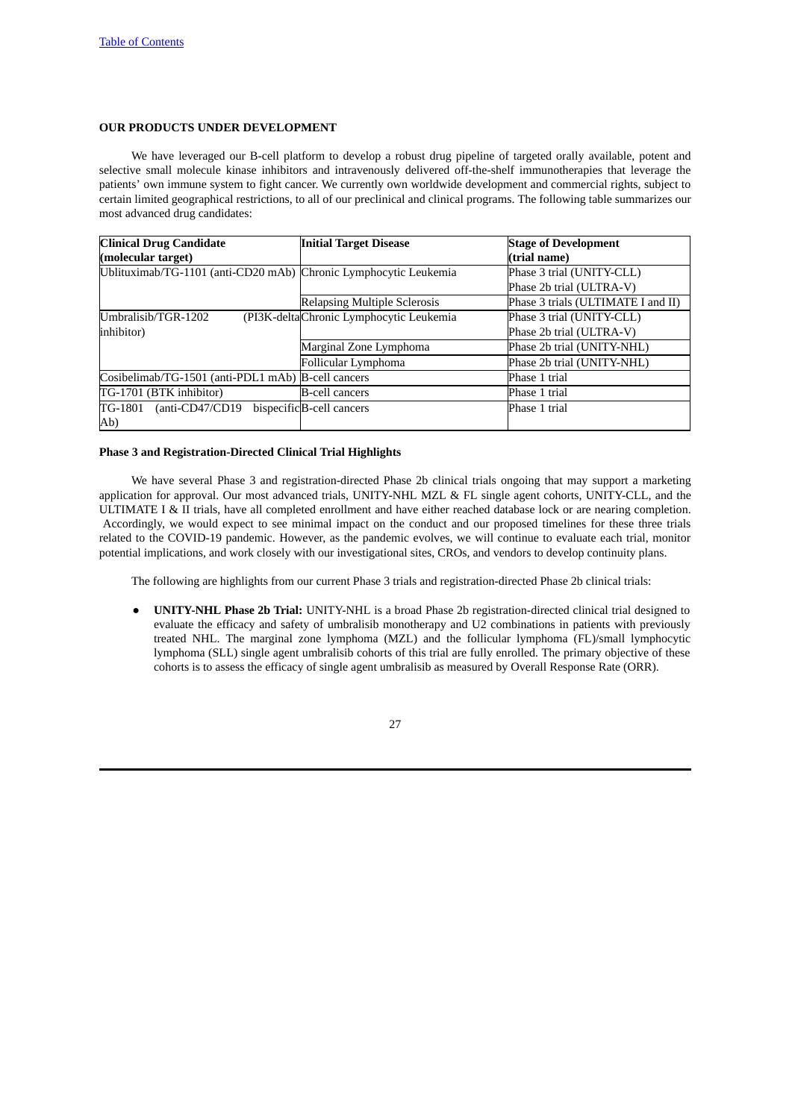# **OUR PRODUCTS UNDER DEVELOPMENT**

We have leveraged our B-cell platform to develop a robust drug pipeline of targeted orally available, potent and selective small molecule kinase inhibitors and intravenously delivered off-the-shelf immunotherapies that leverage the patients' own immune system to fight cancer. We currently own worldwide development and commercial rights, subject to certain limited geographical restrictions, to all of our preclinical and clinical programs. The following table summarizes our most advanced drug candidates:

| <b>Clinical Drug Candidate</b>                                   | <b>Initial Target Disease</b>           | <b>Stage of Development</b>        |
|------------------------------------------------------------------|-----------------------------------------|------------------------------------|
| (molecular target)                                               |                                         | (trial name)                       |
| Ublituximab/TG-1101 (anti-CD20 mAb) Chronic Lymphocytic Leukemia |                                         | Phase 3 trial (UNITY-CLL)          |
|                                                                  |                                         | Phase 2b trial (ULTRA-V)           |
|                                                                  | <b>Relapsing Multiple Sclerosis</b>     | Phase 3 trials (ULTIMATE I and II) |
| Umbralisib/TGR-1202                                              | (PI3K-deltaChronic Lymphocytic Leukemia | Phase 3 trial (UNITY-CLL)          |
| inhibitor)                                                       |                                         | Phase 2b trial (ULTRA-V)           |
|                                                                  | Marginal Zone Lymphoma                  | Phase 2b trial (UNITY-NHL)         |
|                                                                  | Follicular Lymphoma                     | Phase 2b trial (UNITY-NHL)         |
| Cosibelimab/TG-1501 (anti-PDL1 mAb) B-cell cancers               |                                         | Phase 1 trial                      |
| TG-1701 (BTK inhibitor)                                          | <b>B-cell cancers</b>                   | Phase 1 trial                      |
| $(anti-CD47/CD19)$<br>TG-1801                                    | bispecific <sub>B</sub> -cell cancers   | Phase 1 trial                      |
| Ab)                                                              |                                         |                                    |

## **Phase 3 and Registration-Directed Clinical Trial Highlights**

We have several Phase 3 and registration-directed Phase 2b clinical trials ongoing that may support a marketing application for approval. Our most advanced trials, UNITY-NHL MZL & FL single agent cohorts, UNITY-CLL, and the ULTIMATE I & II trials, have all completed enrollment and have either reached database lock or are nearing completion. Accordingly, we would expect to see minimal impact on the conduct and our proposed timelines for these three trials related to the COVID-19 pandemic. However, as the pandemic evolves, we will continue to evaluate each trial, monitor potential implications, and work closely with our investigational sites, CROs, and vendors to develop continuity plans.

The following are highlights from our current Phase 3 trials and registration-directed Phase 2b clinical trials:

● **UNITY-NHL Phase 2b Trial:** UNITY-NHL is a broad Phase 2b registration-directed clinical trial designed to evaluate the efficacy and safety of umbralisib monotherapy and U2 combinations in patients with previously treated NHL. The marginal zone lymphoma (MZL) and the follicular lymphoma (FL)/small lymphocytic lymphoma (SLL) single agent umbralisib cohorts of this trial are fully enrolled. The primary objective of these cohorts is to assess the efficacy of single agent umbralisib as measured by Overall Response Rate (ORR).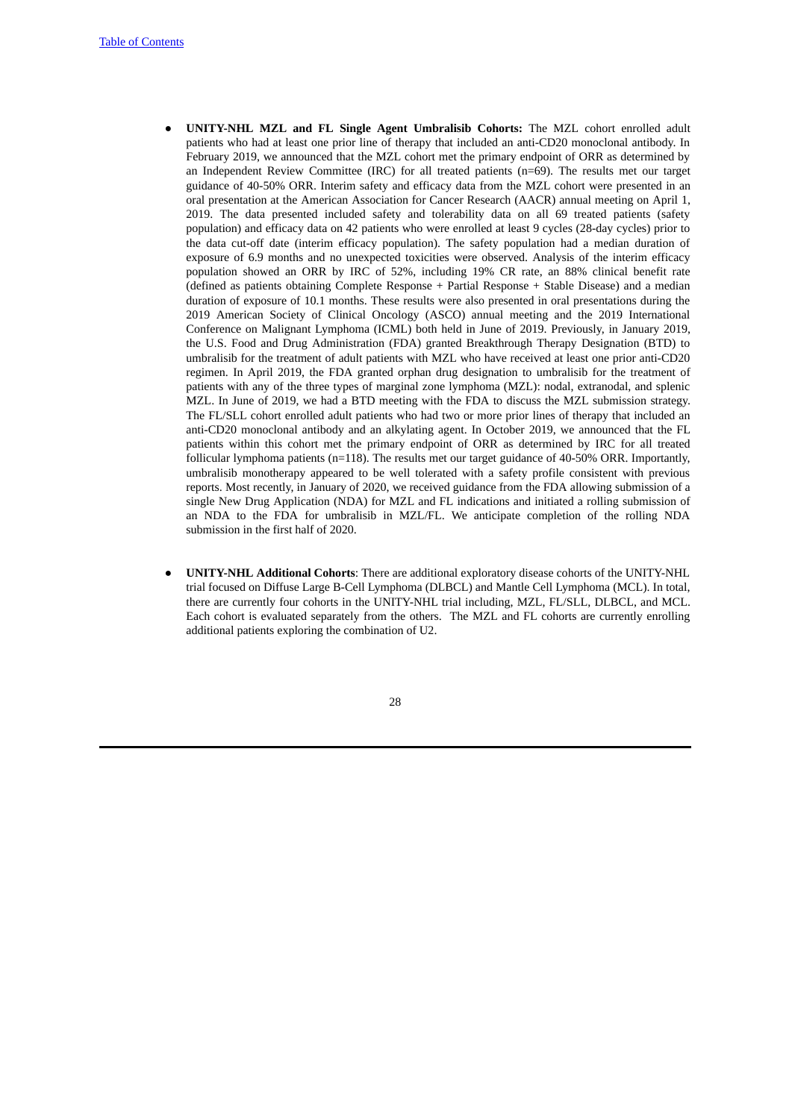- **UNITY-NHL MZL and FL Single Agent Umbralisib Cohorts:** The MZL cohort enrolled adult patients who had at least one prior line of therapy that included an anti-CD20 monoclonal antibody. In February 2019, we announced that the MZL cohort met the primary endpoint of ORR as determined by an Independent Review Committee (IRC) for all treated patients (n=69). The results met our target guidance of 40-50% ORR. Interim safety and efficacy data from the MZL cohort were presented in an oral presentation at the American Association for Cancer Research (AACR) annual meeting on April 1, 2019. The data presented included safety and tolerability data on all 69 treated patients (safety population) and efficacy data on 42 patients who were enrolled at least 9 cycles (28-day cycles) prior to the data cut-off date (interim efficacy population). The safety population had a median duration of exposure of 6.9 months and no unexpected toxicities were observed. Analysis of the interim efficacy population showed an ORR by IRC of 52%, including 19% CR rate, an 88% clinical benefit rate (defined as patients obtaining Complete Response + Partial Response + Stable Disease) and a median duration of exposure of 10.1 months. These results were also presented in oral presentations during the 2019 American Society of Clinical Oncology (ASCO) annual meeting and the 2019 International Conference on Malignant Lymphoma (ICML) both held in June of 2019. Previously, in January 2019, the U.S. Food and Drug Administration (FDA) granted Breakthrough Therapy Designation (BTD) to umbralisib for the treatment of adult patients with MZL who have received at least one prior anti-CD20 regimen. In April 2019, the FDA granted orphan drug designation to umbralisib for the treatment of patients with any of the three types of marginal zone lymphoma (MZL): nodal, extranodal, and splenic MZL. In June of 2019, we had a BTD meeting with the FDA to discuss the MZL submission strategy. The FL/SLL cohort enrolled adult patients who had two or more prior lines of therapy that included an anti-CD20 monoclonal antibody and an alkylating agent. In October 2019, we announced that the FL patients within this cohort met the primary endpoint of ORR as determined by IRC for all treated follicular lymphoma patients (n=118). The results met our target guidance of 40-50% ORR. Importantly, umbralisib monotherapy appeared to be well tolerated with a safety profile consistent with previous reports. Most recently, in January of 2020, we received guidance from the FDA allowing submission of a single New Drug Application (NDA) for MZL and FL indications and initiated a rolling submission of an NDA to the FDA for umbralisib in MZL/FL. We anticipate completion of the rolling NDA submission in the first half of 2020.
- **● UNITY-NHL Additional Cohorts**: There are additional exploratory disease cohorts of the UNITY-NHL trial focused on Diffuse Large B-Cell Lymphoma (DLBCL) and Mantle Cell Lymphoma (MCL). In total, there are currently four cohorts in the UNITY-NHL trial including, MZL, FL/SLL, DLBCL, and MCL. Each cohort is evaluated separately from the others. The MZL and FL cohorts are currently enrolling additional patients exploring the combination of U2.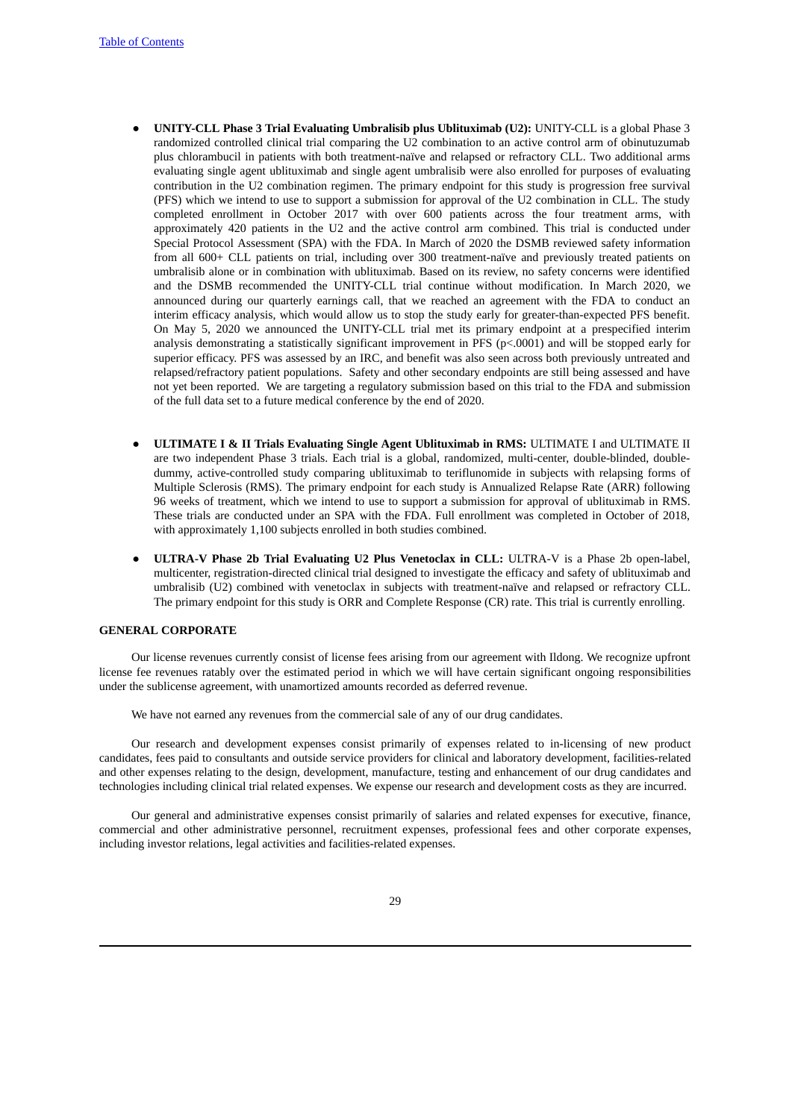- **UNITY-CLL Phase 3 Trial Evaluating Umbralisib plus Ublituximab (U2):** UNITY-CLL is a global Phase 3 randomized controlled clinical trial comparing the U2 combination to an active control arm of obinutuzumab plus chlorambucil in patients with both treatment-naïve and relapsed or refractory CLL. Two additional arms evaluating single agent ublituximab and single agent umbralisib were also enrolled for purposes of evaluating contribution in the U2 combination regimen. The primary endpoint for this study is progression free survival (PFS) which we intend to use to support a submission for approval of the U2 combination in CLL. The study completed enrollment in October 2017 with over 600 patients across the four treatment arms, with approximately 420 patients in the U2 and the active control arm combined. This trial is conducted under Special Protocol Assessment (SPA) with the FDA. In March of 2020 the DSMB reviewed safety information from all 600+ CLL patients on trial, including over 300 treatment-naïve and previously treated patients on umbralisib alone or in combination with ublituximab. Based on its review, no safety concerns were identified and the DSMB recommended the UNITY-CLL trial continue without modification. In March 2020, we announced during our quarterly earnings call, that we reached an agreement with the FDA to conduct an interim efficacy analysis, which would allow us to stop the study early for greater-than-expected PFS benefit. On May 5, 2020 we announced the UNITY-CLL trial met its primary endpoint at a prespecified interim analysis demonstrating a statistically significant improvement in PFS (p<.0001) and will be stopped early for superior efficacy. PFS was assessed by an IRC, and benefit was also seen across both previously untreated and relapsed/refractory patient populations. Safety and other secondary endpoints are still being assessed and have not yet been reported. We are targeting a regulatory submission based on this trial to the FDA and submission of the full data set to a future medical conference by the end of 2020.
- **ULTIMATE I & II Trials Evaluating Single Agent Ublituximab in RMS:** ULTIMATE I and ULTIMATE II are two independent Phase 3 trials. Each trial is a global, randomized, multi-center, double-blinded, doubledummy, active-controlled study comparing ublituximab to teriflunomide in subjects with relapsing forms of Multiple Sclerosis (RMS). The primary endpoint for each study is Annualized Relapse Rate (ARR) following 96 weeks of treatment, which we intend to use to support a submission for approval of ublituximab in RMS. These trials are conducted under an SPA with the FDA. Full enrollment was completed in October of 2018, with approximately 1,100 subjects enrolled in both studies combined.
- **ULTRA-V Phase 2b Trial Evaluating U2 Plus Venetoclax in CLL:** ULTRA-V is a Phase 2b open-label, multicenter, registration-directed clinical trial designed to investigate the efficacy and safety of ublituximab and umbralisib (U2) combined with venetoclax in subjects with treatment-naïve and relapsed or refractory CLL. The primary endpoint for this study is ORR and Complete Response (CR) rate. This trial is currently enrolling.

### **GENERAL CORPORATE**

Our license revenues currently consist of license fees arising from our agreement with Ildong. We recognize upfront license fee revenues ratably over the estimated period in which we will have certain significant ongoing responsibilities under the sublicense agreement, with unamortized amounts recorded as deferred revenue.

We have not earned any revenues from the commercial sale of any of our drug candidates.

Our research and development expenses consist primarily of expenses related to in-licensing of new product candidates, fees paid to consultants and outside service providers for clinical and laboratory development, facilities-related and other expenses relating to the design, development, manufacture, testing and enhancement of our drug candidates and technologies including clinical trial related expenses. We expense our research and development costs as they are incurred.

Our general and administrative expenses consist primarily of salaries and related expenses for executive, finance, commercial and other administrative personnel, recruitment expenses, professional fees and other corporate expenses, including investor relations, legal activities and facilities-related expenses.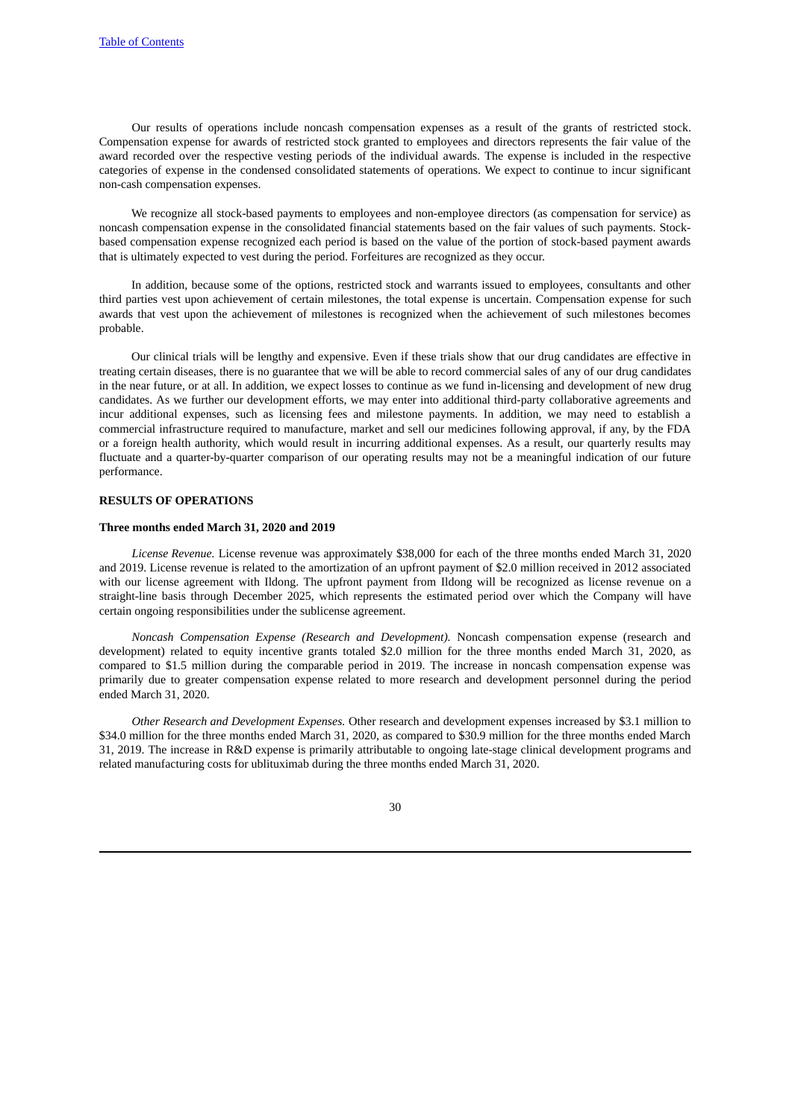Our results of operations include noncash compensation expenses as a result of the grants of restricted stock. Compensation expense for awards of restricted stock granted to employees and directors represents the fair value of the award recorded over the respective vesting periods of the individual awards. The expense is included in the respective categories of expense in the condensed consolidated statements of operations. We expect to continue to incur significant non-cash compensation expenses.

We recognize all stock-based payments to employees and non-employee directors (as compensation for service) as noncash compensation expense in the consolidated financial statements based on the fair values of such payments. Stockbased compensation expense recognized each period is based on the value of the portion of stock-based payment awards that is ultimately expected to vest during the period. Forfeitures are recognized as they occur.

In addition, because some of the options, restricted stock and warrants issued to employees, consultants and other third parties vest upon achievement of certain milestones, the total expense is uncertain. Compensation expense for such awards that vest upon the achievement of milestones is recognized when the achievement of such milestones becomes probable.

Our clinical trials will be lengthy and expensive. Even if these trials show that our drug candidates are effective in treating certain diseases, there is no guarantee that we will be able to record commercial sales of any of our drug candidates in the near future, or at all. In addition, we expect losses to continue as we fund in-licensing and development of new drug candidates. As we further our development efforts, we may enter into additional third-party collaborative agreements and incur additional expenses, such as licensing fees and milestone payments. In addition, we may need to establish a commercial infrastructure required to manufacture, market and sell our medicines following approval, if any, by the FDA or a foreign health authority, which would result in incurring additional expenses. As a result, our quarterly results may fluctuate and a quarter-by-quarter comparison of our operating results may not be a meaningful indication of our future performance.

## **RESULTS OF OPERATIONS**

#### **Three months ended March 31, 2020 and 2019**

*License Revenue.* License revenue was approximately \$38,000 for each of the three months ended March 31, 2020 and 2019. License revenue is related to the amortization of an upfront payment of \$2.0 million received in 2012 associated with our license agreement with Ildong. The upfront payment from Ildong will be recognized as license revenue on a straight-line basis through December 2025, which represents the estimated period over which the Company will have certain ongoing responsibilities under the sublicense agreement.

*Noncash Compensation Expense (Research and Development).* Noncash compensation expense (research and development) related to equity incentive grants totaled \$2.0 million for the three months ended March 31, 2020, as compared to \$1.5 million during the comparable period in 2019. The increase in noncash compensation expense was primarily due to greater compensation expense related to more research and development personnel during the period ended March 31, 2020.

*Other Research and Development Expenses.* Other research and development expenses increased by \$3.1 million to \$34.0 million for the three months ended March 31, 2020, as compared to \$30.9 million for the three months ended March 31, 2019. The increase in R&D expense is primarily attributable to ongoing late-stage clinical development programs and related manufacturing costs for ublituximab during the three months ended March 31, 2020.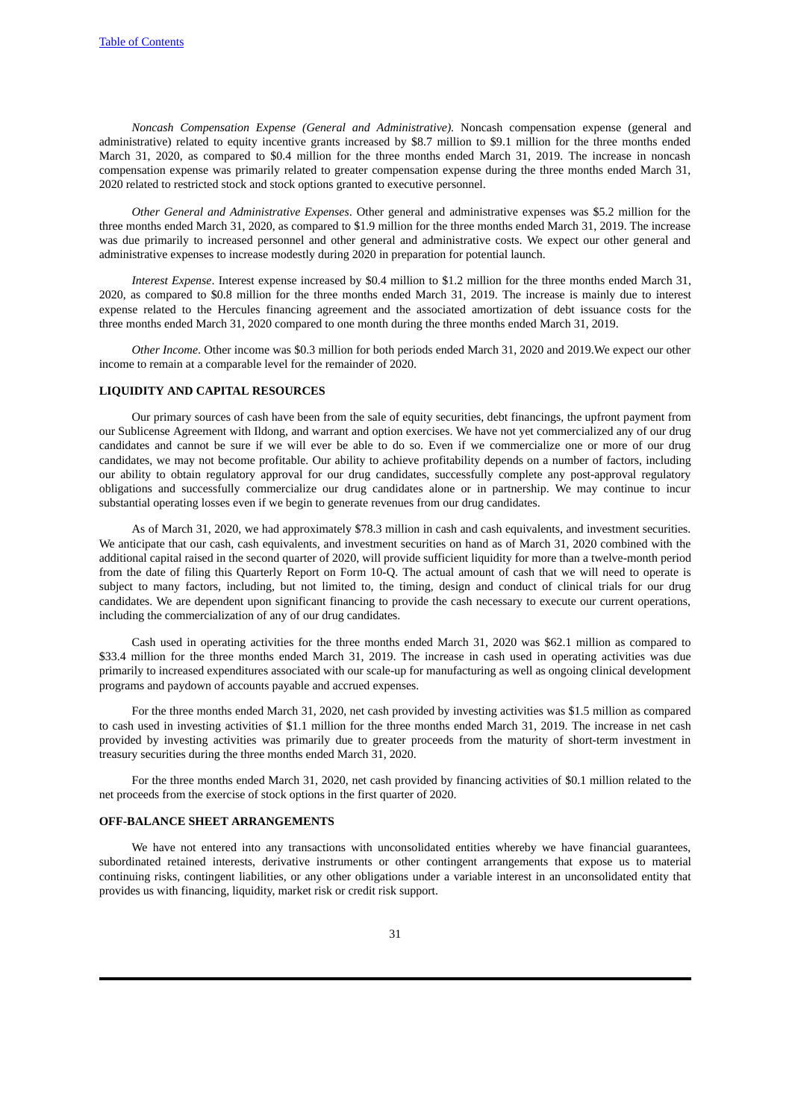*Noncash Compensation Expense (General and Administrative).* Noncash compensation expense (general and administrative) related to equity incentive grants increased by \$8.7 million to \$9.1 million for the three months ended March 31, 2020, as compared to \$0.4 million for the three months ended March 31, 2019. The increase in noncash compensation expense was primarily related to greater compensation expense during the three months ended March 31, 2020 related to restricted stock and stock options granted to executive personnel.

*Other General and Administrative Expenses*. Other general and administrative expenses was \$5.2 million for the three months ended March 31, 2020, as compared to \$1.9 million for the three months ended March 31, 2019. The increase was due primarily to increased personnel and other general and administrative costs. We expect our other general and administrative expenses to increase modestly during 2020 in preparation for potential launch.

*Interest Expense*. Interest expense increased by \$0.4 million to \$1.2 million for the three months ended March 31, 2020, as compared to \$0.8 million for the three months ended March 31, 2019. The increase is mainly due to interest expense related to the Hercules financing agreement and the associated amortization of debt issuance costs for the three months ended March 31, 2020 compared to one month during the three months ended March 31, 2019.

*Other Income*. Other income was \$0.3 million for both periods ended March 31, 2020 and 2019.We expect our other income to remain at a comparable level for the remainder of 2020.

## **LIQUIDITY AND CAPITAL RESOURCES**

Our primary sources of cash have been from the sale of equity securities, debt financings, the upfront payment from our Sublicense Agreement with Ildong, and warrant and option exercises. We have not yet commercialized any of our drug candidates and cannot be sure if we will ever be able to do so. Even if we commercialize one or more of our drug candidates, we may not become profitable. Our ability to achieve profitability depends on a number of factors, including our ability to obtain regulatory approval for our drug candidates, successfully complete any post-approval regulatory obligations and successfully commercialize our drug candidates alone or in partnership. We may continue to incur substantial operating losses even if we begin to generate revenues from our drug candidates.

As of March 31, 2020, we had approximately \$78.3 million in cash and cash equivalents, and investment securities. We anticipate that our cash, cash equivalents, and investment securities on hand as of March 31, 2020 combined with the additional capital raised in the second quarter of 2020, will provide sufficient liquidity for more than a twelve-month period from the date of filing this Quarterly Report on Form 10-Q. The actual amount of cash that we will need to operate is subject to many factors, including, but not limited to, the timing, design and conduct of clinical trials for our drug candidates. We are dependent upon significant financing to provide the cash necessary to execute our current operations, including the commercialization of any of our drug candidates.

Cash used in operating activities for the three months ended March 31, 2020 was \$62.1 million as compared to \$33.4 million for the three months ended March 31, 2019. The increase in cash used in operating activities was due primarily to increased expenditures associated with our scale-up for manufacturing as well as ongoing clinical development programs and paydown of accounts payable and accrued expenses.

For the three months ended March 31, 2020, net cash provided by investing activities was \$1.5 million as compared to cash used in investing activities of \$1.1 million for the three months ended March 31, 2019. The increase in net cash provided by investing activities was primarily due to greater proceeds from the maturity of short-term investment in treasury securities during the three months ended March 31, 2020.

For the three months ended March 31, 2020, net cash provided by financing activities of \$0.1 million related to the net proceeds from the exercise of stock options in the first quarter of 2020.

# **OFF-BALANCE SHEET ARRANGEMENTS**

We have not entered into any transactions with unconsolidated entities whereby we have financial guarantees, subordinated retained interests, derivative instruments or other contingent arrangements that expose us to material continuing risks, contingent liabilities, or any other obligations under a variable interest in an unconsolidated entity that provides us with financing, liquidity, market risk or credit risk support.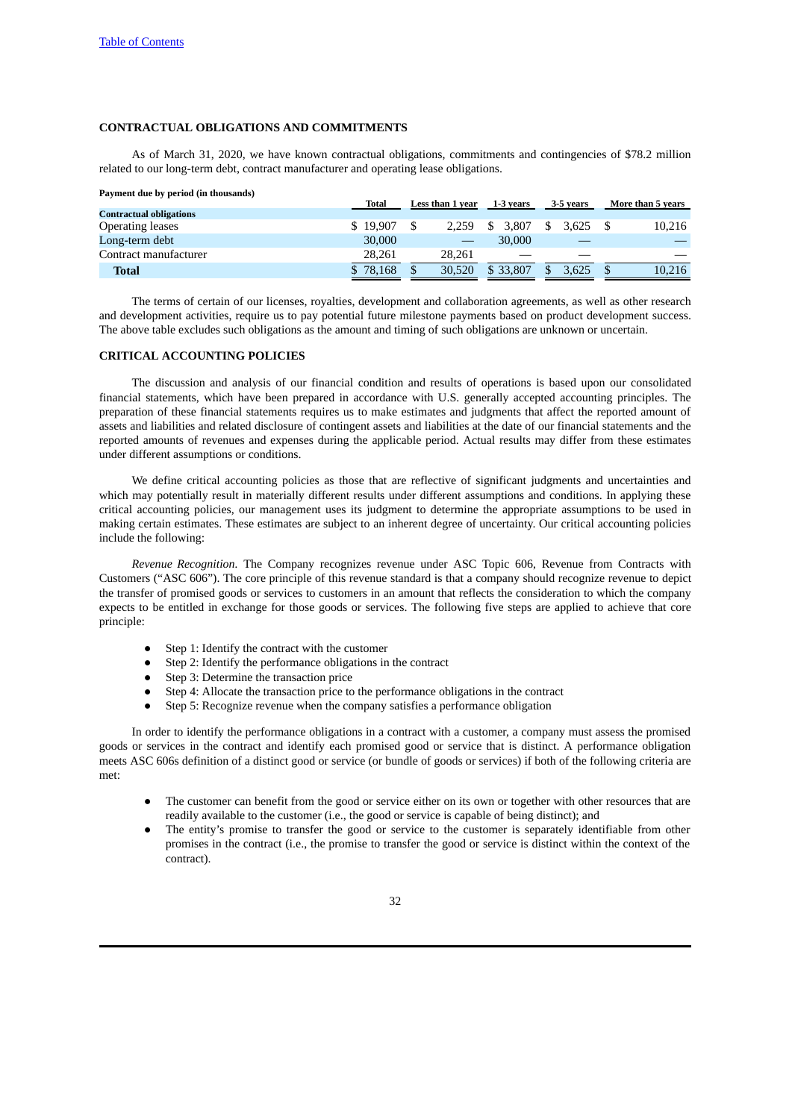## **CONTRACTUAL OBLIGATIONS AND COMMITMENTS**

As of March 31, 2020, we have known contractual obligations, commitments and contingencies of \$78.2 million related to our long-term debt, contract manufacturer and operating lease obligations.

| Payment due by period (in thousands) |          |                  |        |            |       |        |  |                        |  |                   |
|--------------------------------------|----------|------------------|--------|------------|-------|--------|--|------------------------|--|-------------------|
|                                      | Total    | Less than 1 vear |        |            |       |        |  | 1-3 years<br>3-5 vears |  | More than 5 years |
| <b>Contractual obligations</b>       |          |                  |        |            |       |        |  |                        |  |                   |
| <b>Operating leases</b>              | \$19,907 |                  | 2.259  | 3.807<br>S | 3.625 | 10.216 |  |                        |  |                   |
| Long-term debt                       | 30,000   |                  |        | 30,000     |       |        |  |                        |  |                   |
| Contract manufacturer                | 28.261   |                  | 28.261 |            |       |        |  |                        |  |                   |
| Total                                | \$78,168 |                  | 30,520 | \$33,807   | 3.625 | 10.216 |  |                        |  |                   |

The terms of certain of our licenses, royalties, development and collaboration agreements, as well as other research and development activities, require us to pay potential future milestone payments based on product development success. The above table excludes such obligations as the amount and timing of such obligations are unknown or uncertain.

## **CRITICAL ACCOUNTING POLICIES**

The discussion and analysis of our financial condition and results of operations is based upon our consolidated financial statements, which have been prepared in accordance with U.S. generally accepted accounting principles. The preparation of these financial statements requires us to make estimates and judgments that affect the reported amount of assets and liabilities and related disclosure of contingent assets and liabilities at the date of our financial statements and the reported amounts of revenues and expenses during the applicable period. Actual results may differ from these estimates under different assumptions or conditions.

We define critical accounting policies as those that are reflective of significant judgments and uncertainties and which may potentially result in materially different results under different assumptions and conditions. In applying these critical accounting policies, our management uses its judgment to determine the appropriate assumptions to be used in making certain estimates. These estimates are subject to an inherent degree of uncertainty. Our critical accounting policies include the following:

*Revenue Recognition.* The Company recognizes revenue under ASC Topic 606, Revenue from Contracts with Customers ("ASC 606"). The core principle of this revenue standard is that a company should recognize revenue to depict the transfer of promised goods or services to customers in an amount that reflects the consideration to which the company expects to be entitled in exchange for those goods or services. The following five steps are applied to achieve that core principle:

- Step 1: Identify the contract with the customer
- Step 2: Identify the performance obligations in the contract
- Step 3: Determine the transaction price
- Step 4: Allocate the transaction price to the performance obligations in the contract
- Step 5: Recognize revenue when the company satisfies a performance obligation

In order to identify the performance obligations in a contract with a customer, a company must assess the promised goods or services in the contract and identify each promised good or service that is distinct. A performance obligation meets ASC 606s definition of a distinct good or service (or bundle of goods or services) if both of the following criteria are met:

- The customer can benefit from the good or service either on its own or together with other resources that are readily available to the customer (i.e., the good or service is capable of being distinct); and
- The entity's promise to transfer the good or service to the customer is separately identifiable from other promises in the contract (i.e., the promise to transfer the good or service is distinct within the context of the contract).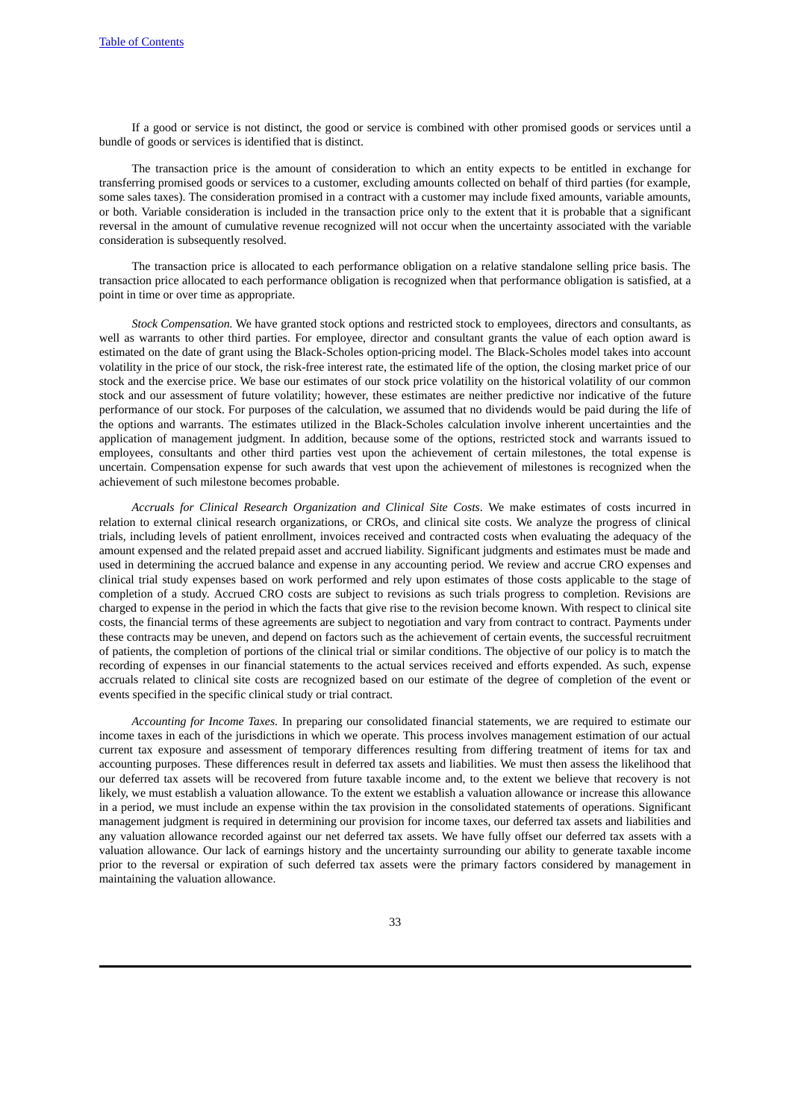If a good or service is not distinct, the good or service is combined with other promised goods or services until a bundle of goods or services is identified that is distinct.

The transaction price is the amount of consideration to which an entity expects to be entitled in exchange for transferring promised goods or services to a customer, excluding amounts collected on behalf of third parties (for example, some sales taxes). The consideration promised in a contract with a customer may include fixed amounts, variable amounts, or both. Variable consideration is included in the transaction price only to the extent that it is probable that a significant reversal in the amount of cumulative revenue recognized will not occur when the uncertainty associated with the variable consideration is subsequently resolved.

The transaction price is allocated to each performance obligation on a relative standalone selling price basis. The transaction price allocated to each performance obligation is recognized when that performance obligation is satisfied, at a point in time or over time as appropriate.

*Stock Compensation.* We have granted stock options and restricted stock to employees, directors and consultants, as well as warrants to other third parties. For employee, director and consultant grants the value of each option award is estimated on the date of grant using the Black-Scholes option-pricing model. The Black-Scholes model takes into account volatility in the price of our stock, the risk-free interest rate, the estimated life of the option, the closing market price of our stock and the exercise price. We base our estimates of our stock price volatility on the historical volatility of our common stock and our assessment of future volatility; however, these estimates are neither predictive nor indicative of the future performance of our stock. For purposes of the calculation, we assumed that no dividends would be paid during the life of the options and warrants. The estimates utilized in the Black-Scholes calculation involve inherent uncertainties and the application of management judgment. In addition, because some of the options, restricted stock and warrants issued to employees, consultants and other third parties vest upon the achievement of certain milestones, the total expense is uncertain. Compensation expense for such awards that vest upon the achievement of milestones is recognized when the achievement of such milestone becomes probable.

*Accruals for Clinical Research Organization and Clinical Site Costs*. We make estimates of costs incurred in relation to external clinical research organizations, or CROs, and clinical site costs. We analyze the progress of clinical trials, including levels of patient enrollment, invoices received and contracted costs when evaluating the adequacy of the amount expensed and the related prepaid asset and accrued liability. Significant judgments and estimates must be made and used in determining the accrued balance and expense in any accounting period. We review and accrue CRO expenses and clinical trial study expenses based on work performed and rely upon estimates of those costs applicable to the stage of completion of a study. Accrued CRO costs are subject to revisions as such trials progress to completion. Revisions are charged to expense in the period in which the facts that give rise to the revision become known. With respect to clinical site costs, the financial terms of these agreements are subject to negotiation and vary from contract to contract. Payments under these contracts may be uneven, and depend on factors such as the achievement of certain events, the successful recruitment of patients, the completion of portions of the clinical trial or similar conditions. The objective of our policy is to match the recording of expenses in our financial statements to the actual services received and efforts expended. As such, expense accruals related to clinical site costs are recognized based on our estimate of the degree of completion of the event or events specified in the specific clinical study or trial contract.

*Accounting for Income Taxes*. In preparing our consolidated financial statements, we are required to estimate our income taxes in each of the jurisdictions in which we operate. This process involves management estimation of our actual current tax exposure and assessment of temporary differences resulting from differing treatment of items for tax and accounting purposes. These differences result in deferred tax assets and liabilities. We must then assess the likelihood that our deferred tax assets will be recovered from future taxable income and, to the extent we believe that recovery is not likely, we must establish a valuation allowance. To the extent we establish a valuation allowance or increase this allowance in a period, we must include an expense within the tax provision in the consolidated statements of operations. Significant management judgment is required in determining our provision for income taxes, our deferred tax assets and liabilities and any valuation allowance recorded against our net deferred tax assets. We have fully offset our deferred tax assets with a valuation allowance. Our lack of earnings history and the uncertainty surrounding our ability to generate taxable income prior to the reversal or expiration of such deferred tax assets were the primary factors considered by management in maintaining the valuation allowance.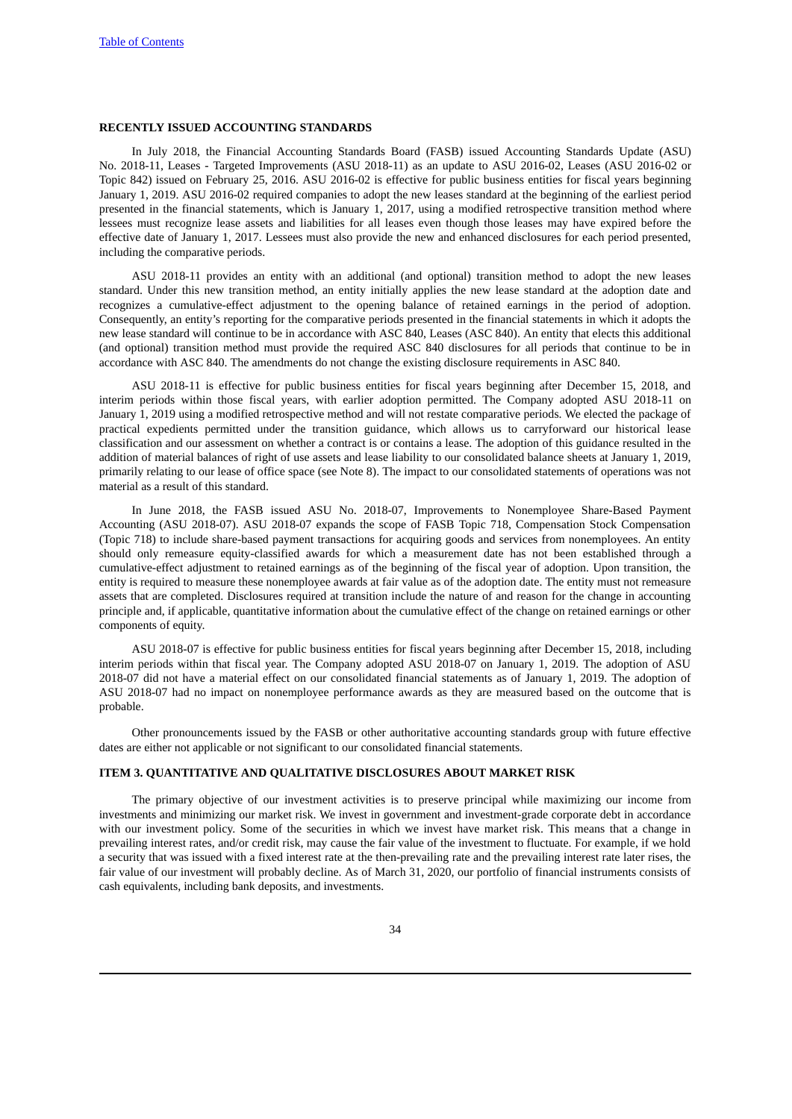## **RECENTLY ISSUED ACCOUNTING STANDARDS**

In July 2018, the Financial Accounting Standards Board (FASB) issued Accounting Standards Update (ASU) No. 2018-11, Leases - Targeted Improvements (ASU 2018-11) as an update to ASU 2016-02, Leases (ASU 2016-02 or Topic 842) issued on February 25, 2016. ASU 2016-02 is effective for public business entities for fiscal years beginning January 1, 2019. ASU 2016-02 required companies to adopt the new leases standard at the beginning of the earliest period presented in the financial statements, which is January 1, 2017, using a modified retrospective transition method where lessees must recognize lease assets and liabilities for all leases even though those leases may have expired before the effective date of January 1, 2017. Lessees must also provide the new and enhanced disclosures for each period presented, including the comparative periods.

ASU 2018-11 provides an entity with an additional (and optional) transition method to adopt the new leases standard. Under this new transition method, an entity initially applies the new lease standard at the adoption date and recognizes a cumulative-effect adjustment to the opening balance of retained earnings in the period of adoption. Consequently, an entity's reporting for the comparative periods presented in the financial statements in which it adopts the new lease standard will continue to be in accordance with ASC 840, Leases (ASC 840). An entity that elects this additional (and optional) transition method must provide the required ASC 840 disclosures for all periods that continue to be in accordance with ASC 840. The amendments do not change the existing disclosure requirements in ASC 840.

ASU 2018-11 is effective for public business entities for fiscal years beginning after December 15, 2018, and interim periods within those fiscal years, with earlier adoption permitted. The Company adopted ASU 2018-11 on January 1, 2019 using a modified retrospective method and will not restate comparative periods. We elected the package of practical expedients permitted under the transition guidance, which allows us to carryforward our historical lease classification and our assessment on whether a contract is or contains a lease. The adoption of this guidance resulted in the addition of material balances of right of use assets and lease liability to our consolidated balance sheets at January 1, 2019, primarily relating to our lease of office space (see Note 8). The impact to our consolidated statements of operations was not material as a result of this standard.

In June 2018, the FASB issued ASU No. 2018-07, Improvements to Nonemployee Share-Based Payment Accounting (ASU 2018-07). ASU 2018-07 expands the scope of FASB Topic 718, Compensation Stock Compensation (Topic 718) to include share-based payment transactions for acquiring goods and services from nonemployees. An entity should only remeasure equity-classified awards for which a measurement date has not been established through a cumulative-effect adjustment to retained earnings as of the beginning of the fiscal year of adoption. Upon transition, the entity is required to measure these nonemployee awards at fair value as of the adoption date. The entity must not remeasure assets that are completed. Disclosures required at transition include the nature of and reason for the change in accounting principle and, if applicable, quantitative information about the cumulative effect of the change on retained earnings or other components of equity.

ASU 2018-07 is effective for public business entities for fiscal years beginning after December 15, 2018, including interim periods within that fiscal year. The Company adopted ASU 2018-07 on January 1, 2019. The adoption of ASU 2018-07 did not have a material effect on our consolidated financial statements as of January 1, 2019. The adoption of ASU 2018-07 had no impact on nonemployee performance awards as they are measured based on the outcome that is probable.

Other pronouncements issued by the FASB or other authoritative accounting standards group with future effective dates are either not applicable or not significant to our consolidated financial statements.

## <span id="page-33-0"></span>**ITEM 3. QUANTITATIVE AND QUALITATIVE DISCLOSURES ABOUT MARKET RISK**

The primary objective of our investment activities is to preserve principal while maximizing our income from investments and minimizing our market risk. We invest in government and investment-grade corporate debt in accordance with our investment policy. Some of the securities in which we invest have market risk. This means that a change in prevailing interest rates, and/or credit risk, may cause the fair value of the investment to fluctuate. For example, if we hold a security that was issued with a fixed interest rate at the then-prevailing rate and the prevailing interest rate later rises, the fair value of our investment will probably decline. As of March 31, 2020, our portfolio of financial instruments consists of cash equivalents, including bank deposits, and investments.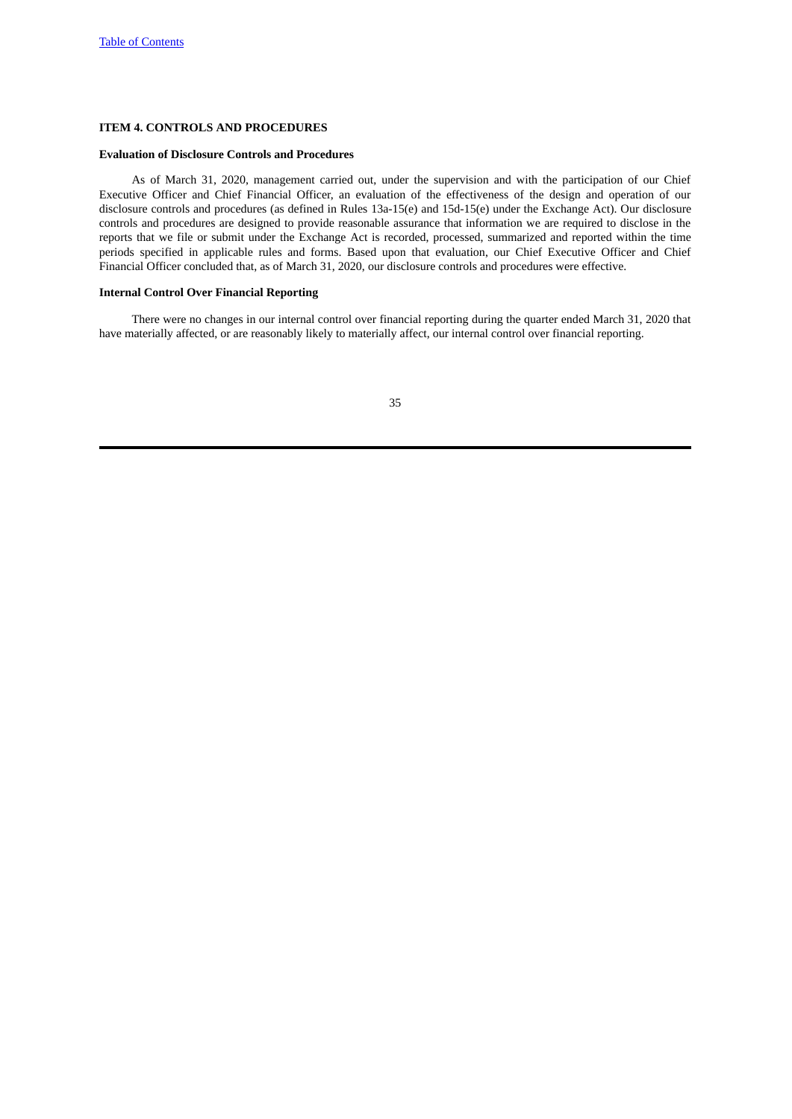## <span id="page-34-0"></span>**ITEM 4. CONTROLS AND PROCEDURES**

## **Evaluation of Disclosure Controls and Procedures**

As of March 31, 2020, management carried out, under the supervision and with the participation of our Chief Executive Officer and Chief Financial Officer, an evaluation of the effectiveness of the design and operation of our disclosure controls and procedures (as defined in Rules 13a-15(e) and 15d-15(e) under the Exchange Act). Our disclosure controls and procedures are designed to provide reasonable assurance that information we are required to disclose in the reports that we file or submit under the Exchange Act is recorded, processed, summarized and reported within the time periods specified in applicable rules and forms. Based upon that evaluation, our Chief Executive Officer and Chief Financial Officer concluded that, as of March 31, 2020, our disclosure controls and procedures were effective.

## **Internal Control Over Financial Reporting**

There were no changes in our internal control over financial reporting during the quarter ended March 31, 2020 that have materially affected, or are reasonably likely to materially affect, our internal control over financial reporting.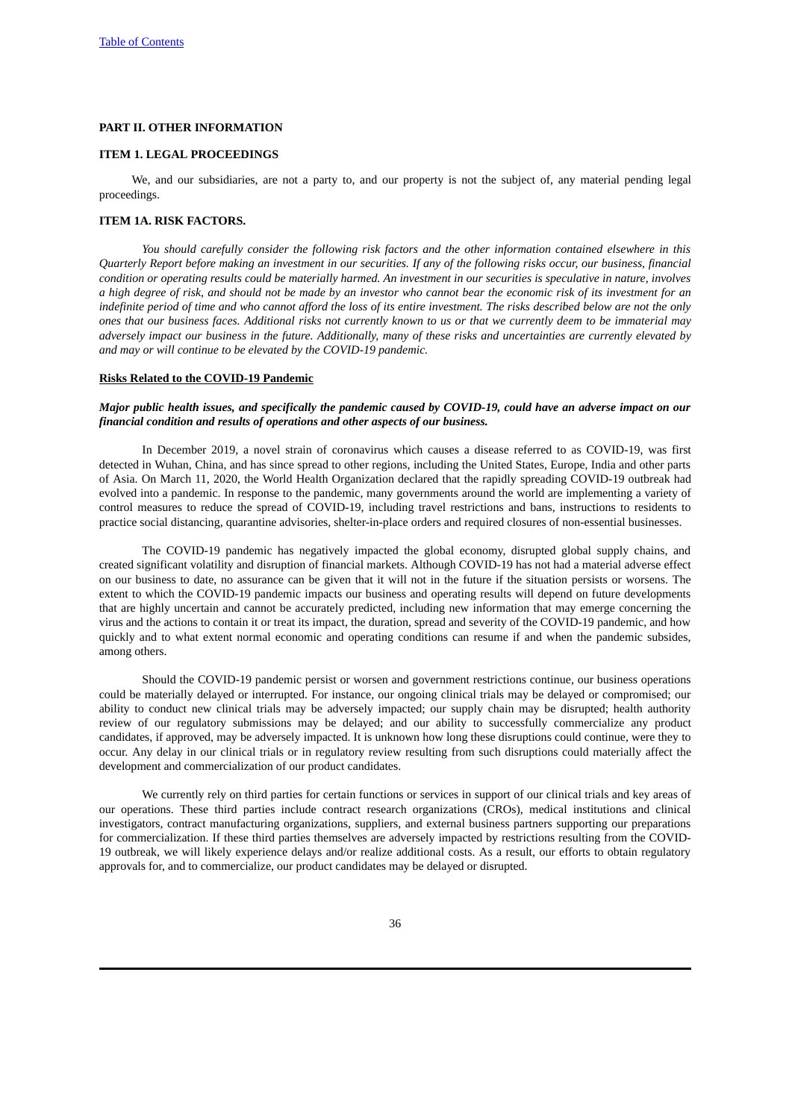#### <span id="page-35-0"></span>**PART II. OTHER INFORMATION**

## <span id="page-35-1"></span>**ITEM 1. LEGAL PROCEEDINGS**

We, and our subsidiaries, are not a party to, and our property is not the subject of, any material pending legal proceedings.

## <span id="page-35-2"></span>**ITEM 1A. RISK FACTORS.**

*You should carefully consider the following risk factors and the other information contained elsewhere in this* Quarterly Report before making an investment in our securities. If any of the following risks occur, our business, financial condition or operating results could be materially harmed. An investment in our securities is speculative in nature, involves a high degree of risk, and should not be made by an investor who cannot bear the economic risk of its investment for an indefinite period of time and who cannot afford the loss of its entire investment. The risks described below are not the only ones that our business faces. Additional risks not currently known to us or that we currently deem to be immaterial may adversely impact our business in the future. Additionally, many of these risks and uncertainties are currently elevated by *and may or will continue to be elevated by the COVID-19 pandemic.*

#### **Risks Related to the COVID-19 Pandemic**

## Major public health issues, and specifically the pandemic caused by COVID-19, could have an adverse impact on our *financial condition and results of operations and other aspects of our business.*

In December 2019, a novel strain of coronavirus which causes a disease referred to as COVID-19, was first detected in Wuhan, China, and has since spread to other regions, including the United States, Europe, India and other parts of Asia. On March 11, 2020, the World Health Organization declared that the rapidly spreading COVID-19 outbreak had evolved into a pandemic. In response to the pandemic, many governments around the world are implementing a variety of control measures to reduce the spread of COVID-19, including travel restrictions and bans, instructions to residents to practice social distancing, quarantine advisories, shelter-in-place orders and required closures of non-essential businesses.

The COVID-19 pandemic has negatively impacted the global economy, disrupted global supply chains, and created significant volatility and disruption of financial markets. Although COVID-19 has not had a material adverse effect on our business to date, no assurance can be given that it will not in the future if the situation persists or worsens. The extent to which the COVID-19 pandemic impacts our business and operating results will depend on future developments that are highly uncertain and cannot be accurately predicted, including new information that may emerge concerning the virus and the actions to contain it or treat its impact, the duration, spread and severity of the COVID-19 pandemic, and how quickly and to what extent normal economic and operating conditions can resume if and when the pandemic subsides, among others.

Should the COVID-19 pandemic persist or worsen and government restrictions continue, our business operations could be materially delayed or interrupted. For instance, our ongoing clinical trials may be delayed or compromised; our ability to conduct new clinical trials may be adversely impacted; our supply chain may be disrupted; health authority review of our regulatory submissions may be delayed; and our ability to successfully commercialize any product candidates, if approved, may be adversely impacted. It is unknown how long these disruptions could continue, were they to occur. Any delay in our clinical trials or in regulatory review resulting from such disruptions could materially affect the development and commercialization of our product candidates.

We currently rely on third parties for certain functions or services in support of our clinical trials and key areas of our operations. These third parties include contract research organizations (CROs), medical institutions and clinical investigators, contract manufacturing organizations, suppliers, and external business partners supporting our preparations for commercialization. If these third parties themselves are adversely impacted by restrictions resulting from the COVID-19 outbreak, we will likely experience delays and/or realize additional costs. As a result, our efforts to obtain regulatory approvals for, and to commercialize, our product candidates may be delayed or disrupted.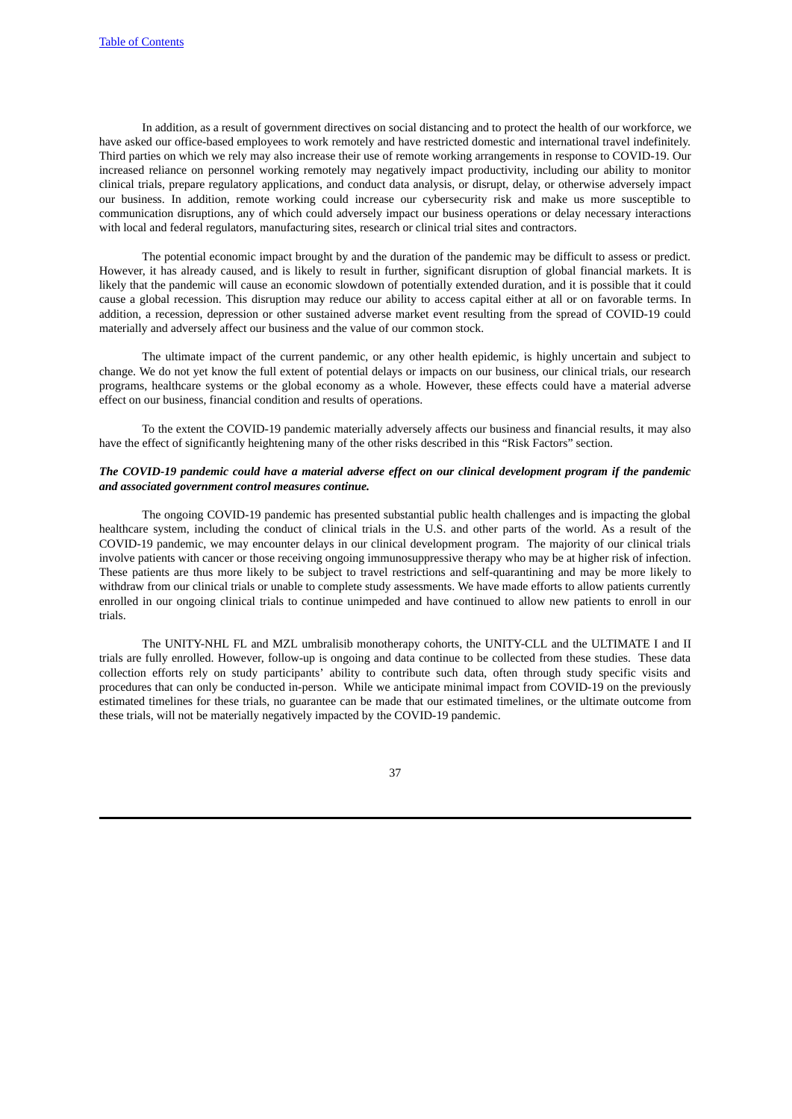In addition, as a result of government directives on social distancing and to protect the health of our workforce, we have asked our office-based employees to work remotely and have restricted domestic and international travel indefinitely. Third parties on which we rely may also increase their use of remote working arrangements in response to COVID-19. Our increased reliance on personnel working remotely may negatively impact productivity, including our ability to monitor clinical trials, prepare regulatory applications, and conduct data analysis, or disrupt, delay, or otherwise adversely impact our business. In addition, remote working could increase our cybersecurity risk and make us more susceptible to communication disruptions, any of which could adversely impact our business operations or delay necessary interactions with local and federal regulators, manufacturing sites, research or clinical trial sites and contractors.

The potential economic impact brought by and the duration of the pandemic may be difficult to assess or predict. However, it has already caused, and is likely to result in further, significant disruption of global financial markets. It is likely that the pandemic will cause an economic slowdown of potentially extended duration, and it is possible that it could cause a global recession. This disruption may reduce our ability to access capital either at all or on favorable terms. In addition, a recession, depression or other sustained adverse market event resulting from the spread of COVID-19 could materially and adversely affect our business and the value of our common stock.

The ultimate impact of the current pandemic, or any other health epidemic, is highly uncertain and subject to change. We do not yet know the full extent of potential delays or impacts on our business, our clinical trials, our research programs, healthcare systems or the global economy as a whole. However, these effects could have a material adverse effect on our business, financial condition and results of operations.

To the extent the COVID-19 pandemic materially adversely affects our business and financial results, it may also have the effect of significantly heightening many of the other risks described in this "Risk Factors" section.

# The COVID-19 pandemic could have a material adverse effect on our clinical development program if the pandemic *and associated government control measures continue.*

The ongoing COVID-19 pandemic has presented substantial public health challenges and is impacting the global healthcare system, including the conduct of clinical trials in the U.S. and other parts of the world. As a result of the COVID-19 pandemic, we may encounter delays in our clinical development program. The majority of our clinical trials involve patients with cancer or those receiving ongoing immunosuppressive therapy who may be at higher risk of infection. These patients are thus more likely to be subject to travel restrictions and self-quarantining and may be more likely to withdraw from our clinical trials or unable to complete study assessments. We have made efforts to allow patients currently enrolled in our ongoing clinical trials to continue unimpeded and have continued to allow new patients to enroll in our trials.

The UNITY-NHL FL and MZL umbralisib monotherapy cohorts, the UNITY-CLL and the ULTIMATE I and II trials are fully enrolled. However, follow-up is ongoing and data continue to be collected from these studies. These data collection efforts rely on study participants' ability to contribute such data, often through study specific visits and procedures that can only be conducted in-person. While we anticipate minimal impact from COVID-19 on the previously estimated timelines for these trials, no guarantee can be made that our estimated timelines, or the ultimate outcome from these trials, will not be materially negatively impacted by the COVID-19 pandemic.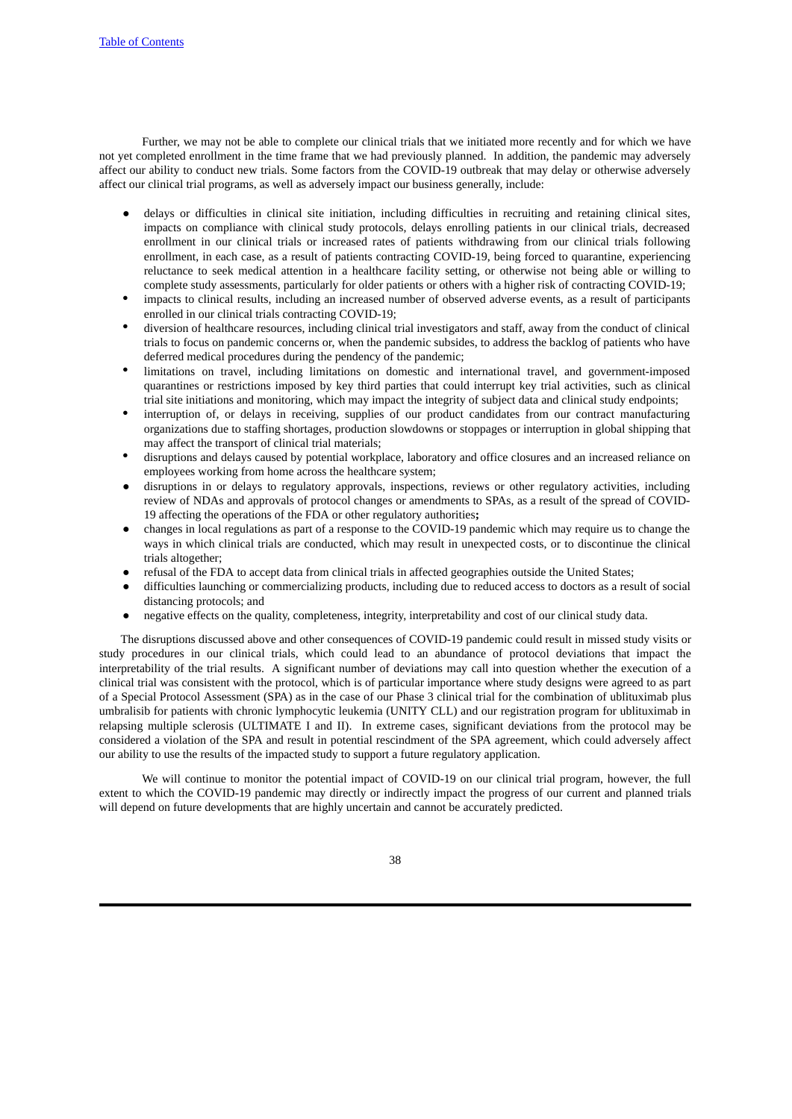Further, we may not be able to complete our clinical trials that we initiated more recently and for which we have not yet completed enrollment in the time frame that we had previously planned. In addition, the pandemic may adversely affect our ability to conduct new trials. Some factors from the COVID-19 outbreak that may delay or otherwise adversely affect our clinical trial programs, as well as adversely impact our business generally, include:

- delays or difficulties in clinical site initiation, including difficulties in recruiting and retaining clinical sites, impacts on compliance with clinical study protocols, delays enrolling patients in our clinical trials, decreased enrollment in our clinical trials or increased rates of patients withdrawing from our clinical trials following enrollment, in each case, as a result of patients contracting COVID-19, being forced to quarantine, experiencing reluctance to seek medical attention in a healthcare facility setting, or otherwise not being able or willing to complete study assessments, particularly for older patients or others with a higher risk of contracting COVID-19;
- impacts to clinical results, including an increased number of observed adverse events, as a result of participants enrolled in our clinical trials contracting COVID-19;
- diversion of healthcare resources, including clinical trial investigators and staff, away from the conduct of clinical trials to focus on pandemic concerns or, when the pandemic subsides, to address the backlog of patients who have deferred medical procedures during the pendency of the pandemic;
- limitations on travel, including limitations on domestic and international travel, and government-imposed quarantines or restrictions imposed by key third parties that could interrupt key trial activities, such as clinical trial site initiations and monitoring, which may impact the integrity of subject data and clinical study endpoints;
- interruption of, or delays in receiving, supplies of our product candidates from our contract manufacturing organizations due to staffing shortages, production slowdowns or stoppages or interruption in global shipping that may affect the transport of clinical trial materials;
- disruptions and delays caused by potential workplace, laboratory and office closures and an increased reliance on employees working from home across the healthcare system;
- disruptions in or delays to regulatory approvals, inspections, reviews or other regulatory activities, including review of NDAs and approvals of protocol changes or amendments to SPAs, as a result of the spread of COVID-19 affecting the operations of the FDA or other regulatory authorities**;**
- changes in local regulations as part of a response to the COVID-19 pandemic which may require us to change the ways in which clinical trials are conducted, which may result in unexpected costs, or to discontinue the clinical trials altogether;
- refusal of the FDA to accept data from clinical trials in affected geographies outside the United States;
- difficulties launching or commercializing products, including due to reduced access to doctors as a result of social distancing protocols; and
- negative effects on the quality, completeness, integrity, interpretability and cost of our clinical study data.

The disruptions discussed above and other consequences of COVID-19 pandemic could result in missed study visits or study procedures in our clinical trials, which could lead to an abundance of protocol deviations that impact the interpretability of the trial results. A significant number of deviations may call into question whether the execution of a clinical trial was consistent with the protocol, which is of particular importance where study designs were agreed to as part of a Special Protocol Assessment (SPA) as in the case of our Phase 3 clinical trial for the combination of ublituximab plus umbralisib for patients with chronic lymphocytic leukemia (UNITY CLL) and our registration program for ublituximab in relapsing multiple sclerosis (ULTIMATE I and II). In extreme cases, significant deviations from the protocol may be considered a violation of the SPA and result in potential rescindment of the SPA agreement, which could adversely affect our ability to use the results of the impacted study to support a future regulatory application.

We will continue to monitor the potential impact of COVID-19 on our clinical trial program, however, the full extent to which the COVID-19 pandemic may directly or indirectly impact the progress of our current and planned trials will depend on future developments that are highly uncertain and cannot be accurately predicted.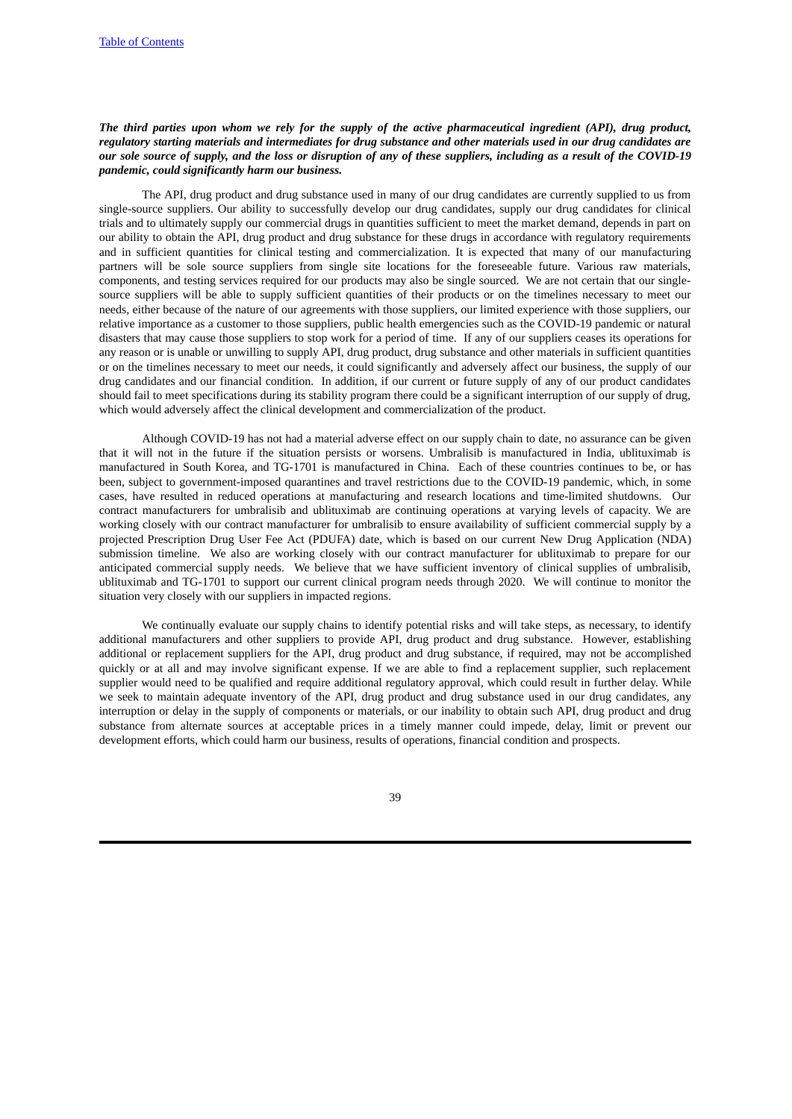# The third parties upon whom we rely for the supply of the active pharmaceutical ingredient (API), drug product, regulatory starting materials and intermediates for drug substance and other materials used in our drug candidates are our sole source of supply, and the loss or disruption of any of these suppliers, including as a result of the COVID-19 *pandemic, could significantly harm our business.*

The API, drug product and drug substance used in many of our drug candidates are currently supplied to us from single-source suppliers. Our ability to successfully develop our drug candidates, supply our drug candidates for clinical trials and to ultimately supply our commercial drugs in quantities sufficient to meet the market demand, depends in part on our ability to obtain the API, drug product and drug substance for these drugs in accordance with regulatory requirements and in sufficient quantities for clinical testing and commercialization. It is expected that many of our manufacturing partners will be sole source suppliers from single site locations for the foreseeable future. Various raw materials, components, and testing services required for our products may also be single sourced. We are not certain that our singlesource suppliers will be able to supply sufficient quantities of their products or on the timelines necessary to meet our needs, either because of the nature of our agreements with those suppliers, our limited experience with those suppliers, our relative importance as a customer to those suppliers, public health emergencies such as the COVID-19 pandemic or natural disasters that may cause those suppliers to stop work for a period of time. If any of our suppliers ceases its operations for any reason or is unable or unwilling to supply API, drug product, drug substance and other materials in sufficient quantities or on the timelines necessary to meet our needs, it could significantly and adversely affect our business, the supply of our drug candidates and our financial condition. In addition, if our current or future supply of any of our product candidates should fail to meet specifications during its stability program there could be a significant interruption of our supply of drug, which would adversely affect the clinical development and commercialization of the product.

Although COVID-19 has not had a material adverse effect on our supply chain to date, no assurance can be given that it will not in the future if the situation persists or worsens. Umbralisib is manufactured in India, ublituximab is manufactured in South Korea, and TG-1701 is manufactured in China. Each of these countries continues to be, or has been, subject to government-imposed quarantines and travel restrictions due to the COVID-19 pandemic, which, in some cases, have resulted in reduced operations at manufacturing and research locations and time-limited shutdowns. Our contract manufacturers for umbralisib and ublituximab are continuing operations at varying levels of capacity. We are working closely with our contract manufacturer for umbralisib to ensure availability of sufficient commercial supply by a projected Prescription Drug User Fee Act (PDUFA) date, which is based on our current New Drug Application (NDA) submission timeline. We also are working closely with our contract manufacturer for ublituximab to prepare for our anticipated commercial supply needs. We believe that we have sufficient inventory of clinical supplies of umbralisib, ublituximab and TG-1701 to support our current clinical program needs through 2020. We will continue to monitor the situation very closely with our suppliers in impacted regions.

We continually evaluate our supply chains to identify potential risks and will take steps, as necessary, to identify additional manufacturers and other suppliers to provide API, drug product and drug substance. However, establishing additional or replacement suppliers for the API, drug product and drug substance, if required, may not be accomplished quickly or at all and may involve significant expense. If we are able to find a replacement supplier, such replacement supplier would need to be qualified and require additional regulatory approval, which could result in further delay. While we seek to maintain adequate inventory of the API, drug product and drug substance used in our drug candidates, any interruption or delay in the supply of components or materials, or our inability to obtain such API, drug product and drug substance from alternate sources at acceptable prices in a timely manner could impede, delay, limit or prevent our development efforts, which could harm our business, results of operations, financial condition and prospects.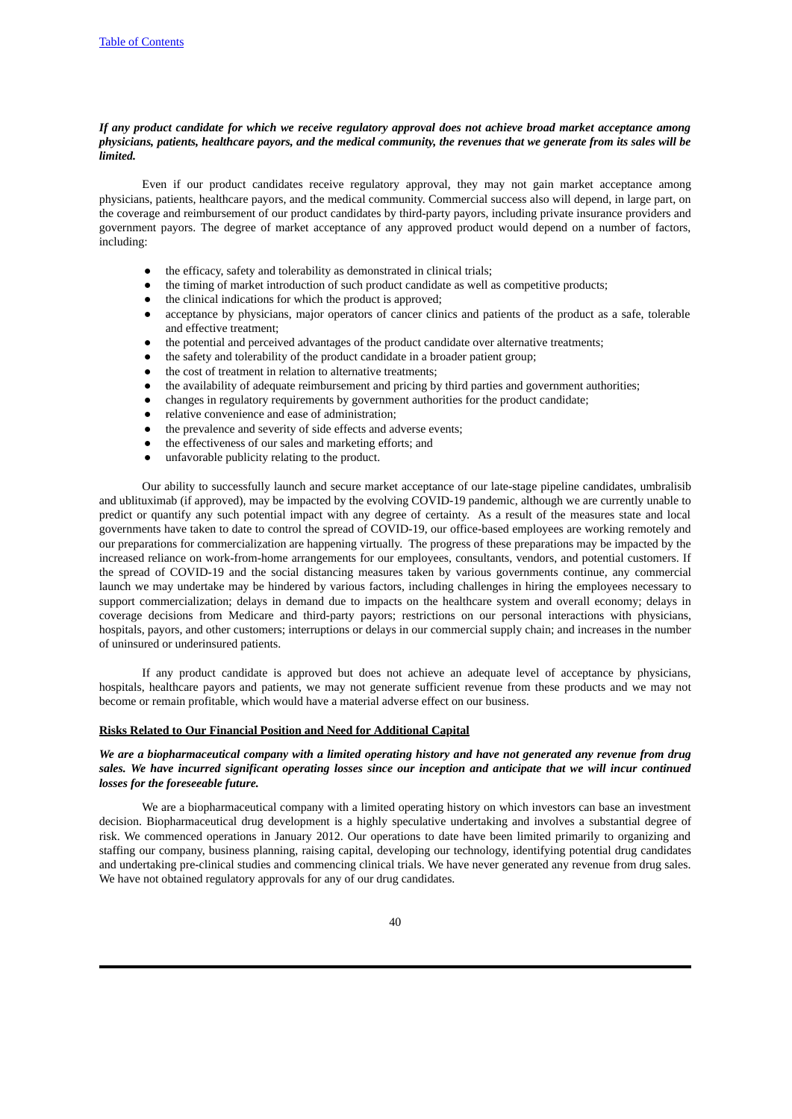# If any product candidate for which we receive regulatory approval does not achieve broad market acceptance among physicians, patients, healthcare payors, and the medical community, the revenues that we generate from its sales will be *limited.*

Even if our product candidates receive regulatory approval, they may not gain market acceptance among physicians, patients, healthcare payors, and the medical community. Commercial success also will depend, in large part, on the coverage and reimbursement of our product candidates by third-party payors, including private insurance providers and government payors. The degree of market acceptance of any approved product would depend on a number of factors, including:

- the efficacy, safety and tolerability as demonstrated in clinical trials;
- the timing of market introduction of such product candidate as well as competitive products;
- the clinical indications for which the product is approved;
- acceptance by physicians, major operators of cancer clinics and patients of the product as a safe, tolerable and effective treatment;
- the potential and perceived advantages of the product candidate over alternative treatments;
- the safety and tolerability of the product candidate in a broader patient group;
- the cost of treatment in relation to alternative treatments;
- the availability of adequate reimbursement and pricing by third parties and government authorities;
- changes in regulatory requirements by government authorities for the product candidate;
- relative convenience and ease of administration;
- the prevalence and severity of side effects and adverse events;
- the effectiveness of our sales and marketing efforts; and
- unfavorable publicity relating to the product.

Our ability to successfully launch and secure market acceptance of our late-stage pipeline candidates, umbralisib and ublituximab (if approved), may be impacted by the evolving COVID-19 pandemic, although we are currently unable to predict or quantify any such potential impact with any degree of certainty. As a result of the measures state and local governments have taken to date to control the spread of COVID-19, our office-based employees are working remotely and our preparations for commercialization are happening virtually. The progress of these preparations may be impacted by the increased reliance on work-from-home arrangements for our employees, consultants, vendors, and potential customers. If the spread of COVID-19 and the social distancing measures taken by various governments continue, any commercial launch we may undertake may be hindered by various factors, including challenges in hiring the employees necessary to support commercialization; delays in demand due to impacts on the healthcare system and overall economy; delays in coverage decisions from Medicare and third-party payors; restrictions on our personal interactions with physicians, hospitals, payors, and other customers; interruptions or delays in our commercial supply chain; and increases in the number of uninsured or underinsured patients.

If any product candidate is approved but does not achieve an adequate level of acceptance by physicians, hospitals, healthcare payors and patients, we may not generate sufficient revenue from these products and we may not become or remain profitable, which would have a material adverse effect on our business.

#### **Risks Related to Our Financial Position and Need for Additional Capital**

# We are a biopharmaceutical company with a limited operating history and have not generated any revenue from drug sales. We have incurred significant operating losses since our inception and anticipate that we will incur continued *losses for the foreseeable future.*

We are a biopharmaceutical company with a limited operating history on which investors can base an investment decision. Biopharmaceutical drug development is a highly speculative undertaking and involves a substantial degree of risk. We commenced operations in January 2012. Our operations to date have been limited primarily to organizing and staffing our company, business planning, raising capital, developing our technology, identifying potential drug candidates and undertaking pre-clinical studies and commencing clinical trials. We have never generated any revenue from drug sales. We have not obtained regulatory approvals for any of our drug candidates.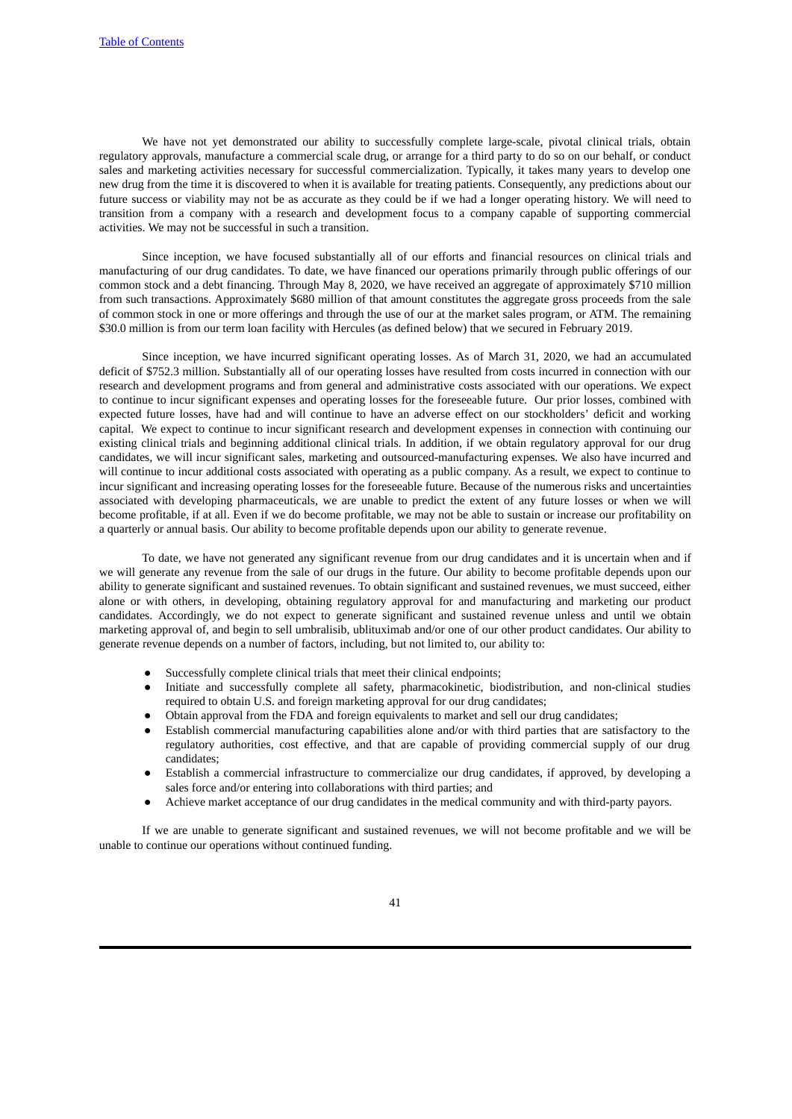We have not yet demonstrated our ability to successfully complete large-scale, pivotal clinical trials, obtain regulatory approvals, manufacture a commercial scale drug, or arrange for a third party to do so on our behalf, or conduct sales and marketing activities necessary for successful commercialization. Typically, it takes many years to develop one new drug from the time it is discovered to when it is available for treating patients. Consequently, any predictions about our future success or viability may not be as accurate as they could be if we had a longer operating history. We will need to transition from a company with a research and development focus to a company capable of supporting commercial activities. We may not be successful in such a transition.

Since inception, we have focused substantially all of our efforts and financial resources on clinical trials and manufacturing of our drug candidates. To date, we have financed our operations primarily through public offerings of our common stock and a debt financing. Through May 8, 2020, we have received an aggregate of approximately \$710 million from such transactions. Approximately \$680 million of that amount constitutes the aggregate gross proceeds from the sale of common stock in one or more offerings and through the use of our at the market sales program, or ATM. The remaining \$30.0 million is from our term loan facility with Hercules (as defined below) that we secured in February 2019.

Since inception, we have incurred significant operating losses. As of March 31, 2020, we had an accumulated deficit of \$752.3 million. Substantially all of our operating losses have resulted from costs incurred in connection with our research and development programs and from general and administrative costs associated with our operations. We expect to continue to incur significant expenses and operating losses for the foreseeable future. Our prior losses, combined with expected future losses, have had and will continue to have an adverse effect on our stockholders' deficit and working capital. We expect to continue to incur significant research and development expenses in connection with continuing our existing clinical trials and beginning additional clinical trials. In addition, if we obtain regulatory approval for our drug candidates, we will incur significant sales, marketing and outsourced-manufacturing expenses. We also have incurred and will continue to incur additional costs associated with operating as a public company. As a result, we expect to continue to incur significant and increasing operating losses for the foreseeable future. Because of the numerous risks and uncertainties associated with developing pharmaceuticals, we are unable to predict the extent of any future losses or when we will become profitable, if at all. Even if we do become profitable, we may not be able to sustain or increase our profitability on a quarterly or annual basis. Our ability to become profitable depends upon our ability to generate revenue.

To date, we have not generated any significant revenue from our drug candidates and it is uncertain when and if we will generate any revenue from the sale of our drugs in the future. Our ability to become profitable depends upon our ability to generate significant and sustained revenues. To obtain significant and sustained revenues, we must succeed, either alone or with others, in developing, obtaining regulatory approval for and manufacturing and marketing our product candidates. Accordingly, we do not expect to generate significant and sustained revenue unless and until we obtain marketing approval of, and begin to sell umbralisib, ublituximab and/or one of our other product candidates. Our ability to generate revenue depends on a number of factors, including, but not limited to, our ability to:

- Successfully complete clinical trials that meet their clinical endpoints;
- Initiate and successfully complete all safety, pharmacokinetic, biodistribution, and non-clinical studies required to obtain U.S. and foreign marketing approval for our drug candidates;
- Obtain approval from the FDA and foreign equivalents to market and sell our drug candidates;
- Establish commercial manufacturing capabilities alone and/or with third parties that are satisfactory to the regulatory authorities, cost effective, and that are capable of providing commercial supply of our drug candidates;
- Establish a commercial infrastructure to commercialize our drug candidates, if approved, by developing a sales force and/or entering into collaborations with third parties; and
- Achieve market acceptance of our drug candidates in the medical community and with third-party payors.

If we are unable to generate significant and sustained revenues, we will not become profitable and we will be unable to continue our operations without continued funding.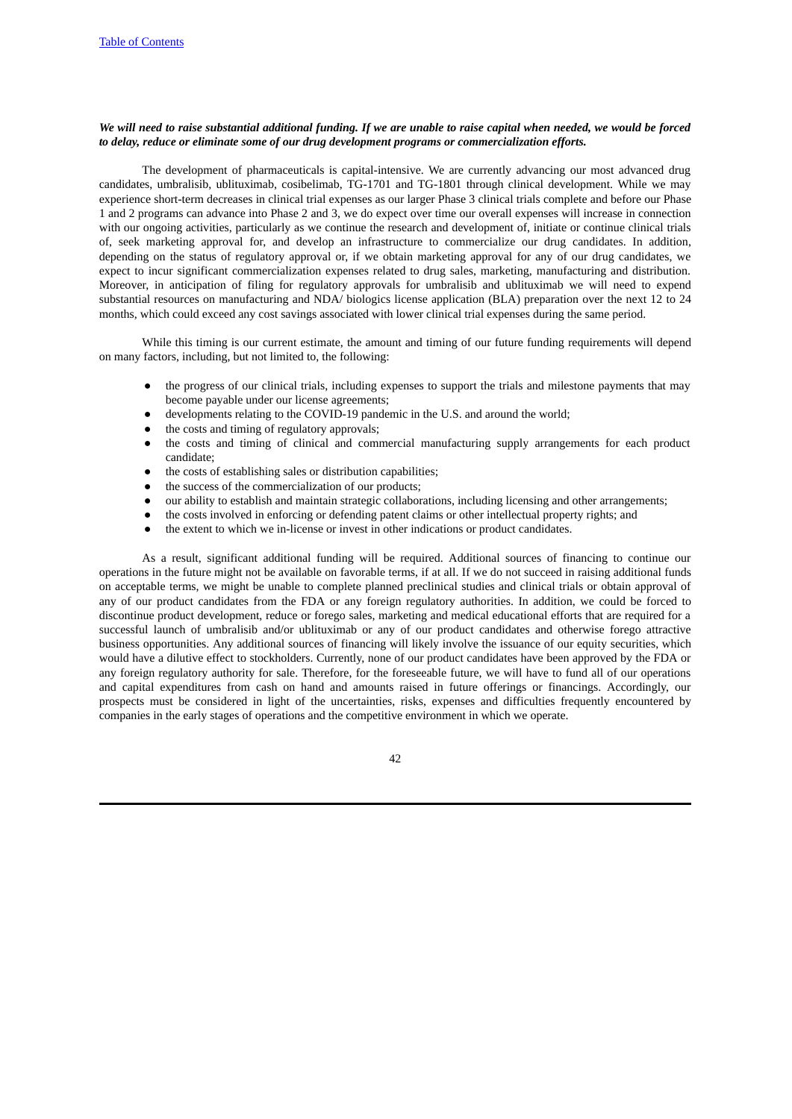# We will need to raise substantial additional funding. If we are unable to raise capital when needed, we would be forced *to delay, reduce or eliminate some of our drug development programs or commercialization efforts.*

The development of pharmaceuticals is capital-intensive. We are currently advancing our most advanced drug candidates, umbralisib, ublituximab, cosibelimab, TG-1701 and TG-1801 through clinical development. While we may experience short-term decreases in clinical trial expenses as our larger Phase 3 clinical trials complete and before our Phase 1 and 2 programs can advance into Phase 2 and 3, we do expect over time our overall expenses will increase in connection with our ongoing activities, particularly as we continue the research and development of, initiate or continue clinical trials of, seek marketing approval for, and develop an infrastructure to commercialize our drug candidates. In addition, depending on the status of regulatory approval or, if we obtain marketing approval for any of our drug candidates, we expect to incur significant commercialization expenses related to drug sales, marketing, manufacturing and distribution. Moreover, in anticipation of filing for regulatory approvals for umbralisib and ublituximab we will need to expend substantial resources on manufacturing and NDA/ biologics license application (BLA) preparation over the next 12 to 24 months, which could exceed any cost savings associated with lower clinical trial expenses during the same period.

While this timing is our current estimate, the amount and timing of our future funding requirements will depend on many factors, including, but not limited to, the following:

- the progress of our clinical trials, including expenses to support the trials and milestone payments that may become payable under our license agreements;
- developments relating to the COVID-19 pandemic in the U.S. and around the world;
- the costs and timing of regulatory approvals;
- the costs and timing of clinical and commercial manufacturing supply arrangements for each product candidate;
- the costs of establishing sales or distribution capabilities;
- the success of the commercialization of our products;
- our ability to establish and maintain strategic collaborations, including licensing and other arrangements;
- the costs involved in enforcing or defending patent claims or other intellectual property rights; and
- the extent to which we in-license or invest in other indications or product candidates.

As a result, significant additional funding will be required. Additional sources of financing to continue our operations in the future might not be available on favorable terms, if at all. If we do not succeed in raising additional funds on acceptable terms, we might be unable to complete planned preclinical studies and clinical trials or obtain approval of any of our product candidates from the FDA or any foreign regulatory authorities. In addition, we could be forced to discontinue product development, reduce or forego sales, marketing and medical educational efforts that are required for a successful launch of umbralisib and/or ublituximab or any of our product candidates and otherwise forego attractive business opportunities. Any additional sources of financing will likely involve the issuance of our equity securities, which would have a dilutive effect to stockholders. Currently, none of our product candidates have been approved by the FDA or any foreign regulatory authority for sale. Therefore, for the foreseeable future, we will have to fund all of our operations and capital expenditures from cash on hand and amounts raised in future offerings or financings. Accordingly, our prospects must be considered in light of the uncertainties, risks, expenses and difficulties frequently encountered by companies in the early stages of operations and the competitive environment in which we operate.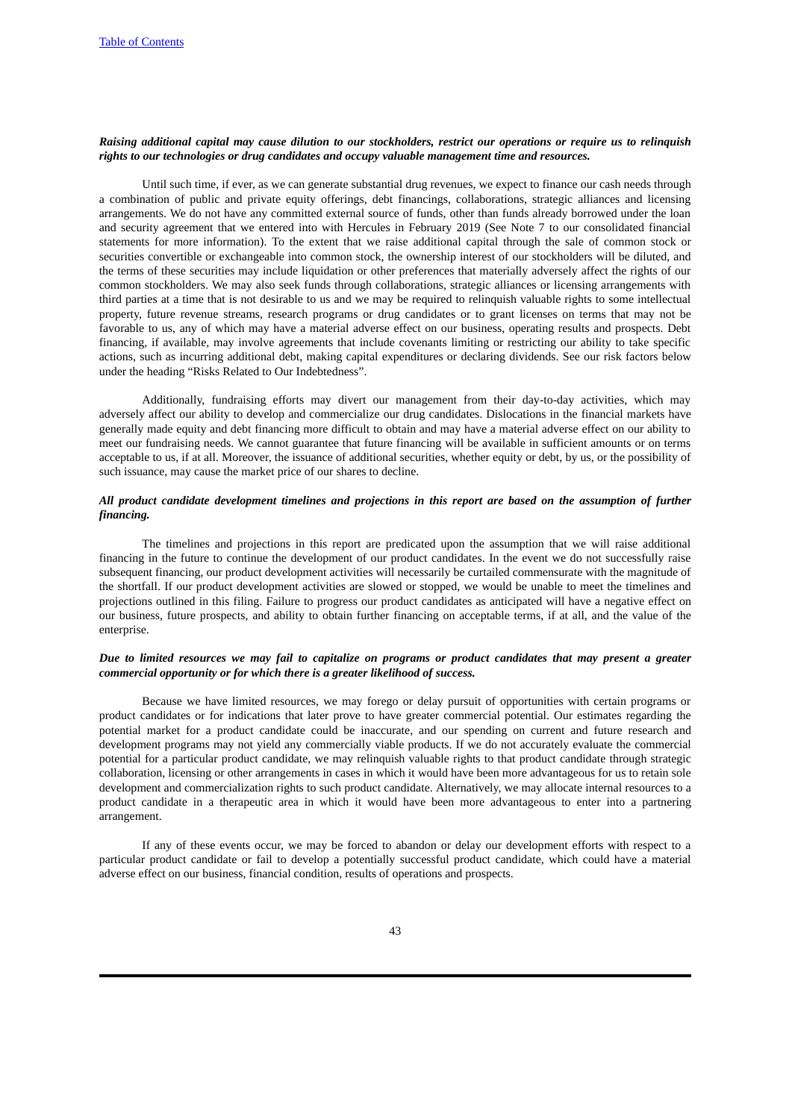## Raising additional capital may cause dilution to our stockholders, restrict our operations or require us to relinguish *rights to our technologies or drug candidates and occupy valuable management time and resources.*

Until such time, if ever, as we can generate substantial drug revenues, we expect to finance our cash needs through a combination of public and private equity offerings, debt financings, collaborations, strategic alliances and licensing arrangements. We do not have any committed external source of funds, other than funds already borrowed under the loan and security agreement that we entered into with Hercules in February 2019 (See Note 7 to our consolidated financial statements for more information). To the extent that we raise additional capital through the sale of common stock or securities convertible or exchangeable into common stock, the ownership interest of our stockholders will be diluted, and the terms of these securities may include liquidation or other preferences that materially adversely affect the rights of our common stockholders. We may also seek funds through collaborations, strategic alliances or licensing arrangements with third parties at a time that is not desirable to us and we may be required to relinquish valuable rights to some intellectual property, future revenue streams, research programs or drug candidates or to grant licenses on terms that may not be favorable to us, any of which may have a material adverse effect on our business, operating results and prospects. Debt financing, if available, may involve agreements that include covenants limiting or restricting our ability to take specific actions, such as incurring additional debt, making capital expenditures or declaring dividends. See our risk factors below under the heading "Risks Related to Our Indebtedness".

Additionally, fundraising efforts may divert our management from their day-to-day activities, which may adversely affect our ability to develop and commercialize our drug candidates. Dislocations in the financial markets have generally made equity and debt financing more difficult to obtain and may have a material adverse effect on our ability to meet our fundraising needs. We cannot guarantee that future financing will be available in sufficient amounts or on terms acceptable to us, if at all. Moreover, the issuance of additional securities, whether equity or debt, by us, or the possibility of such issuance, may cause the market price of our shares to decline.

# All product candidate development timelines and projections in this report are based on the assumption of further *financing.*

The timelines and projections in this report are predicated upon the assumption that we will raise additional financing in the future to continue the development of our product candidates. In the event we do not successfully raise subsequent financing, our product development activities will necessarily be curtailed commensurate with the magnitude of the shortfall. If our product development activities are slowed or stopped, we would be unable to meet the timelines and projections outlined in this filing. Failure to progress our product candidates as anticipated will have a negative effect on our business, future prospects, and ability to obtain further financing on acceptable terms, if at all, and the value of the enterprise.

## Due to limited resources we may fail to capitalize on programs or product candidates that may present a greater *commercial opportunity or for which there is a greater likelihood of success.*

Because we have limited resources, we may forego or delay pursuit of opportunities with certain programs or product candidates or for indications that later prove to have greater commercial potential. Our estimates regarding the potential market for a product candidate could be inaccurate, and our spending on current and future research and development programs may not yield any commercially viable products. If we do not accurately evaluate the commercial potential for a particular product candidate, we may relinquish valuable rights to that product candidate through strategic collaboration, licensing or other arrangements in cases in which it would have been more advantageous for us to retain sole development and commercialization rights to such product candidate. Alternatively, we may allocate internal resources to a product candidate in a therapeutic area in which it would have been more advantageous to enter into a partnering arrangement.

If any of these events occur, we may be forced to abandon or delay our development efforts with respect to a particular product candidate or fail to develop a potentially successful product candidate, which could have a material adverse effect on our business, financial condition, results of operations and prospects.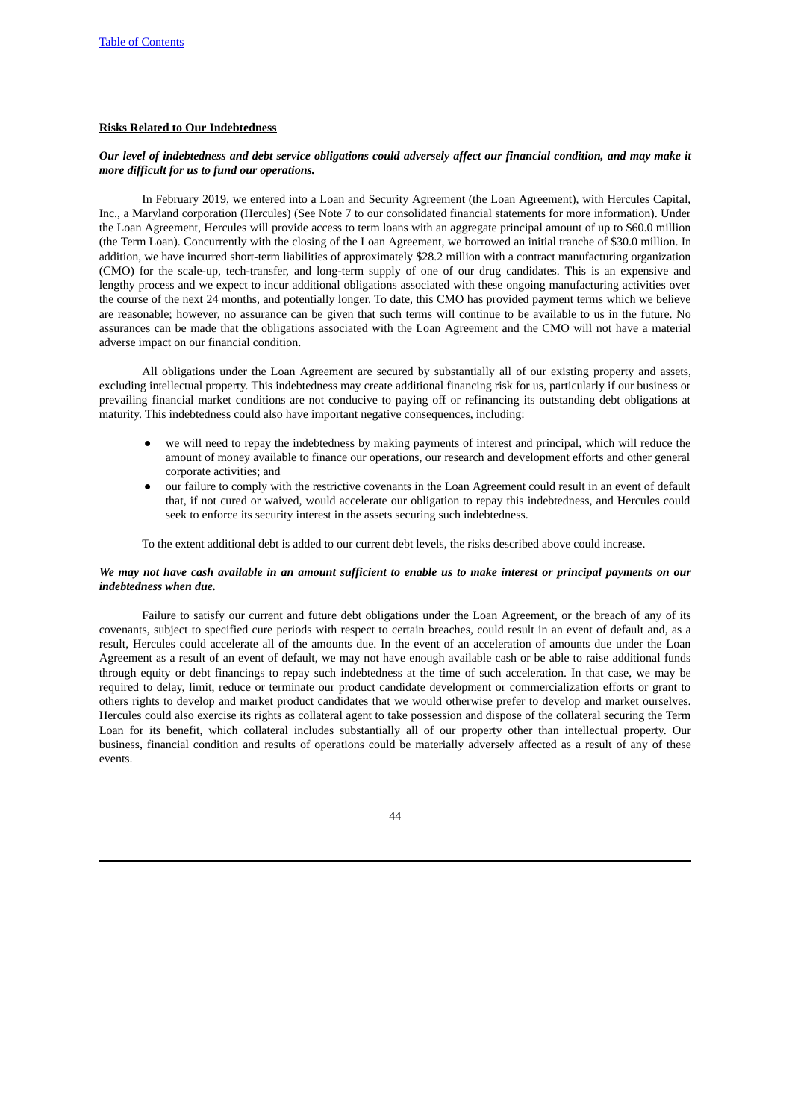# **Risks Related to Our Indebtedness**

# Our level of indebtedness and debt service obligations could adversely affect our financial condition, and may make it *more difficult for us to fund our operations.*

In February 2019, we entered into a Loan and Security Agreement (the Loan Agreement), with Hercules Capital, Inc., a Maryland corporation (Hercules) (See Note 7 to our consolidated financial statements for more information). Under the Loan Agreement, Hercules will provide access to term loans with an aggregate principal amount of up to \$60.0 million (the Term Loan). Concurrently with the closing of the Loan Agreement, we borrowed an initial tranche of \$30.0 million. In addition, we have incurred short-term liabilities of approximately \$28.2 million with a contract manufacturing organization (CMO) for the scale-up, tech-transfer, and long-term supply of one of our drug candidates. This is an expensive and lengthy process and we expect to incur additional obligations associated with these ongoing manufacturing activities over the course of the next 24 months, and potentially longer. To date, this CMO has provided payment terms which we believe are reasonable; however, no assurance can be given that such terms will continue to be available to us in the future. No assurances can be made that the obligations associated with the Loan Agreement and the CMO will not have a material adverse impact on our financial condition.

All obligations under the Loan Agreement are secured by substantially all of our existing property and assets, excluding intellectual property. This indebtedness may create additional financing risk for us, particularly if our business or prevailing financial market conditions are not conducive to paying off or refinancing its outstanding debt obligations at maturity. This indebtedness could also have important negative consequences, including:

- we will need to repay the indebtedness by making payments of interest and principal, which will reduce the amount of money available to finance our operations, our research and development efforts and other general corporate activities; and
- our failure to comply with the restrictive covenants in the Loan Agreement could result in an event of default that, if not cured or waived, would accelerate our obligation to repay this indebtedness, and Hercules could seek to enforce its security interest in the assets securing such indebtedness.

To the extent additional debt is added to our current debt levels, the risks described above could increase.

# We may not have cash available in an amount sufficient to enable us to make interest or principal payments on our *indebtedness when due.*

Failure to satisfy our current and future debt obligations under the Loan Agreement, or the breach of any of its covenants, subject to specified cure periods with respect to certain breaches, could result in an event of default and, as a result, Hercules could accelerate all of the amounts due. In the event of an acceleration of amounts due under the Loan Agreement as a result of an event of default, we may not have enough available cash or be able to raise additional funds through equity or debt financings to repay such indebtedness at the time of such acceleration. In that case, we may be required to delay, limit, reduce or terminate our product candidate development or commercialization efforts or grant to others rights to develop and market product candidates that we would otherwise prefer to develop and market ourselves. Hercules could also exercise its rights as collateral agent to take possession and dispose of the collateral securing the Term Loan for its benefit, which collateral includes substantially all of our property other than intellectual property. Our business, financial condition and results of operations could be materially adversely affected as a result of any of these events.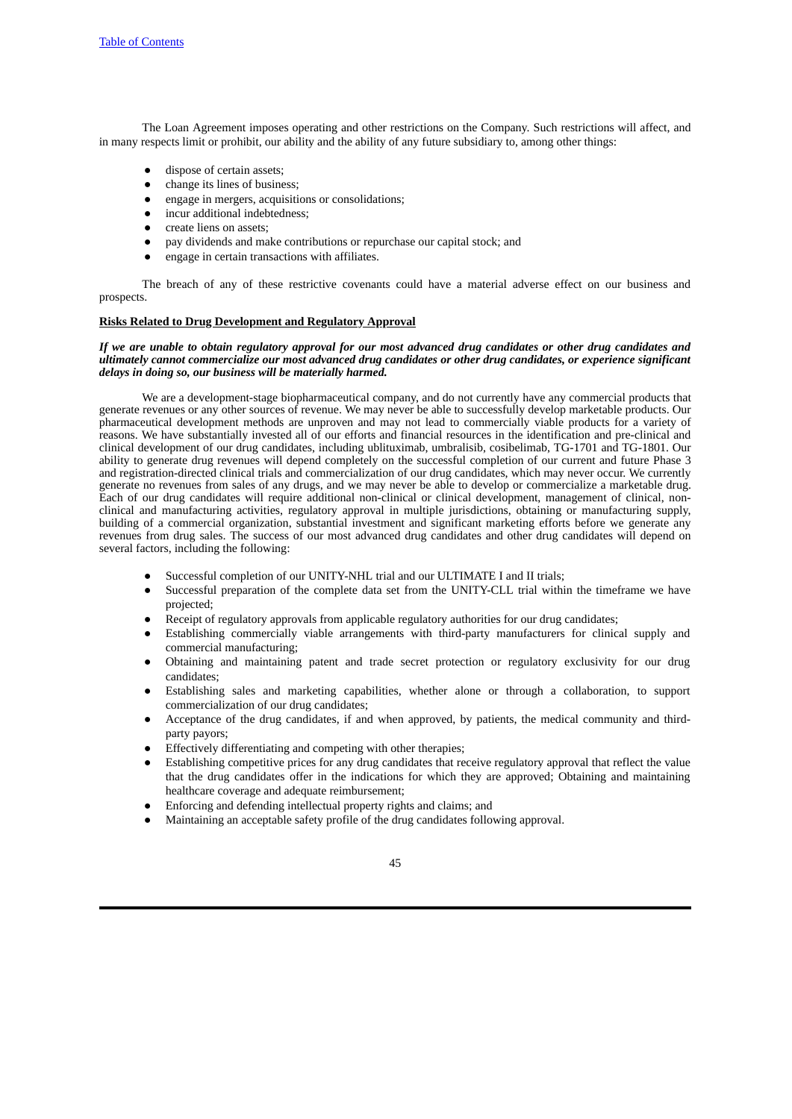The Loan Agreement imposes operating and other restrictions on the Company. Such restrictions will affect, and in many respects limit or prohibit, our ability and the ability of any future subsidiary to, among other things:

- dispose of certain assets;
- change its lines of business:
- engage in mergers, acquisitions or consolidations;
- incur additional indebtedness:
- create liens on assets;
- pay dividends and make contributions or repurchase our capital stock; and
- engage in certain transactions with affiliates.

The breach of any of these restrictive covenants could have a material adverse effect on our business and prospects.

# **Risks Related to Drug Development and Regulatory Approval**

#### If we are unable to obtain reaulatory approval for our most advanced drua candidates or other drua candidates and *ultimately cannot commercialize our most advanced drug candidates or other drug candidates, or experience significant delays in doing so, our business will be materially harmed.*

We are a development-stage biopharmaceutical company, and do not currently have any commercial products that generate revenues or any other sources of revenue. We may never be able to successfully develop marketable products. Our pharmaceutical development methods are unproven and may not lead to commercially viable products for a variety of reasons. We have substantially invested all of our efforts and financial resources in the identification and pre-clinical and clinical development of our drug candidates, including ublituximab, umbralisib, cosibelimab, TG-1701 and TG-1801. Our ability to generate drug revenues will depend completely on the successful completion of our current and future Phase 3 and registration-directed clinical trials and commercialization of our drug candidates, which may never occur. We currently generate no revenues from sales of any drugs, and we may never be able to develop or commercialize a marketable drug. Each of our drug candidates will require additional non-clinical or clinical development, management of clinical, nonclinical and manufacturing activities, regulatory approval in multiple jurisdictions, obtaining or manufacturing supply, building of a commercial organization, substantial investment and significant marketing efforts before we generate any revenues from drug sales. The success of our most advanced drug candidates and other drug candidates will depend on several factors, including the following:

- Successful completion of our UNITY-NHL trial and our ULTIMATE I and II trials;
- Successful preparation of the complete data set from the UNITY-CLL trial within the timeframe we have projected;
- Receipt of regulatory approvals from applicable regulatory authorities for our drug candidates;
- Establishing commercially viable arrangements with third-party manufacturers for clinical supply and commercial manufacturing;
- Obtaining and maintaining patent and trade secret protection or regulatory exclusivity for our drug candidates;
- Establishing sales and marketing capabilities, whether alone or through a collaboration, to support commercialization of our drug candidates;
- Acceptance of the drug candidates, if and when approved, by patients, the medical community and thirdparty payors;
- Effectively differentiating and competing with other therapies;
- Establishing competitive prices for any drug candidates that receive regulatory approval that reflect the value that the drug candidates offer in the indications for which they are approved; Obtaining and maintaining healthcare coverage and adequate reimbursement;
- Enforcing and defending intellectual property rights and claims; and
- Maintaining an acceptable safety profile of the drug candidates following approval.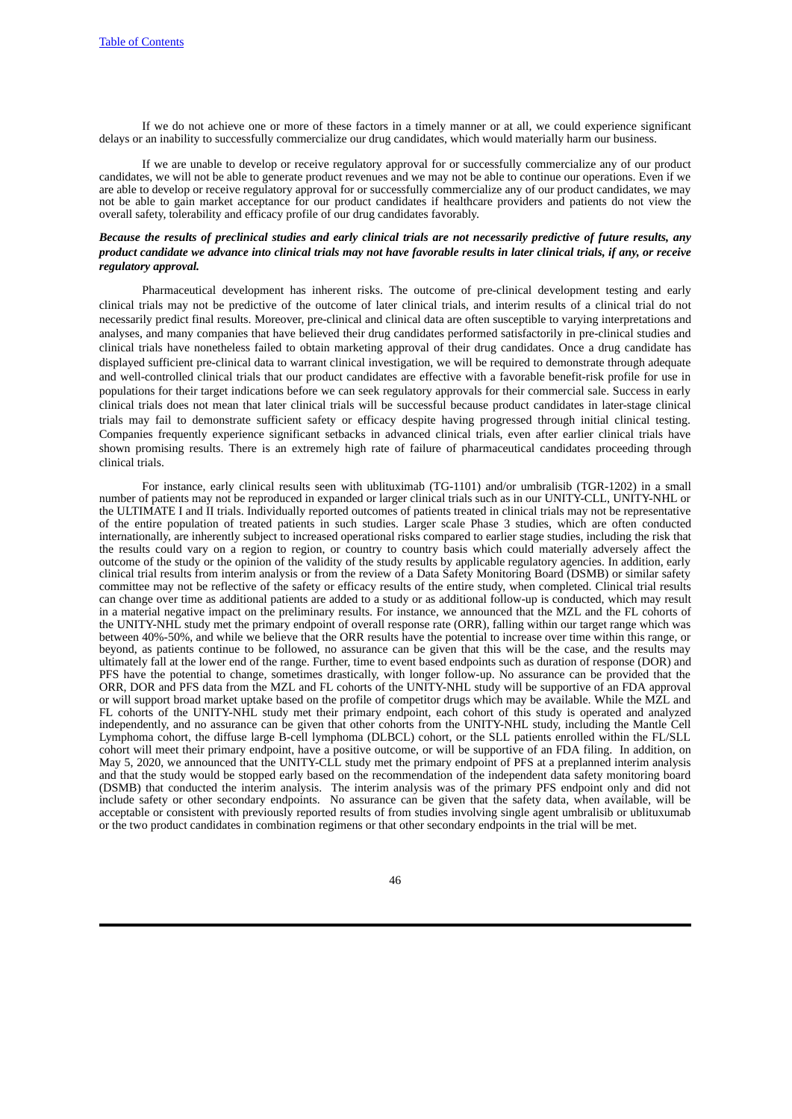If we do not achieve one or more of these factors in a timely manner or at all, we could experience significant delays or an inability to successfully commercialize our drug candidates, which would materially harm our business.

If we are unable to develop or receive regulatory approval for or successfully commercialize any of our product candidates, we will not be able to generate product revenues and we may not be able to continue our operations. Even if we are able to develop or receive regulatory approval for or successfully commercialize any of our product candidates, we may not be able to gain market acceptance for our product candidates if healthcare providers and patients do not view the overall safety, tolerability and efficacy profile of our drug candidates favorably.

## Because the results of preclinical studies and early clinical trials are not necessarily predictive of future results, any product candidate we advance into clinical trials may not have favorable results in later clinical trials, if any, or receive *regulatory approval.*

Pharmaceutical development has inherent risks. The outcome of pre-clinical development testing and early clinical trials may not be predictive of the outcome of later clinical trials, and interim results of a clinical trial do not necessarily predict final results. Moreover, pre-clinical and clinical data are often susceptible to varying interpretations and analyses, and many companies that have believed their drug candidates performed satisfactorily in pre-clinical studies and clinical trials have nonetheless failed to obtain marketing approval of their drug candidates. Once a drug candidate has displayed sufficient pre-clinical data to warrant clinical investigation, we will be required to demonstrate through adequate and well-controlled clinical trials that our product candidates are effective with a favorable benefit-risk profile for use in populations for their target indications before we can seek regulatory approvals for their commercial sale. Success in early clinical trials does not mean that later clinical trials will be successful because product candidates in later-stage clinical trials may fail to demonstrate sufficient safety or efficacy despite having progressed through initial clinical testing. Companies frequently experience significant setbacks in advanced clinical trials, even after earlier clinical trials have shown promising results. There is an extremely high rate of failure of pharmaceutical candidates proceeding through clinical trials.

For instance, early clinical results seen with ublituximab (TG-1101) and/or umbralisib (TGR-1202) in a small number of patients may not be reproduced in expanded or larger clinical trials such as in our UNITY-CLL, UNITY-NHL or the ULTIMATE I and II trials. Individually reported outcomes of patients treated in clinical trials may not be representative of the entire population of treated patients in such studies. Larger scale Phase 3 studies, which are often conducted internationally, are inherently subject to increased operational risks compared to earlier stage studies, including the risk that the results could vary on a region to region, or country to country basis which could materially adversely affect the outcome of the study or the opinion of the validity of the study results by applicable regulatory agencies. In addition, early clinical trial results from interim analysis or from the review of a Data Safety Monitoring Board (DSMB) or similar safety committee may not be reflective of the safety or efficacy results of the entire study, when completed. Clinical trial results can change over time as additional patients are added to a study or as additional follow-up is conducted, which may result in a material negative impact on the preliminary results. For instance, we announced that the MZL and the FL cohorts of the UNITY-NHL study met the primary endpoint of overall response rate (ORR), falling within our target range which was between 40%-50%, and while we believe that the ORR results have the potential to increase over time within this range, or beyond, as patients continue to be followed, no assurance can be given that this will be the case, and the results may ultimately fall at the lower end of the range. Further, time to event based endpoints such as duration of response (DOR) and PFS have the potential to change, sometimes drastically, with longer follow-up. No assurance can be provided that the ORR, DOR and PFS data from the MZL and FL cohorts of the UNITY-NHL study will be supportive of an FDA approval or will support broad market uptake based on the profile of competitor drugs which may be available. While the MZL and FL cohorts of the UNITY-NHL study met their primary endpoint, each cohort of this study is operated and analyzed independently, and no assurance can be given that other cohorts from the UNITY-NHL study, including the Mantle Cell Lymphoma cohort, the diffuse large B-cell lymphoma (DLBCL) cohort, or the SLL patients enrolled within the FL/SLL cohort will meet their primary endpoint, have a positive outcome, or will be supportive of an FDA filing. In addition, on May 5, 2020, we announced that the UNITY-CLL study met the primary endpoint of PFS at a preplanned interim analysis and that the study would be stopped early based on the recommendation of the independent data safety monitoring board (DSMB) that conducted the interim analysis. The interim analysis was of the primary PFS endpoint only and did not include safety or other secondary endpoints. No assurance can be given that the safety data, when available, will be acceptable or consistent with previously reported results of from studies involving single agent umbralisib or ublituxumab or the two product candidates in combination regimens or that other secondary endpoints in the trial will be met.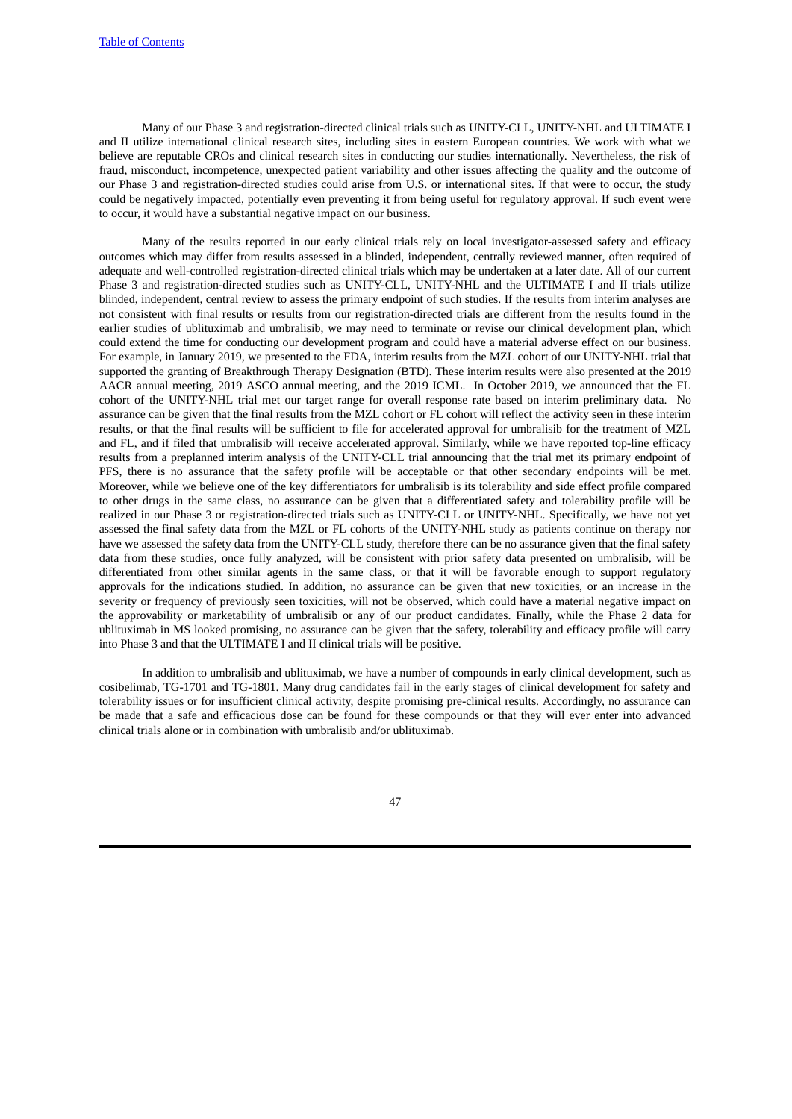Many of our Phase 3 and registration-directed clinical trials such as UNITY-CLL, UNITY-NHL and ULTIMATE I and II utilize international clinical research sites, including sites in eastern European countries. We work with what we believe are reputable CROs and clinical research sites in conducting our studies internationally. Nevertheless, the risk of fraud, misconduct, incompetence, unexpected patient variability and other issues affecting the quality and the outcome of our Phase 3 and registration-directed studies could arise from U.S. or international sites. If that were to occur, the study could be negatively impacted, potentially even preventing it from being useful for regulatory approval. If such event were to occur, it would have a substantial negative impact on our business.

Many of the results reported in our early clinical trials rely on local investigator-assessed safety and efficacy outcomes which may differ from results assessed in a blinded, independent, centrally reviewed manner, often required of adequate and well-controlled registration-directed clinical trials which may be undertaken at a later date. All of our current Phase 3 and registration-directed studies such as UNITY-CLL, UNITY-NHL and the ULTIMATE I and II trials utilize blinded, independent, central review to assess the primary endpoint of such studies. If the results from interim analyses are not consistent with final results or results from our registration-directed trials are different from the results found in the earlier studies of ublituximab and umbralisib, we may need to terminate or revise our clinical development plan, which could extend the time for conducting our development program and could have a material adverse effect on our business. For example, in January 2019, we presented to the FDA, interim results from the MZL cohort of our UNITY-NHL trial that supported the granting of Breakthrough Therapy Designation (BTD). These interim results were also presented at the 2019 AACR annual meeting, 2019 ASCO annual meeting, and the 2019 ICML. In October 2019, we announced that the FL cohort of the UNITY-NHL trial met our target range for overall response rate based on interim preliminary data. No assurance can be given that the final results from the MZL cohort or FL cohort will reflect the activity seen in these interim results, or that the final results will be sufficient to file for accelerated approval for umbralisib for the treatment of MZL and FL, and if filed that umbralisib will receive accelerated approval. Similarly, while we have reported top-line efficacy results from a preplanned interim analysis of the UNITY-CLL trial announcing that the trial met its primary endpoint of PFS, there is no assurance that the safety profile will be acceptable or that other secondary endpoints will be met. Moreover, while we believe one of the key differentiators for umbralisib is its tolerability and side effect profile compared to other drugs in the same class, no assurance can be given that a differentiated safety and tolerability profile will be realized in our Phase 3 or registration-directed trials such as UNITY-CLL or UNITY-NHL. Specifically, we have not yet assessed the final safety data from the MZL or FL cohorts of the UNITY-NHL study as patients continue on therapy nor have we assessed the safety data from the UNITY-CLL study, therefore there can be no assurance given that the final safety data from these studies, once fully analyzed, will be consistent with prior safety data presented on umbralisib, will be differentiated from other similar agents in the same class, or that it will be favorable enough to support regulatory approvals for the indications studied. In addition, no assurance can be given that new toxicities, or an increase in the severity or frequency of previously seen toxicities, will not be observed, which could have a material negative impact on the approvability or marketability of umbralisib or any of our product candidates. Finally, while the Phase 2 data for ublituximab in MS looked promising, no assurance can be given that the safety, tolerability and efficacy profile will carry into Phase 3 and that the ULTIMATE I and II clinical trials will be positive.

In addition to umbralisib and ublituximab, we have a number of compounds in early clinical development, such as cosibelimab, TG-1701 and TG-1801. Many drug candidates fail in the early stages of clinical development for safety and tolerability issues or for insufficient clinical activity, despite promising pre-clinical results. Accordingly, no assurance can be made that a safe and efficacious dose can be found for these compounds or that they will ever enter into advanced clinical trials alone or in combination with umbralisib and/or ublituximab.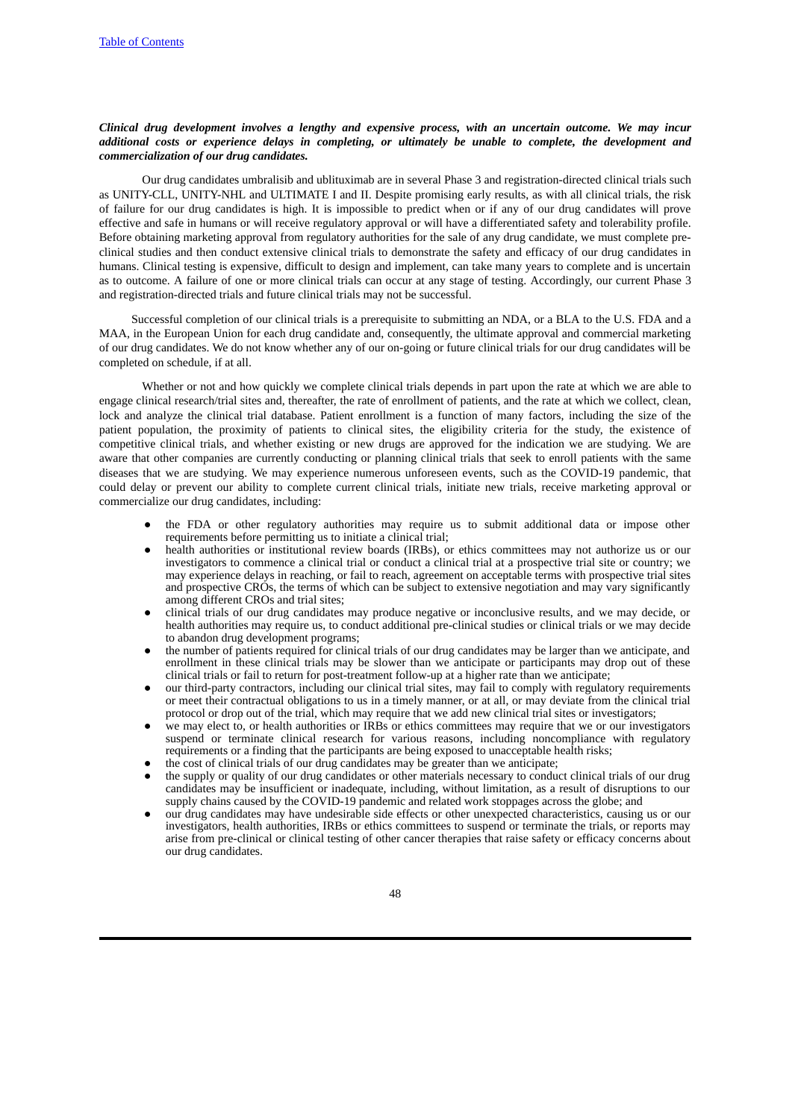# *Clinical drug development involves a lengthy and expensive process, with an uncertain outcome. We may incur additional costs or experience delays in completing, or ultimately be unable to complete, the development and commercialization of our drug candidates.*

Our drug candidates umbralisib and ublituximab are in several Phase 3 and registration-directed clinical trials such as UNITY-CLL, UNITY-NHL and ULTIMATE I and II. Despite promising early results, as with all clinical trials, the risk of failure for our drug candidates is high. It is impossible to predict when or if any of our drug candidates will prove effective and safe in humans or will receive regulatory approval or will have a differentiated safety and tolerability profile. Before obtaining marketing approval from regulatory authorities for the sale of any drug candidate, we must complete preclinical studies and then conduct extensive clinical trials to demonstrate the safety and efficacy of our drug candidates in humans. Clinical testing is expensive, difficult to design and implement, can take many years to complete and is uncertain as to outcome. A failure of one or more clinical trials can occur at any stage of testing. Accordingly, our current Phase 3 and registration-directed trials and future clinical trials may not be successful.

Successful completion of our clinical trials is a prerequisite to submitting an NDA, or a BLA to the U.S. FDA and a MAA, in the European Union for each drug candidate and, consequently, the ultimate approval and commercial marketing of our drug candidates. We do not know whether any of our on-going or future clinical trials for our drug candidates will be completed on schedule, if at all.

Whether or not and how quickly we complete clinical trials depends in part upon the rate at which we are able to engage clinical research/trial sites and, thereafter, the rate of enrollment of patients, and the rate at which we collect, clean, lock and analyze the clinical trial database. Patient enrollment is a function of many factors, including the size of the patient population, the proximity of patients to clinical sites, the eligibility criteria for the study, the existence of competitive clinical trials, and whether existing or new drugs are approved for the indication we are studying. We are aware that other companies are currently conducting or planning clinical trials that seek to enroll patients with the same diseases that we are studying. We may experience numerous unforeseen events, such as the COVID-19 pandemic, that could delay or prevent our ability to complete current clinical trials, initiate new trials, receive marketing approval or commercialize our drug candidates, including:

- the FDA or other regulatory authorities may require us to submit additional data or impose other requirements before permitting us to initiate a clinical trial;
- health authorities or institutional review boards (IRBs), or ethics committees may not authorize us or our investigators to commence a clinical trial or conduct a clinical trial at a prospective trial site or country; we may experience delays in reaching, or fail to reach, agreement on acceptable terms with prospective trial sites and prospective CROs, the terms of which can be subject to extensive negotiation and may vary significantly among different CROs and trial sites;
- clinical trials of our drug candidates may produce negative or inconclusive results, and we may decide, or health authorities may require us, to conduct additional pre-clinical studies or clinical trials or we may decide to abandon drug development programs;
- the number of patients required for clinical trials of our drug candidates may be larger than we anticipate, and enrollment in these clinical trials may be slower than we anticipate or participants may drop out of these clinical trials or fail to return for post-treatment follow-up at a higher rate than we anticipate;
- our third-party contractors, including our clinical trial sites, may fail to comply with regulatory requirements or meet their contractual obligations to us in a timely manner, or at all, or may deviate from the clinical trial protocol or drop out of the trial, which may require that we add new clinical trial sites or investigators;
- we may elect to, or health authorities or IRBs or ethics committees may require that we or our investigators suspend or terminate clinical research for various reasons, including noncompliance with regulatory requirements or a finding that the participants are being exposed to unacceptable health risks;
- the cost of clinical trials of our drug candidates may be greater than we anticipate;
- the supply or quality of our drug candidates or other materials necessary to conduct clinical trials of our drug candidates may be insufficient or inadequate, including, without limitation, as a result of disruptions to our supply chains caused by the COVID-19 pandemic and related work stoppages across the globe; and
- our drug candidates may have undesirable side effects or other unexpected characteristics, causing us or our investigators, health authorities, IRBs or ethics committees to suspend or terminate the trials, or reports may arise from pre-clinical or clinical testing of other cancer therapies that raise safety or efficacy concerns about our drug candidates.

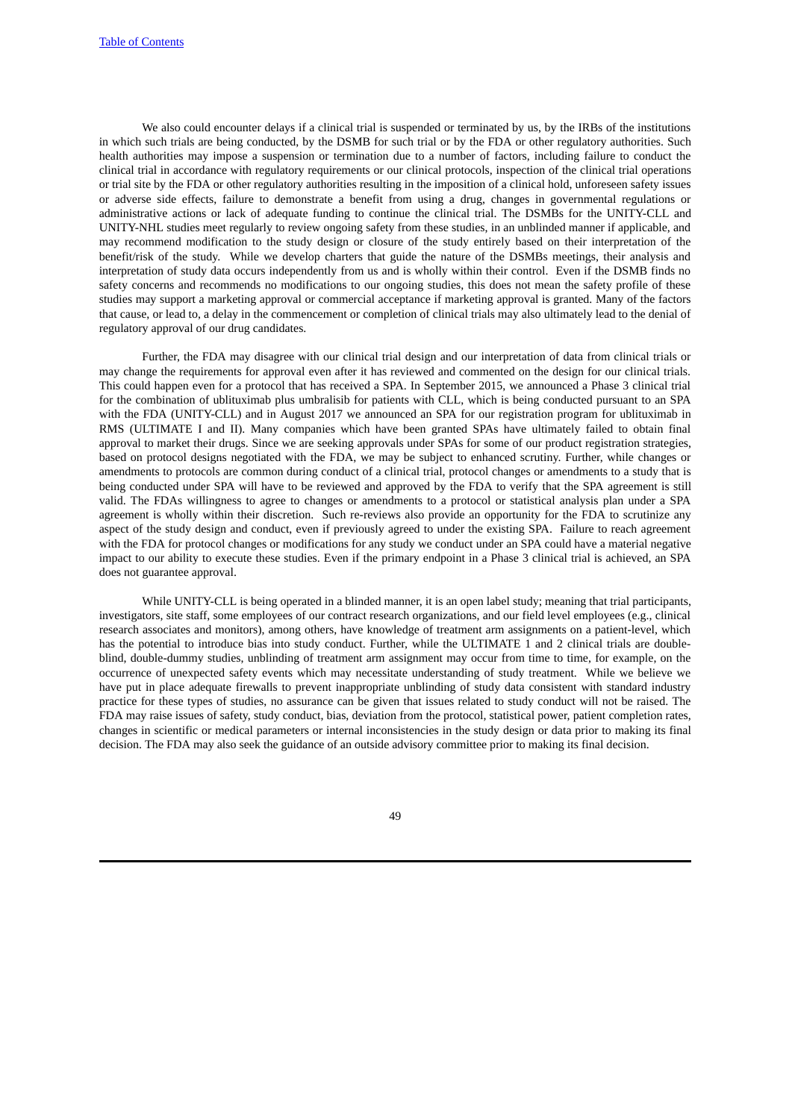We also could encounter delays if a clinical trial is suspended or terminated by us, by the IRBs of the institutions in which such trials are being conducted, by the DSMB for such trial or by the FDA or other regulatory authorities. Such health authorities may impose a suspension or termination due to a number of factors, including failure to conduct the clinical trial in accordance with regulatory requirements or our clinical protocols, inspection of the clinical trial operations or trial site by the FDA or other regulatory authorities resulting in the imposition of a clinical hold, unforeseen safety issues or adverse side effects, failure to demonstrate a benefit from using a drug, changes in governmental regulations or administrative actions or lack of adequate funding to continue the clinical trial. The DSMBs for the UNITY-CLL and UNITY-NHL studies meet regularly to review ongoing safety from these studies, in an unblinded manner if applicable, and may recommend modification to the study design or closure of the study entirely based on their interpretation of the benefit/risk of the study. While we develop charters that guide the nature of the DSMBs meetings, their analysis and interpretation of study data occurs independently from us and is wholly within their control. Even if the DSMB finds no safety concerns and recommends no modifications to our ongoing studies, this does not mean the safety profile of these studies may support a marketing approval or commercial acceptance if marketing approval is granted. Many of the factors that cause, or lead to, a delay in the commencement or completion of clinical trials may also ultimately lead to the denial of regulatory approval of our drug candidates.

Further, the FDA may disagree with our clinical trial design and our interpretation of data from clinical trials or may change the requirements for approval even after it has reviewed and commented on the design for our clinical trials. This could happen even for a protocol that has received a SPA. In September 2015, we announced a Phase 3 clinical trial for the combination of ublituximab plus umbralisib for patients with CLL, which is being conducted pursuant to an SPA with the FDA (UNITY-CLL) and in August 2017 we announced an SPA for our registration program for ublituximab in RMS (ULTIMATE I and II). Many companies which have been granted SPAs have ultimately failed to obtain final approval to market their drugs. Since we are seeking approvals under SPAs for some of our product registration strategies, based on protocol designs negotiated with the FDA, we may be subject to enhanced scrutiny. Further, while changes or amendments to protocols are common during conduct of a clinical trial, protocol changes or amendments to a study that is being conducted under SPA will have to be reviewed and approved by the FDA to verify that the SPA agreement is still valid. The FDAs willingness to agree to changes or amendments to a protocol or statistical analysis plan under a SPA agreement is wholly within their discretion. Such re-reviews also provide an opportunity for the FDA to scrutinize any aspect of the study design and conduct, even if previously agreed to under the existing SPA. Failure to reach agreement with the FDA for protocol changes or modifications for any study we conduct under an SPA could have a material negative impact to our ability to execute these studies. Even if the primary endpoint in a Phase 3 clinical trial is achieved, an SPA does not guarantee approval.

While UNITY-CLL is being operated in a blinded manner, it is an open label study; meaning that trial participants, investigators, site staff, some employees of our contract research organizations, and our field level employees (e.g., clinical research associates and monitors), among others, have knowledge of treatment arm assignments on a patient-level, which has the potential to introduce bias into study conduct. Further, while the ULTIMATE 1 and 2 clinical trials are doubleblind, double-dummy studies, unblinding of treatment arm assignment may occur from time to time, for example, on the occurrence of unexpected safety events which may necessitate understanding of study treatment. While we believe we have put in place adequate firewalls to prevent inappropriate unblinding of study data consistent with standard industry practice for these types of studies, no assurance can be given that issues related to study conduct will not be raised. The FDA may raise issues of safety, study conduct, bias, deviation from the protocol, statistical power, patient completion rates, changes in scientific or medical parameters or internal inconsistencies in the study design or data prior to making its final decision. The FDA may also seek the guidance of an outside advisory committee prior to making its final decision.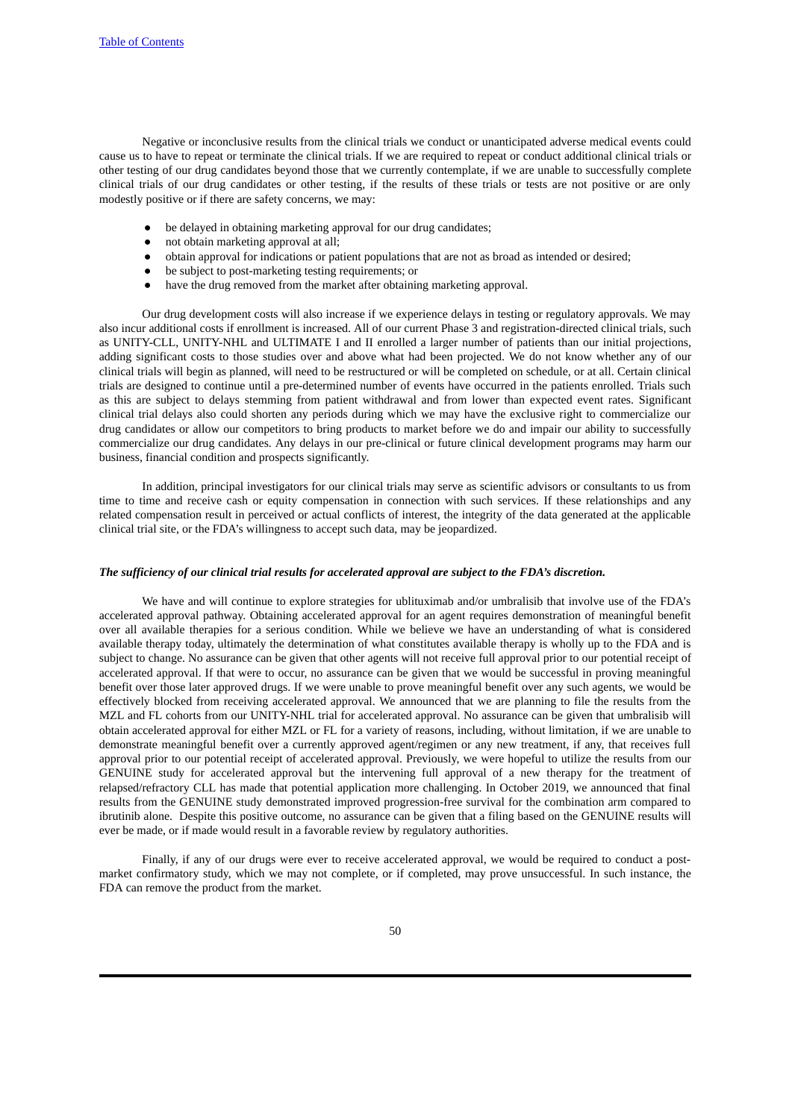Negative or inconclusive results from the clinical trials we conduct or unanticipated adverse medical events could cause us to have to repeat or terminate the clinical trials. If we are required to repeat or conduct additional clinical trials or other testing of our drug candidates beyond those that we currently contemplate, if we are unable to successfully complete clinical trials of our drug candidates or other testing, if the results of these trials or tests are not positive or are only modestly positive or if there are safety concerns, we may:

- be delayed in obtaining marketing approval for our drug candidates;
- not obtain marketing approval at all;
- obtain approval for indications or patient populations that are not as broad as intended or desired;
- be subject to post-marketing testing requirements; or
- have the drug removed from the market after obtaining marketing approval.

Our drug development costs will also increase if we experience delays in testing or regulatory approvals. We may also incur additional costs if enrollment is increased. All of our current Phase 3 and registration-directed clinical trials, such as UNITY-CLL, UNITY-NHL and ULTIMATE I and II enrolled a larger number of patients than our initial projections, adding significant costs to those studies over and above what had been projected. We do not know whether any of our clinical trials will begin as planned, will need to be restructured or will be completed on schedule, or at all. Certain clinical trials are designed to continue until a pre-determined number of events have occurred in the patients enrolled. Trials such as this are subject to delays stemming from patient withdrawal and from lower than expected event rates. Significant clinical trial delays also could shorten any periods during which we may have the exclusive right to commercialize our drug candidates or allow our competitors to bring products to market before we do and impair our ability to successfully commercialize our drug candidates. Any delays in our pre-clinical or future clinical development programs may harm our business, financial condition and prospects significantly.

In addition, principal investigators for our clinical trials may serve as scientific advisors or consultants to us from time to time and receive cash or equity compensation in connection with such services. If these relationships and any related compensation result in perceived or actual conflicts of interest, the integrity of the data generated at the applicable clinical trial site, or the FDA's willingness to accept such data, may be jeopardized.

## *The sufficiency of our clinical trial results for accelerated approval are subject to the FDA's discretion.*

We have and will continue to explore strategies for ublituximab and/or umbralisib that involve use of the FDA's accelerated approval pathway. Obtaining accelerated approval for an agent requires demonstration of meaningful benefit over all available therapies for a serious condition. While we believe we have an understanding of what is considered available therapy today, ultimately the determination of what constitutes available therapy is wholly up to the FDA and is subject to change. No assurance can be given that other agents will not receive full approval prior to our potential receipt of accelerated approval. If that were to occur, no assurance can be given that we would be successful in proving meaningful benefit over those later approved drugs. If we were unable to prove meaningful benefit over any such agents, we would be effectively blocked from receiving accelerated approval. We announced that we are planning to file the results from the MZL and FL cohorts from our UNITY-NHL trial for accelerated approval. No assurance can be given that umbralisib will obtain accelerated approval for either MZL or FL for a variety of reasons, including, without limitation, if we are unable to demonstrate meaningful benefit over a currently approved agent/regimen or any new treatment, if any, that receives full approval prior to our potential receipt of accelerated approval. Previously, we were hopeful to utilize the results from our GENUINE study for accelerated approval but the intervening full approval of a new therapy for the treatment of relapsed/refractory CLL has made that potential application more challenging. In October 2019, we announced that final results from the GENUINE study demonstrated improved progression-free survival for the combination arm compared to ibrutinib alone. Despite this positive outcome, no assurance can be given that a filing based on the GENUINE results will ever be made, or if made would result in a favorable review by regulatory authorities.

Finally, if any of our drugs were ever to receive accelerated approval, we would be required to conduct a postmarket confirmatory study, which we may not complete, or if completed, may prove unsuccessful. In such instance, the FDA can remove the product from the market.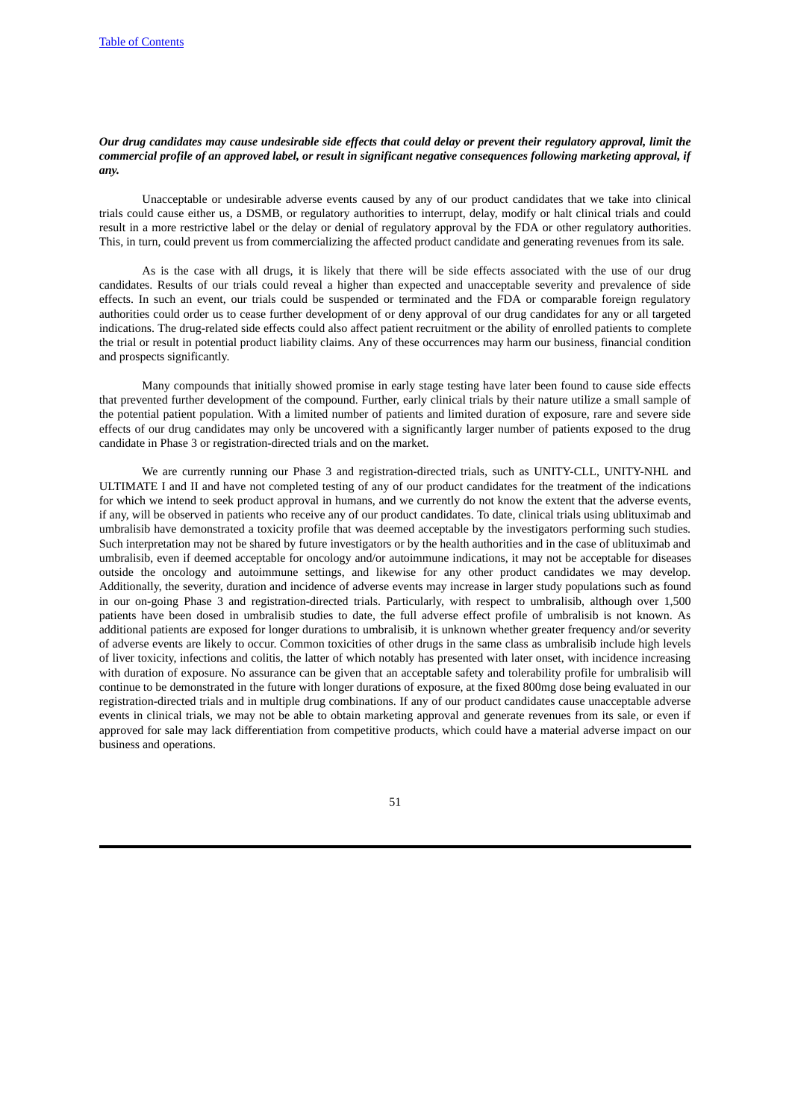# Our drug candidates may cause undesirable side effects that could delay or prevent their regulatory approval, limit the commercial profile of an approved label, or result in significant negative consequences following marketing approval, if *any.*

Unacceptable or undesirable adverse events caused by any of our product candidates that we take into clinical trials could cause either us, a DSMB, or regulatory authorities to interrupt, delay, modify or halt clinical trials and could result in a more restrictive label or the delay or denial of regulatory approval by the FDA or other regulatory authorities. This, in turn, could prevent us from commercializing the affected product candidate and generating revenues from its sale.

As is the case with all drugs, it is likely that there will be side effects associated with the use of our drug candidates. Results of our trials could reveal a higher than expected and unacceptable severity and prevalence of side effects. In such an event, our trials could be suspended or terminated and the FDA or comparable foreign regulatory authorities could order us to cease further development of or deny approval of our drug candidates for any or all targeted indications. The drug-related side effects could also affect patient recruitment or the ability of enrolled patients to complete the trial or result in potential product liability claims. Any of these occurrences may harm our business, financial condition and prospects significantly.

Many compounds that initially showed promise in early stage testing have later been found to cause side effects that prevented further development of the compound. Further, early clinical trials by their nature utilize a small sample of the potential patient population. With a limited number of patients and limited duration of exposure, rare and severe side effects of our drug candidates may only be uncovered with a significantly larger number of patients exposed to the drug candidate in Phase 3 or registration-directed trials and on the market.

We are currently running our Phase 3 and registration-directed trials, such as UNITY-CLL, UNITY-NHL and ULTIMATE I and II and have not completed testing of any of our product candidates for the treatment of the indications for which we intend to seek product approval in humans, and we currently do not know the extent that the adverse events, if any, will be observed in patients who receive any of our product candidates. To date, clinical trials using ublituximab and umbralisib have demonstrated a toxicity profile that was deemed acceptable by the investigators performing such studies. Such interpretation may not be shared by future investigators or by the health authorities and in the case of ublituximab and umbralisib, even if deemed acceptable for oncology and/or autoimmune indications, it may not be acceptable for diseases outside the oncology and autoimmune settings, and likewise for any other product candidates we may develop. Additionally, the severity, duration and incidence of adverse events may increase in larger study populations such as found in our on-going Phase 3 and registration-directed trials. Particularly, with respect to umbralisib, although over 1,500 patients have been dosed in umbralisib studies to date, the full adverse effect profile of umbralisib is not known. As additional patients are exposed for longer durations to umbralisib, it is unknown whether greater frequency and/or severity of adverse events are likely to occur. Common toxicities of other drugs in the same class as umbralisib include high levels of liver toxicity, infections and colitis, the latter of which notably has presented with later onset, with incidence increasing with duration of exposure. No assurance can be given that an acceptable safety and tolerability profile for umbralisib will continue to be demonstrated in the future with longer durations of exposure, at the fixed 800mg dose being evaluated in our registration-directed trials and in multiple drug combinations. If any of our product candidates cause unacceptable adverse events in clinical trials, we may not be able to obtain marketing approval and generate revenues from its sale, or even if approved for sale may lack differentiation from competitive products, which could have a material adverse impact on our business and operations.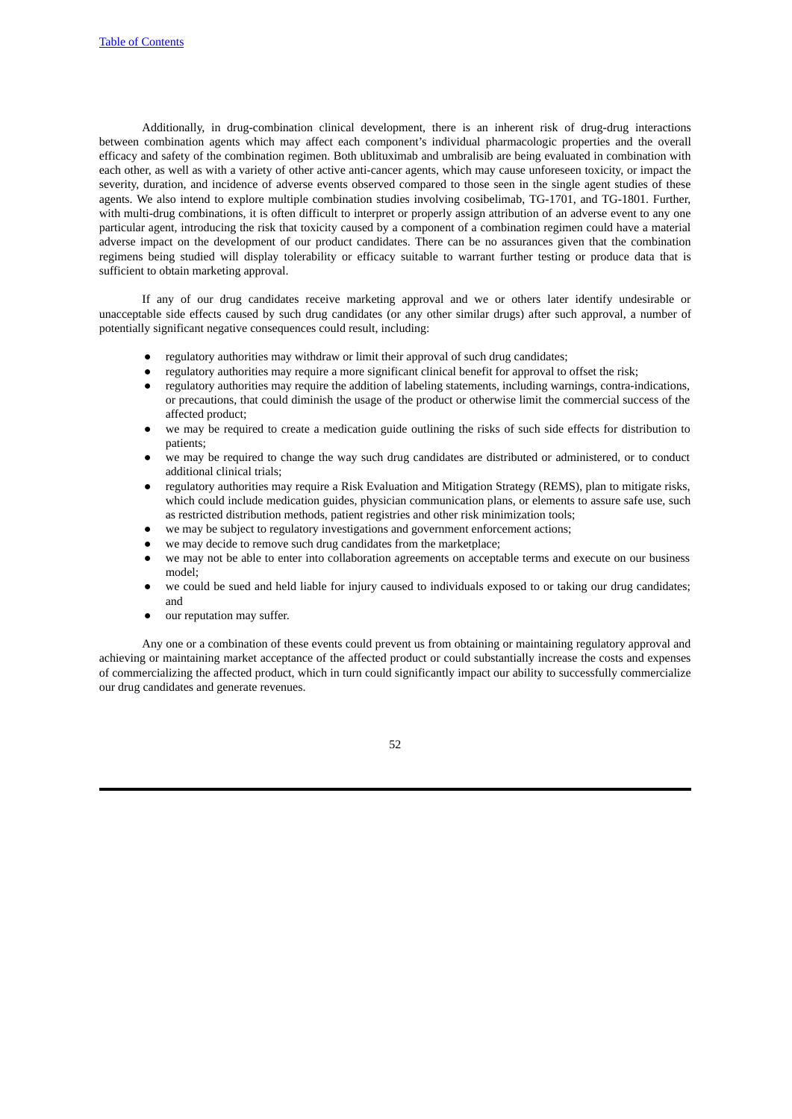Additionally, in drug-combination clinical development, there is an inherent risk of drug-drug interactions between combination agents which may affect each component's individual pharmacologic properties and the overall efficacy and safety of the combination regimen. Both ublituximab and umbralisib are being evaluated in combination with each other, as well as with a variety of other active anti-cancer agents, which may cause unforeseen toxicity, or impact the severity, duration, and incidence of adverse events observed compared to those seen in the single agent studies of these agents. We also intend to explore multiple combination studies involving cosibelimab, TG-1701, and TG-1801. Further, with multi-drug combinations, it is often difficult to interpret or properly assign attribution of an adverse event to any one particular agent, introducing the risk that toxicity caused by a component of a combination regimen could have a material adverse impact on the development of our product candidates. There can be no assurances given that the combination regimens being studied will display tolerability or efficacy suitable to warrant further testing or produce data that is sufficient to obtain marketing approval.

If any of our drug candidates receive marketing approval and we or others later identify undesirable or unacceptable side effects caused by such drug candidates (or any other similar drugs) after such approval, a number of potentially significant negative consequences could result, including:

- regulatory authorities may withdraw or limit their approval of such drug candidates;
- regulatory authorities may require a more significant clinical benefit for approval to offset the risk;
- regulatory authorities may require the addition of labeling statements, including warnings, contra-indications, or precautions, that could diminish the usage of the product or otherwise limit the commercial success of the affected product;
- we may be required to create a medication guide outlining the risks of such side effects for distribution to patients;
- we may be required to change the way such drug candidates are distributed or administered, or to conduct additional clinical trials;
- regulatory authorities may require a Risk Evaluation and Mitigation Strategy (REMS), plan to mitigate risks, which could include medication guides, physician communication plans, or elements to assure safe use, such as restricted distribution methods, patient registries and other risk minimization tools;
- we may be subject to regulatory investigations and government enforcement actions;
- we may decide to remove such drug candidates from the marketplace;
- we may not be able to enter into collaboration agreements on acceptable terms and execute on our business model;
- we could be sued and held liable for injury caused to individuals exposed to or taking our drug candidates; and
- our reputation may suffer.

Any one or a combination of these events could prevent us from obtaining or maintaining regulatory approval and achieving or maintaining market acceptance of the affected product or could substantially increase the costs and expenses of commercializing the affected product, which in turn could significantly impact our ability to successfully commercialize our drug candidates and generate revenues.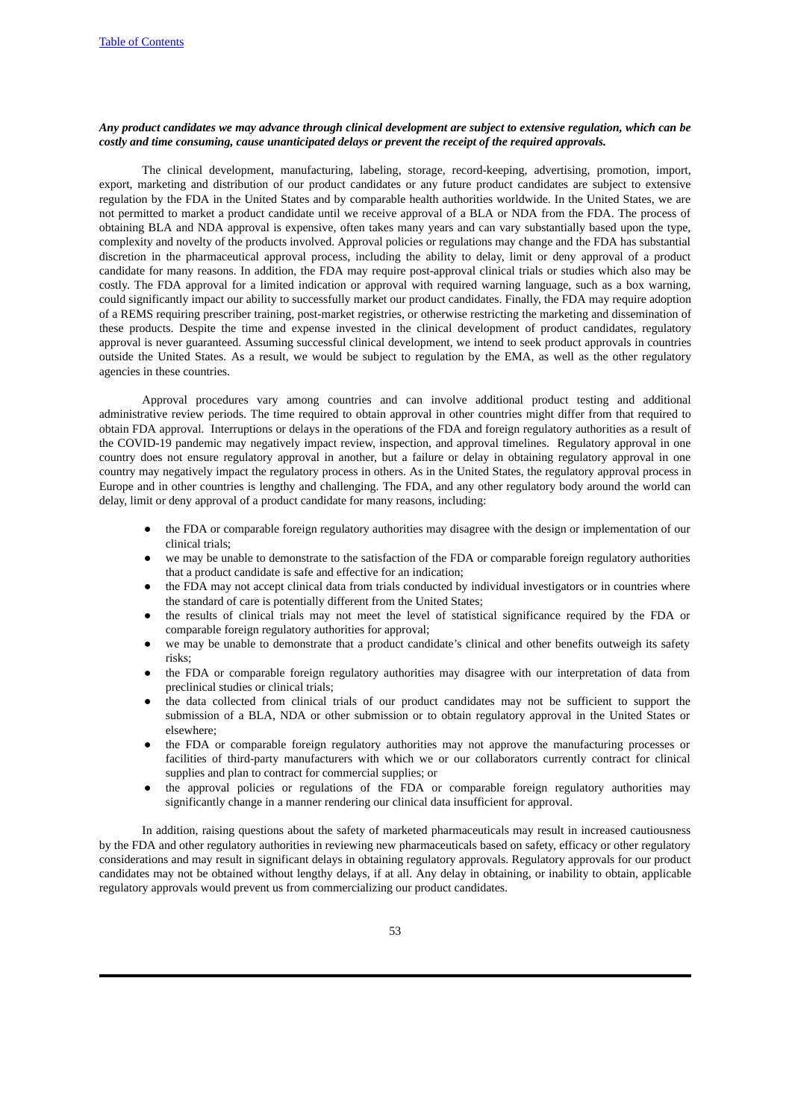# Any product candidates we may advance through clinical development are subject to extensive regulation, which can be *costly and time consuming, cause unanticipated delays or prevent the receipt of the required approvals.*

The clinical development, manufacturing, labeling, storage, record-keeping, advertising, promotion, import, export, marketing and distribution of our product candidates or any future product candidates are subject to extensive regulation by the FDA in the United States and by comparable health authorities worldwide. In the United States, we are not permitted to market a product candidate until we receive approval of a BLA or NDA from the FDA. The process of obtaining BLA and NDA approval is expensive, often takes many years and can vary substantially based upon the type, complexity and novelty of the products involved. Approval policies or regulations may change and the FDA has substantial discretion in the pharmaceutical approval process, including the ability to delay, limit or deny approval of a product candidate for many reasons. In addition, the FDA may require post-approval clinical trials or studies which also may be costly. The FDA approval for a limited indication or approval with required warning language, such as a box warning, could significantly impact our ability to successfully market our product candidates. Finally, the FDA may require adoption of a REMS requiring prescriber training, post-market registries, or otherwise restricting the marketing and dissemination of these products. Despite the time and expense invested in the clinical development of product candidates, regulatory approval is never guaranteed. Assuming successful clinical development, we intend to seek product approvals in countries outside the United States. As a result, we would be subject to regulation by the EMA, as well as the other regulatory agencies in these countries.

Approval procedures vary among countries and can involve additional product testing and additional administrative review periods. The time required to obtain approval in other countries might differ from that required to obtain FDA approval. Interruptions or delays in the operations of the FDA and foreign regulatory authorities as a result of the COVID-19 pandemic may negatively impact review, inspection, and approval timelines. Regulatory approval in one country does not ensure regulatory approval in another, but a failure or delay in obtaining regulatory approval in one country may negatively impact the regulatory process in others. As in the United States, the regulatory approval process in Europe and in other countries is lengthy and challenging. The FDA, and any other regulatory body around the world can delay, limit or deny approval of a product candidate for many reasons, including:

- the FDA or comparable foreign regulatory authorities may disagree with the design or implementation of our clinical trials;
- we may be unable to demonstrate to the satisfaction of the FDA or comparable foreign regulatory authorities that a product candidate is safe and effective for an indication;
- the FDA may not accept clinical data from trials conducted by individual investigators or in countries where the standard of care is potentially different from the United States;
- the results of clinical trials may not meet the level of statistical significance required by the FDA or comparable foreign regulatory authorities for approval;
- we may be unable to demonstrate that a product candidate's clinical and other benefits outweigh its safety risks;
- the FDA or comparable foreign regulatory authorities may disagree with our interpretation of data from preclinical studies or clinical trials;
- the data collected from clinical trials of our product candidates may not be sufficient to support the submission of a BLA, NDA or other submission or to obtain regulatory approval in the United States or elsewhere;
- the FDA or comparable foreign regulatory authorities may not approve the manufacturing processes or facilities of third-party manufacturers with which we or our collaborators currently contract for clinical supplies and plan to contract for commercial supplies; or
- the approval policies or regulations of the FDA or comparable foreign regulatory authorities may significantly change in a manner rendering our clinical data insufficient for approval.

In addition, raising questions about the safety of marketed pharmaceuticals may result in increased cautiousness by the FDA and other regulatory authorities in reviewing new pharmaceuticals based on safety, efficacy or other regulatory considerations and may result in significant delays in obtaining regulatory approvals. Regulatory approvals for our product candidates may not be obtained without lengthy delays, if at all. Any delay in obtaining, or inability to obtain, applicable regulatory approvals would prevent us from commercializing our product candidates.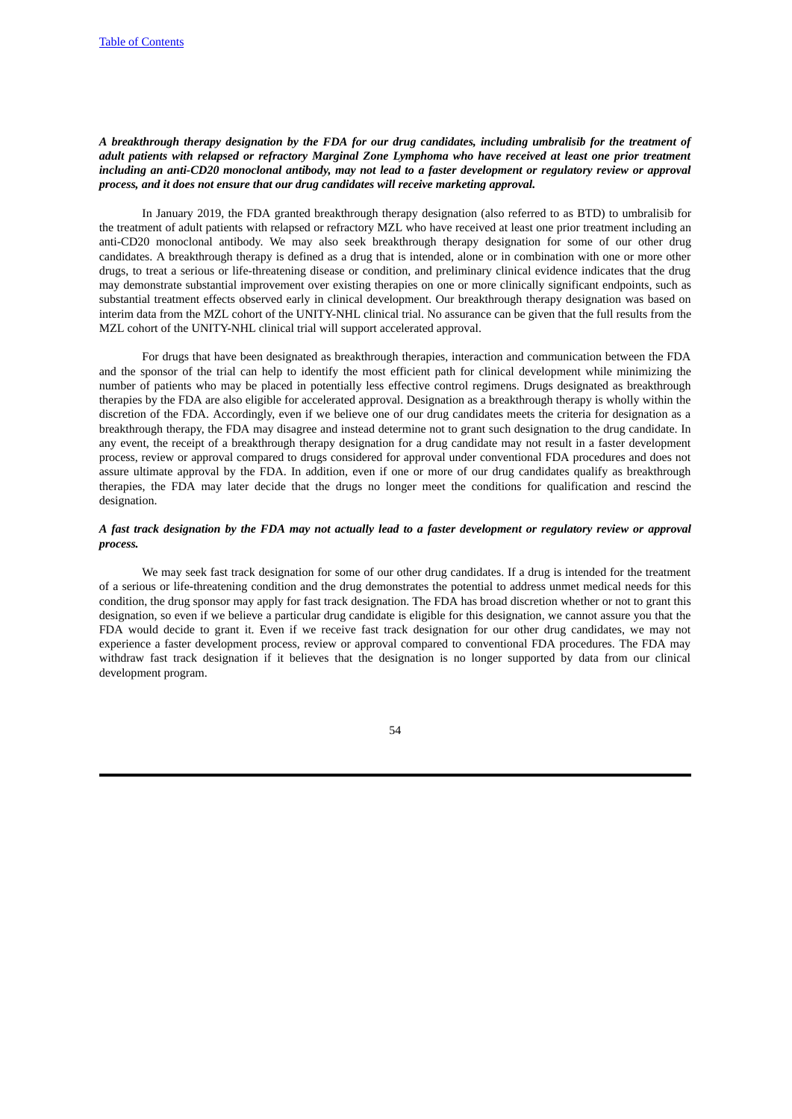# A breakthrough therapy designation by the FDA for our drug candidates, including umbralisib for the treatment of adult patients with relapsed or refractory Marginal Zone Lymphoma who have received at least one prior treatment including an anti-CD20 monoclonal antibody, may not lead to a faster development or reaulatory review or approval *process, and it does not ensure that our drug candidates will receive marketing approval.*

In January 2019, the FDA granted breakthrough therapy designation (also referred to as BTD) to umbralisib for the treatment of adult patients with relapsed or refractory MZL who have received at least one prior treatment including an anti-CD20 monoclonal antibody. We may also seek breakthrough therapy designation for some of our other drug candidates. A breakthrough therapy is defined as a drug that is intended, alone or in combination with one or more other drugs, to treat a serious or life-threatening disease or condition, and preliminary clinical evidence indicates that the drug may demonstrate substantial improvement over existing therapies on one or more clinically significant endpoints, such as substantial treatment effects observed early in clinical development. Our breakthrough therapy designation was based on interim data from the MZL cohort of the UNITY-NHL clinical trial. No assurance can be given that the full results from the MZL cohort of the UNITY-NHL clinical trial will support accelerated approval.

For drugs that have been designated as breakthrough therapies, interaction and communication between the FDA and the sponsor of the trial can help to identify the most efficient path for clinical development while minimizing the number of patients who may be placed in potentially less effective control regimens. Drugs designated as breakthrough therapies by the FDA are also eligible for accelerated approval. Designation as a breakthrough therapy is wholly within the discretion of the FDA. Accordingly, even if we believe one of our drug candidates meets the criteria for designation as a breakthrough therapy, the FDA may disagree and instead determine not to grant such designation to the drug candidate. In any event, the receipt of a breakthrough therapy designation for a drug candidate may not result in a faster development process, review or approval compared to drugs considered for approval under conventional FDA procedures and does not assure ultimate approval by the FDA. In addition, even if one or more of our drug candidates qualify as breakthrough therapies, the FDA may later decide that the drugs no longer meet the conditions for qualification and rescind the designation.

# A fast track designation by the FDA may not actually lead to a faster development or regulatory review or approval *process.*

We may seek fast track designation for some of our other drug candidates. If a drug is intended for the treatment of a serious or life-threatening condition and the drug demonstrates the potential to address unmet medical needs for this condition, the drug sponsor may apply for fast track designation. The FDA has broad discretion whether or not to grant this designation, so even if we believe a particular drug candidate is eligible for this designation, we cannot assure you that the FDA would decide to grant it. Even if we receive fast track designation for our other drug candidates, we may not experience a faster development process, review or approval compared to conventional FDA procedures. The FDA may withdraw fast track designation if it believes that the designation is no longer supported by data from our clinical development program.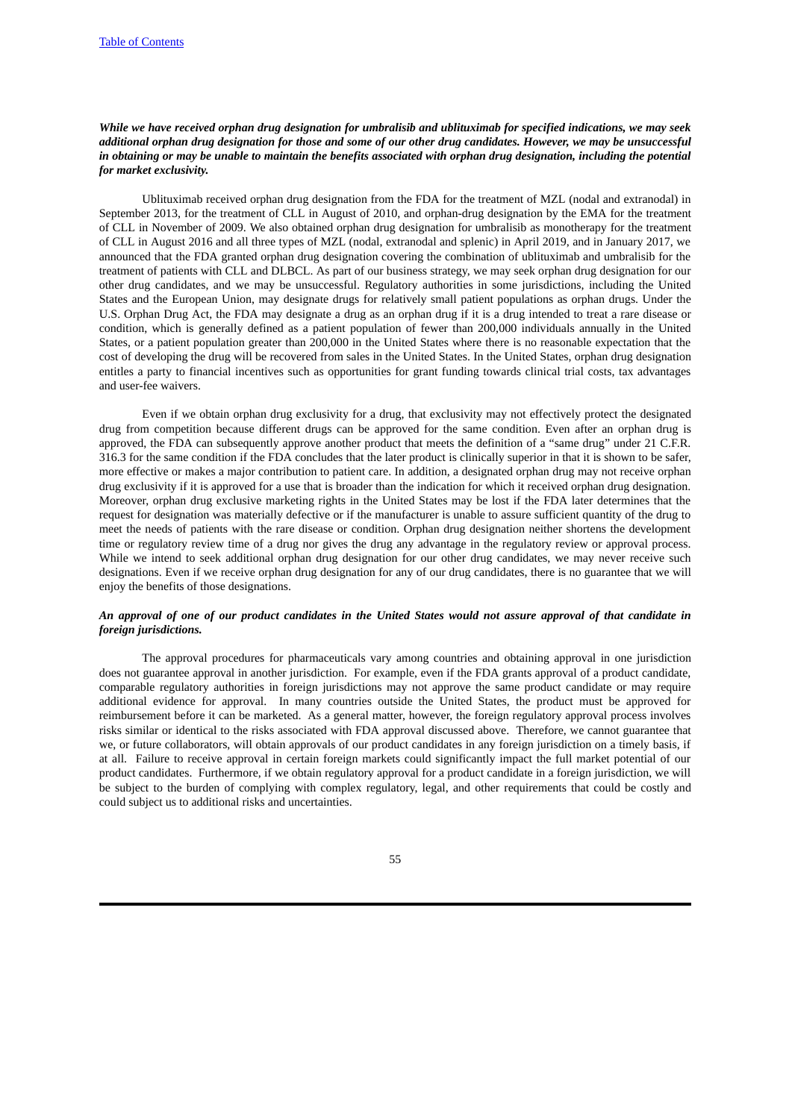# While we have received orphan drug designation for umbralisib and ublituximab for specified indications, we may seek additional orphan drug designation for those and some of our other drug candidates. However, we may be unsuccessful in obtaining or may be unable to maintain the benefits associated with orphan drug designation, including the potential *for market exclusivity.*

Ublituximab received orphan drug designation from the FDA for the treatment of MZL (nodal and extranodal) in September 2013, for the treatment of CLL in August of 2010, and orphan-drug designation by the EMA for the treatment of CLL in November of 2009. We also obtained orphan drug designation for umbralisib as monotherapy for the treatment of CLL in August 2016 and all three types of MZL (nodal, extranodal and splenic) in April 2019, and in January 2017, we announced that the FDA granted orphan drug designation covering the combination of ublituximab and umbralisib for the treatment of patients with CLL and DLBCL. As part of our business strategy, we may seek orphan drug designation for our other drug candidates, and we may be unsuccessful. Regulatory authorities in some jurisdictions, including the United States and the European Union, may designate drugs for relatively small patient populations as orphan drugs. Under the U.S. Orphan Drug Act, the FDA may designate a drug as an orphan drug if it is a drug intended to treat a rare disease or condition, which is generally defined as a patient population of fewer than 200,000 individuals annually in the United States, or a patient population greater than 200,000 in the United States where there is no reasonable expectation that the cost of developing the drug will be recovered from sales in the United States. In the United States, orphan drug designation entitles a party to financial incentives such as opportunities for grant funding towards clinical trial costs, tax advantages and user-fee waivers.

Even if we obtain orphan drug exclusivity for a drug, that exclusivity may not effectively protect the designated drug from competition because different drugs can be approved for the same condition. Even after an orphan drug is approved, the FDA can subsequently approve another product that meets the definition of a "same drug" under 21 C.F.R. 316.3 for the same condition if the FDA concludes that the later product is clinically superior in that it is shown to be safer, more effective or makes a major contribution to patient care. In addition, a designated orphan drug may not receive orphan drug exclusivity if it is approved for a use that is broader than the indication for which it received orphan drug designation. Moreover, orphan drug exclusive marketing rights in the United States may be lost if the FDA later determines that the request for designation was materially defective or if the manufacturer is unable to assure sufficient quantity of the drug to meet the needs of patients with the rare disease or condition. Orphan drug designation neither shortens the development time or regulatory review time of a drug nor gives the drug any advantage in the regulatory review or approval process. While we intend to seek additional orphan drug designation for our other drug candidates, we may never receive such designations. Even if we receive orphan drug designation for any of our drug candidates, there is no guarantee that we will enjoy the benefits of those designations.

# An approval of one of our product candidates in the United States would not assure approval of that candidate in *foreign jurisdictions.*

The approval procedures for pharmaceuticals vary among countries and obtaining approval in one jurisdiction does not guarantee approval in another jurisdiction. For example, even if the FDA grants approval of a product candidate, comparable regulatory authorities in foreign jurisdictions may not approve the same product candidate or may require additional evidence for approval. In many countries outside the United States, the product must be approved for reimbursement before it can be marketed. As a general matter, however, the foreign regulatory approval process involves risks similar or identical to the risks associated with FDA approval discussed above. Therefore, we cannot guarantee that we, or future collaborators, will obtain approvals of our product candidates in any foreign jurisdiction on a timely basis, if at all. Failure to receive approval in certain foreign markets could significantly impact the full market potential of our product candidates. Furthermore, if we obtain regulatory approval for a product candidate in a foreign jurisdiction, we will be subject to the burden of complying with complex regulatory, legal, and other requirements that could be costly and could subject us to additional risks and uncertainties.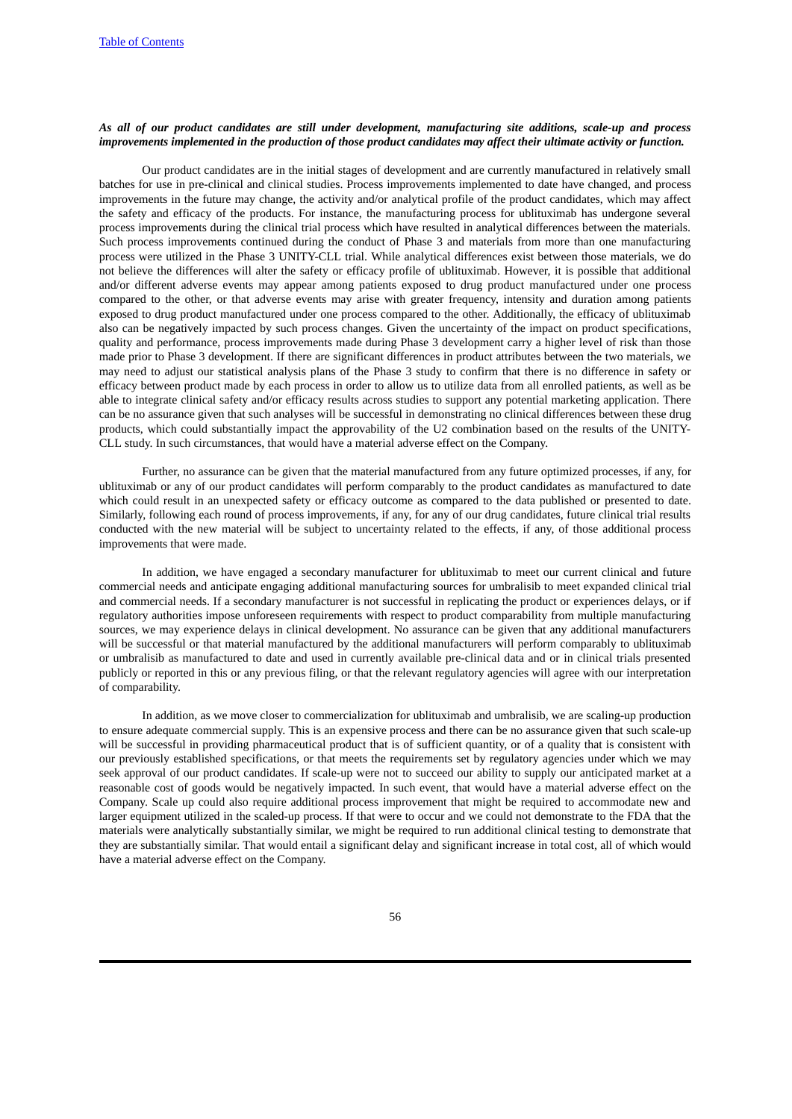# *As all of our product candidates are still under development, manufacturing site additions, scale-up and process* improvements implemented in the production of those product candidates may affect their ultimate activity or function.

Our product candidates are in the initial stages of development and are currently manufactured in relatively small batches for use in pre-clinical and clinical studies. Process improvements implemented to date have changed, and process improvements in the future may change, the activity and/or analytical profile of the product candidates, which may affect the safety and efficacy of the products. For instance, the manufacturing process for ublituximab has undergone several process improvements during the clinical trial process which have resulted in analytical differences between the materials. Such process improvements continued during the conduct of Phase 3 and materials from more than one manufacturing process were utilized in the Phase 3 UNITY-CLL trial. While analytical differences exist between those materials, we do not believe the differences will alter the safety or efficacy profile of ublituximab. However, it is possible that additional and/or different adverse events may appear among patients exposed to drug product manufactured under one process compared to the other, or that adverse events may arise with greater frequency, intensity and duration among patients exposed to drug product manufactured under one process compared to the other. Additionally, the efficacy of ublituximab also can be negatively impacted by such process changes. Given the uncertainty of the impact on product specifications, quality and performance, process improvements made during Phase 3 development carry a higher level of risk than those made prior to Phase 3 development. If there are significant differences in product attributes between the two materials, we may need to adjust our statistical analysis plans of the Phase 3 study to confirm that there is no difference in safety or efficacy between product made by each process in order to allow us to utilize data from all enrolled patients, as well as be able to integrate clinical safety and/or efficacy results across studies to support any potential marketing application. There can be no assurance given that such analyses will be successful in demonstrating no clinical differences between these drug products, which could substantially impact the approvability of the U2 combination based on the results of the UNITY-CLL study. In such circumstances, that would have a material adverse effect on the Company.

Further, no assurance can be given that the material manufactured from any future optimized processes, if any, for ublituximab or any of our product candidates will perform comparably to the product candidates as manufactured to date which could result in an unexpected safety or efficacy outcome as compared to the data published or presented to date. Similarly, following each round of process improvements, if any, for any of our drug candidates, future clinical trial results conducted with the new material will be subject to uncertainty related to the effects, if any, of those additional process improvements that were made.

In addition, we have engaged a secondary manufacturer for ublituximab to meet our current clinical and future commercial needs and anticipate engaging additional manufacturing sources for umbralisib to meet expanded clinical trial and commercial needs. If a secondary manufacturer is not successful in replicating the product or experiences delays, or if regulatory authorities impose unforeseen requirements with respect to product comparability from multiple manufacturing sources, we may experience delays in clinical development. No assurance can be given that any additional manufacturers will be successful or that material manufactured by the additional manufacturers will perform comparably to ublituximab or umbralisib as manufactured to date and used in currently available pre-clinical data and or in clinical trials presented publicly or reported in this or any previous filing, or that the relevant regulatory agencies will agree with our interpretation of comparability.

In addition, as we move closer to commercialization for ublituximab and umbralisib, we are scaling-up production to ensure adequate commercial supply. This is an expensive process and there can be no assurance given that such scale-up will be successful in providing pharmaceutical product that is of sufficient quantity, or of a quality that is consistent with our previously established specifications, or that meets the requirements set by regulatory agencies under which we may seek approval of our product candidates. If scale-up were not to succeed our ability to supply our anticipated market at a reasonable cost of goods would be negatively impacted. In such event, that would have a material adverse effect on the Company. Scale up could also require additional process improvement that might be required to accommodate new and larger equipment utilized in the scaled-up process. If that were to occur and we could not demonstrate to the FDA that the materials were analytically substantially similar, we might be required to run additional clinical testing to demonstrate that they are substantially similar. That would entail a significant delay and significant increase in total cost, all of which would have a material adverse effect on the Company.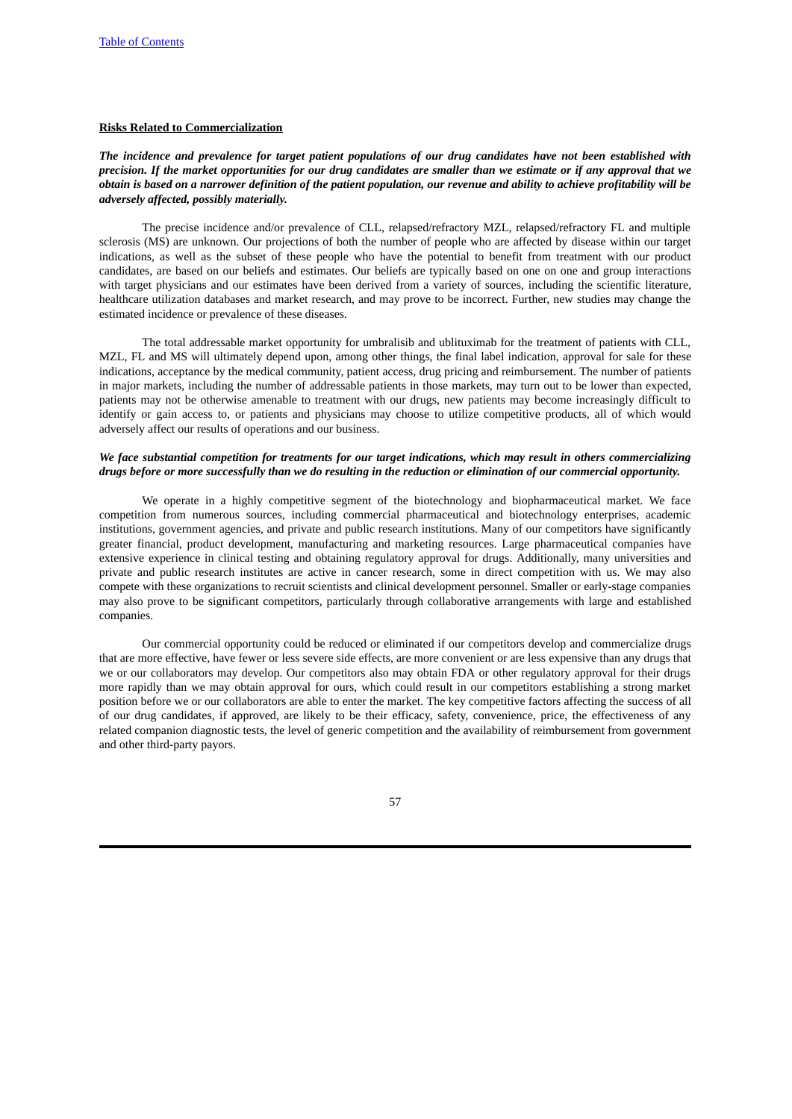## **Risks Related to Commercialization**

# The incidence and prevalence for target patient populations of our drug candidates have not been established with precision. If the market opportunities for our drug candidates are smaller than we estimate or if any approval that we obtain is based on a narrower definition of the patient population, our revenue and ability to achieve profitability will be *adversely affected, possibly materially.*

The precise incidence and/or prevalence of CLL, relapsed/refractory MZL, relapsed/refractory FL and multiple sclerosis (MS) are unknown. Our projections of both the number of people who are affected by disease within our target indications, as well as the subset of these people who have the potential to benefit from treatment with our product candidates, are based on our beliefs and estimates. Our beliefs are typically based on one on one and group interactions with target physicians and our estimates have been derived from a variety of sources, including the scientific literature, healthcare utilization databases and market research, and may prove to be incorrect. Further, new studies may change the estimated incidence or prevalence of these diseases.

The total addressable market opportunity for umbralisib and ublituximab for the treatment of patients with CLL, MZL, FL and MS will ultimately depend upon, among other things, the final label indication, approval for sale for these indications, acceptance by the medical community, patient access, drug pricing and reimbursement. The number of patients in major markets, including the number of addressable patients in those markets, may turn out to be lower than expected, patients may not be otherwise amenable to treatment with our drugs, new patients may become increasingly difficult to identify or gain access to, or patients and physicians may choose to utilize competitive products, all of which would adversely affect our results of operations and our business.

# We face substantial competition for treatments for our target indications, which may result in others commercializing drugs before or more successfully than we do resulting in the reduction or elimination of our commercial opportunity.

We operate in a highly competitive segment of the biotechnology and biopharmaceutical market. We face competition from numerous sources, including commercial pharmaceutical and biotechnology enterprises, academic institutions, government agencies, and private and public research institutions. Many of our competitors have significantly greater financial, product development, manufacturing and marketing resources. Large pharmaceutical companies have extensive experience in clinical testing and obtaining regulatory approval for drugs. Additionally, many universities and private and public research institutes are active in cancer research, some in direct competition with us. We may also compete with these organizations to recruit scientists and clinical development personnel. Smaller or early-stage companies may also prove to be significant competitors, particularly through collaborative arrangements with large and established companies.

Our commercial opportunity could be reduced or eliminated if our competitors develop and commercialize drugs that are more effective, have fewer or less severe side effects, are more convenient or are less expensive than any drugs that we or our collaborators may develop. Our competitors also may obtain FDA or other regulatory approval for their drugs more rapidly than we may obtain approval for ours, which could result in our competitors establishing a strong market position before we or our collaborators are able to enter the market. The key competitive factors affecting the success of all of our drug candidates, if approved, are likely to be their efficacy, safety, convenience, price, the effectiveness of any related companion diagnostic tests, the level of generic competition and the availability of reimbursement from government and other third-party payors.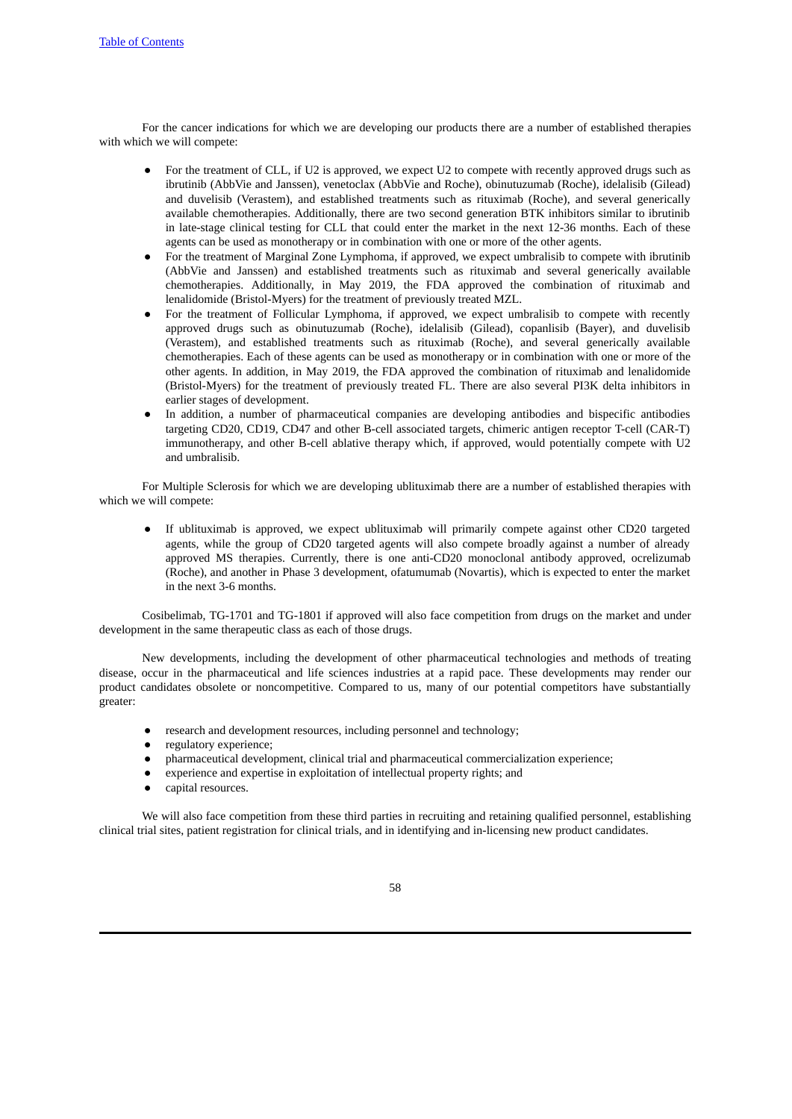For the cancer indications for which we are developing our products there are a number of established therapies with which we will compete:

- For the treatment of CLL, if U2 is approved, we expect U2 to compete with recently approved drugs such as ibrutinib (AbbVie and Janssen), venetoclax (AbbVie and Roche), obinutuzumab (Roche), idelalisib (Gilead) and duvelisib (Verastem), and established treatments such as rituximab (Roche), and several generically available chemotherapies. Additionally, there are two second generation BTK inhibitors similar to ibrutinib in late-stage clinical testing for CLL that could enter the market in the next 12-36 months. Each of these agents can be used as monotherapy or in combination with one or more of the other agents.
- For the treatment of Marginal Zone Lymphoma, if approved, we expect umbralisib to compete with ibrutinib (AbbVie and Janssen) and established treatments such as rituximab and several generically available chemotherapies. Additionally, in May 2019, the FDA approved the combination of rituximab and lenalidomide (Bristol-Myers) for the treatment of previously treated MZL.
- For the treatment of Follicular Lymphoma, if approved, we expect umbralisib to compete with recently approved drugs such as obinutuzumab (Roche), idelalisib (Gilead), copanlisib (Bayer), and duvelisib (Verastem), and established treatments such as rituximab (Roche), and several generically available chemotherapies. Each of these agents can be used as monotherapy or in combination with one or more of the other agents. In addition, in May 2019, the FDA approved the combination of rituximab and lenalidomide (Bristol-Myers) for the treatment of previously treated FL. There are also several PI3K delta inhibitors in earlier stages of development.
- In addition, a number of pharmaceutical companies are developing antibodies and bispecific antibodies targeting CD20, CD19, CD47 and other B-cell associated targets, chimeric antigen receptor T-cell (CAR-T) immunotherapy, and other B-cell ablative therapy which, if approved, would potentially compete with U2 and umbralisib.

For Multiple Sclerosis for which we are developing ublituximab there are a number of established therapies with which we will compete:

If ublituximab is approved, we expect ublituximab will primarily compete against other CD20 targeted agents, while the group of CD20 targeted agents will also compete broadly against a number of already approved MS therapies. Currently, there is one anti-CD20 monoclonal antibody approved, ocrelizumab (Roche), and another in Phase 3 development, ofatumumab (Novartis), which is expected to enter the market in the next 3-6 months.

Cosibelimab, TG-1701 and TG-1801 if approved will also face competition from drugs on the market and under development in the same therapeutic class as each of those drugs.

New developments, including the development of other pharmaceutical technologies and methods of treating disease, occur in the pharmaceutical and life sciences industries at a rapid pace. These developments may render our product candidates obsolete or noncompetitive. Compared to us, many of our potential competitors have substantially greater:

- research and development resources, including personnel and technology;
- regulatory experience;
- pharmaceutical development, clinical trial and pharmaceutical commercialization experience;
- experience and expertise in exploitation of intellectual property rights; and
- capital resources.

We will also face competition from these third parties in recruiting and retaining qualified personnel, establishing clinical trial sites, patient registration for clinical trials, and in identifying and in-licensing new product candidates.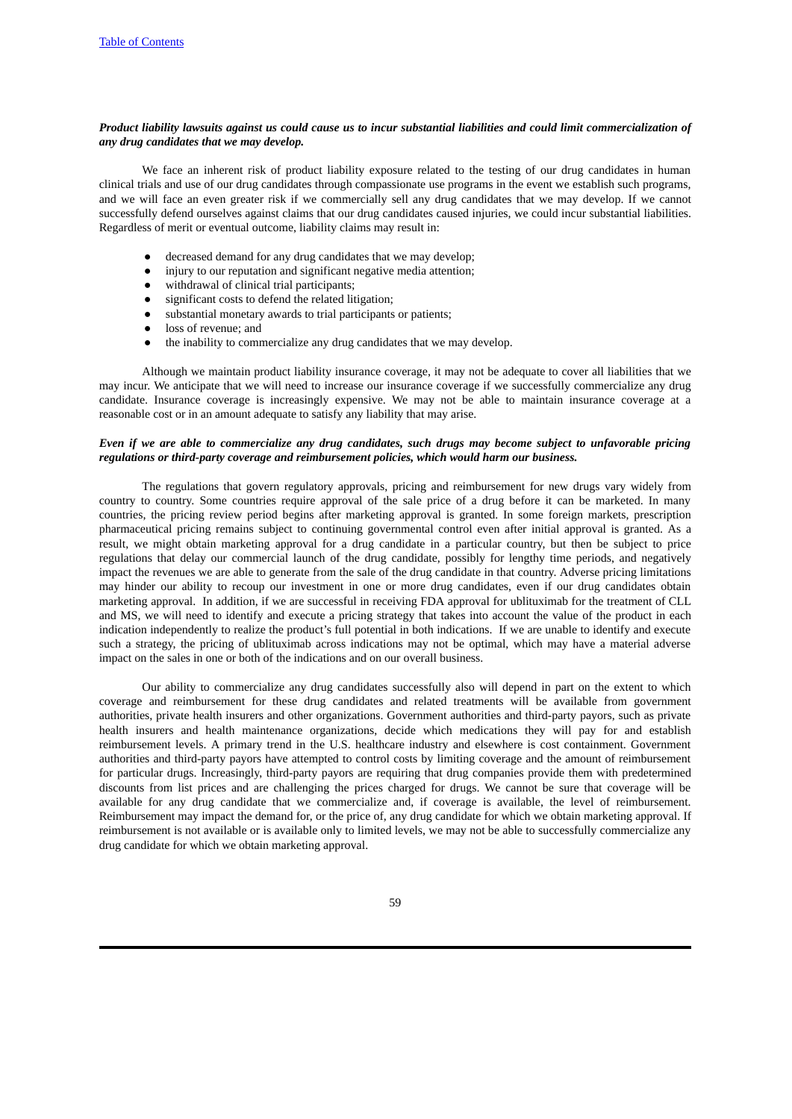# Product liability lawsuits against us could cause us to incur substantial liabilities and could limit commercialization of *any drug candidates that we may develop.*

We face an inherent risk of product liability exposure related to the testing of our drug candidates in human clinical trials and use of our drug candidates through compassionate use programs in the event we establish such programs, and we will face an even greater risk if we commercially sell any drug candidates that we may develop. If we cannot successfully defend ourselves against claims that our drug candidates caused injuries, we could incur substantial liabilities. Regardless of merit or eventual outcome, liability claims may result in:

- decreased demand for any drug candidates that we may develop;
- injury to our reputation and significant negative media attention;
- withdrawal of clinical trial participants;
- significant costs to defend the related litigation;
- substantial monetary awards to trial participants or patients;
- loss of revenue; and
- the inability to commercialize any drug candidates that we may develop.

Although we maintain product liability insurance coverage, it may not be adequate to cover all liabilities that we may incur. We anticipate that we will need to increase our insurance coverage if we successfully commercialize any drug candidate. Insurance coverage is increasingly expensive. We may not be able to maintain insurance coverage at a reasonable cost or in an amount adequate to satisfy any liability that may arise.

## Even if we are able to commercialize any drug candidates, such drugs may become subject to unfavorable pricing *regulations or third-party coverage and reimbursement policies, which would harm our business.*

The regulations that govern regulatory approvals, pricing and reimbursement for new drugs vary widely from country to country. Some countries require approval of the sale price of a drug before it can be marketed. In many countries, the pricing review period begins after marketing approval is granted. In some foreign markets, prescription pharmaceutical pricing remains subject to continuing governmental control even after initial approval is granted. As a result, we might obtain marketing approval for a drug candidate in a particular country, but then be subject to price regulations that delay our commercial launch of the drug candidate, possibly for lengthy time periods, and negatively impact the revenues we are able to generate from the sale of the drug candidate in that country. Adverse pricing limitations may hinder our ability to recoup our investment in one or more drug candidates, even if our drug candidates obtain marketing approval. In addition, if we are successful in receiving FDA approval for ublituximab for the treatment of CLL and MS, we will need to identify and execute a pricing strategy that takes into account the value of the product in each indication independently to realize the product's full potential in both indications. If we are unable to identify and execute such a strategy, the pricing of ublituximab across indications may not be optimal, which may have a material adverse impact on the sales in one or both of the indications and on our overall business.

Our ability to commercialize any drug candidates successfully also will depend in part on the extent to which coverage and reimbursement for these drug candidates and related treatments will be available from government authorities, private health insurers and other organizations. Government authorities and third-party payors, such as private health insurers and health maintenance organizations, decide which medications they will pay for and establish reimbursement levels. A primary trend in the U.S. healthcare industry and elsewhere is cost containment. Government authorities and third-party payors have attempted to control costs by limiting coverage and the amount of reimbursement for particular drugs. Increasingly, third-party payors are requiring that drug companies provide them with predetermined discounts from list prices and are challenging the prices charged for drugs. We cannot be sure that coverage will be available for any drug candidate that we commercialize and, if coverage is available, the level of reimbursement. Reimbursement may impact the demand for, or the price of, any drug candidate for which we obtain marketing approval. If reimbursement is not available or is available only to limited levels, we may not be able to successfully commercialize any drug candidate for which we obtain marketing approval.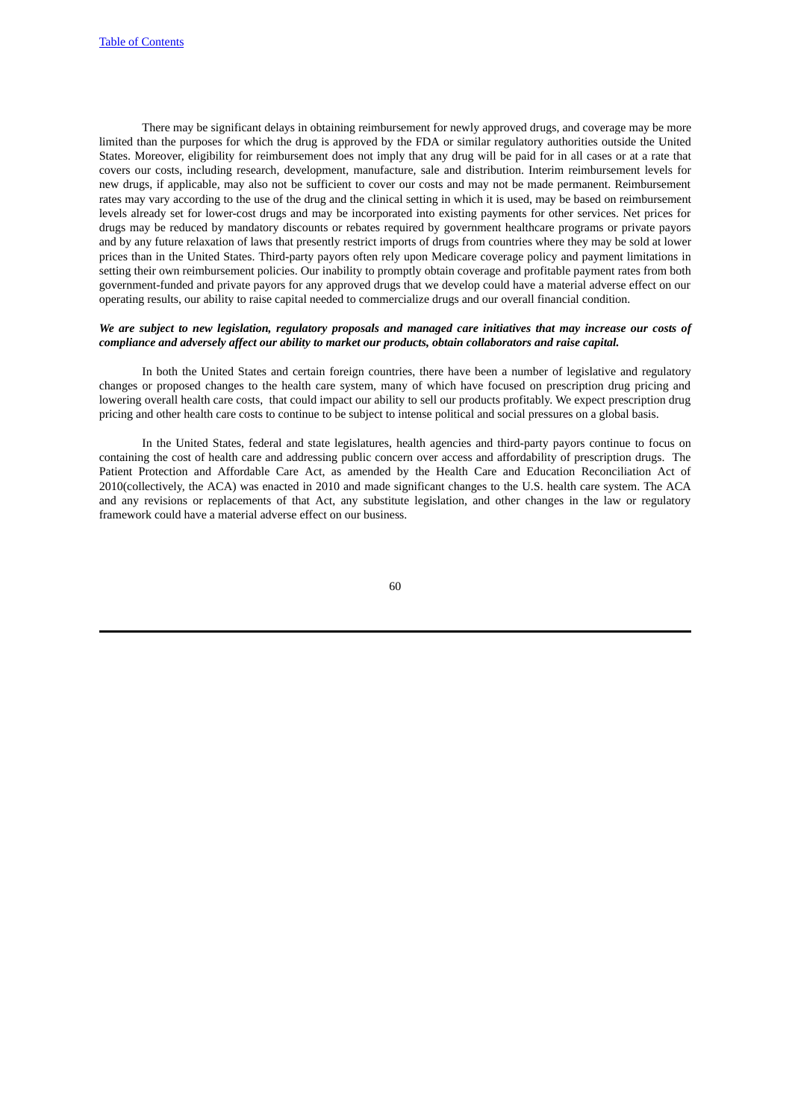There may be significant delays in obtaining reimbursement for newly approved drugs, and coverage may be more limited than the purposes for which the drug is approved by the FDA or similar regulatory authorities outside the United States. Moreover, eligibility for reimbursement does not imply that any drug will be paid for in all cases or at a rate that covers our costs, including research, development, manufacture, sale and distribution. Interim reimbursement levels for new drugs, if applicable, may also not be sufficient to cover our costs and may not be made permanent. Reimbursement rates may vary according to the use of the drug and the clinical setting in which it is used, may be based on reimbursement levels already set for lower-cost drugs and may be incorporated into existing payments for other services. Net prices for drugs may be reduced by mandatory discounts or rebates required by government healthcare programs or private payors and by any future relaxation of laws that presently restrict imports of drugs from countries where they may be sold at lower prices than in the United States. Third-party payors often rely upon Medicare coverage policy and payment limitations in setting their own reimbursement policies. Our inability to promptly obtain coverage and profitable payment rates from both government-funded and private payors for any approved drugs that we develop could have a material adverse effect on our operating results, our ability to raise capital needed to commercialize drugs and our overall financial condition.

# We are subject to new legislation, regulatory proposals and managed care initiatives that may increase our costs of *compliance and adversely affect our ability to market our products, obtain collaborators and raise capital.*

In both the United States and certain foreign countries, there have been a number of legislative and regulatory changes or proposed changes to the health care system, many of which have focused on prescription drug pricing and lowering overall health care costs, that could impact our ability to sell our products profitably. We expect prescription drug pricing and other health care costs to continue to be subject to intense political and social pressures on a global basis.

In the United States, federal and state legislatures, health agencies and third-party payors continue to focus on containing the cost of health care and addressing public concern over access and affordability of prescription drugs. The Patient Protection and Affordable Care Act, as amended by the Health Care and Education Reconciliation Act of 2010(collectively, the ACA) was enacted in 2010 and made significant changes to the U.S. health care system. The ACA and any revisions or replacements of that Act, any substitute legislation, and other changes in the law or regulatory framework could have a material adverse effect on our business.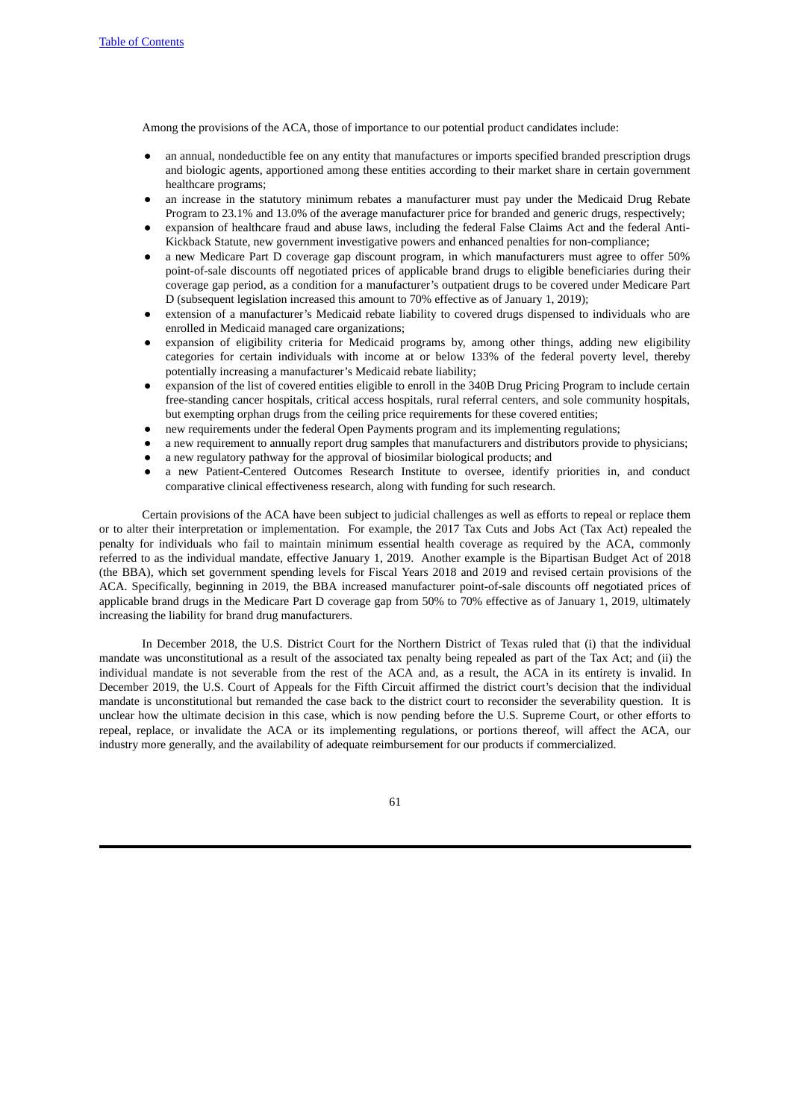Among the provisions of the ACA, those of importance to our potential product candidates include:

- an annual, nondeductible fee on any entity that manufactures or imports specified branded prescription drugs and biologic agents, apportioned among these entities according to their market share in certain government healthcare programs;
- an increase in the statutory minimum rebates a manufacturer must pay under the Medicaid Drug Rebate Program to 23.1% and 13.0% of the average manufacturer price for branded and generic drugs, respectively;
- expansion of healthcare fraud and abuse laws, including the federal False Claims Act and the federal Anti-Kickback Statute, new government investigative powers and enhanced penalties for non-compliance;
- a new Medicare Part D coverage gap discount program, in which manufacturers must agree to offer 50% point-of-sale discounts off negotiated prices of applicable brand drugs to eligible beneficiaries during their coverage gap period, as a condition for a manufacturer's outpatient drugs to be covered under Medicare Part D (subsequent legislation increased this amount to 70% effective as of January 1, 2019);
- extension of a manufacturer's Medicaid rebate liability to covered drugs dispensed to individuals who are enrolled in Medicaid managed care organizations;
- expansion of eligibility criteria for Medicaid programs by, among other things, adding new eligibility categories for certain individuals with income at or below 133% of the federal poverty level, thereby potentially increasing a manufacturer's Medicaid rebate liability;
- expansion of the list of covered entities eligible to enroll in the 340B Drug Pricing Program to include certain free-standing cancer hospitals, critical access hospitals, rural referral centers, and sole community hospitals, but exempting orphan drugs from the ceiling price requirements for these covered entities;
- new requirements under the federal Open Payments program and its implementing regulations;
- a new requirement to annually report drug samples that manufacturers and distributors provide to physicians;
- a new regulatory pathway for the approval of biosimilar biological products; and
- a new Patient-Centered Outcomes Research Institute to oversee, identify priorities in, and conduct comparative clinical effectiveness research, along with funding for such research.

Certain provisions of the ACA have been subject to judicial challenges as well as efforts to repeal or replace them or to alter their interpretation or implementation. For example, the 2017 Tax Cuts and Jobs Act (Tax Act) repealed the penalty for individuals who fail to maintain minimum essential health coverage as required by the ACA, commonly referred to as the individual mandate, effective January 1, 2019. Another example is the Bipartisan Budget Act of 2018 (the BBA), which set government spending levels for Fiscal Years 2018 and 2019 and revised certain provisions of the ACA. Specifically, beginning in 2019, the BBA increased manufacturer point-of-sale discounts off negotiated prices of applicable brand drugs in the Medicare Part D coverage gap from 50% to 70% effective as of January 1, 2019, ultimately increasing the liability for brand drug manufacturers.

In December 2018, the U.S. District Court for the Northern District of Texas ruled that (i) that the individual mandate was unconstitutional as a result of the associated tax penalty being repealed as part of the Tax Act; and (ii) the individual mandate is not severable from the rest of the ACA and, as a result, the ACA in its entirety is invalid. In December 2019, the U.S. Court of Appeals for the Fifth Circuit affirmed the district court's decision that the individual mandate is unconstitutional but remanded the case back to the district court to reconsider the severability question. It is unclear how the ultimate decision in this case, which is now pending before the U.S. Supreme Court, or other efforts to repeal, replace, or invalidate the ACA or its implementing regulations, or portions thereof, will affect the ACA, our industry more generally, and the availability of adequate reimbursement for our products if commercialized.

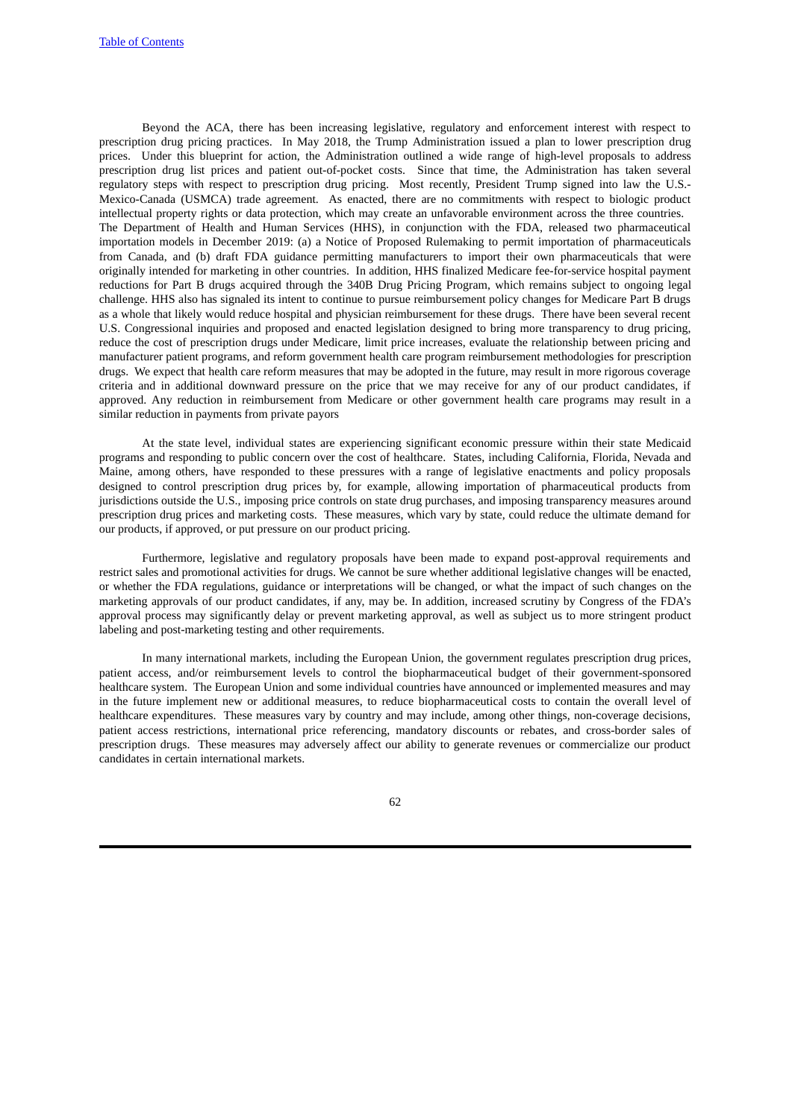Beyond the ACA, there has been increasing legislative, regulatory and enforcement interest with respect to prescription drug pricing practices. In May 2018, the Trump Administration issued a plan to lower prescription drug prices. Under this blueprint for action, the Administration outlined a wide range of high-level proposals to address prescription drug list prices and patient out-of-pocket costs. Since that time, the Administration has taken several regulatory steps with respect to prescription drug pricing. Most recently, President Trump signed into law the U.S.- Mexico-Canada (USMCA) trade agreement. As enacted, there are no commitments with respect to biologic product intellectual property rights or data protection, which may create an unfavorable environment across the three countries. The Department of Health and Human Services (HHS), in conjunction with the FDA, released two pharmaceutical importation models in December 2019: (a) a Notice of Proposed Rulemaking to permit importation of pharmaceuticals from Canada, and (b) draft FDA guidance permitting manufacturers to import their own pharmaceuticals that were originally intended for marketing in other countries. In addition, HHS finalized Medicare fee-for-service hospital payment reductions for Part B drugs acquired through the 340B Drug Pricing Program, which remains subject to ongoing legal challenge. HHS also has signaled its intent to continue to pursue reimbursement policy changes for Medicare Part B drugs as a whole that likely would reduce hospital and physician reimbursement for these drugs. There have been several recent U.S. Congressional inquiries and proposed and enacted legislation designed to bring more transparency to drug pricing, reduce the cost of prescription drugs under Medicare, limit price increases, evaluate the relationship between pricing and manufacturer patient programs, and reform government health care program reimbursement methodologies for prescription drugs. We expect that health care reform measures that may be adopted in the future, may result in more rigorous coverage criteria and in additional downward pressure on the price that we may receive for any of our product candidates, if approved. Any reduction in reimbursement from Medicare or other government health care programs may result in a similar reduction in payments from private payors

At the state level, individual states are experiencing significant economic pressure within their state Medicaid programs and responding to public concern over the cost of healthcare. States, including California, Florida, Nevada and Maine, among others, have responded to these pressures with a range of legislative enactments and policy proposals designed to control prescription drug prices by, for example, allowing importation of pharmaceutical products from jurisdictions outside the U.S., imposing price controls on state drug purchases, and imposing transparency measures around prescription drug prices and marketing costs. These measures, which vary by state, could reduce the ultimate demand for our products, if approved, or put pressure on our product pricing.

Furthermore, legislative and regulatory proposals have been made to expand post-approval requirements and restrict sales and promotional activities for drugs. We cannot be sure whether additional legislative changes will be enacted, or whether the FDA regulations, guidance or interpretations will be changed, or what the impact of such changes on the marketing approvals of our product candidates, if any, may be. In addition, increased scrutiny by Congress of the FDA's approval process may significantly delay or prevent marketing approval, as well as subject us to more stringent product labeling and post-marketing testing and other requirements.

In many international markets, including the European Union, the government regulates prescription drug prices, patient access, and/or reimbursement levels to control the biopharmaceutical budget of their government-sponsored healthcare system. The European Union and some individual countries have announced or implemented measures and may in the future implement new or additional measures, to reduce biopharmaceutical costs to contain the overall level of healthcare expenditures. These measures vary by country and may include, among other things, non-coverage decisions, patient access restrictions, international price referencing, mandatory discounts or rebates, and cross-border sales of prescription drugs. These measures may adversely affect our ability to generate revenues or commercialize our product candidates in certain international markets.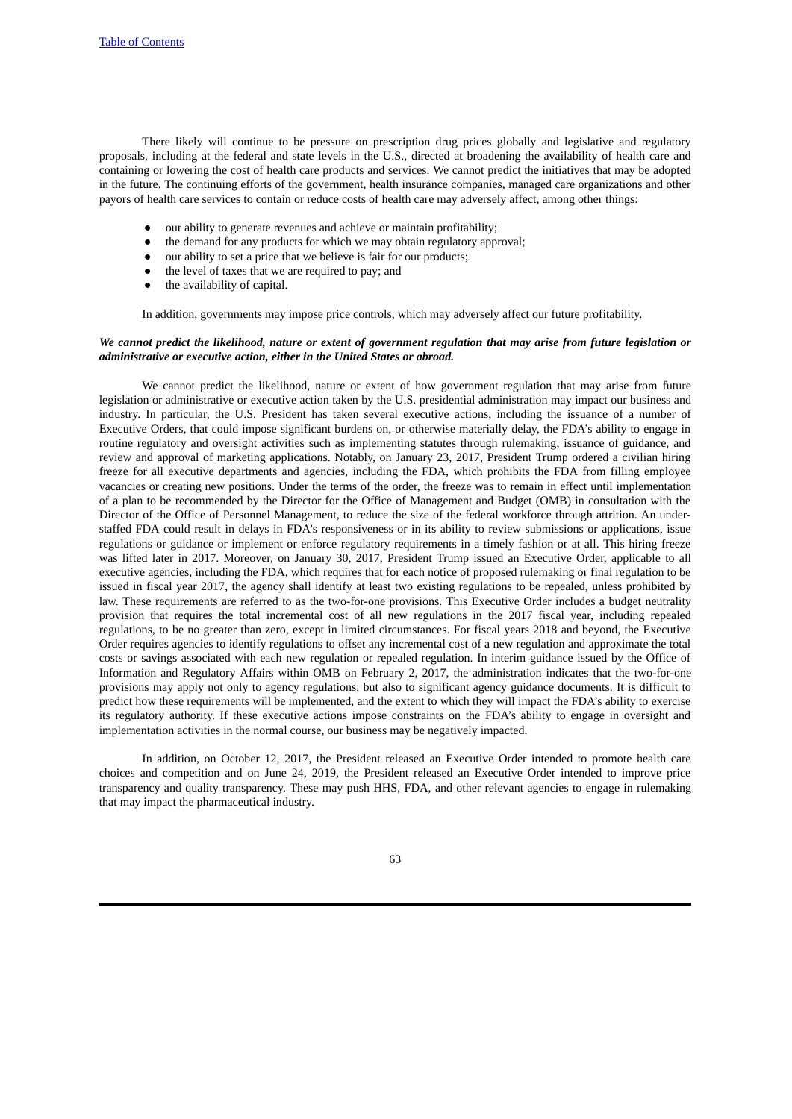There likely will continue to be pressure on prescription drug prices globally and legislative and regulatory proposals, including at the federal and state levels in the U.S., directed at broadening the availability of health care and containing or lowering the cost of health care products and services. We cannot predict the initiatives that may be adopted in the future. The continuing efforts of the government, health insurance companies, managed care organizations and other payors of health care services to contain or reduce costs of health care may adversely affect, among other things:

- our ability to generate revenues and achieve or maintain profitability;
- the demand for any products for which we may obtain regulatory approval;
- our ability to set a price that we believe is fair for our products;
- the level of taxes that we are required to pay; and
- the availability of capital.

In addition, governments may impose price controls, which may adversely affect our future profitability.

## We cannot predict the likelihood, nature or extent of government regulation that may arise from future legislation or *administrative or executive action, either in the United States or abroad.*

We cannot predict the likelihood, nature or extent of how government regulation that may arise from future legislation or administrative or executive action taken by the U.S. presidential administration may impact our business and industry. In particular, the U.S. President has taken several executive actions, including the issuance of a number of Executive Orders, that could impose significant burdens on, or otherwise materially delay, the FDA's ability to engage in routine regulatory and oversight activities such as implementing statutes through rulemaking, issuance of guidance, and review and approval of marketing applications. Notably, on January 23, 2017, President Trump ordered a civilian hiring freeze for all executive departments and agencies, including the FDA, which prohibits the FDA from filling employee vacancies or creating new positions. Under the terms of the order, the freeze was to remain in effect until implementation of a plan to be recommended by the Director for the Office of Management and Budget (OMB) in consultation with the Director of the Office of Personnel Management, to reduce the size of the federal workforce through attrition. An understaffed FDA could result in delays in FDA's responsiveness or in its ability to review submissions or applications, issue regulations or guidance or implement or enforce regulatory requirements in a timely fashion or at all. This hiring freeze was lifted later in 2017. Moreover, on January 30, 2017, President Trump issued an Executive Order, applicable to all executive agencies, including the FDA, which requires that for each notice of proposed rulemaking or final regulation to be issued in fiscal year 2017, the agency shall identify at least two existing regulations to be repealed, unless prohibited by law. These requirements are referred to as the two-for-one provisions. This Executive Order includes a budget neutrality provision that requires the total incremental cost of all new regulations in the 2017 fiscal year, including repealed regulations, to be no greater than zero, except in limited circumstances. For fiscal years 2018 and beyond, the Executive Order requires agencies to identify regulations to offset any incremental cost of a new regulation and approximate the total costs or savings associated with each new regulation or repealed regulation. In interim guidance issued by the Office of Information and Regulatory Affairs within OMB on February 2, 2017, the administration indicates that the two-for-one provisions may apply not only to agency regulations, but also to significant agency guidance documents. It is difficult to predict how these requirements will be implemented, and the extent to which they will impact the FDA's ability to exercise its regulatory authority. If these executive actions impose constraints on the FDA's ability to engage in oversight and implementation activities in the normal course, our business may be negatively impacted.

In addition, on October 12, 2017, the President released an Executive Order intended to promote health care choices and competition and on June 24, 2019, the President released an Executive Order intended to improve price transparency and quality transparency. These may push HHS, FDA, and other relevant agencies to engage in rulemaking that may impact the pharmaceutical industry.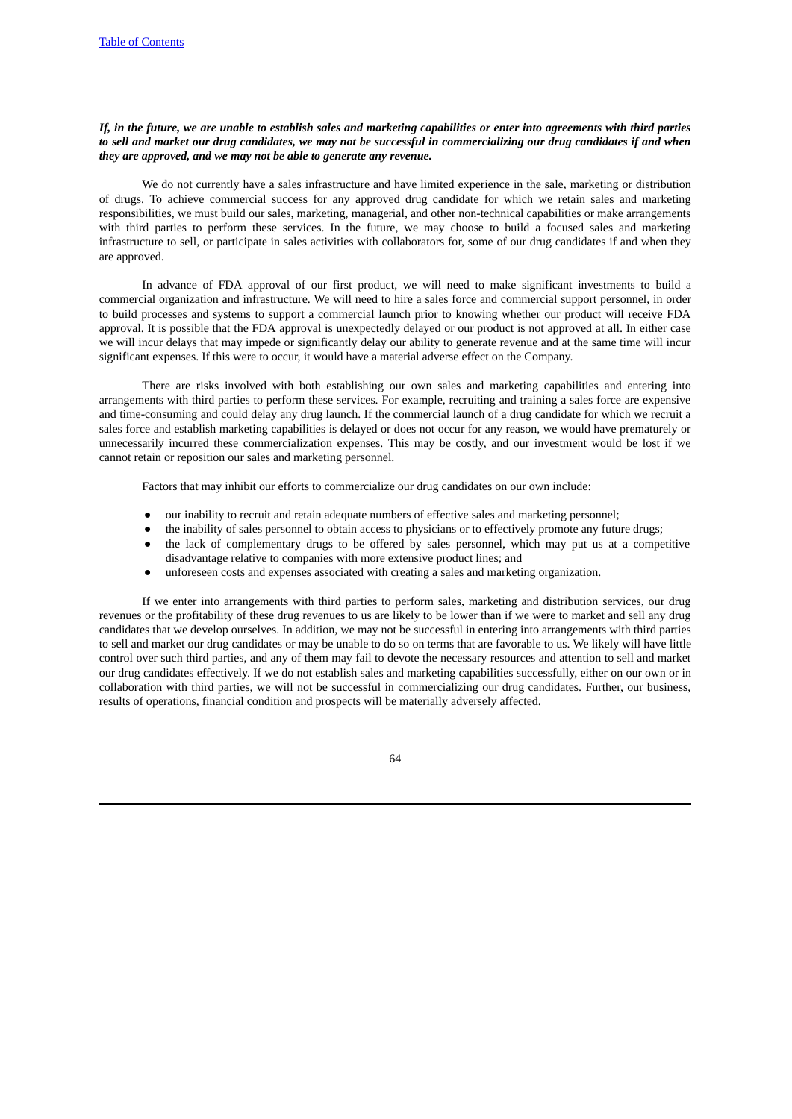# If, in the future, we are unable to establish sales and marketing capabilities or enter into agreements with third parties to sell and market our drug candidates, we may not be successful in commercializing our drug candidates if and when *they are approved, and we may not be able to generate any revenue.*

We do not currently have a sales infrastructure and have limited experience in the sale, marketing or distribution of drugs. To achieve commercial success for any approved drug candidate for which we retain sales and marketing responsibilities, we must build our sales, marketing, managerial, and other non-technical capabilities or make arrangements with third parties to perform these services. In the future, we may choose to build a focused sales and marketing infrastructure to sell, or participate in sales activities with collaborators for, some of our drug candidates if and when they are approved.

In advance of FDA approval of our first product, we will need to make significant investments to build a commercial organization and infrastructure. We will need to hire a sales force and commercial support personnel, in order to build processes and systems to support a commercial launch prior to knowing whether our product will receive FDA approval. It is possible that the FDA approval is unexpectedly delayed or our product is not approved at all. In either case we will incur delays that may impede or significantly delay our ability to generate revenue and at the same time will incur significant expenses. If this were to occur, it would have a material adverse effect on the Company.

There are risks involved with both establishing our own sales and marketing capabilities and entering into arrangements with third parties to perform these services. For example, recruiting and training a sales force are expensive and time-consuming and could delay any drug launch. If the commercial launch of a drug candidate for which we recruit a sales force and establish marketing capabilities is delayed or does not occur for any reason, we would have prematurely or unnecessarily incurred these commercialization expenses. This may be costly, and our investment would be lost if we cannot retain or reposition our sales and marketing personnel.

Factors that may inhibit our efforts to commercialize our drug candidates on our own include:

- our inability to recruit and retain adequate numbers of effective sales and marketing personnel;
- the inability of sales personnel to obtain access to physicians or to effectively promote any future drugs;
- the lack of complementary drugs to be offered by sales personnel, which may put us at a competitive disadvantage relative to companies with more extensive product lines; and
- unforeseen costs and expenses associated with creating a sales and marketing organization.

If we enter into arrangements with third parties to perform sales, marketing and distribution services, our drug revenues or the profitability of these drug revenues to us are likely to be lower than if we were to market and sell any drug candidates that we develop ourselves. In addition, we may not be successful in entering into arrangements with third parties to sell and market our drug candidates or may be unable to do so on terms that are favorable to us. We likely will have little control over such third parties, and any of them may fail to devote the necessary resources and attention to sell and market our drug candidates effectively. If we do not establish sales and marketing capabilities successfully, either on our own or in collaboration with third parties, we will not be successful in commercializing our drug candidates. Further, our business, results of operations, financial condition and prospects will be materially adversely affected.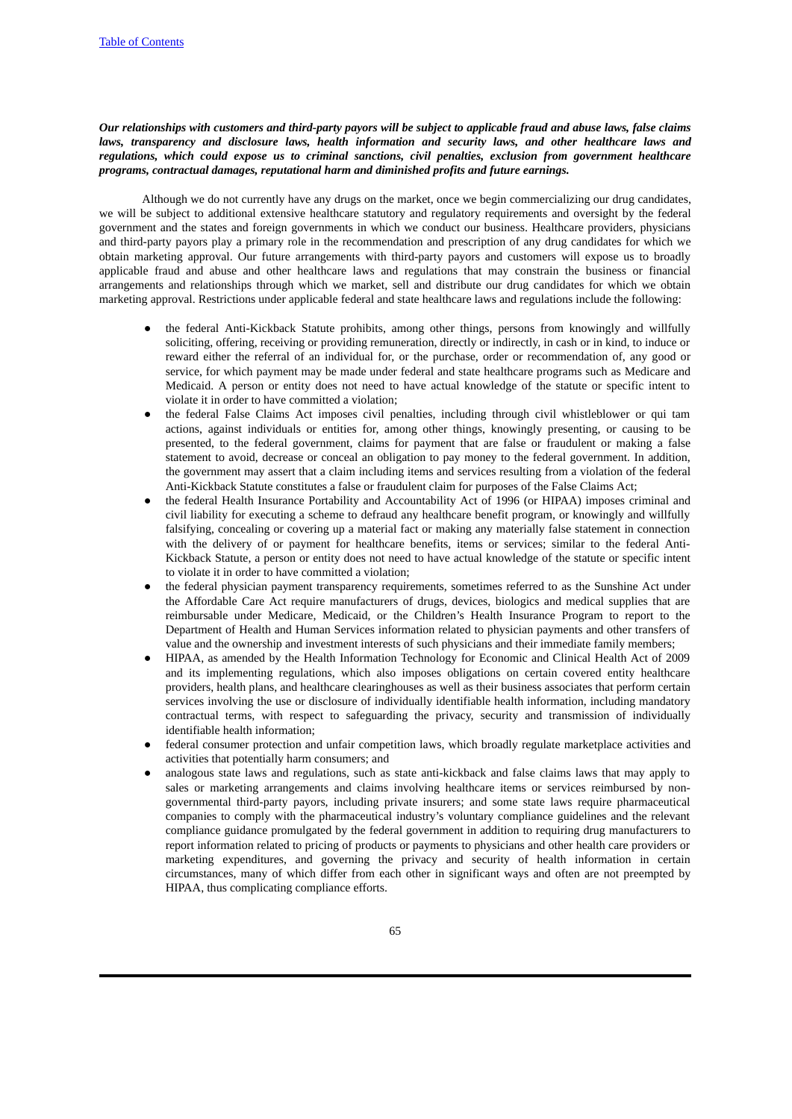# Our relationships with customers and third-party payors will be subject to applicable fraud and abuse laws, false claims *laws, transparency and disclosure laws, health information and security laws, and other healthcare laws and regulations, which could expose us to criminal sanctions, civil penalties, exclusion from government healthcare programs, contractual damages, reputational harm and diminished profits and future earnings.*

Although we do not currently have any drugs on the market, once we begin commercializing our drug candidates, we will be subject to additional extensive healthcare statutory and regulatory requirements and oversight by the federal government and the states and foreign governments in which we conduct our business. Healthcare providers, physicians and third-party payors play a primary role in the recommendation and prescription of any drug candidates for which we obtain marketing approval. Our future arrangements with third-party payors and customers will expose us to broadly applicable fraud and abuse and other healthcare laws and regulations that may constrain the business or financial arrangements and relationships through which we market, sell and distribute our drug candidates for which we obtain marketing approval. Restrictions under applicable federal and state healthcare laws and regulations include the following:

- the federal Anti-Kickback Statute prohibits, among other things, persons from knowingly and willfully soliciting, offering, receiving or providing remuneration, directly or indirectly, in cash or in kind, to induce or reward either the referral of an individual for, or the purchase, order or recommendation of, any good or service, for which payment may be made under federal and state healthcare programs such as Medicare and Medicaid. A person or entity does not need to have actual knowledge of the statute or specific intent to violate it in order to have committed a violation;
- the federal False Claims Act imposes civil penalties, including through civil whistleblower or qui tam actions, against individuals or entities for, among other things, knowingly presenting, or causing to be presented, to the federal government, claims for payment that are false or fraudulent or making a false statement to avoid, decrease or conceal an obligation to pay money to the federal government. In addition, the government may assert that a claim including items and services resulting from a violation of the federal Anti-Kickback Statute constitutes a false or fraudulent claim for purposes of the False Claims Act;
- the federal Health Insurance Portability and Accountability Act of 1996 (or HIPAA) imposes criminal and civil liability for executing a scheme to defraud any healthcare benefit program, or knowingly and willfully falsifying, concealing or covering up a material fact or making any materially false statement in connection with the delivery of or payment for healthcare benefits, items or services; similar to the federal Anti-Kickback Statute, a person or entity does not need to have actual knowledge of the statute or specific intent to violate it in order to have committed a violation;
- the federal physician payment transparency requirements, sometimes referred to as the Sunshine Act under the Affordable Care Act require manufacturers of drugs, devices, biologics and medical supplies that are reimbursable under Medicare, Medicaid, or the Children's Health Insurance Program to report to the Department of Health and Human Services information related to physician payments and other transfers of value and the ownership and investment interests of such physicians and their immediate family members;
- HIPAA, as amended by the Health Information Technology for Economic and Clinical Health Act of 2009 and its implementing regulations, which also imposes obligations on certain covered entity healthcare providers, health plans, and healthcare clearinghouses as well as their business associates that perform certain services involving the use or disclosure of individually identifiable health information, including mandatory contractual terms, with respect to safeguarding the privacy, security and transmission of individually identifiable health information;
- federal consumer protection and unfair competition laws, which broadly regulate marketplace activities and activities that potentially harm consumers; and
- analogous state laws and regulations, such as state anti-kickback and false claims laws that may apply to sales or marketing arrangements and claims involving healthcare items or services reimbursed by nongovernmental third-party payors, including private insurers; and some state laws require pharmaceutical companies to comply with the pharmaceutical industry's voluntary compliance guidelines and the relevant compliance guidance promulgated by the federal government in addition to requiring drug manufacturers to report information related to pricing of products or payments to physicians and other health care providers or marketing expenditures, and governing the privacy and security of health information in certain circumstances, many of which differ from each other in significant ways and often are not preempted by HIPAA, thus complicating compliance efforts.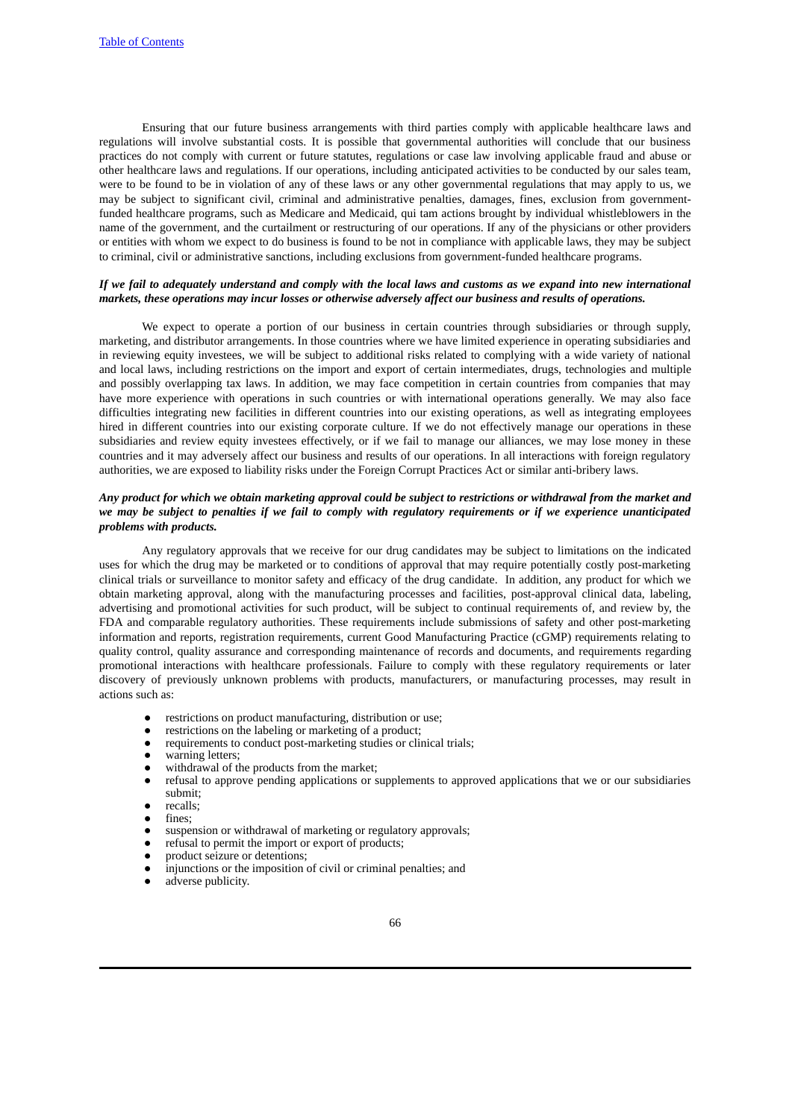Ensuring that our future business arrangements with third parties comply with applicable healthcare laws and regulations will involve substantial costs. It is possible that governmental authorities will conclude that our business practices do not comply with current or future statutes, regulations or case law involving applicable fraud and abuse or other healthcare laws and regulations. If our operations, including anticipated activities to be conducted by our sales team, were to be found to be in violation of any of these laws or any other governmental regulations that may apply to us, we may be subject to significant civil, criminal and administrative penalties, damages, fines, exclusion from governmentfunded healthcare programs, such as Medicare and Medicaid, qui tam actions brought by individual whistleblowers in the name of the government, and the curtailment or restructuring of our operations. If any of the physicians or other providers or entities with whom we expect to do business is found to be not in compliance with applicable laws, they may be subject to criminal, civil or administrative sanctions, including exclusions from government-funded healthcare programs.

# If we fail to adequately understand and comply with the local laws and customs as we expand into new international *markets, these operations may incur losses or otherwise adversely affect our business and results of operations.*

We expect to operate a portion of our business in certain countries through subsidiaries or through supply, marketing, and distributor arrangements. In those countries where we have limited experience in operating subsidiaries and in reviewing equity investees, we will be subject to additional risks related to complying with a wide variety of national and local laws, including restrictions on the import and export of certain intermediates, drugs, technologies and multiple and possibly overlapping tax laws. In addition, we may face competition in certain countries from companies that may have more experience with operations in such countries or with international operations generally. We may also face difficulties integrating new facilities in different countries into our existing operations, as well as integrating employees hired in different countries into our existing corporate culture. If we do not effectively manage our operations in these subsidiaries and review equity investees effectively, or if we fail to manage our alliances, we may lose money in these countries and it may adversely affect our business and results of our operations. In all interactions with foreign regulatory authorities, we are exposed to liability risks under the Foreign Corrupt Practices Act or similar anti-bribery laws.

## Any product for which we obtain marketing approval could be subject to restrictions or withdrawal from the market and we may be subject to penalties if we fail to comply with regulatory requirements or if we experience unanticipated *problems with products.*

Any regulatory approvals that we receive for our drug candidates may be subject to limitations on the indicated uses for which the drug may be marketed or to conditions of approval that may require potentially costly post-marketing clinical trials or surveillance to monitor safety and efficacy of the drug candidate. In addition, any product for which we obtain marketing approval, along with the manufacturing processes and facilities, post-approval clinical data, labeling, advertising and promotional activities for such product, will be subject to continual requirements of, and review by, the FDA and comparable regulatory authorities. These requirements include submissions of safety and other post-marketing information and reports, registration requirements, current Good Manufacturing Practice (cGMP) requirements relating to quality control, quality assurance and corresponding maintenance of records and documents, and requirements regarding promotional interactions with healthcare professionals. Failure to comply with these regulatory requirements or later discovery of previously unknown problems with products, manufacturers, or manufacturing processes, may result in actions such as:

- restrictions on product manufacturing, distribution or use;
- restrictions on the labeling or marketing of a product;
- requirements to conduct post-marketing studies or clinical trials;
- warning letters;
- withdrawal of the products from the market;
- refusal to approve pending applications or supplements to approved applications that we or our subsidiaries submit;
- recalls;
- fines:
- suspension or withdrawal of marketing or regulatory approvals;
- refusal to permit the import or export of products;
- product seizure or detentions;
- injunctions or the imposition of civil or criminal penalties; and
- adverse publicity.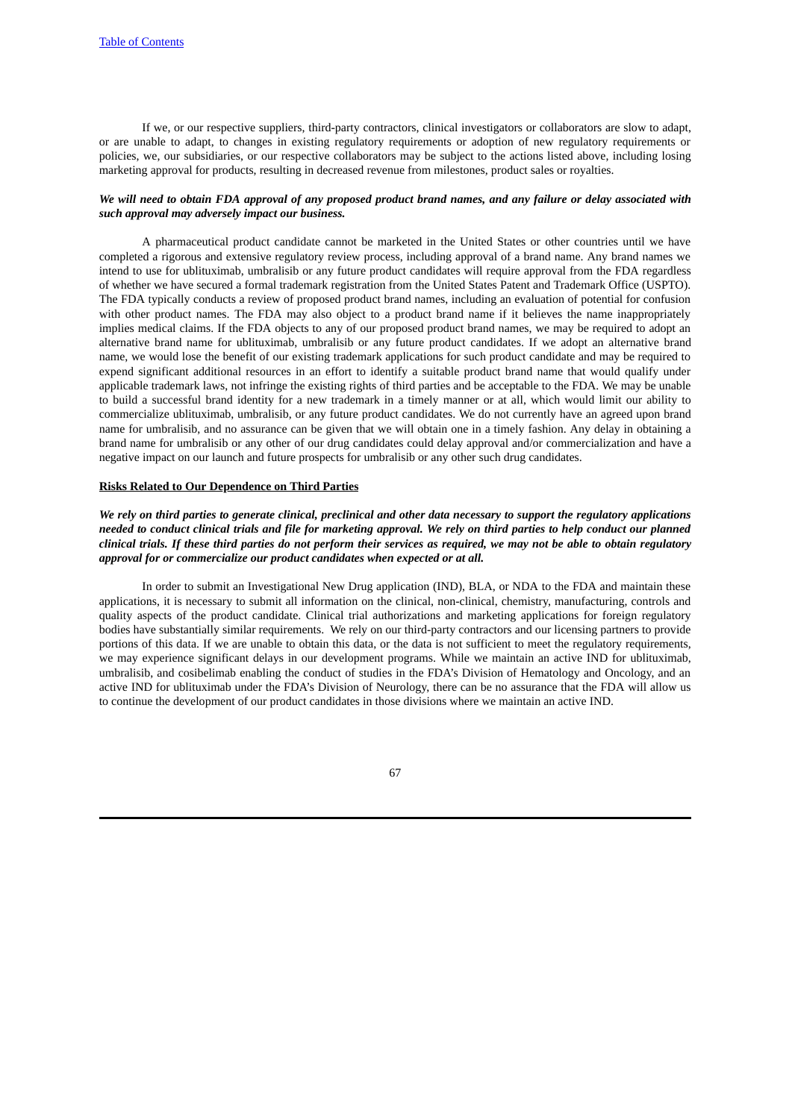If we, or our respective suppliers, third-party contractors, clinical investigators or collaborators are slow to adapt, or are unable to adapt, to changes in existing regulatory requirements or adoption of new regulatory requirements or policies, we, our subsidiaries, or our respective collaborators may be subject to the actions listed above, including losing marketing approval for products, resulting in decreased revenue from milestones, product sales or royalties.

# We will need to obtain FDA approval of any proposed product brand names, and any failure or delay associated with *such approval may adversely impact our business.*

A pharmaceutical product candidate cannot be marketed in the United States or other countries until we have completed a rigorous and extensive regulatory review process, including approval of a brand name. Any brand names we intend to use for ublituximab, umbralisib or any future product candidates will require approval from the FDA regardless of whether we have secured a formal trademark registration from the United States Patent and Trademark Office (USPTO). The FDA typically conducts a review of proposed product brand names, including an evaluation of potential for confusion with other product names. The FDA may also object to a product brand name if it believes the name inappropriately implies medical claims. If the FDA objects to any of our proposed product brand names, we may be required to adopt an alternative brand name for ublituximab, umbralisib or any future product candidates. If we adopt an alternative brand name, we would lose the benefit of our existing trademark applications for such product candidate and may be required to expend significant additional resources in an effort to identify a suitable product brand name that would qualify under applicable trademark laws, not infringe the existing rights of third parties and be acceptable to the FDA. We may be unable to build a successful brand identity for a new trademark in a timely manner or at all, which would limit our ability to commercialize ublituximab, umbralisib, or any future product candidates. We do not currently have an agreed upon brand name for umbralisib, and no assurance can be given that we will obtain one in a timely fashion. Any delay in obtaining a brand name for umbralisib or any other of our drug candidates could delay approval and/or commercialization and have a negative impact on our launch and future prospects for umbralisib or any other such drug candidates.

# **Risks Related to Our Dependence on Third Parties**

We rely on third parties to generate clinical, preclinical and other data necessary to support the regulatory applications needed to conduct clinical trials and file for marketing approval. We rely on third parties to help conduct our planned clinical trials. If these third parties do not perform their services as required, we may not be able to obtain regulatory *approval for or commercialize our product candidates when expected or at all.*

In order to submit an Investigational New Drug application (IND), BLA, or NDA to the FDA and maintain these applications, it is necessary to submit all information on the clinical, non-clinical, chemistry, manufacturing, controls and quality aspects of the product candidate. Clinical trial authorizations and marketing applications for foreign regulatory bodies have substantially similar requirements. We rely on our third-party contractors and our licensing partners to provide portions of this data. If we are unable to obtain this data, or the data is not sufficient to meet the regulatory requirements, we may experience significant delays in our development programs. While we maintain an active IND for ublituximab, umbralisib, and cosibelimab enabling the conduct of studies in the FDA's Division of Hematology and Oncology, and an active IND for ublituximab under the FDA's Division of Neurology, there can be no assurance that the FDA will allow us to continue the development of our product candidates in those divisions where we maintain an active IND.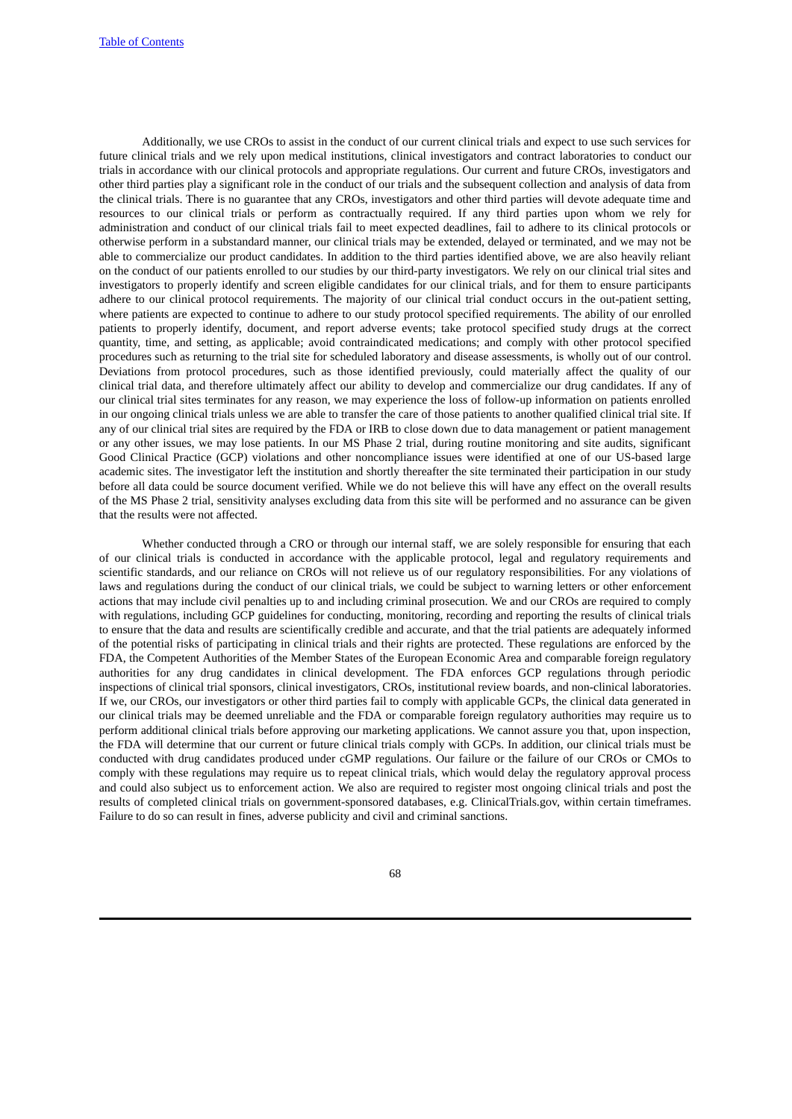Additionally, we use CROs to assist in the conduct of our current clinical trials and expect to use such services for future clinical trials and we rely upon medical institutions, clinical investigators and contract laboratories to conduct our trials in accordance with our clinical protocols and appropriate regulations. Our current and future CROs, investigators and other third parties play a significant role in the conduct of our trials and the subsequent collection and analysis of data from the clinical trials. There is no guarantee that any CROs, investigators and other third parties will devote adequate time and resources to our clinical trials or perform as contractually required. If any third parties upon whom we rely for administration and conduct of our clinical trials fail to meet expected deadlines, fail to adhere to its clinical protocols or otherwise perform in a substandard manner, our clinical trials may be extended, delayed or terminated, and we may not be able to commercialize our product candidates. In addition to the third parties identified above, we are also heavily reliant on the conduct of our patients enrolled to our studies by our third-party investigators. We rely on our clinical trial sites and investigators to properly identify and screen eligible candidates for our clinical trials, and for them to ensure participants adhere to our clinical protocol requirements. The majority of our clinical trial conduct occurs in the out-patient setting, where patients are expected to continue to adhere to our study protocol specified requirements. The ability of our enrolled patients to properly identify, document, and report adverse events; take protocol specified study drugs at the correct quantity, time, and setting, as applicable; avoid contraindicated medications; and comply with other protocol specified procedures such as returning to the trial site for scheduled laboratory and disease assessments, is wholly out of our control. Deviations from protocol procedures, such as those identified previously, could materially affect the quality of our clinical trial data, and therefore ultimately affect our ability to develop and commercialize our drug candidates. If any of our clinical trial sites terminates for any reason, we may experience the loss of follow-up information on patients enrolled in our ongoing clinical trials unless we are able to transfer the care of those patients to another qualified clinical trial site. If any of our clinical trial sites are required by the FDA or IRB to close down due to data management or patient management or any other issues, we may lose patients. In our MS Phase 2 trial, during routine monitoring and site audits, significant Good Clinical Practice (GCP) violations and other noncompliance issues were identified at one of our US-based large academic sites. The investigator left the institution and shortly thereafter the site terminated their participation in our study before all data could be source document verified. While we do not believe this will have any effect on the overall results of the MS Phase 2 trial, sensitivity analyses excluding data from this site will be performed and no assurance can be given that the results were not affected.

Whether conducted through a CRO or through our internal staff, we are solely responsible for ensuring that each of our clinical trials is conducted in accordance with the applicable protocol, legal and regulatory requirements and scientific standards, and our reliance on CROs will not relieve us of our regulatory responsibilities. For any violations of laws and regulations during the conduct of our clinical trials, we could be subject to warning letters or other enforcement actions that may include civil penalties up to and including criminal prosecution. We and our CROs are required to comply with regulations, including GCP guidelines for conducting, monitoring, recording and reporting the results of clinical trials to ensure that the data and results are scientifically credible and accurate, and that the trial patients are adequately informed of the potential risks of participating in clinical trials and their rights are protected. These regulations are enforced by the FDA, the Competent Authorities of the Member States of the European Economic Area and comparable foreign regulatory authorities for any drug candidates in clinical development. The FDA enforces GCP regulations through periodic inspections of clinical trial sponsors, clinical investigators, CROs, institutional review boards, and non-clinical laboratories. If we, our CROs, our investigators or other third parties fail to comply with applicable GCPs, the clinical data generated in our clinical trials may be deemed unreliable and the FDA or comparable foreign regulatory authorities may require us to perform additional clinical trials before approving our marketing applications. We cannot assure you that, upon inspection, the FDA will determine that our current or future clinical trials comply with GCPs. In addition, our clinical trials must be conducted with drug candidates produced under cGMP regulations. Our failure or the failure of our CROs or CMOs to comply with these regulations may require us to repeat clinical trials, which would delay the regulatory approval process and could also subject us to enforcement action. We also are required to register most ongoing clinical trials and post the results of completed clinical trials on government-sponsored databases, e.g. ClinicalTrials.gov, within certain timeframes. Failure to do so can result in fines, adverse publicity and civil and criminal sanctions.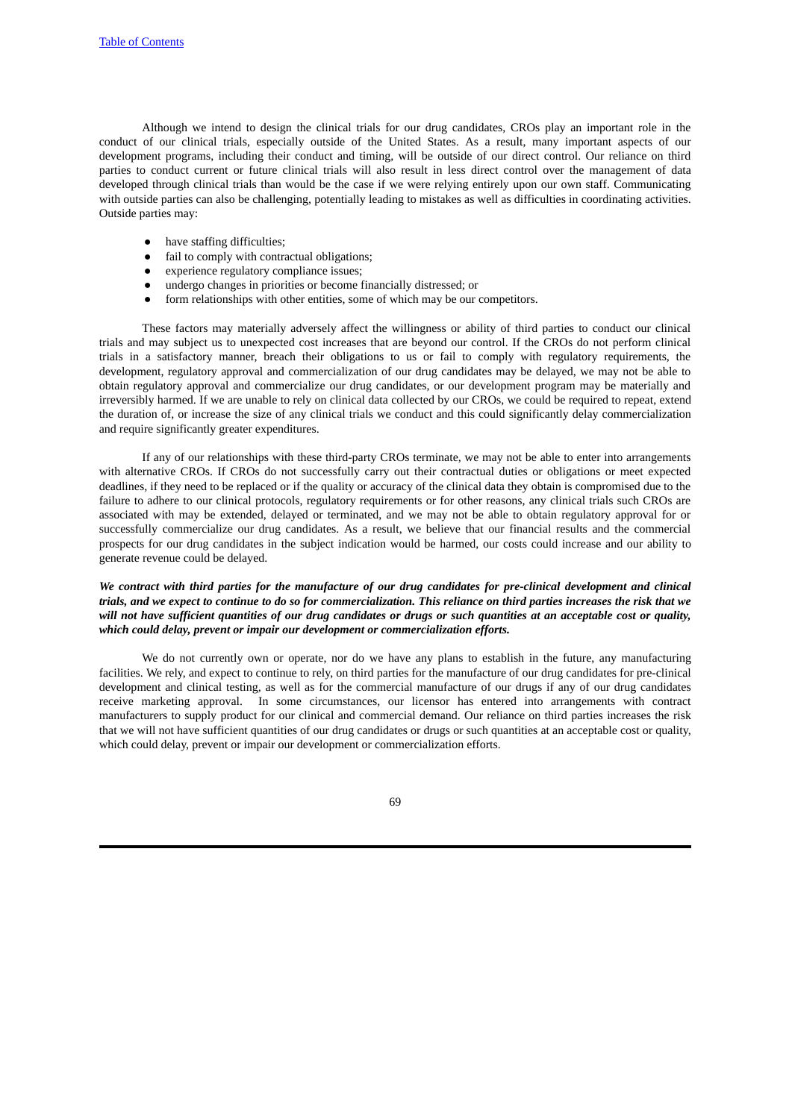Although we intend to design the clinical trials for our drug candidates, CROs play an important role in the conduct of our clinical trials, especially outside of the United States. As a result, many important aspects of our development programs, including their conduct and timing, will be outside of our direct control. Our reliance on third parties to conduct current or future clinical trials will also result in less direct control over the management of data developed through clinical trials than would be the case if we were relying entirely upon our own staff. Communicating with outside parties can also be challenging, potentially leading to mistakes as well as difficulties in coordinating activities. Outside parties may:

- have staffing difficulties;
- fail to comply with contractual obligations;
- experience regulatory compliance issues;
- undergo changes in priorities or become financially distressed; or
- form relationships with other entities, some of which may be our competitors.

These factors may materially adversely affect the willingness or ability of third parties to conduct our clinical trials and may subject us to unexpected cost increases that are beyond our control. If the CROs do not perform clinical trials in a satisfactory manner, breach their obligations to us or fail to comply with regulatory requirements, the development, regulatory approval and commercialization of our drug candidates may be delayed, we may not be able to obtain regulatory approval and commercialize our drug candidates, or our development program may be materially and irreversibly harmed. If we are unable to rely on clinical data collected by our CROs, we could be required to repeat, extend the duration of, or increase the size of any clinical trials we conduct and this could significantly delay commercialization and require significantly greater expenditures.

If any of our relationships with these third-party CROs terminate, we may not be able to enter into arrangements with alternative CROs. If CROs do not successfully carry out their contractual duties or obligations or meet expected deadlines, if they need to be replaced or if the quality or accuracy of the clinical data they obtain is compromised due to the failure to adhere to our clinical protocols, regulatory requirements or for other reasons, any clinical trials such CROs are associated with may be extended, delayed or terminated, and we may not be able to obtain regulatory approval for or successfully commercialize our drug candidates. As a result, we believe that our financial results and the commercial prospects for our drug candidates in the subject indication would be harmed, our costs could increase and our ability to generate revenue could be delayed.

# We contract with third parties for the manufacture of our drug candidates for pre-clinical development and clinical trials, and we expect to continue to do so for commercialization. This reliance on third parties increases the risk that we will not have sufficient quantities of our drug candidates or drugs or such quantities at an acceptable cost or quality, *which could delay, prevent or impair our development or commercialization efforts.*

We do not currently own or operate, nor do we have any plans to establish in the future, any manufacturing facilities. We rely, and expect to continue to rely, on third parties for the manufacture of our drug candidates for pre-clinical development and clinical testing, as well as for the commercial manufacture of our drugs if any of our drug candidates receive marketing approval. In some circumstances, our licensor has entered into arrangements with contract manufacturers to supply product for our clinical and commercial demand. Our reliance on third parties increases the risk that we will not have sufficient quantities of our drug candidates or drugs or such quantities at an acceptable cost or quality, which could delay, prevent or impair our development or commercialization efforts.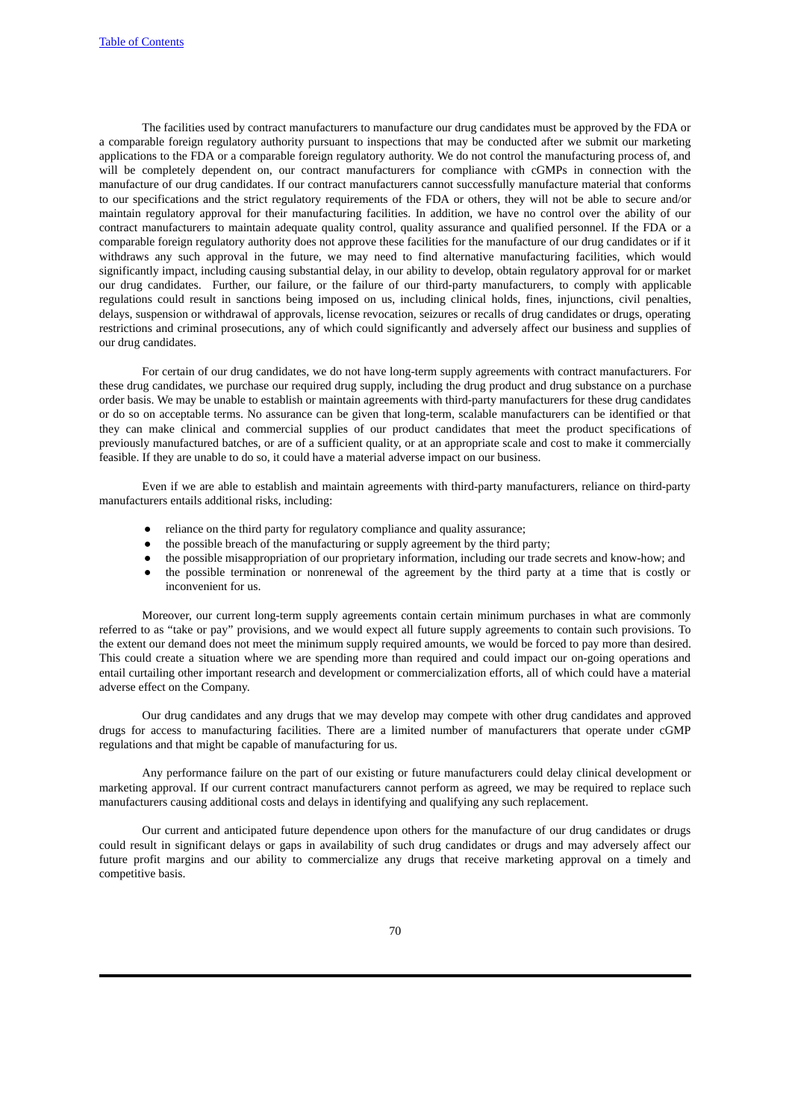The facilities used by contract manufacturers to manufacture our drug candidates must be approved by the FDA or a comparable foreign regulatory authority pursuant to inspections that may be conducted after we submit our marketing applications to the FDA or a comparable foreign regulatory authority. We do not control the manufacturing process of, and will be completely dependent on, our contract manufacturers for compliance with cGMPs in connection with the manufacture of our drug candidates. If our contract manufacturers cannot successfully manufacture material that conforms to our specifications and the strict regulatory requirements of the FDA or others, they will not be able to secure and/or maintain regulatory approval for their manufacturing facilities. In addition, we have no control over the ability of our contract manufacturers to maintain adequate quality control, quality assurance and qualified personnel. If the FDA or a comparable foreign regulatory authority does not approve these facilities for the manufacture of our drug candidates or if it withdraws any such approval in the future, we may need to find alternative manufacturing facilities, which would significantly impact, including causing substantial delay, in our ability to develop, obtain regulatory approval for or market our drug candidates. Further, our failure, or the failure of our third-party manufacturers, to comply with applicable regulations could result in sanctions being imposed on us, including clinical holds, fines, injunctions, civil penalties, delays, suspension or withdrawal of approvals, license revocation, seizures or recalls of drug candidates or drugs, operating restrictions and criminal prosecutions, any of which could significantly and adversely affect our business and supplies of our drug candidates.

For certain of our drug candidates, we do not have long-term supply agreements with contract manufacturers. For these drug candidates, we purchase our required drug supply, including the drug product and drug substance on a purchase order basis. We may be unable to establish or maintain agreements with third-party manufacturers for these drug candidates or do so on acceptable terms. No assurance can be given that long-term, scalable manufacturers can be identified or that they can make clinical and commercial supplies of our product candidates that meet the product specifications of previously manufactured batches, or are of a sufficient quality, or at an appropriate scale and cost to make it commercially feasible. If they are unable to do so, it could have a material adverse impact on our business.

Even if we are able to establish and maintain agreements with third-party manufacturers, reliance on third-party manufacturers entails additional risks, including:

- reliance on the third party for regulatory compliance and quality assurance;
- the possible breach of the manufacturing or supply agreement by the third party;
- the possible misappropriation of our proprietary information, including our trade secrets and know-how; and
- the possible termination or nonrenewal of the agreement by the third party at a time that is costly or inconvenient for us.

Moreover, our current long-term supply agreements contain certain minimum purchases in what are commonly referred to as "take or pay" provisions, and we would expect all future supply agreements to contain such provisions. To the extent our demand does not meet the minimum supply required amounts, we would be forced to pay more than desired. This could create a situation where we are spending more than required and could impact our on-going operations and entail curtailing other important research and development or commercialization efforts, all of which could have a material adverse effect on the Company.

Our drug candidates and any drugs that we may develop may compete with other drug candidates and approved drugs for access to manufacturing facilities. There are a limited number of manufacturers that operate under cGMP regulations and that might be capable of manufacturing for us.

Any performance failure on the part of our existing or future manufacturers could delay clinical development or marketing approval. If our current contract manufacturers cannot perform as agreed, we may be required to replace such manufacturers causing additional costs and delays in identifying and qualifying any such replacement.

Our current and anticipated future dependence upon others for the manufacture of our drug candidates or drugs could result in significant delays or gaps in availability of such drug candidates or drugs and may adversely affect our future profit margins and our ability to commercialize any drugs that receive marketing approval on a timely and competitive basis.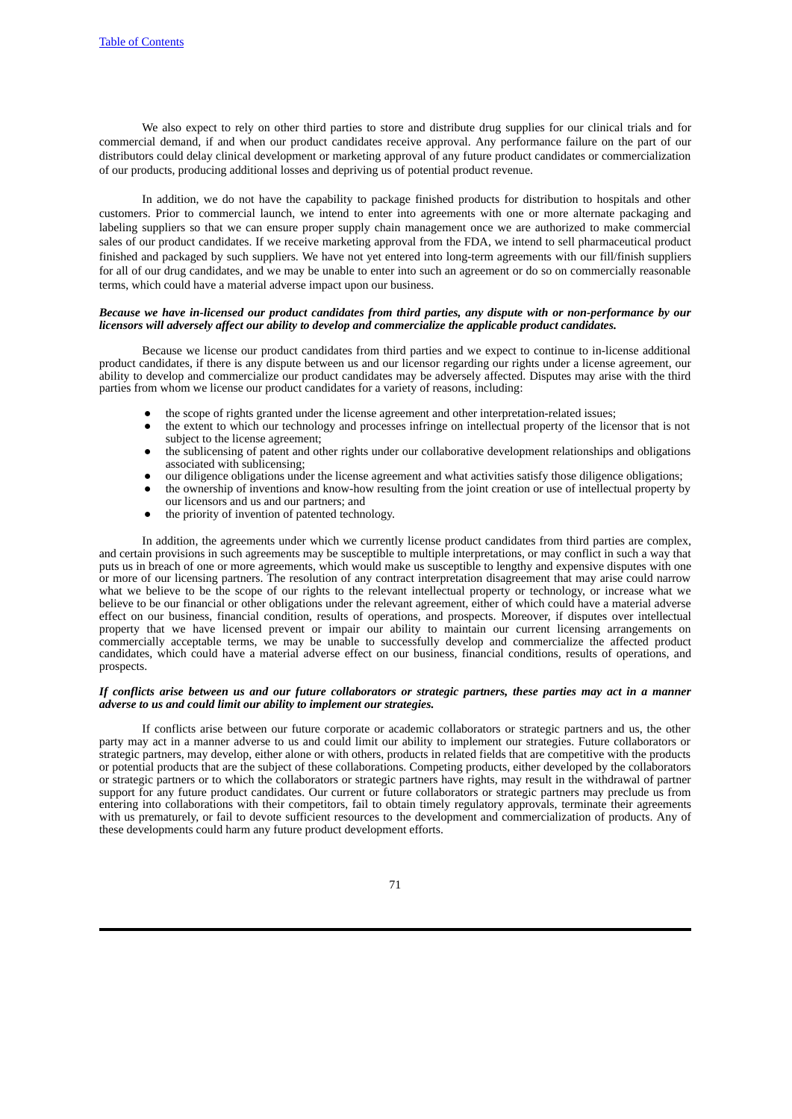We also expect to rely on other third parties to store and distribute drug supplies for our clinical trials and for commercial demand, if and when our product candidates receive approval. Any performance failure on the part of our distributors could delay clinical development or marketing approval of any future product candidates or commercialization of our products, producing additional losses and depriving us of potential product revenue.

In addition, we do not have the capability to package finished products for distribution to hospitals and other customers. Prior to commercial launch, we intend to enter into agreements with one or more alternate packaging and labeling suppliers so that we can ensure proper supply chain management once we are authorized to make commercial sales of our product candidates. If we receive marketing approval from the FDA, we intend to sell pharmaceutical product finished and packaged by such suppliers. We have not yet entered into long-term agreements with our fill/finish suppliers for all of our drug candidates, and we may be unable to enter into such an agreement or do so on commercially reasonable terms, which could have a material adverse impact upon our business.

#### Because we have in-licensed our product candidates from third parties, any dispute with or non-performance by our *licensors will adversely affect our ability to develop and commercialize the applicable product candidates.*

Because we license our product candidates from third parties and we expect to continue to in-license additional product candidates, if there is any dispute between us and our licensor regarding our rights under a license agreement, our ability to develop and commercialize our product candidates may be adversely affected. Disputes may arise with the third parties from whom we license our product candidates for a variety of reasons, including:

- the scope of rights granted under the license agreement and other interpretation-related issues;
- the extent to which our technology and processes infringe on intellectual property of the licensor that is not subject to the license agreement;
- the sublicensing of patent and other rights under our collaborative development relationships and obligations associated with sublicensing;
- our diligence obligations under the license agreement and what activities satisfy those diligence obligations;
- the ownership of inventions and know-how resulting from the joint creation or use of intellectual property by our licensors and us and our partners; and
- the priority of invention of patented technology.

In addition, the agreements under which we currently license product candidates from third parties are complex, and certain provisions in such agreements may be susceptible to multiple interpretations, or may conflict in such a way that puts us in breach of one or more agreements, which would make us susceptible to lengthy and expensive disputes with one or more of our licensing partners. The resolution of any contract interpretation disagreement that may arise could narrow what we believe to be the scope of our rights to the relevant intellectual property or technology, or increase what we believe to be our financial or other obligations under the relevant agreement, either of which could have a material adverse effect on our business, financial condition, results of operations, and prospects. Moreover, if disputes over intellectual property that we have licensed prevent or impair our ability to maintain our current licensing arrangements on commercially acceptable terms, we may be unable to successfully develop and commercialize the affected product candidates, which could have a material adverse effect on our business, financial conditions, results of operations, and prospects.

#### If conflicts arise between us and our future collaborators or strategic partners, these parties may act in a manner *adverse to us and could limit our ability to implement our strategies.*

If conflicts arise between our future corporate or academic collaborators or strategic partners and us, the other party may act in a manner adverse to us and could limit our ability to implement our strategies. Future collaborators or strategic partners, may develop, either alone or with others, products in related fields that are competitive with the products or potential products that are the subject of these collaborations. Competing products, either developed by the collaborators or strategic partners or to which the collaborators or strategic partners have rights, may result in the withdrawal of partner support for any future product candidates. Our current or future collaborators or strategic partners may preclude us from entering into collaborations with their competitors, fail to obtain timely regulatory approvals, terminate their agreements with us prematurely, or fail to devote sufficient resources to the development and commercialization of products. Any of these developments could harm any future product development efforts.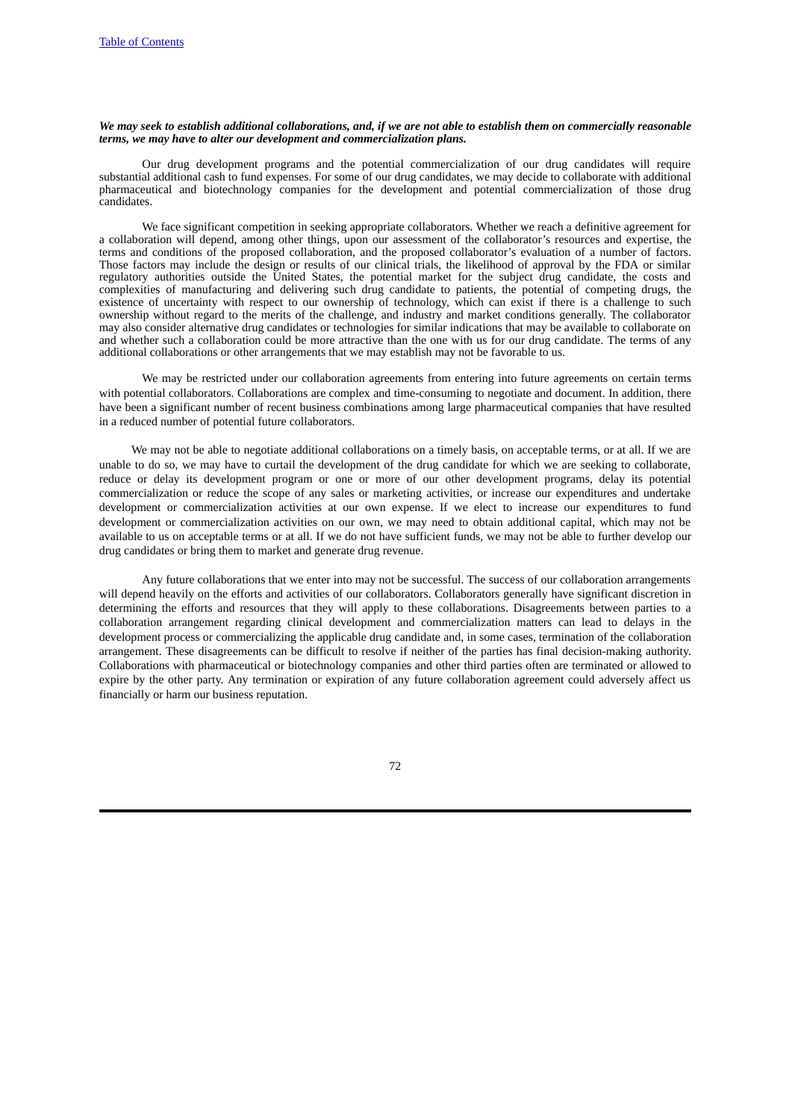#### We may seek to establish additional collaborations, and, if we are not able to establish them on commercially reasonable *terms, we may have to alter our development and commercialization plans.*

Our drug development programs and the potential commercialization of our drug candidates will require substantial additional cash to fund expenses. For some of our drug candidates, we may decide to collaborate with additional pharmaceutical and biotechnology companies for the development and potential commercialization of those drug candidates.

We face significant competition in seeking appropriate collaborators. Whether we reach a definitive agreement for a collaboration will depend, among other things, upon our assessment of the collaborator's resources and expertise, the terms and conditions of the proposed collaboration, and the proposed collaborator's evaluation of a number of factors. Those factors may include the design or results of our clinical trials, the likelihood of approval by the FDA or similar regulatory authorities outside the United States, the potential market for the subject drug candidate, the costs and complexities of manufacturing and delivering such drug candidate to patients, the potential of competing drugs, the existence of uncertainty with respect to our ownership of technology, which can exist if there is a challenge to such ownership without regard to the merits of the challenge, and industry and market conditions generally. The collaborator may also consider alternative drug candidates or technologies for similar indications that may be available to collaborate on and whether such a collaboration could be more attractive than the one with us for our drug candidate. The terms of any additional collaborations or other arrangements that we may establish may not be favorable to us.

We may be restricted under our collaboration agreements from entering into future agreements on certain terms with potential collaborators. Collaborations are complex and time-consuming to negotiate and document. In addition, there have been a significant number of recent business combinations among large pharmaceutical companies that have resulted in a reduced number of potential future collaborators.

We may not be able to negotiate additional collaborations on a timely basis, on acceptable terms, or at all. If we are unable to do so, we may have to curtail the development of the drug candidate for which we are seeking to collaborate, reduce or delay its development program or one or more of our other development programs, delay its potential commercialization or reduce the scope of any sales or marketing activities, or increase our expenditures and undertake development or commercialization activities at our own expense. If we elect to increase our expenditures to fund development or commercialization activities on our own, we may need to obtain additional capital, which may not be available to us on acceptable terms or at all. If we do not have sufficient funds, we may not be able to further develop our drug candidates or bring them to market and generate drug revenue.

Any future collaborations that we enter into may not be successful. The success of our collaboration arrangements will depend heavily on the efforts and activities of our collaborators. Collaborators generally have significant discretion in determining the efforts and resources that they will apply to these collaborations. Disagreements between parties to a collaboration arrangement regarding clinical development and commercialization matters can lead to delays in the development process or commercializing the applicable drug candidate and, in some cases, termination of the collaboration arrangement. These disagreements can be difficult to resolve if neither of the parties has final decision-making authority. Collaborations with pharmaceutical or biotechnology companies and other third parties often are terminated or allowed to expire by the other party. Any termination or expiration of any future collaboration agreement could adversely affect us financially or harm our business reputation.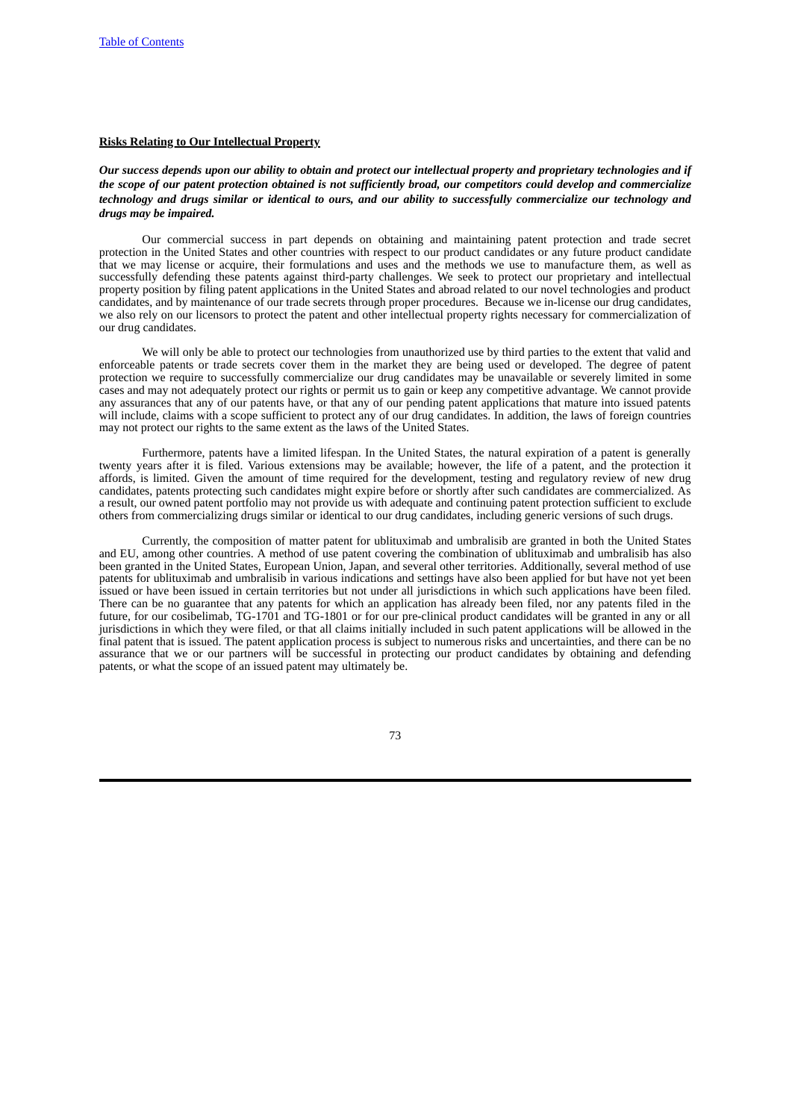### **Risks Relating to Our Intellectual Property**

Our success depends upon our ability to obtain and protect our intellectual property and proprietary technologies and if the scope of our patent protection obtained is not sufficiently broad, our competitors could develop and commercialize technology and drugs similar or identical to ours, and our ability to successfully commercialize our technology and *drugs may be impaired.*

Our commercial success in part depends on obtaining and maintaining patent protection and trade secret protection in the United States and other countries with respect to our product candidates or any future product candidate that we may license or acquire, their formulations and uses and the methods we use to manufacture them, as well as successfully defending these patents against third-party challenges. We seek to protect our proprietary and intellectual property position by filing patent applications in the United States and abroad related to our novel technologies and product candidates, and by maintenance of our trade secrets through proper procedures. Because we in-license our drug candidates, we also rely on our licensors to protect the patent and other intellectual property rights necessary for commercialization of our drug candidates.

We will only be able to protect our technologies from unauthorized use by third parties to the extent that valid and enforceable patents or trade secrets cover them in the market they are being used or developed. The degree of patent protection we require to successfully commercialize our drug candidates may be unavailable or severely limited in some cases and may not adequately protect our rights or permit us to gain or keep any competitive advantage. We cannot provide any assurances that any of our patents have, or that any of our pending patent applications that mature into issued patents will include, claims with a scope sufficient to protect any of our drug candidates. In addition, the laws of foreign countries may not protect our rights to the same extent as the laws of the United States.

Furthermore, patents have a limited lifespan. In the United States, the natural expiration of a patent is generally twenty years after it is filed. Various extensions may be available; however, the life of a patent, and the protection it affords, is limited. Given the amount of time required for the development, testing and regulatory review of new drug candidates, patents protecting such candidates might expire before or shortly after such candidates are commercialized. As a result, our owned patent portfolio may not provide us with adequate and continuing patent protection sufficient to exclude others from commercializing drugs similar or identical to our drug candidates, including generic versions of such drugs.

Currently, the composition of matter patent for ublituximab and umbralisib are granted in both the United States and EU, among other countries. A method of use patent covering the combination of ublituximab and umbralisib has also been granted in the United States, European Union, Japan, and several other territories. Additionally, several method of use patents for ublituximab and umbralisib in various indications and settings have also been applied for but have not yet been issued or have been issued in certain territories but not under all jurisdictions in which such applications have been filed. There can be no guarantee that any patents for which an application has already been filed, nor any patents filed in the future, for our cosibelimab, TG-1701 and TG-1801 or for our pre-clinical product candidates will be granted in any or all jurisdictions in which they were filed, or that all claims initially included in such patent applications will be allowed in the final patent that is issued. The patent application process is subject to numerous risks and uncertainties, and there can be no assurance that we or our partners will be successful in protecting our product candidates by obtaining and defending patents, or what the scope of an issued patent may ultimately be.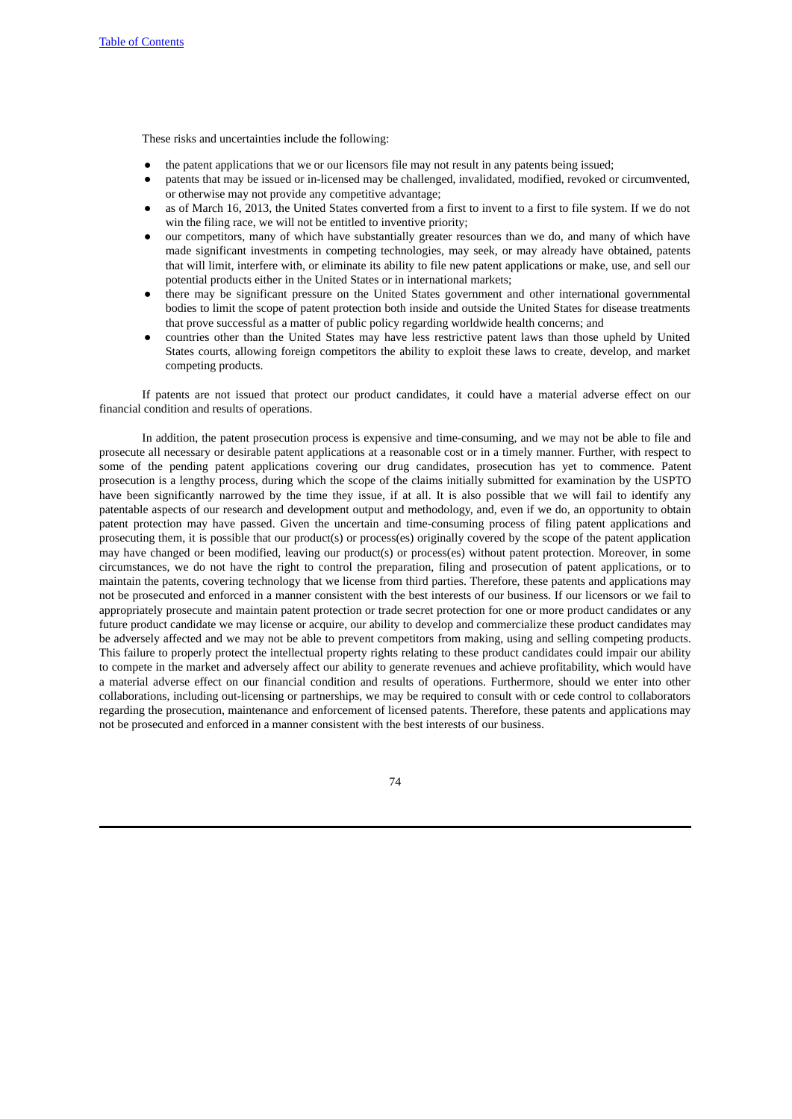These risks and uncertainties include the following:

- the patent applications that we or our licensors file may not result in any patents being issued;
- patents that may be issued or in-licensed may be challenged, invalidated, modified, revoked or circumvented, or otherwise may not provide any competitive advantage;
- as of March 16, 2013, the United States converted from a first to invent to a first to file system. If we do not win the filing race, we will not be entitled to inventive priority;
- our competitors, many of which have substantially greater resources than we do, and many of which have made significant investments in competing technologies, may seek, or may already have obtained, patents that will limit, interfere with, or eliminate its ability to file new patent applications or make, use, and sell our potential products either in the United States or in international markets;
- there may be significant pressure on the United States government and other international governmental bodies to limit the scope of patent protection both inside and outside the United States for disease treatments that prove successful as a matter of public policy regarding worldwide health concerns; and
- countries other than the United States may have less restrictive patent laws than those upheld by United States courts, allowing foreign competitors the ability to exploit these laws to create, develop, and market competing products.

If patents are not issued that protect our product candidates, it could have a material adverse effect on our financial condition and results of operations.

In addition, the patent prosecution process is expensive and time-consuming, and we may not be able to file and prosecute all necessary or desirable patent applications at a reasonable cost or in a timely manner. Further, with respect to some of the pending patent applications covering our drug candidates, prosecution has yet to commence. Patent prosecution is a lengthy process, during which the scope of the claims initially submitted for examination by the USPTO have been significantly narrowed by the time they issue, if at all. It is also possible that we will fail to identify any patentable aspects of our research and development output and methodology, and, even if we do, an opportunity to obtain patent protection may have passed. Given the uncertain and time-consuming process of filing patent applications and prosecuting them, it is possible that our product(s) or process(es) originally covered by the scope of the patent application may have changed or been modified, leaving our product(s) or process(es) without patent protection. Moreover, in some circumstances, we do not have the right to control the preparation, filing and prosecution of patent applications, or to maintain the patents, covering technology that we license from third parties. Therefore, these patents and applications may not be prosecuted and enforced in a manner consistent with the best interests of our business. If our licensors or we fail to appropriately prosecute and maintain patent protection or trade secret protection for one or more product candidates or any future product candidate we may license or acquire, our ability to develop and commercialize these product candidates may be adversely affected and we may not be able to prevent competitors from making, using and selling competing products. This failure to properly protect the intellectual property rights relating to these product candidates could impair our ability to compete in the market and adversely affect our ability to generate revenues and achieve profitability, which would have a material adverse effect on our financial condition and results of operations. Furthermore, should we enter into other collaborations, including out-licensing or partnerships, we may be required to consult with or cede control to collaborators regarding the prosecution, maintenance and enforcement of licensed patents. Therefore, these patents and applications may not be prosecuted and enforced in a manner consistent with the best interests of our business.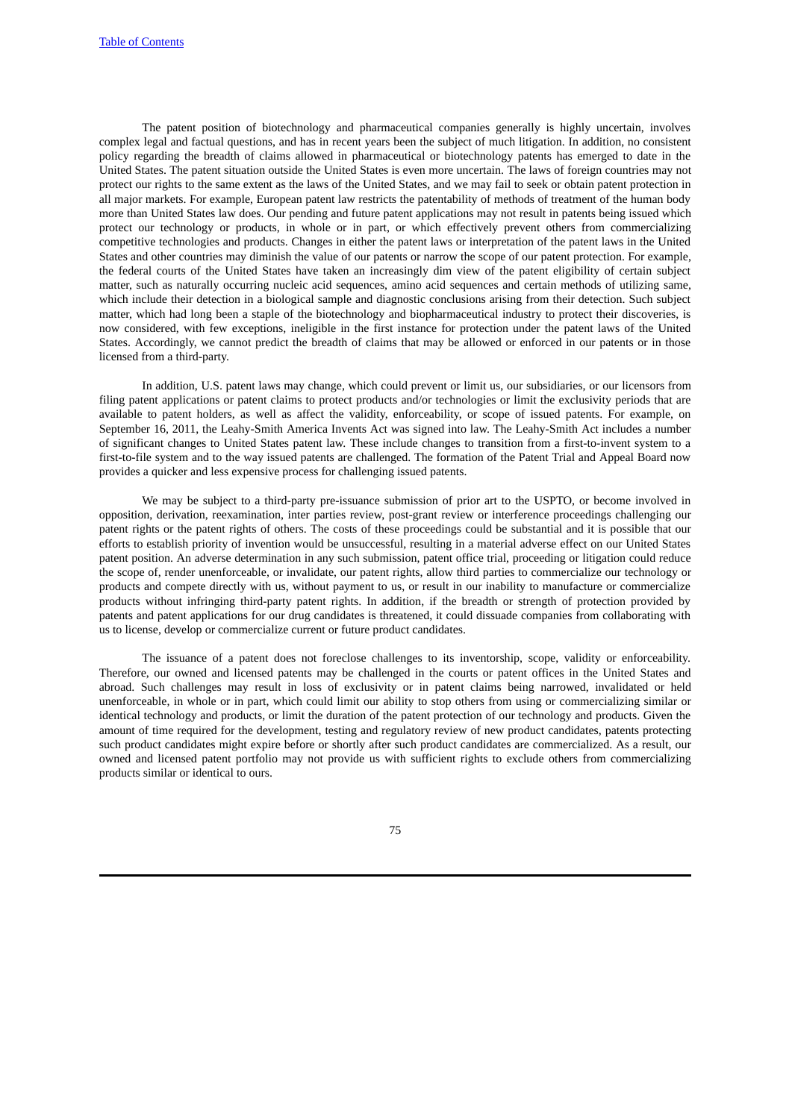The patent position of biotechnology and pharmaceutical companies generally is highly uncertain, involves complex legal and factual questions, and has in recent years been the subject of much litigation. In addition, no consistent policy regarding the breadth of claims allowed in pharmaceutical or biotechnology patents has emerged to date in the United States. The patent situation outside the United States is even more uncertain. The laws of foreign countries may not protect our rights to the same extent as the laws of the United States, and we may fail to seek or obtain patent protection in all major markets. For example, European patent law restricts the patentability of methods of treatment of the human body more than United States law does. Our pending and future patent applications may not result in patents being issued which protect our technology or products, in whole or in part, or which effectively prevent others from commercializing competitive technologies and products. Changes in either the patent laws or interpretation of the patent laws in the United States and other countries may diminish the value of our patents or narrow the scope of our patent protection. For example, the federal courts of the United States have taken an increasingly dim view of the patent eligibility of certain subject matter, such as naturally occurring nucleic acid sequences, amino acid sequences and certain methods of utilizing same, which include their detection in a biological sample and diagnostic conclusions arising from their detection. Such subject matter, which had long been a staple of the biotechnology and biopharmaceutical industry to protect their discoveries, is now considered, with few exceptions, ineligible in the first instance for protection under the patent laws of the United States. Accordingly, we cannot predict the breadth of claims that may be allowed or enforced in our patents or in those licensed from a third-party.

In addition, U.S. patent laws may change, which could prevent or limit us, our subsidiaries, or our licensors from filing patent applications or patent claims to protect products and/or technologies or limit the exclusivity periods that are available to patent holders, as well as affect the validity, enforceability, or scope of issued patents. For example, on September 16, 2011, the Leahy-Smith America Invents Act was signed into law. The Leahy-Smith Act includes a number of significant changes to United States patent law. These include changes to transition from a first-to-invent system to a first-to-file system and to the way issued patents are challenged. The formation of the Patent Trial and Appeal Board now provides a quicker and less expensive process for challenging issued patents.

We may be subject to a third-party pre-issuance submission of prior art to the USPTO, or become involved in opposition, derivation, reexamination, inter parties review, post-grant review or interference proceedings challenging our patent rights or the patent rights of others. The costs of these proceedings could be substantial and it is possible that our efforts to establish priority of invention would be unsuccessful, resulting in a material adverse effect on our United States patent position. An adverse determination in any such submission, patent office trial, proceeding or litigation could reduce the scope of, render unenforceable, or invalidate, our patent rights, allow third parties to commercialize our technology or products and compete directly with us, without payment to us, or result in our inability to manufacture or commercialize products without infringing third-party patent rights. In addition, if the breadth or strength of protection provided by patents and patent applications for our drug candidates is threatened, it could dissuade companies from collaborating with us to license, develop or commercialize current or future product candidates.

The issuance of a patent does not foreclose challenges to its inventorship, scope, validity or enforceability. Therefore, our owned and licensed patents may be challenged in the courts or patent offices in the United States and abroad. Such challenges may result in loss of exclusivity or in patent claims being narrowed, invalidated or held unenforceable, in whole or in part, which could limit our ability to stop others from using or commercializing similar or identical technology and products, or limit the duration of the patent protection of our technology and products. Given the amount of time required for the development, testing and regulatory review of new product candidates, patents protecting such product candidates might expire before or shortly after such product candidates are commercialized. As a result, our owned and licensed patent portfolio may not provide us with sufficient rights to exclude others from commercializing products similar or identical to ours.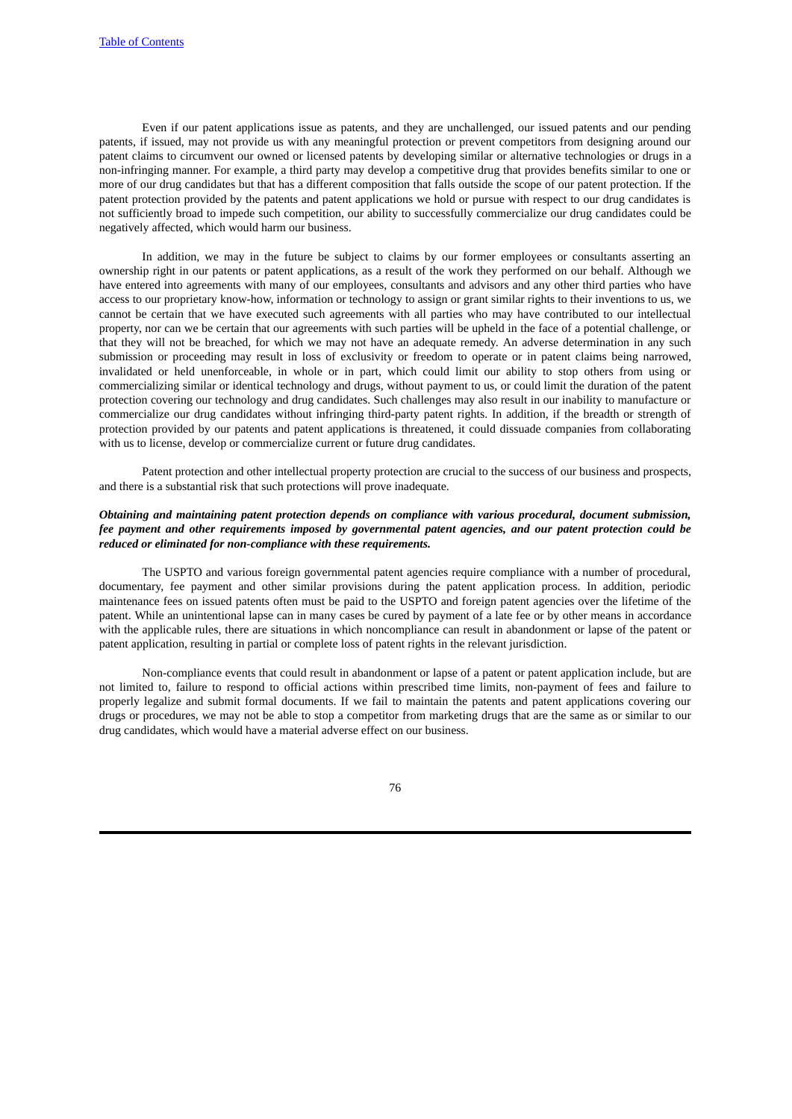Even if our patent applications issue as patents, and they are unchallenged, our issued patents and our pending patents, if issued, may not provide us with any meaningful protection or prevent competitors from designing around our patent claims to circumvent our owned or licensed patents by developing similar or alternative technologies or drugs in a non-infringing manner. For example, a third party may develop a competitive drug that provides benefits similar to one or more of our drug candidates but that has a different composition that falls outside the scope of our patent protection. If the patent protection provided by the patents and patent applications we hold or pursue with respect to our drug candidates is not sufficiently broad to impede such competition, our ability to successfully commercialize our drug candidates could be negatively affected, which would harm our business.

In addition, we may in the future be subject to claims by our former employees or consultants asserting an ownership right in our patents or patent applications, as a result of the work they performed on our behalf. Although we have entered into agreements with many of our employees, consultants and advisors and any other third parties who have access to our proprietary know-how, information or technology to assign or grant similar rights to their inventions to us, we cannot be certain that we have executed such agreements with all parties who may have contributed to our intellectual property, nor can we be certain that our agreements with such parties will be upheld in the face of a potential challenge, or that they will not be breached, for which we may not have an adequate remedy. An adverse determination in any such submission or proceeding may result in loss of exclusivity or freedom to operate or in patent claims being narrowed, invalidated or held unenforceable, in whole or in part, which could limit our ability to stop others from using or commercializing similar or identical technology and drugs, without payment to us, or could limit the duration of the patent protection covering our technology and drug candidates. Such challenges may also result in our inability to manufacture or commercialize our drug candidates without infringing third-party patent rights. In addition, if the breadth or strength of protection provided by our patents and patent applications is threatened, it could dissuade companies from collaborating with us to license, develop or commercialize current or future drug candidates.

Patent protection and other intellectual property protection are crucial to the success of our business and prospects, and there is a substantial risk that such protections will prove inadequate.

## *Obtaining and maintaining patent protection depends on compliance with various procedural, document submission, fee payment and other requirements imposed by governmental patent agencies, and our patent protection could be reduced or eliminated for non-compliance with these requirements.*

The USPTO and various foreign governmental patent agencies require compliance with a number of procedural, documentary, fee payment and other similar provisions during the patent application process. In addition, periodic maintenance fees on issued patents often must be paid to the USPTO and foreign patent agencies over the lifetime of the patent. While an unintentional lapse can in many cases be cured by payment of a late fee or by other means in accordance with the applicable rules, there are situations in which noncompliance can result in abandonment or lapse of the patent or patent application, resulting in partial or complete loss of patent rights in the relevant jurisdiction.

Non-compliance events that could result in abandonment or lapse of a patent or patent application include, but are not limited to, failure to respond to official actions within prescribed time limits, non-payment of fees and failure to properly legalize and submit formal documents. If we fail to maintain the patents and patent applications covering our drugs or procedures, we may not be able to stop a competitor from marketing drugs that are the same as or similar to our drug candidates, which would have a material adverse effect on our business.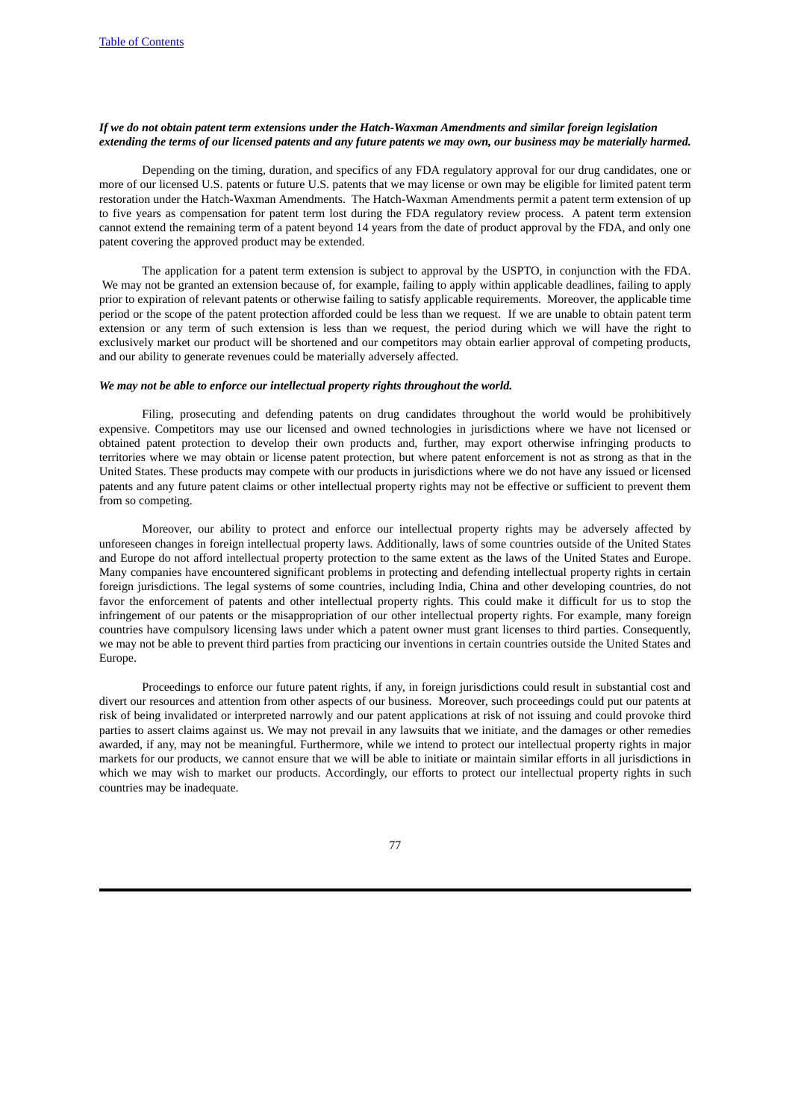## *If we do not obtain patent term extensions under the Hatch-Waxman Amendments and similar foreign legislation* extending the terms of our licensed patents and any future patents we may own, our business may be materially harmed.

Depending on the timing, duration, and specifics of any FDA regulatory approval for our drug candidates, one or more of our licensed U.S. patents or future U.S. patents that we may license or own may be eligible for limited patent term restoration under the Hatch-Waxman Amendments. The Hatch-Waxman Amendments permit a patent term extension of up to five years as compensation for patent term lost during the FDA regulatory review process. A patent term extension cannot extend the remaining term of a patent beyond 14 years from the date of product approval by the FDA, and only one patent covering the approved product may be extended.

The application for a patent term extension is subject to approval by the USPTO, in conjunction with the FDA. We may not be granted an extension because of, for example, failing to apply within applicable deadlines, failing to apply prior to expiration of relevant patents or otherwise failing to satisfy applicable requirements. Moreover, the applicable time period or the scope of the patent protection afforded could be less than we request. If we are unable to obtain patent term extension or any term of such extension is less than we request, the period during which we will have the right to exclusively market our product will be shortened and our competitors may obtain earlier approval of competing products, and our ability to generate revenues could be materially adversely affected.

#### *We may not be able to enforce our intellectual property rights throughout the world.*

Filing, prosecuting and defending patents on drug candidates throughout the world would be prohibitively expensive. Competitors may use our licensed and owned technologies in jurisdictions where we have not licensed or obtained patent protection to develop their own products and, further, may export otherwise infringing products to territories where we may obtain or license patent protection, but where patent enforcement is not as strong as that in the United States. These products may compete with our products in jurisdictions where we do not have any issued or licensed patents and any future patent claims or other intellectual property rights may not be effective or sufficient to prevent them from so competing.

Moreover, our ability to protect and enforce our intellectual property rights may be adversely affected by unforeseen changes in foreign intellectual property laws. Additionally, laws of some countries outside of the United States and Europe do not afford intellectual property protection to the same extent as the laws of the United States and Europe. Many companies have encountered significant problems in protecting and defending intellectual property rights in certain foreign jurisdictions. The legal systems of some countries, including India, China and other developing countries, do not favor the enforcement of patents and other intellectual property rights. This could make it difficult for us to stop the infringement of our patents or the misappropriation of our other intellectual property rights. For example, many foreign countries have compulsory licensing laws under which a patent owner must grant licenses to third parties. Consequently, we may not be able to prevent third parties from practicing our inventions in certain countries outside the United States and Europe.

Proceedings to enforce our future patent rights, if any, in foreign jurisdictions could result in substantial cost and divert our resources and attention from other aspects of our business. Moreover, such proceedings could put our patents at risk of being invalidated or interpreted narrowly and our patent applications at risk of not issuing and could provoke third parties to assert claims against us. We may not prevail in any lawsuits that we initiate, and the damages or other remedies awarded, if any, may not be meaningful. Furthermore, while we intend to protect our intellectual property rights in major markets for our products, we cannot ensure that we will be able to initiate or maintain similar efforts in all jurisdictions in which we may wish to market our products. Accordingly, our efforts to protect our intellectual property rights in such countries may be inadequate.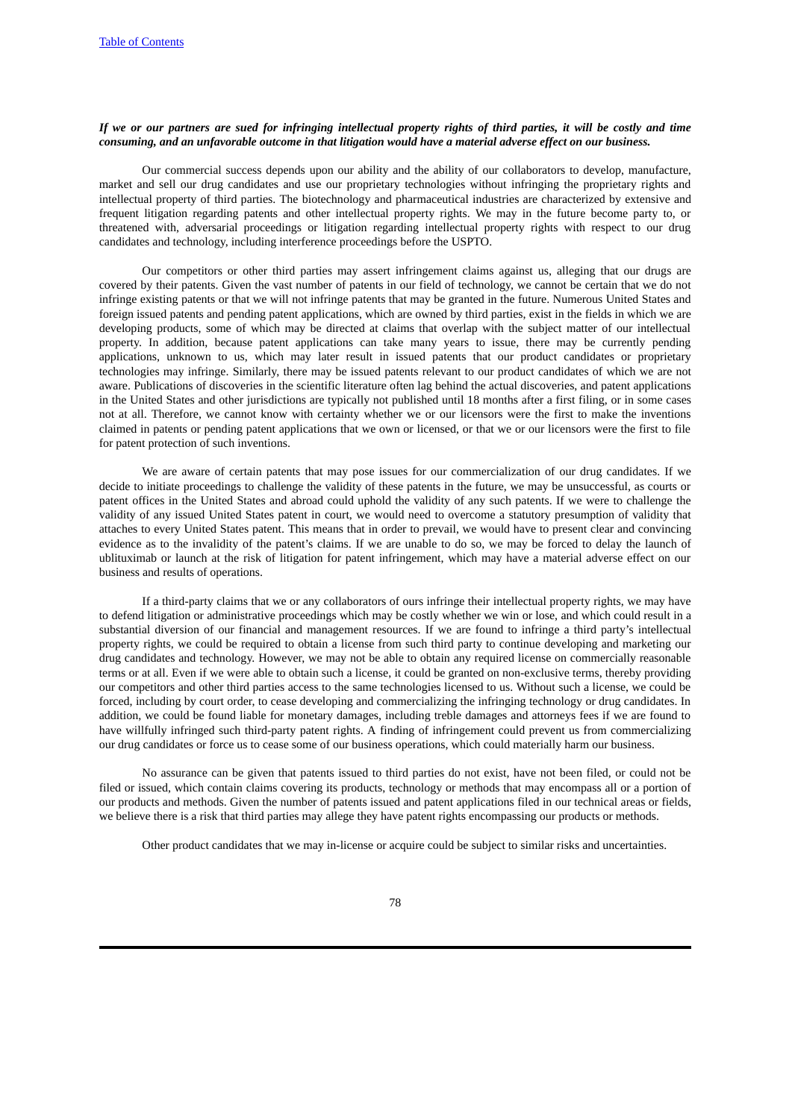### If we or our partners are sued for infringing intellectual property rights of third parties, it will be costly and time consuming, and an unfavorable outcome in that litigation would have a material adverse effect on our business.

Our commercial success depends upon our ability and the ability of our collaborators to develop, manufacture, market and sell our drug candidates and use our proprietary technologies without infringing the proprietary rights and intellectual property of third parties. The biotechnology and pharmaceutical industries are characterized by extensive and frequent litigation regarding patents and other intellectual property rights. We may in the future become party to, or threatened with, adversarial proceedings or litigation regarding intellectual property rights with respect to our drug candidates and technology, including interference proceedings before the USPTO.

Our competitors or other third parties may assert infringement claims against us, alleging that our drugs are covered by their patents. Given the vast number of patents in our field of technology, we cannot be certain that we do not infringe existing patents or that we will not infringe patents that may be granted in the future. Numerous United States and foreign issued patents and pending patent applications, which are owned by third parties, exist in the fields in which we are developing products, some of which may be directed at claims that overlap with the subject matter of our intellectual property. In addition, because patent applications can take many years to issue, there may be currently pending applications, unknown to us, which may later result in issued patents that our product candidates or proprietary technologies may infringe. Similarly, there may be issued patents relevant to our product candidates of which we are not aware. Publications of discoveries in the scientific literature often lag behind the actual discoveries, and patent applications in the United States and other jurisdictions are typically not published until 18 months after a first filing, or in some cases not at all. Therefore, we cannot know with certainty whether we or our licensors were the first to make the inventions claimed in patents or pending patent applications that we own or licensed, or that we or our licensors were the first to file for patent protection of such inventions.

We are aware of certain patents that may pose issues for our commercialization of our drug candidates. If we decide to initiate proceedings to challenge the validity of these patents in the future, we may be unsuccessful, as courts or patent offices in the United States and abroad could uphold the validity of any such patents. If we were to challenge the validity of any issued United States patent in court, we would need to overcome a statutory presumption of validity that attaches to every United States patent. This means that in order to prevail, we would have to present clear and convincing evidence as to the invalidity of the patent's claims. If we are unable to do so, we may be forced to delay the launch of ublituximab or launch at the risk of litigation for patent infringement, which may have a material adverse effect on our business and results of operations.

If a third-party claims that we or any collaborators of ours infringe their intellectual property rights, we may have to defend litigation or administrative proceedings which may be costly whether we win or lose, and which could result in a substantial diversion of our financial and management resources. If we are found to infringe a third party's intellectual property rights, we could be required to obtain a license from such third party to continue developing and marketing our drug candidates and technology. However, we may not be able to obtain any required license on commercially reasonable terms or at all. Even if we were able to obtain such a license, it could be granted on non-exclusive terms, thereby providing our competitors and other third parties access to the same technologies licensed to us. Without such a license, we could be forced, including by court order, to cease developing and commercializing the infringing technology or drug candidates. In addition, we could be found liable for monetary damages, including treble damages and attorneys fees if we are found to have willfully infringed such third-party patent rights. A finding of infringement could prevent us from commercializing our drug candidates or force us to cease some of our business operations, which could materially harm our business.

No assurance can be given that patents issued to third parties do not exist, have not been filed, or could not be filed or issued, which contain claims covering its products, technology or methods that may encompass all or a portion of our products and methods. Given the number of patents issued and patent applications filed in our technical areas or fields, we believe there is a risk that third parties may allege they have patent rights encompassing our products or methods.

Other product candidates that we may in-license or acquire could be subject to similar risks and uncertainties.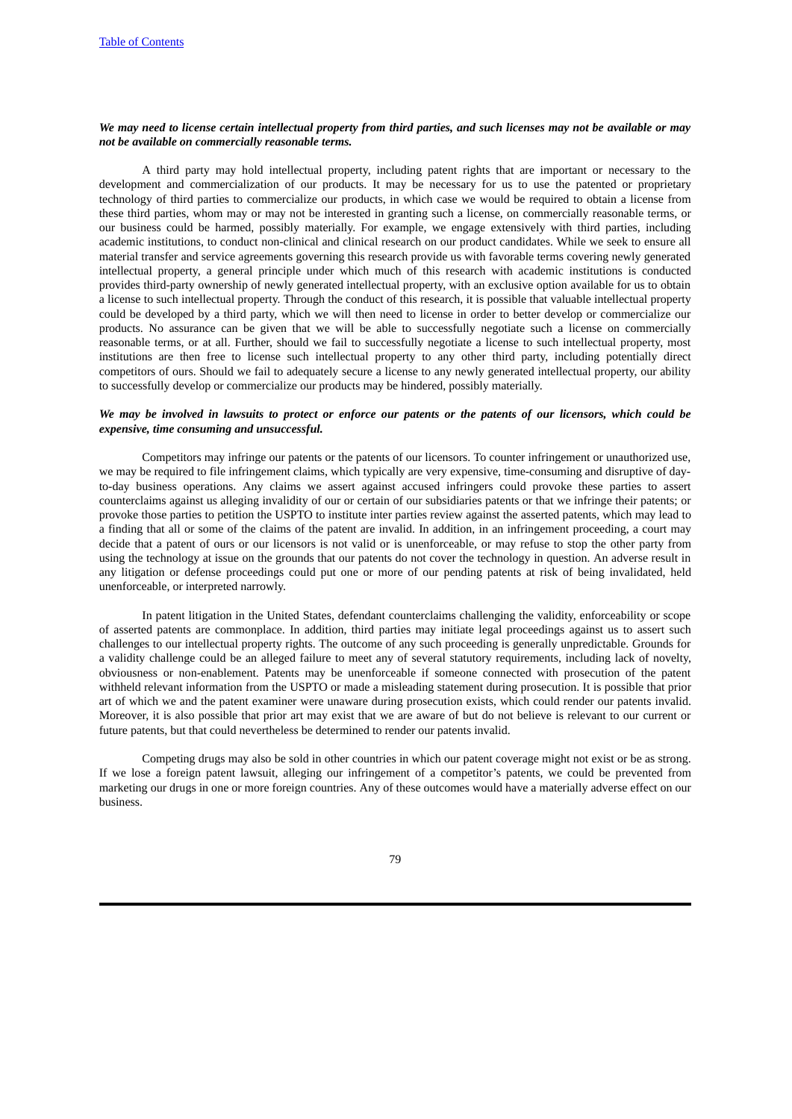## We may need to license certain intellectual property from third parties, and such licenses may not be available or may *not be available on commercially reasonable terms.*

A third party may hold intellectual property, including patent rights that are important or necessary to the development and commercialization of our products. It may be necessary for us to use the patented or proprietary technology of third parties to commercialize our products, in which case we would be required to obtain a license from these third parties, whom may or may not be interested in granting such a license, on commercially reasonable terms, or our business could be harmed, possibly materially. For example, we engage extensively with third parties, including academic institutions, to conduct non-clinical and clinical research on our product candidates. While we seek to ensure all material transfer and service agreements governing this research provide us with favorable terms covering newly generated intellectual property, a general principle under which much of this research with academic institutions is conducted provides third-party ownership of newly generated intellectual property, with an exclusive option available for us to obtain a license to such intellectual property. Through the conduct of this research, it is possible that valuable intellectual property could be developed by a third party, which we will then need to license in order to better develop or commercialize our products. No assurance can be given that we will be able to successfully negotiate such a license on commercially reasonable terms, or at all. Further, should we fail to successfully negotiate a license to such intellectual property, most institutions are then free to license such intellectual property to any other third party, including potentially direct competitors of ours. Should we fail to adequately secure a license to any newly generated intellectual property, our ability to successfully develop or commercialize our products may be hindered, possibly materially.

## We may be involved in lawsuits to protect or enforce our patents or the patents of our licensors, which could be *expensive, time consuming and unsuccessful.*

Competitors may infringe our patents or the patents of our licensors. To counter infringement or unauthorized use, we may be required to file infringement claims, which typically are very expensive, time-consuming and disruptive of dayto-day business operations. Any claims we assert against accused infringers could provoke these parties to assert counterclaims against us alleging invalidity of our or certain of our subsidiaries patents or that we infringe their patents; or provoke those parties to petition the USPTO to institute inter parties review against the asserted patents, which may lead to a finding that all or some of the claims of the patent are invalid. In addition, in an infringement proceeding, a court may decide that a patent of ours or our licensors is not valid or is unenforceable, or may refuse to stop the other party from using the technology at issue on the grounds that our patents do not cover the technology in question. An adverse result in any litigation or defense proceedings could put one or more of our pending patents at risk of being invalidated, held unenforceable, or interpreted narrowly.

In patent litigation in the United States, defendant counterclaims challenging the validity, enforceability or scope of asserted patents are commonplace. In addition, third parties may initiate legal proceedings against us to assert such challenges to our intellectual property rights. The outcome of any such proceeding is generally unpredictable. Grounds for a validity challenge could be an alleged failure to meet any of several statutory requirements, including lack of novelty, obviousness or non-enablement. Patents may be unenforceable if someone connected with prosecution of the patent withheld relevant information from the USPTO or made a misleading statement during prosecution. It is possible that prior art of which we and the patent examiner were unaware during prosecution exists, which could render our patents invalid. Moreover, it is also possible that prior art may exist that we are aware of but do not believe is relevant to our current or future patents, but that could nevertheless be determined to render our patents invalid.

Competing drugs may also be sold in other countries in which our patent coverage might not exist or be as strong. If we lose a foreign patent lawsuit, alleging our infringement of a competitor's patents, we could be prevented from marketing our drugs in one or more foreign countries. Any of these outcomes would have a materially adverse effect on our business.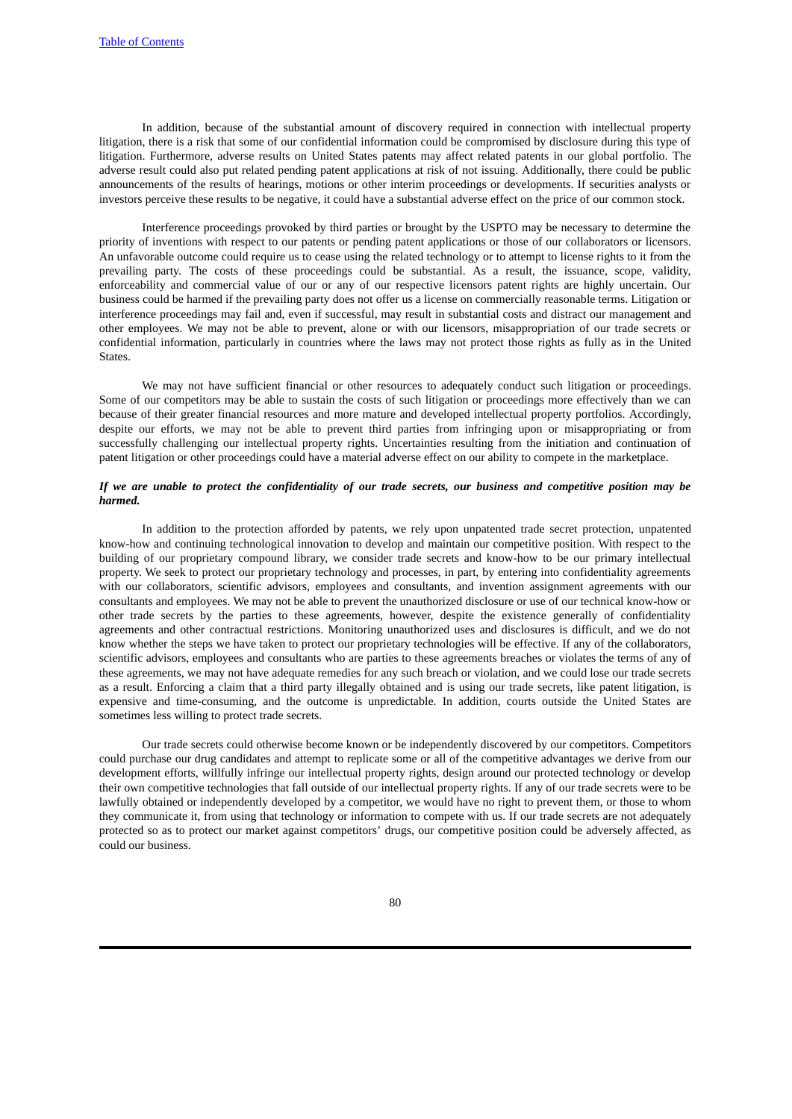In addition, because of the substantial amount of discovery required in connection with intellectual property litigation, there is a risk that some of our confidential information could be compromised by disclosure during this type of litigation. Furthermore, adverse results on United States patents may affect related patents in our global portfolio. The adverse result could also put related pending patent applications at risk of not issuing. Additionally, there could be public announcements of the results of hearings, motions or other interim proceedings or developments. If securities analysts or investors perceive these results to be negative, it could have a substantial adverse effect on the price of our common stock.

Interference proceedings provoked by third parties or brought by the USPTO may be necessary to determine the priority of inventions with respect to our patents or pending patent applications or those of our collaborators or licensors. An unfavorable outcome could require us to cease using the related technology or to attempt to license rights to it from the prevailing party. The costs of these proceedings could be substantial. As a result, the issuance, scope, validity, enforceability and commercial value of our or any of our respective licensors patent rights are highly uncertain. Our business could be harmed if the prevailing party does not offer us a license on commercially reasonable terms. Litigation or interference proceedings may fail and, even if successful, may result in substantial costs and distract our management and other employees. We may not be able to prevent, alone or with our licensors, misappropriation of our trade secrets or confidential information, particularly in countries where the laws may not protect those rights as fully as in the United States.

We may not have sufficient financial or other resources to adequately conduct such litigation or proceedings. Some of our competitors may be able to sustain the costs of such litigation or proceedings more effectively than we can because of their greater financial resources and more mature and developed intellectual property portfolios. Accordingly, despite our efforts, we may not be able to prevent third parties from infringing upon or misappropriating or from successfully challenging our intellectual property rights. Uncertainties resulting from the initiation and continuation of patent litigation or other proceedings could have a material adverse effect on our ability to compete in the marketplace.

### If we are unable to protect the confidentiality of our trade secrets, our business and competitive position may be *harmed.*

In addition to the protection afforded by patents, we rely upon unpatented trade secret protection, unpatented know-how and continuing technological innovation to develop and maintain our competitive position. With respect to the building of our proprietary compound library, we consider trade secrets and know-how to be our primary intellectual property. We seek to protect our proprietary technology and processes, in part, by entering into confidentiality agreements with our collaborators, scientific advisors, employees and consultants, and invention assignment agreements with our consultants and employees. We may not be able to prevent the unauthorized disclosure or use of our technical know-how or other trade secrets by the parties to these agreements, however, despite the existence generally of confidentiality agreements and other contractual restrictions. Monitoring unauthorized uses and disclosures is difficult, and we do not know whether the steps we have taken to protect our proprietary technologies will be effective. If any of the collaborators, scientific advisors, employees and consultants who are parties to these agreements breaches or violates the terms of any of these agreements, we may not have adequate remedies for any such breach or violation, and we could lose our trade secrets as a result. Enforcing a claim that a third party illegally obtained and is using our trade secrets, like patent litigation, is expensive and time-consuming, and the outcome is unpredictable. In addition, courts outside the United States are sometimes less willing to protect trade secrets.

Our trade secrets could otherwise become known or be independently discovered by our competitors. Competitors could purchase our drug candidates and attempt to replicate some or all of the competitive advantages we derive from our development efforts, willfully infringe our intellectual property rights, design around our protected technology or develop their own competitive technologies that fall outside of our intellectual property rights. If any of our trade secrets were to be lawfully obtained or independently developed by a competitor, we would have no right to prevent them, or those to whom they communicate it, from using that technology or information to compete with us. If our trade secrets are not adequately protected so as to protect our market against competitors' drugs, our competitive position could be adversely affected, as could our business.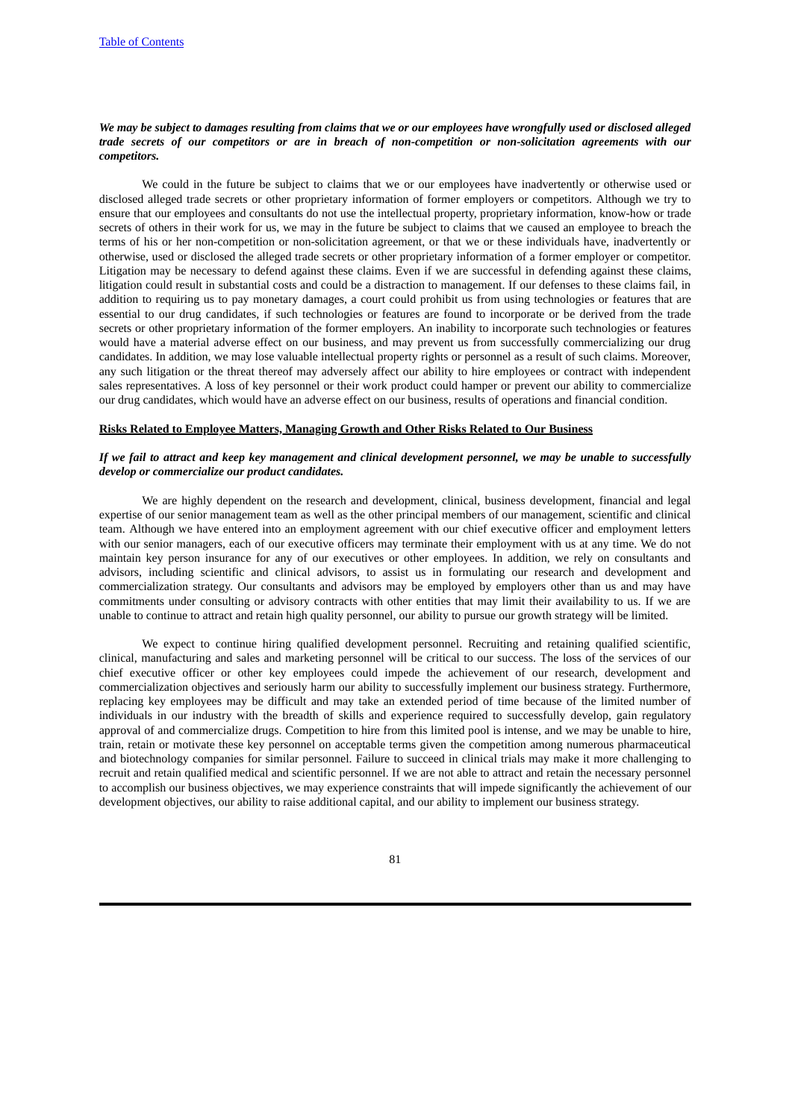## We may be subject to damages resulting from claims that we or our employees have wrongfully used or disclosed alleged *trade secrets of our competitors or are in breach of non-competition or non-solicitation agreements with our competitors.*

We could in the future be subject to claims that we or our employees have inadvertently or otherwise used or disclosed alleged trade secrets or other proprietary information of former employers or competitors. Although we try to ensure that our employees and consultants do not use the intellectual property, proprietary information, know-how or trade secrets of others in their work for us, we may in the future be subject to claims that we caused an employee to breach the terms of his or her non-competition or non-solicitation agreement, or that we or these individuals have, inadvertently or otherwise, used or disclosed the alleged trade secrets or other proprietary information of a former employer or competitor. Litigation may be necessary to defend against these claims. Even if we are successful in defending against these claims, litigation could result in substantial costs and could be a distraction to management. If our defenses to these claims fail, in addition to requiring us to pay monetary damages, a court could prohibit us from using technologies or features that are essential to our drug candidates, if such technologies or features are found to incorporate or be derived from the trade secrets or other proprietary information of the former employers. An inability to incorporate such technologies or features would have a material adverse effect on our business, and may prevent us from successfully commercializing our drug candidates. In addition, we may lose valuable intellectual property rights or personnel as a result of such claims. Moreover, any such litigation or the threat thereof may adversely affect our ability to hire employees or contract with independent sales representatives. A loss of key personnel or their work product could hamper or prevent our ability to commercialize our drug candidates, which would have an adverse effect on our business, results of operations and financial condition.

### **Risks Related to Employee Matters, Managing Growth and Other Risks Related to Our Business**

### If we fail to attract and keep key management and clinical development personnel, we may be unable to successfully *develop or commercialize our product candidates.*

We are highly dependent on the research and development, clinical, business development, financial and legal expertise of our senior management team as well as the other principal members of our management, scientific and clinical team. Although we have entered into an employment agreement with our chief executive officer and employment letters with our senior managers, each of our executive officers may terminate their employment with us at any time. We do not maintain key person insurance for any of our executives or other employees. In addition, we rely on consultants and advisors, including scientific and clinical advisors, to assist us in formulating our research and development and commercialization strategy. Our consultants and advisors may be employed by employers other than us and may have commitments under consulting or advisory contracts with other entities that may limit their availability to us. If we are unable to continue to attract and retain high quality personnel, our ability to pursue our growth strategy will be limited.

We expect to continue hiring qualified development personnel. Recruiting and retaining qualified scientific, clinical, manufacturing and sales and marketing personnel will be critical to our success. The loss of the services of our chief executive officer or other key employees could impede the achievement of our research, development and commercialization objectives and seriously harm our ability to successfully implement our business strategy. Furthermore, replacing key employees may be difficult and may take an extended period of time because of the limited number of individuals in our industry with the breadth of skills and experience required to successfully develop, gain regulatory approval of and commercialize drugs. Competition to hire from this limited pool is intense, and we may be unable to hire, train, retain or motivate these key personnel on acceptable terms given the competition among numerous pharmaceutical and biotechnology companies for similar personnel. Failure to succeed in clinical trials may make it more challenging to recruit and retain qualified medical and scientific personnel. If we are not able to attract and retain the necessary personnel to accomplish our business objectives, we may experience constraints that will impede significantly the achievement of our development objectives, our ability to raise additional capital, and our ability to implement our business strategy.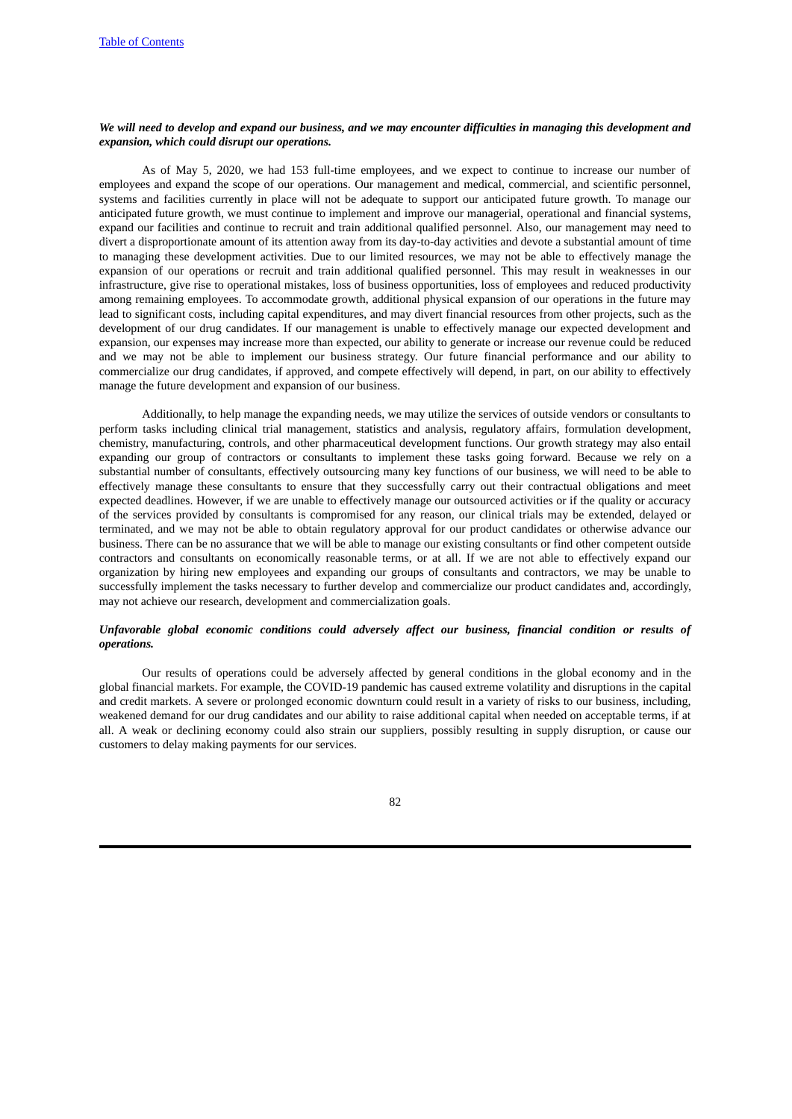## We will need to develop and expand our business, and we may encounter difficulties in managing this development and *expansion, which could disrupt our operations.*

As of May 5, 2020, we had 153 full-time employees, and we expect to continue to increase our number of employees and expand the scope of our operations. Our management and medical, commercial, and scientific personnel, systems and facilities currently in place will not be adequate to support our anticipated future growth. To manage our anticipated future growth, we must continue to implement and improve our managerial, operational and financial systems, expand our facilities and continue to recruit and train additional qualified personnel. Also, our management may need to divert a disproportionate amount of its attention away from its day-to-day activities and devote a substantial amount of time to managing these development activities. Due to our limited resources, we may not be able to effectively manage the expansion of our operations or recruit and train additional qualified personnel. This may result in weaknesses in our infrastructure, give rise to operational mistakes, loss of business opportunities, loss of employees and reduced productivity among remaining employees. To accommodate growth, additional physical expansion of our operations in the future may lead to significant costs, including capital expenditures, and may divert financial resources from other projects, such as the development of our drug candidates. If our management is unable to effectively manage our expected development and expansion, our expenses may increase more than expected, our ability to generate or increase our revenue could be reduced and we may not be able to implement our business strategy. Our future financial performance and our ability to commercialize our drug candidates, if approved, and compete effectively will depend, in part, on our ability to effectively manage the future development and expansion of our business.

Additionally, to help manage the expanding needs, we may utilize the services of outside vendors or consultants to perform tasks including clinical trial management, statistics and analysis, regulatory affairs, formulation development, chemistry, manufacturing, controls, and other pharmaceutical development functions. Our growth strategy may also entail expanding our group of contractors or consultants to implement these tasks going forward. Because we rely on a substantial number of consultants, effectively outsourcing many key functions of our business, we will need to be able to effectively manage these consultants to ensure that they successfully carry out their contractual obligations and meet expected deadlines. However, if we are unable to effectively manage our outsourced activities or if the quality or accuracy of the services provided by consultants is compromised for any reason, our clinical trials may be extended, delayed or terminated, and we may not be able to obtain regulatory approval for our product candidates or otherwise advance our business. There can be no assurance that we will be able to manage our existing consultants or find other competent outside contractors and consultants on economically reasonable terms, or at all. If we are not able to effectively expand our organization by hiring new employees and expanding our groups of consultants and contractors, we may be unable to successfully implement the tasks necessary to further develop and commercialize our product candidates and, accordingly, may not achieve our research, development and commercialization goals.

### *Unfavorable global economic conditions could adversely affect our business, financial condition or results of operations.*

Our results of operations could be adversely affected by general conditions in the global economy and in the global financial markets. For example, the COVID-19 pandemic has caused extreme volatility and disruptions in the capital and credit markets. A severe or prolonged economic downturn could result in a variety of risks to our business, including, weakened demand for our drug candidates and our ability to raise additional capital when needed on acceptable terms, if at all. A weak or declining economy could also strain our suppliers, possibly resulting in supply disruption, or cause our customers to delay making payments for our services.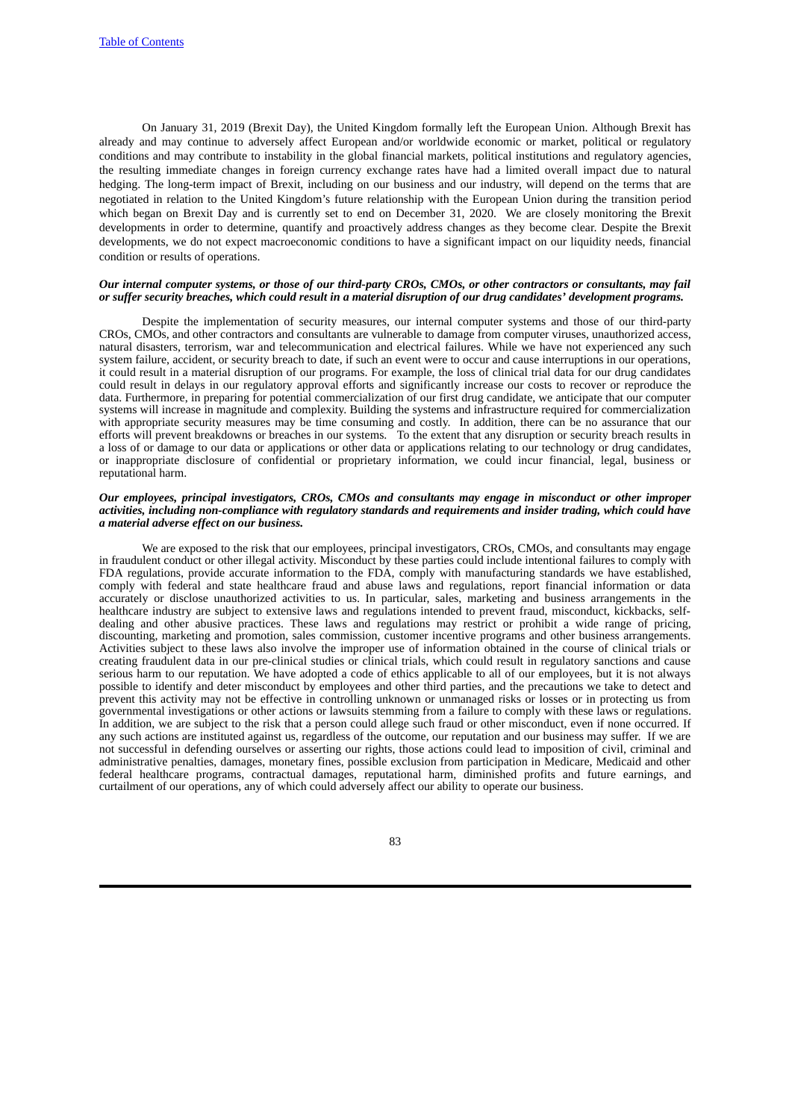On January 31, 2019 (Brexit Day), the United Kingdom formally left the European Union. Although Brexit has already and may continue to adversely affect European and/or worldwide economic or market, political or regulatory conditions and may contribute to instability in the global financial markets, political institutions and regulatory agencies, the resulting immediate changes in foreign currency exchange rates have had a limited overall impact due to natural hedging. The long-term impact of Brexit, including on our business and our industry, will depend on the terms that are negotiated in relation to the United Kingdom's future relationship with the European Union during the transition period which began on Brexit Day and is currently set to end on December 31, 2020. We are closely monitoring the Brexit developments in order to determine, quantify and proactively address changes as they become clear. Despite the Brexit developments, we do not expect macroeconomic conditions to have a significant impact on our liquidity needs, financial condition or results of operations.

### Our internal computer systems, or those of our third-party CROs, CMOs, or other contractors or consultants, may fail or suffer security breaches, which could result in a material disruption of our drug candidates' development programs.

Despite the implementation of security measures, our internal computer systems and those of our third-party CROs, CMOs, and other contractors and consultants are vulnerable to damage from computer viruses, unauthorized access, natural disasters, terrorism, war and telecommunication and electrical failures. While we have not experienced any such system failure, accident, or security breach to date, if such an event were to occur and cause interruptions in our operations, it could result in a material disruption of our programs. For example, the loss of clinical trial data for our drug candidates could result in delays in our regulatory approval efforts and significantly increase our costs to recover or reproduce the data. Furthermore, in preparing for potential commercialization of our first drug candidate, we anticipate that our computer systems will increase in magnitude and complexity. Building the systems and infrastructure required for commercialization with appropriate security measures may be time consuming and costly. In addition, there can be no assurance that our efforts will prevent breakdowns or breaches in our systems. To the extent that any disruption or security breach results in a loss of or damage to our data or applications or other data or applications relating to our technology or drug candidates, or inappropriate disclosure of confidential or proprietary information, we could incur financial, legal, business or reputational harm.

#### *Our employees, principal investigators, CROs, CMOs and consultants may engage in misconduct or other improper activities, including non-compliance with regulatory standards and requirements and insider trading, which could have a material adverse effect on our business.*

We are exposed to the risk that our employees, principal investigators, CROs, CMOs, and consultants may engage in fraudulent conduct or other illegal activity. Misconduct by these parties could include intentional failures to comply with FDA regulations, provide accurate information to the FDA, comply with manufacturing standards we have established, comply with federal and state healthcare fraud and abuse laws and regulations, report financial information or data accurately or disclose unauthorized activities to us. In particular, sales, marketing and business arrangements in the healthcare industry are subject to extensive laws and regulations intended to prevent fraud, misconduct, kickbacks, selfdealing and other abusive practices. These laws and regulations may restrict or prohibit a wide range of pricing, discounting, marketing and promotion, sales commission, customer incentive programs and other business arrangements. Activities subject to these laws also involve the improper use of information obtained in the course of clinical trials or creating fraudulent data in our pre-clinical studies or clinical trials, which could result in regulatory sanctions and cause serious harm to our reputation. We have adopted a code of ethics applicable to all of our employees, but it is not always possible to identify and deter misconduct by employees and other third parties, and the precautions we take to detect and prevent this activity may not be effective in controlling unknown or unmanaged risks or losses or in protecting us from governmental investigations or other actions or lawsuits stemming from a failure to comply with these laws or regulations. In addition, we are subject to the risk that a person could allege such fraud or other misconduct, even if none occurred. If any such actions are instituted against us, regardless of the outcome, our reputation and our business may suffer. If we are not successful in defending ourselves or asserting our rights, those actions could lead to imposition of civil, criminal and administrative penalties, damages, monetary fines, possible exclusion from participation in Medicare, Medicaid and other federal healthcare programs, contractual damages, reputational harm, diminished profits and future earnings, and curtailment of our operations, any of which could adversely affect our ability to operate our business.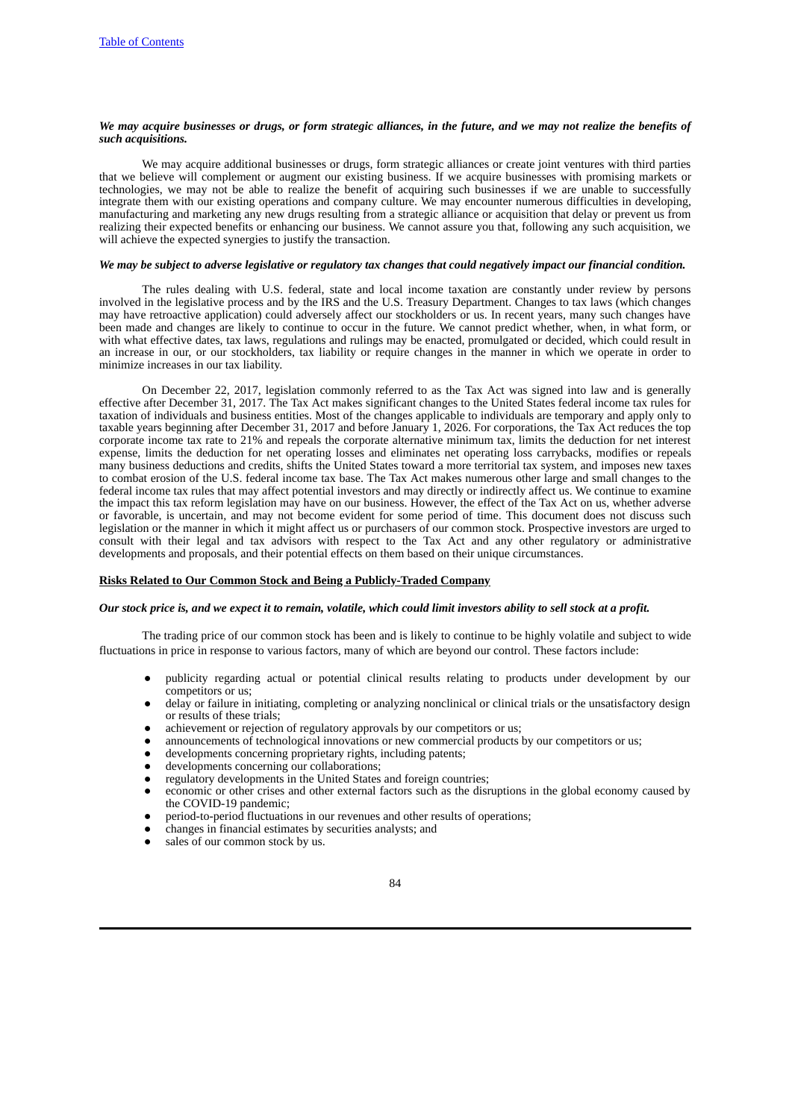#### We may acquire businesses or drugs, or form strategic alliances, in the future, and we may not realize the benefits of *such acquisitions.*

We may acquire additional businesses or drugs, form strategic alliances or create joint ventures with third parties that we believe will complement or augment our existing business. If we acquire businesses with promising markets or technologies, we may not be able to realize the benefit of acquiring such businesses if we are unable to successfully integrate them with our existing operations and company culture. We may encounter numerous difficulties in developing, manufacturing and marketing any new drugs resulting from a strategic alliance or acquisition that delay or prevent us from realizing their expected benefits or enhancing our business. We cannot assure you that, following any such acquisition, we will achieve the expected synergies to justify the transaction.

# We may be subject to adverse legislative or regulatory tax changes that could negatively impact our financial condition.

The rules dealing with U.S. federal, state and local income taxation are constantly under review by persons involved in the legislative process and by the IRS and the U.S. Treasury Department. Changes to tax laws (which changes may have retroactive application) could adversely affect our stockholders or us. In recent years, many such changes have been made and changes are likely to continue to occur in the future. We cannot predict whether, when, in what form, or with what effective dates, tax laws, regulations and rulings may be enacted, promulgated or decided, which could result in an increase in our, or our stockholders, tax liability or require changes in the manner in which we operate in order to minimize increases in our tax liability.

On December 22, 2017, legislation commonly referred to as the Tax Act was signed into law and is generally effective after December 31, 2017. The Tax Act makes significant changes to the United States federal income tax rules for taxation of individuals and business entities. Most of the changes applicable to individuals are temporary and apply only to taxable years beginning after December 31, 2017 and before January 1, 2026. For corporations, the Tax Act reduces the top corporate income tax rate to 21% and repeals the corporate alternative minimum tax, limits the deduction for net interest expense, limits the deduction for net operating losses and eliminates net operating loss carrybacks, modifies or repeals many business deductions and credits, shifts the United States toward a more territorial tax system, and imposes new taxes to combat erosion of the U.S. federal income tax base. The Tax Act makes numerous other large and small changes to the federal income tax rules that may affect potential investors and may directly or indirectly affect us. We continue to examine the impact this tax reform legislation may have on our business. However, the effect of the Tax Act on us, whether adverse or favorable, is uncertain, and may not become evident for some period of time. This document does not discuss such legislation or the manner in which it might affect us or purchasers of our common stock. Prospective investors are urged to consult with their legal and tax advisors with respect to the Tax Act and any other regulatory or administrative developments and proposals, and their potential effects on them based on their unique circumstances.

#### **Risks Related to Our Common Stock and Being a Publicly-Traded Company**

#### Our stock price is, and we expect it to remain, volatile, which could limit investors ability to sell stock at a profit.

The trading price of our common stock has been and is likely to continue to be highly volatile and subject to wide fluctuations in price in response to various factors, many of which are beyond our control. These factors include:

- publicity regarding actual or potential clinical results relating to products under development by our competitors or us;
- delay or failure in initiating, completing or analyzing nonclinical or clinical trials or the unsatisfactory design or results of these trials;
- achievement or rejection of regulatory approvals by our competitors or us;
- announcements of technological innovations or new commercial products by our competitors or us;
- developments concerning proprietary rights, including patents;
- developments concerning our collaborations;
- regulatory developments in the United States and foreign countries;
- economic or other crises and other external factors such as the disruptions in the global economy caused by the COVID-19 pandemic;
- period-to-period fluctuations in our revenues and other results of operations;
- changes in financial estimates by securities analysts; and
- sales of our common stock by us.
- 84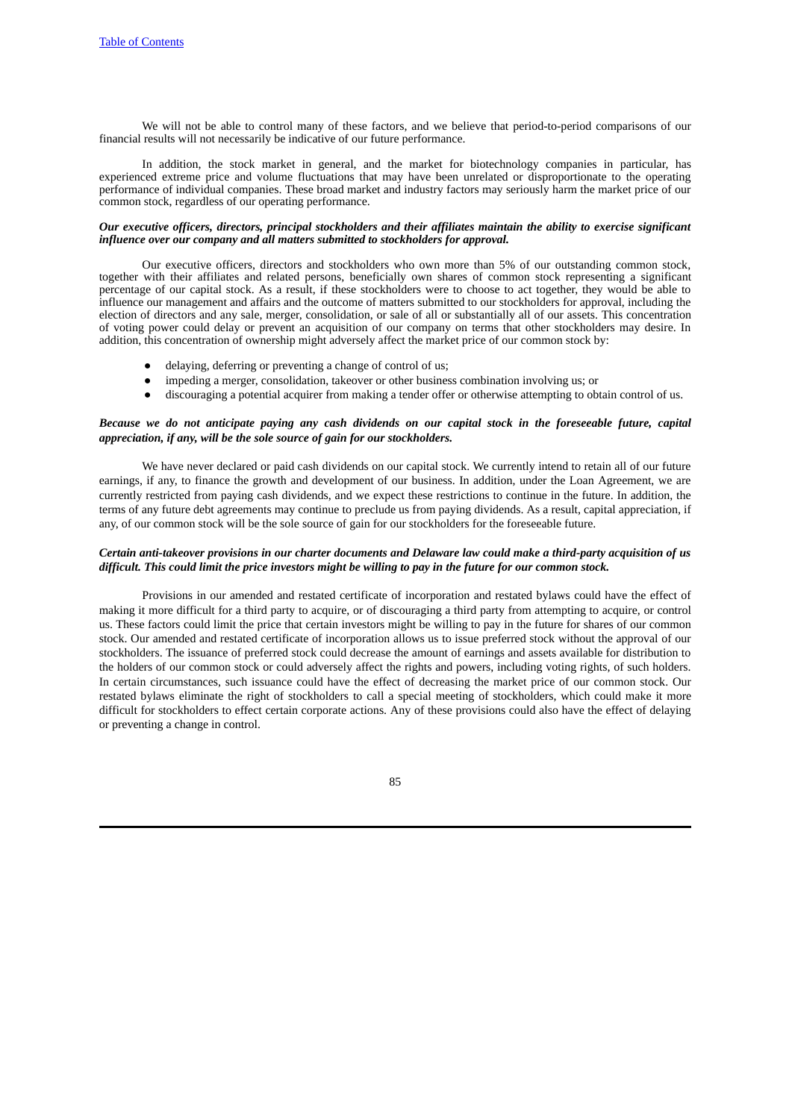We will not be able to control many of these factors, and we believe that period-to-period comparisons of our financial results will not necessarily be indicative of our future performance.

In addition, the stock market in general, and the market for biotechnology companies in particular, has experienced extreme price and volume fluctuations that may have been unrelated or disproportionate to the operating performance of individual companies. These broad market and industry factors may seriously harm the market price of our common stock, regardless of our operating performance.

#### Our executive officers, directors, principal stockholders and their affiliates maintain the ability to exercise significant *influence over our company and all matters submitted to stockholders for approval.*

Our executive officers, directors and stockholders who own more than 5% of our outstanding common stock, together with their affiliates and related persons, beneficially own shares of common stock representing a significant percentage of our capital stock. As a result, if these stockholders were to choose to act together, they would be able to influence our management and affairs and the outcome of matters submitted to our stockholders for approval, including the election of directors and any sale, merger, consolidation, or sale of all or substantially all of our assets. This concentration of voting power could delay or prevent an acquisition of our company on terms that other stockholders may desire. In addition, this concentration of ownership might adversely affect the market price of our common stock by:

- delaying, deferring or preventing a change of control of us;
- impeding a merger, consolidation, takeover or other business combination involving us; or
- discouraging a potential acquirer from making a tender offer or otherwise attempting to obtain control of us.

#### Because we do not anticipate paying any cash dividends on our capital stock in the foreseeable future, capital *appreciation, if any, will be the sole source of gain for our stockholders.*

We have never declared or paid cash dividends on our capital stock. We currently intend to retain all of our future earnings, if any, to finance the growth and development of our business. In addition, under the Loan Agreement, we are currently restricted from paying cash dividends, and we expect these restrictions to continue in the future. In addition, the terms of any future debt agreements may continue to preclude us from paying dividends. As a result, capital appreciation, if any, of our common stock will be the sole source of gain for our stockholders for the foreseeable future.

## Certain anti-takeover provisions in our charter documents and Delaware law could make a third-party acquisition of us difficult. This could limit the price investors might be willing to pay in the future for our common stock.

Provisions in our amended and restated certificate of incorporation and restated bylaws could have the effect of making it more difficult for a third party to acquire, or of discouraging a third party from attempting to acquire, or control us. These factors could limit the price that certain investors might be willing to pay in the future for shares of our common stock. Our amended and restated certificate of incorporation allows us to issue preferred stock without the approval of our stockholders. The issuance of preferred stock could decrease the amount of earnings and assets available for distribution to the holders of our common stock or could adversely affect the rights and powers, including voting rights, of such holders. In certain circumstances, such issuance could have the effect of decreasing the market price of our common stock. Our restated bylaws eliminate the right of stockholders to call a special meeting of stockholders, which could make it more difficult for stockholders to effect certain corporate actions. Any of these provisions could also have the effect of delaying or preventing a change in control.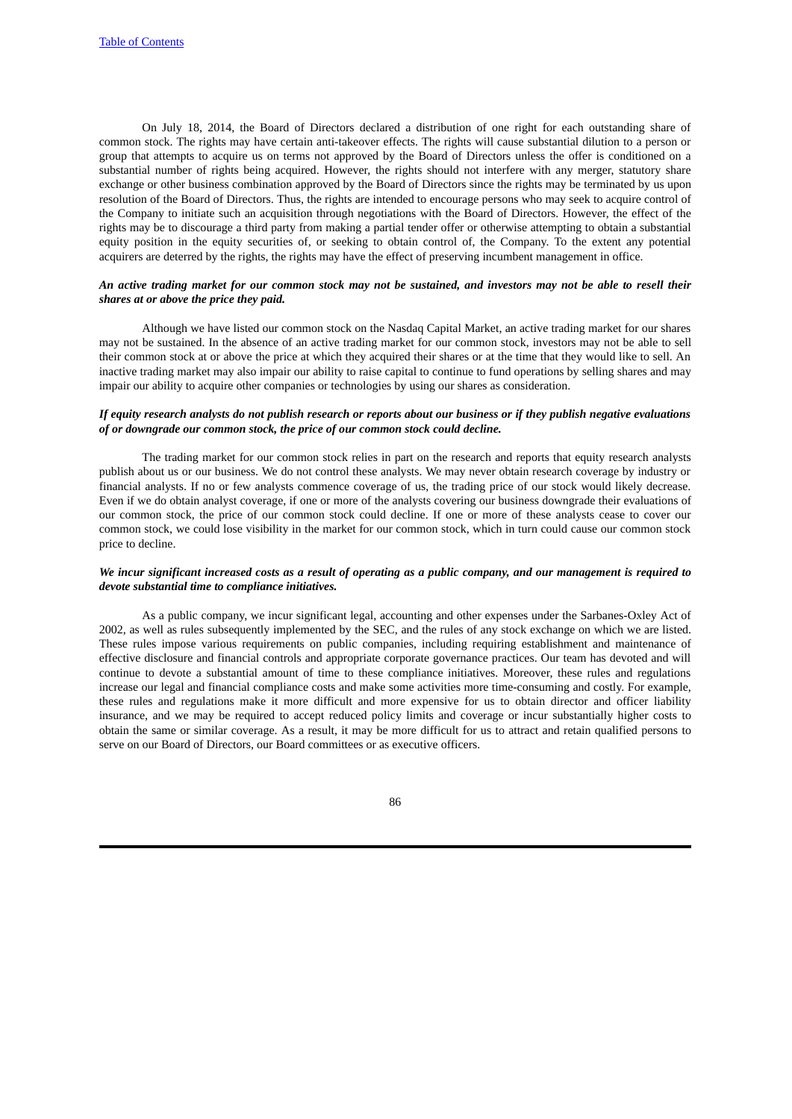On July 18, 2014, the Board of Directors declared a distribution of one right for each outstanding share of common stock. The rights may have certain anti-takeover effects. The rights will cause substantial dilution to a person or group that attempts to acquire us on terms not approved by the Board of Directors unless the offer is conditioned on a substantial number of rights being acquired. However, the rights should not interfere with any merger, statutory share exchange or other business combination approved by the Board of Directors since the rights may be terminated by us upon resolution of the Board of Directors. Thus, the rights are intended to encourage persons who may seek to acquire control of the Company to initiate such an acquisition through negotiations with the Board of Directors. However, the effect of the rights may be to discourage a third party from making a partial tender offer or otherwise attempting to obtain a substantial equity position in the equity securities of, or seeking to obtain control of, the Company. To the extent any potential acquirers are deterred by the rights, the rights may have the effect of preserving incumbent management in office.

## An active trading market for our common stock may not be sustained, and investors may not be able to resell their *shares at or above the price they paid.*

Although we have listed our common stock on the Nasdaq Capital Market, an active trading market for our shares may not be sustained. In the absence of an active trading market for our common stock, investors may not be able to sell their common stock at or above the price at which they acquired their shares or at the time that they would like to sell. An inactive trading market may also impair our ability to raise capital to continue to fund operations by selling shares and may impair our ability to acquire other companies or technologies by using our shares as consideration.

## If equity research analysts do not publish research or reports about our business or if they publish negative evaluations *of or downgrade our common stock, the price of our common stock could decline.*

The trading market for our common stock relies in part on the research and reports that equity research analysts publish about us or our business. We do not control these analysts. We may never obtain research coverage by industry or financial analysts. If no or few analysts commence coverage of us, the trading price of our stock would likely decrease. Even if we do obtain analyst coverage, if one or more of the analysts covering our business downgrade their evaluations of our common stock, the price of our common stock could decline. If one or more of these analysts cease to cover our common stock, we could lose visibility in the market for our common stock, which in turn could cause our common stock price to decline.

## We incur significant increased costs as a result of operating as a public company, and our management is required to *devote substantial time to compliance initiatives.*

As a public company, we incur significant legal, accounting and other expenses under the Sarbanes-Oxley Act of 2002, as well as rules subsequently implemented by the SEC, and the rules of any stock exchange on which we are listed. These rules impose various requirements on public companies, including requiring establishment and maintenance of effective disclosure and financial controls and appropriate corporate governance practices. Our team has devoted and will continue to devote a substantial amount of time to these compliance initiatives. Moreover, these rules and regulations increase our legal and financial compliance costs and make some activities more time-consuming and costly. For example, these rules and regulations make it more difficult and more expensive for us to obtain director and officer liability insurance, and we may be required to accept reduced policy limits and coverage or incur substantially higher costs to obtain the same or similar coverage. As a result, it may be more difficult for us to attract and retain qualified persons to serve on our Board of Directors, our Board committees or as executive officers.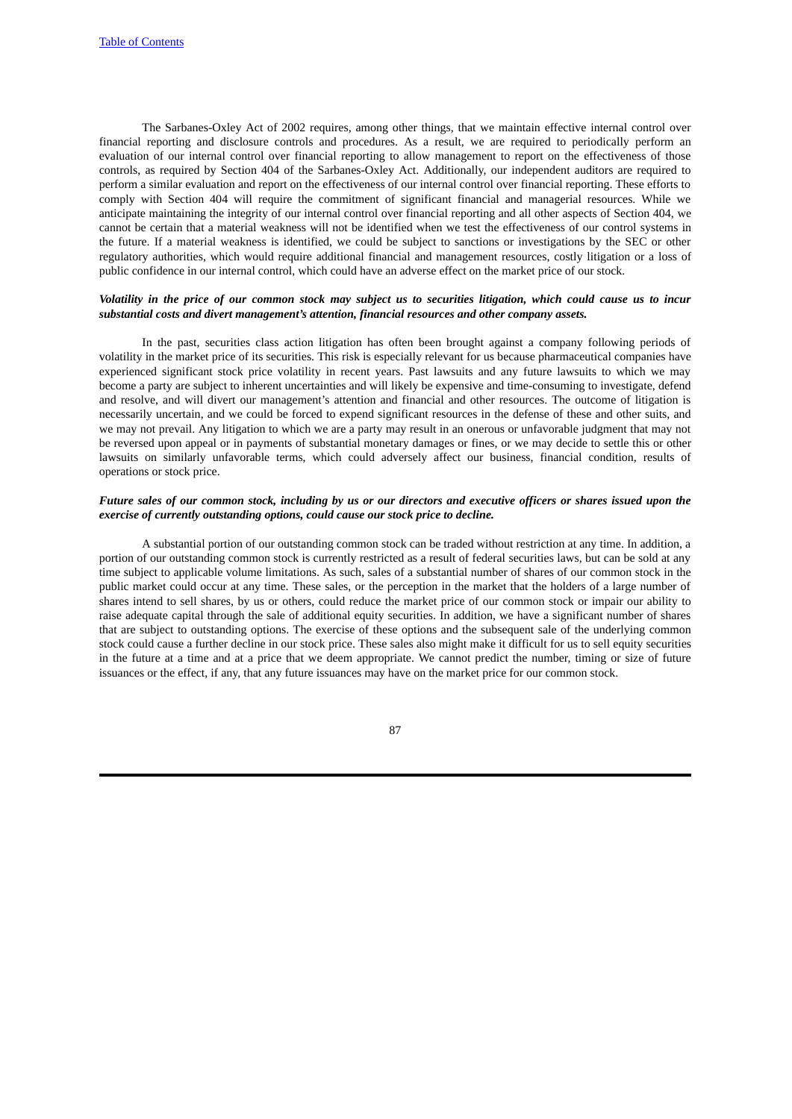The Sarbanes-Oxley Act of 2002 requires, among other things, that we maintain effective internal control over financial reporting and disclosure controls and procedures. As a result, we are required to periodically perform an evaluation of our internal control over financial reporting to allow management to report on the effectiveness of those controls, as required by Section 404 of the Sarbanes-Oxley Act. Additionally, our independent auditors are required to perform a similar evaluation and report on the effectiveness of our internal control over financial reporting. These efforts to comply with Section 404 will require the commitment of significant financial and managerial resources. While we anticipate maintaining the integrity of our internal control over financial reporting and all other aspects of Section 404, we cannot be certain that a material weakness will not be identified when we test the effectiveness of our control systems in the future. If a material weakness is identified, we could be subject to sanctions or investigations by the SEC or other regulatory authorities, which would require additional financial and management resources, costly litigation or a loss of public confidence in our internal control, which could have an adverse effect on the market price of our stock.

### Volatility in the price of our common stock may subject us to securities litigation, which could cause us to incur *substantial costs and divert management's attention, financial resources and other company assets.*

In the past, securities class action litigation has often been brought against a company following periods of volatility in the market price of its securities. This risk is especially relevant for us because pharmaceutical companies have experienced significant stock price volatility in recent years. Past lawsuits and any future lawsuits to which we may become a party are subject to inherent uncertainties and will likely be expensive and time-consuming to investigate, defend and resolve, and will divert our management's attention and financial and other resources. The outcome of litigation is necessarily uncertain, and we could be forced to expend significant resources in the defense of these and other suits, and we may not prevail. Any litigation to which we are a party may result in an onerous or unfavorable judgment that may not be reversed upon appeal or in payments of substantial monetary damages or fines, or we may decide to settle this or other lawsuits on similarly unfavorable terms, which could adversely affect our business, financial condition, results of operations or stock price.

## Future sales of our common stock, including by us or our directors and executive officers or shares issued upon the *exercise of currently outstanding options, could cause our stock price to decline.*

A substantial portion of our outstanding common stock can be traded without restriction at any time. In addition, a portion of our outstanding common stock is currently restricted as a result of federal securities laws, but can be sold at any time subject to applicable volume limitations. As such, sales of a substantial number of shares of our common stock in the public market could occur at any time. These sales, or the perception in the market that the holders of a large number of shares intend to sell shares, by us or others, could reduce the market price of our common stock or impair our ability to raise adequate capital through the sale of additional equity securities. In addition, we have a significant number of shares that are subject to outstanding options. The exercise of these options and the subsequent sale of the underlying common stock could cause a further decline in our stock price. These sales also might make it difficult for us to sell equity securities in the future at a time and at a price that we deem appropriate. We cannot predict the number, timing or size of future issuances or the effect, if any, that any future issuances may have on the market price for our common stock.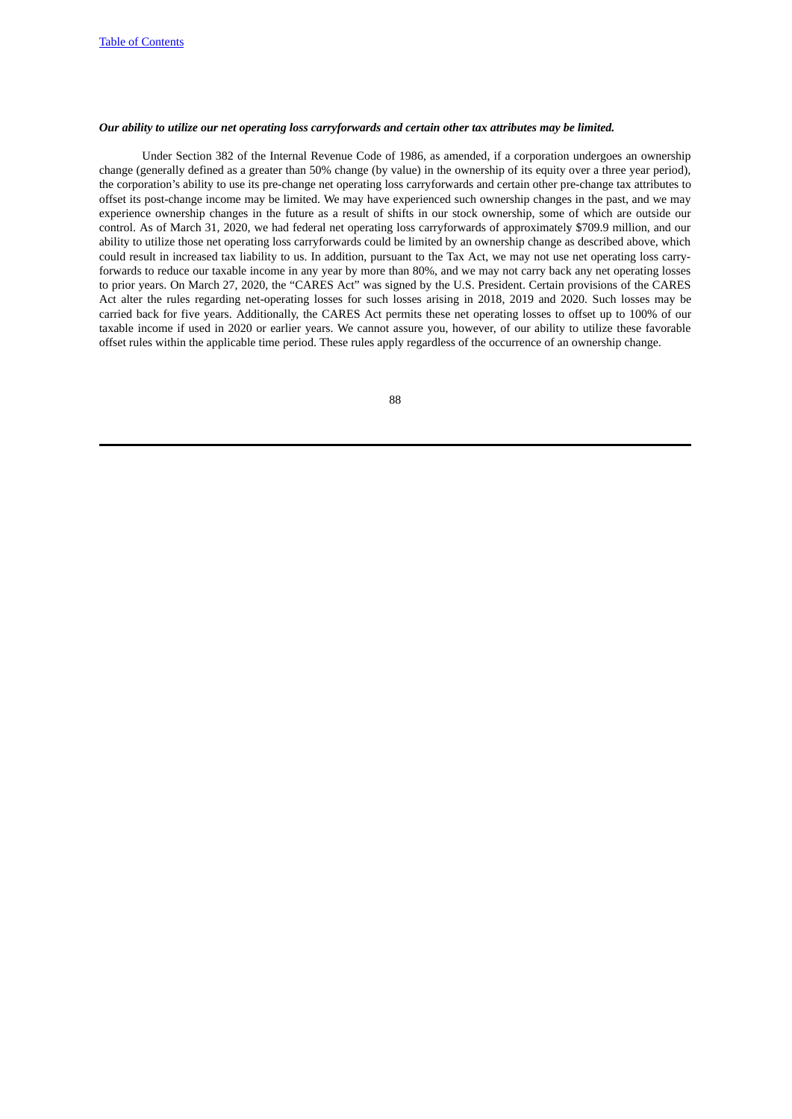### Our ability to utilize our net operating loss carryforwards and certain other tax attributes may be limited.

Under Section 382 of the Internal Revenue Code of 1986, as amended, if a corporation undergoes an ownership change (generally defined as a greater than 50% change (by value) in the ownership of its equity over a three year period), the corporation's ability to use its pre-change net operating loss carryforwards and certain other pre-change tax attributes to offset its post-change income may be limited. We may have experienced such ownership changes in the past, and we may experience ownership changes in the future as a result of shifts in our stock ownership, some of which are outside our control. As of March 31, 2020, we had federal net operating loss carryforwards of approximately \$709.9 million, and our ability to utilize those net operating loss carryforwards could be limited by an ownership change as described above, which could result in increased tax liability to us. In addition, pursuant to the Tax Act, we may not use net operating loss carryforwards to reduce our taxable income in any year by more than 80%, and we may not carry back any net operating losses to prior years. On March 27, 2020, the "CARES Act" was signed by the U.S. President. Certain provisions of the CARES Act alter the rules regarding net-operating losses for such losses arising in 2018, 2019 and 2020. Such losses may be carried back for five years. Additionally, the CARES Act permits these net operating losses to offset up to 100% of our taxable income if used in 2020 or earlier years. We cannot assure you, however, of our ability to utilize these favorable offset rules within the applicable time period. These rules apply regardless of the occurrence of an ownership change.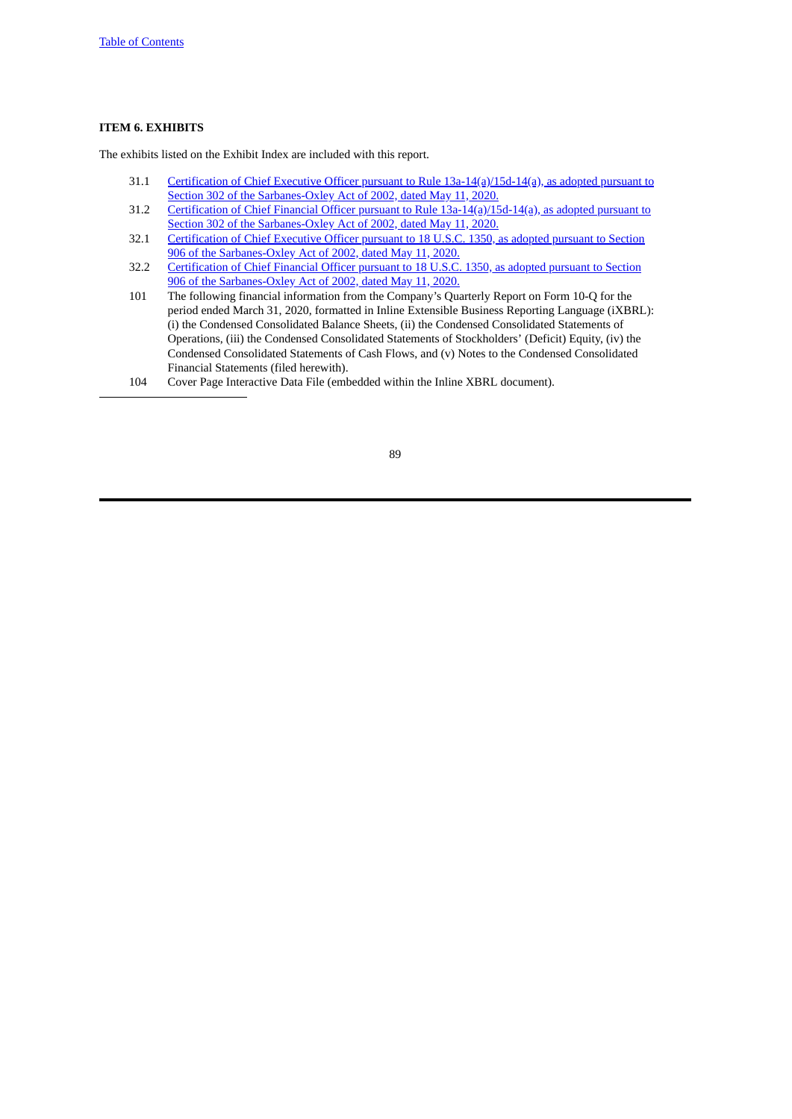## **ITEM 6. EXHIBITS**

The exhibits listed on the Exhibit Index are included with this report.

- 31.1 Certification of Chief Executive Officer pursuant to Rule [13a-14\(a\)/15d-14\(a\),](#page-90-0) as adopted pursuant to Section 302 of the Sarbanes-Oxley Act of 2002, dated May 11, 2020.
- 31.2 Certification of Chief Financial Officer pursuant to Rule [13a-14\(a\)/15d-14\(a\),](#page-91-0) as adopted pursuant to Section 302 of the Sarbanes-Oxley Act of 2002, dated May 11, 2020.
- 32.1 Certification of Chief Executive Officer pursuant to 18 U.S.C. 1350, as adopted pursuant to Section 906 of the [Sarbanes-Oxley](#page-92-0) Act of 2002, dated May 11, 2020.
- 32.2 Certification of Chief Financial Officer pursuant to 18 U.S.C. 1350, as adopted pursuant to Section 906 of the [Sarbanes-Oxley](#page-93-0) Act of 2002, dated May 11, 2020.
- 101 The following financial information from the Company's Quarterly Report on Form 10-Q for the period ended March 31, 2020, formatted in Inline Extensible Business Reporting Language (iXBRL): (i) the Condensed Consolidated Balance Sheets, (ii) the Condensed Consolidated Statements of Operations, (iii) the Condensed Consolidated Statements of Stockholders' (Deficit) Equity, (iv) the Condensed Consolidated Statements of Cash Flows, and (v) Notes to the Condensed Consolidated Financial Statements (filed herewith).
- 104 Cover Page Interactive Data File (embedded within the Inline XBRL document).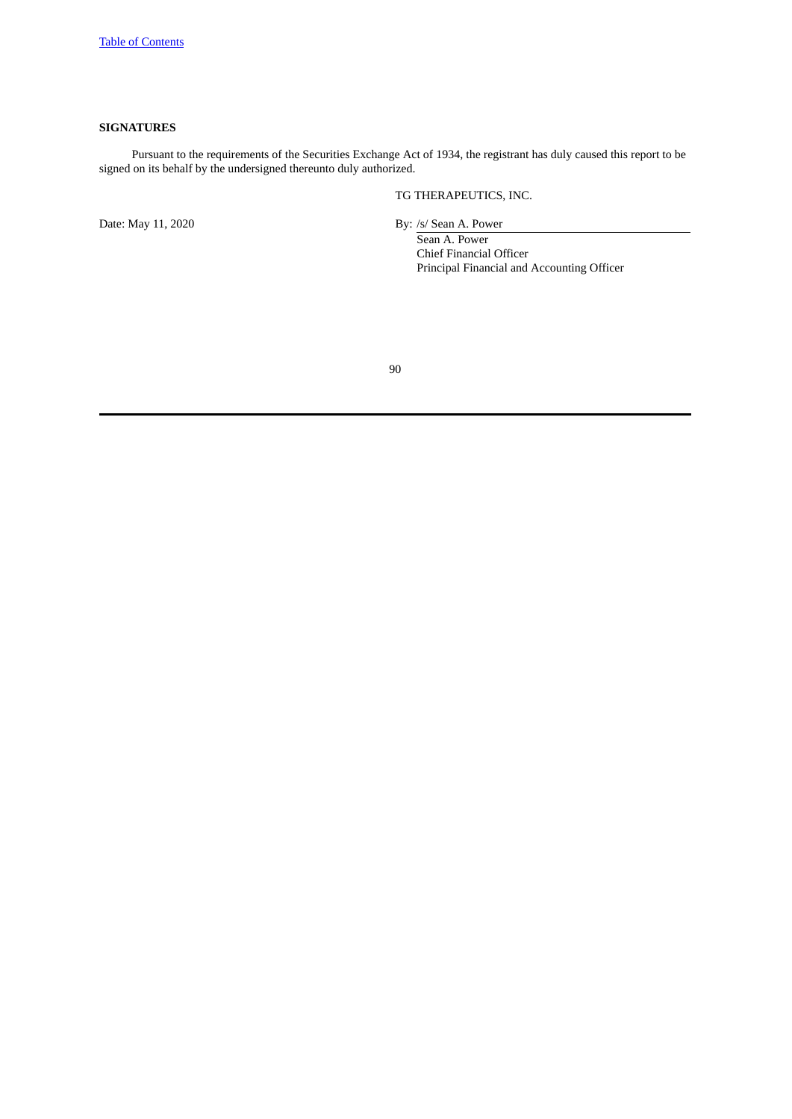# **SIGNATURES**

Pursuant to the requirements of the Securities Exchange Act of 1934, the registrant has duly caused this report to be signed on its behalf by the undersigned thereunto duly authorized.

TG THERAPEUTICS, INC.

Date: May 11, 2020 By: /s/ Sean A. Power

Sean A. Power Chief Financial Officer Principal Financial and Accounting Officer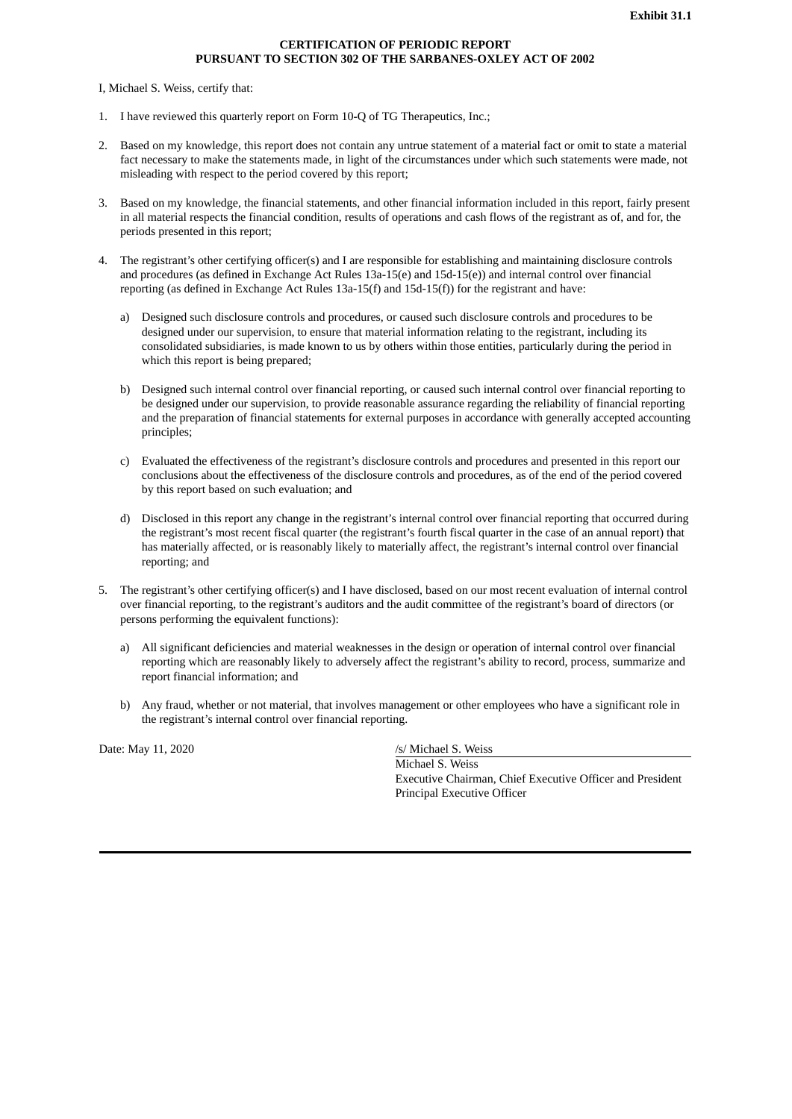## **CERTIFICATION OF PERIODIC REPORT PURSUANT TO SECTION 302 OF THE SARBANES-OXLEY ACT OF 2002**

<span id="page-90-0"></span>I, Michael S. Weiss, certify that:

- 1. I have reviewed this quarterly report on Form 10-Q of TG Therapeutics, Inc.;
- 2. Based on my knowledge, this report does not contain any untrue statement of a material fact or omit to state a material fact necessary to make the statements made, in light of the circumstances under which such statements were made, not misleading with respect to the period covered by this report;
- 3. Based on my knowledge, the financial statements, and other financial information included in this report, fairly present in all material respects the financial condition, results of operations and cash flows of the registrant as of, and for, the periods presented in this report;
- 4. The registrant's other certifying officer(s) and I are responsible for establishing and maintaining disclosure controls and procedures (as defined in Exchange Act Rules 13a-15(e) and 15d-15(e)) and internal control over financial reporting (as defined in Exchange Act Rules 13a-15(f) and 15d-15(f)) for the registrant and have:
	- a) Designed such disclosure controls and procedures, or caused such disclosure controls and procedures to be designed under our supervision, to ensure that material information relating to the registrant, including its consolidated subsidiaries, is made known to us by others within those entities, particularly during the period in which this report is being prepared;
	- b) Designed such internal control over financial reporting, or caused such internal control over financial reporting to be designed under our supervision, to provide reasonable assurance regarding the reliability of financial reporting and the preparation of financial statements for external purposes in accordance with generally accepted accounting principles;
	- c) Evaluated the effectiveness of the registrant's disclosure controls and procedures and presented in this report our conclusions about the effectiveness of the disclosure controls and procedures, as of the end of the period covered by this report based on such evaluation; and
	- d) Disclosed in this report any change in the registrant's internal control over financial reporting that occurred during the registrant's most recent fiscal quarter (the registrant's fourth fiscal quarter in the case of an annual report) that has materially affected, or is reasonably likely to materially affect, the registrant's internal control over financial reporting; and
- 5. The registrant's other certifying officer(s) and I have disclosed, based on our most recent evaluation of internal control over financial reporting, to the registrant's auditors and the audit committee of the registrant's board of directors (or persons performing the equivalent functions):
	- a) All significant deficiencies and material weaknesses in the design or operation of internal control over financial reporting which are reasonably likely to adversely affect the registrant's ability to record, process, summarize and report financial information; and
	- b) Any fraud, whether or not material, that involves management or other employees who have a significant role in the registrant's internal control over financial reporting.

Date: May 11, 2020 /s/ Michael S. Weiss

Michael S. Weiss Executive Chairman, Chief Executive Officer and President Principal Executive Officer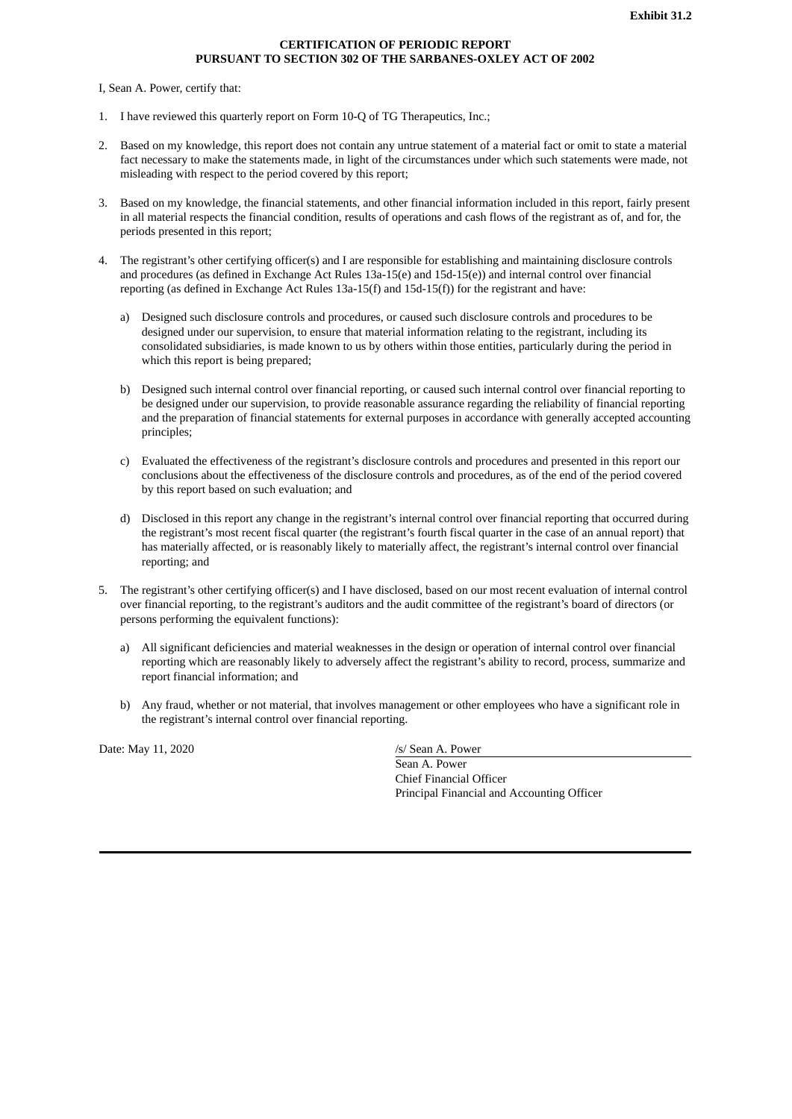## **CERTIFICATION OF PERIODIC REPORT PURSUANT TO SECTION 302 OF THE SARBANES-OXLEY ACT OF 2002**

- <span id="page-91-0"></span>I, Sean A. Power, certify that:
- 1. I have reviewed this quarterly report on Form 10-Q of TG Therapeutics, Inc.;
- 2. Based on my knowledge, this report does not contain any untrue statement of a material fact or omit to state a material fact necessary to make the statements made, in light of the circumstances under which such statements were made, not misleading with respect to the period covered by this report;
- 3. Based on my knowledge, the financial statements, and other financial information included in this report, fairly present in all material respects the financial condition, results of operations and cash flows of the registrant as of, and for, the periods presented in this report;
- 4. The registrant's other certifying officer(s) and I are responsible for establishing and maintaining disclosure controls and procedures (as defined in Exchange Act Rules 13a-15(e) and 15d-15(e)) and internal control over financial reporting (as defined in Exchange Act Rules 13a-15(f) and 15d-15(f)) for the registrant and have:
	- a) Designed such disclosure controls and procedures, or caused such disclosure controls and procedures to be designed under our supervision, to ensure that material information relating to the registrant, including its consolidated subsidiaries, is made known to us by others within those entities, particularly during the period in which this report is being prepared;
	- b) Designed such internal control over financial reporting, or caused such internal control over financial reporting to be designed under our supervision, to provide reasonable assurance regarding the reliability of financial reporting and the preparation of financial statements for external purposes in accordance with generally accepted accounting principles;
	- c) Evaluated the effectiveness of the registrant's disclosure controls and procedures and presented in this report our conclusions about the effectiveness of the disclosure controls and procedures, as of the end of the period covered by this report based on such evaluation; and
	- d) Disclosed in this report any change in the registrant's internal control over financial reporting that occurred during the registrant's most recent fiscal quarter (the registrant's fourth fiscal quarter in the case of an annual report) that has materially affected, or is reasonably likely to materially affect, the registrant's internal control over financial reporting; and
- 5. The registrant's other certifying officer(s) and I have disclosed, based on our most recent evaluation of internal control over financial reporting, to the registrant's auditors and the audit committee of the registrant's board of directors (or persons performing the equivalent functions):
	- a) All significant deficiencies and material weaknesses in the design or operation of internal control over financial reporting which are reasonably likely to adversely affect the registrant's ability to record, process, summarize and report financial information; and
	- b) Any fraud, whether or not material, that involves management or other employees who have a significant role in the registrant's internal control over financial reporting.

Date: May 11, 2020 /s/ Sean A. Power

Sean A. Power

Chief Financial Officer Principal Financial and Accounting Officer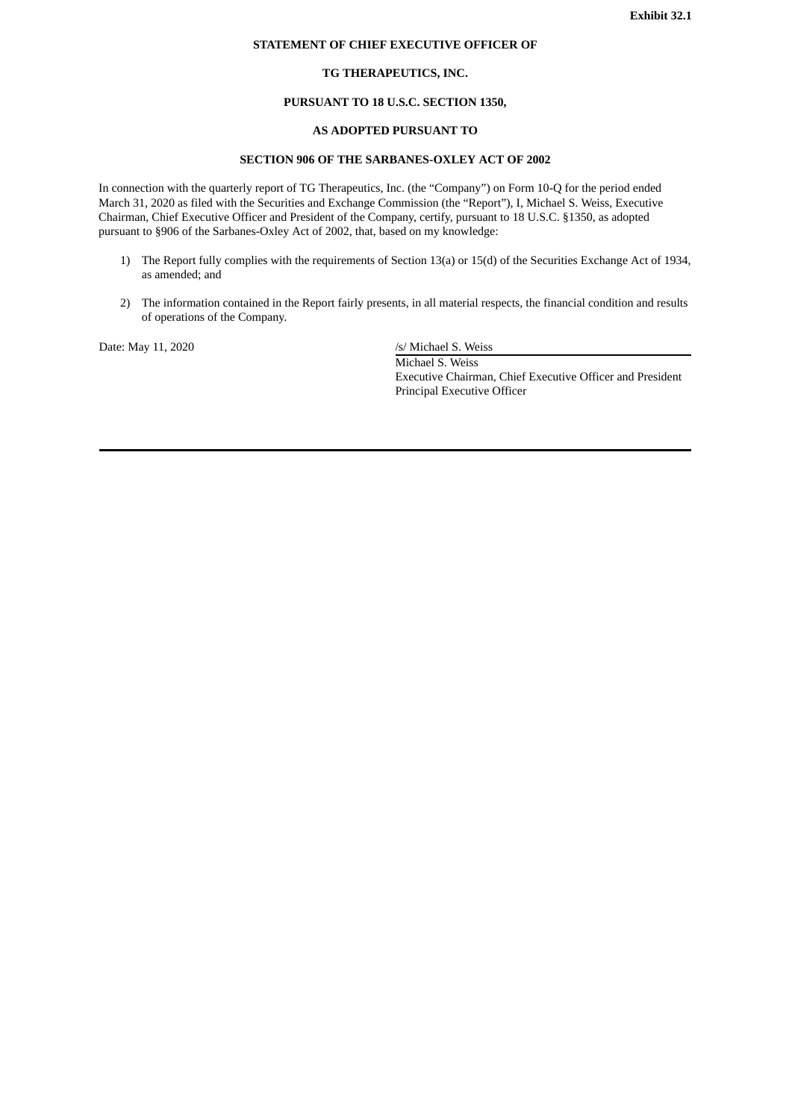**Exhibit 32.1**

### **STATEMENT OF CHIEF EXECUTIVE OFFICER OF**

### **TG THERAPEUTICS, INC.**

# **PURSUANT TO 18 U.S.C. SECTION 1350,**

## **AS ADOPTED PURSUANT TO**

## **SECTION 906 OF THE SARBANES-OXLEY ACT OF 2002**

<span id="page-92-0"></span>In connection with the quarterly report of TG Therapeutics, Inc. (the "Company") on Form 10-Q for the period ended March 31, 2020 as filed with the Securities and Exchange Commission (the "Report"), I, Michael S. Weiss, Executive Chairman, Chief Executive Officer and President of the Company, certify, pursuant to 18 U.S.C. §1350, as adopted pursuant to §906 of the Sarbanes-Oxley Act of 2002, that, based on my knowledge:

- 1) The Report fully complies with the requirements of Section 13(a) or 15(d) of the Securities Exchange Act of 1934, as amended; and
- 2) The information contained in the Report fairly presents, in all material respects, the financial condition and results of operations of the Company.

Date: May 11, 2020 /s/ Michael S. Weiss

Michael S. Weiss Executive Chairman, Chief Executive Officer and President Principal Executive Officer